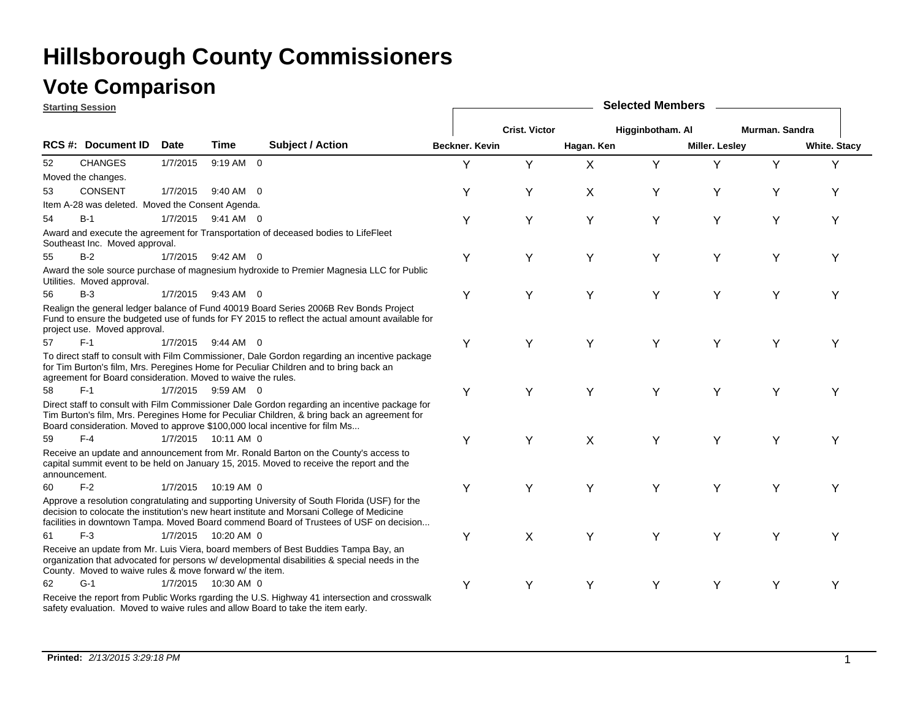### **Vote Comparison**

|               | <b>Starting Session</b>                                      |          |                       |                                                                                                                                                                                                                                                                                      |                |                      |            | <b>Selected Members</b> |                       |                |                     |
|---------------|--------------------------------------------------------------|----------|-----------------------|--------------------------------------------------------------------------------------------------------------------------------------------------------------------------------------------------------------------------------------------------------------------------------------|----------------|----------------------|------------|-------------------------|-----------------------|----------------|---------------------|
|               |                                                              |          |                       |                                                                                                                                                                                                                                                                                      |                | <b>Crist. Victor</b> |            | Higginbotham. Al        |                       | Murman, Sandra |                     |
|               | RCS #: Document ID                                           | Date     | Time                  | <b>Subject / Action</b>                                                                                                                                                                                                                                                              | Beckner, Kevin |                      | Hagan. Ken |                         | <b>Miller. Lesley</b> |                | <b>White. Stacy</b> |
| 52            | <b>CHANGES</b>                                               | 1/7/2015 | 9:19 AM 0             |                                                                                                                                                                                                                                                                                      | Υ              | Y                    | X          | Y                       | Y                     | Y              | Y                   |
|               | Moved the changes.                                           |          |                       |                                                                                                                                                                                                                                                                                      |                |                      |            |                         |                       |                |                     |
| 53            | <b>CONSENT</b>                                               | 1/7/2015 | 9:40 AM 0             |                                                                                                                                                                                                                                                                                      | Y              | Y                    | X          | Y                       | Y                     | Y              | Υ                   |
|               | Item A-28 was deleted. Moved the Consent Agenda.             |          |                       |                                                                                                                                                                                                                                                                                      |                |                      |            |                         |                       |                |                     |
| 54            | $B-1$                                                        |          | 1/7/2015 9:41 AM 0    |                                                                                                                                                                                                                                                                                      | Υ              | Y                    | Y          | Υ                       | Y                     | Y              | Υ                   |
|               | Southeast Inc. Moved approval.                               |          |                       | Award and execute the agreement for Transportation of deceased bodies to LifeFleet                                                                                                                                                                                                   |                |                      |            |                         |                       |                |                     |
| 55            | $B-2$                                                        |          | 1/7/2015 9:42 AM 0    |                                                                                                                                                                                                                                                                                      | Y              | Υ                    | Y          | Y                       | Y                     | Y              | Y                   |
|               | Utilities. Moved approval.                                   |          |                       | Award the sole source purchase of magnesium hydroxide to Premier Magnesia LLC for Public                                                                                                                                                                                             |                |                      |            |                         |                       |                |                     |
| 56            | $B-3$                                                        |          | 1/7/2015 9:43 AM 0    |                                                                                                                                                                                                                                                                                      | Υ              | Υ                    | Y          | Y                       | Y                     | Y              | Υ                   |
|               | project use. Moved approval.                                 |          |                       | Realign the general ledger balance of Fund 40019 Board Series 2006B Rev Bonds Project<br>Fund to ensure the budgeted use of funds for FY 2015 to reflect the actual amount available for                                                                                             |                |                      |            |                         |                       |                |                     |
| 57            | $F-1$                                                        |          | 1/7/2015 9:44 AM 0    |                                                                                                                                                                                                                                                                                      | Υ              | Υ                    | Y          | Υ                       | Y                     | Y              | Y                   |
|               | agreement for Board consideration. Moved to waive the rules. |          |                       | To direct staff to consult with Film Commissioner, Dale Gordon regarding an incentive package<br>for Tim Burton's film, Mrs. Peregines Home for Peculiar Children and to bring back an                                                                                               |                |                      |            |                         |                       |                |                     |
| 58            | $F-1$                                                        |          | 1/7/2015 9:59 AM 0    |                                                                                                                                                                                                                                                                                      | Y              | Υ                    | Y          | Y                       | Y                     | Y              | Υ                   |
|               |                                                              |          |                       | Direct staff to consult with Film Commissioner Dale Gordon regarding an incentive package for<br>Tim Burton's film, Mrs. Peregines Home for Peculiar Children, & bring back an agreement for<br>Board consideration. Moved to approve \$100,000 local incentive for film Ms          |                |                      |            |                         |                       |                |                     |
| 59            | $F-4$                                                        |          | 1/7/2015  10:11 AM 0  |                                                                                                                                                                                                                                                                                      | Y              | Y                    | X          | Y                       | Y                     | Y              | Y                   |
| announcement. |                                                              |          |                       | Receive an update and announcement from Mr. Ronald Barton on the County's access to<br>capital summit event to be held on January 15, 2015. Moved to receive the report and the                                                                                                      |                |                      |            |                         |                       |                |                     |
| 60            | $F-2$                                                        | 1/7/2015 | $10:19$ AM $\,$ 0     |                                                                                                                                                                                                                                                                                      | Y              | Υ                    | Y          | Y                       | Y                     | Y              | Y                   |
|               |                                                              |          |                       | Approve a resolution congratulating and supporting University of South Florida (USF) for the<br>decision to colocate the institution's new heart institute and Morsani College of Medicine<br>facilities in downtown Tampa. Moved Board commend Board of Trustees of USF on decision |                |                      |            |                         |                       |                |                     |
| 61            | $F-3$                                                        |          | 1/7/2015  10:20 AM  0 |                                                                                                                                                                                                                                                                                      | Υ              | X                    | Y          | Y                       | Y                     | Υ              | Υ                   |
|               | County. Moved to waive rules & move forward w/ the item.     |          |                       | Receive an update from Mr. Luis Viera, board members of Best Buddies Tampa Bay, an<br>organization that advocated for persons w/ developmental disabilities & special needs in the                                                                                                   |                |                      |            |                         |                       |                |                     |
| 62            | $G-1$                                                        |          | 1/7/2015  10:30 AM 0  |                                                                                                                                                                                                                                                                                      | Y              | Y                    | Y          | Y                       | Y                     | Y              | Υ                   |
|               |                                                              |          |                       | Receive the report from Public Works rgarding the U.S. Highway 41 intersection and crosswalk<br>safety evaluation. Moved to waive rules and allow Board to take the item early.                                                                                                      |                |                      |            |                         |                       |                |                     |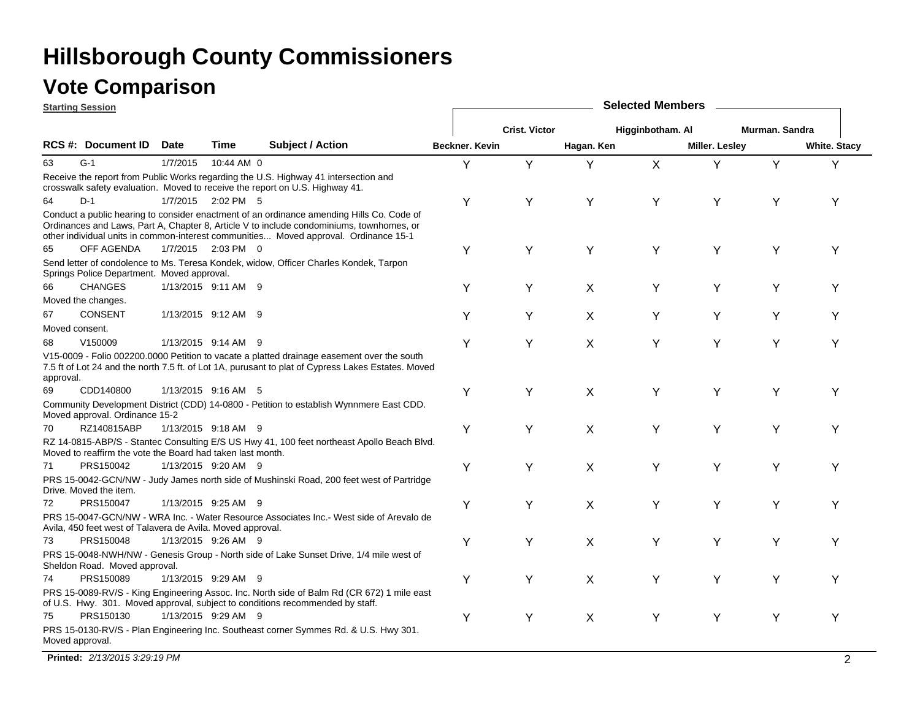|                | <b>Starting Session</b>                                    | <b>Selected Members</b><br><b>Crist. Victor</b><br>Higginbotham. Al<br>Murman, Sandra |                     |                                                                                                                                                                                                                                                                               |                |   |            |   |                |   |                     |
|----------------|------------------------------------------------------------|---------------------------------------------------------------------------------------|---------------------|-------------------------------------------------------------------------------------------------------------------------------------------------------------------------------------------------------------------------------------------------------------------------------|----------------|---|------------|---|----------------|---|---------------------|
|                |                                                            |                                                                                       |                     |                                                                                                                                                                                                                                                                               |                |   |            |   |                |   |                     |
|                | RCS #: Document ID                                         | <b>Date</b>                                                                           | <b>Time</b>         | <b>Subject / Action</b>                                                                                                                                                                                                                                                       | Beckner. Kevin |   | Hagan. Ken |   | Miller. Lesley |   | <b>White. Stacy</b> |
| 63             | $G-1$                                                      | 1/7/2015                                                                              | 10:44 AM 0          |                                                                                                                                                                                                                                                                               | Y              | Y | Y          | X | Y              | Y | Y                   |
|                |                                                            |                                                                                       |                     | Receive the report from Public Works regarding the U.S. Highway 41 intersection and<br>crosswalk safety evaluation. Moved to receive the report on U.S. Highway 41.                                                                                                           |                |   |            |   |                |   |                     |
| 64             | $D-1$                                                      |                                                                                       | 1/7/2015 2:02 PM 5  |                                                                                                                                                                                                                                                                               | Υ              | Y | Υ          | Υ | Υ              | Υ | Y                   |
|                |                                                            |                                                                                       |                     | Conduct a public hearing to consider enactment of an ordinance amending Hills Co. Code of<br>Ordinances and Laws, Part A, Chapter 8, Article V to include condominiums, townhomes, or<br>other individual units in common-interest communities Moved approval. Ordinance 15-1 |                |   |            |   |                |   |                     |
| 65             | OFF AGENDA                                                 |                                                                                       | 1/7/2015 2:03 PM 0  |                                                                                                                                                                                                                                                                               | Y              | Y | Y          | Y | Y              | Y | Υ                   |
|                | Springs Police Department. Moved approval.                 |                                                                                       |                     | Send letter of condolence to Ms. Teresa Kondek, widow, Officer Charles Kondek, Tarpon                                                                                                                                                                                         |                |   |            |   |                |   |                     |
| 66             | <b>CHANGES</b>                                             |                                                                                       | 1/13/2015 9:11 AM 9 |                                                                                                                                                                                                                                                                               | Υ              | Y | X          | Υ | Υ              | Y | Υ                   |
|                | Moved the changes.                                         |                                                                                       |                     |                                                                                                                                                                                                                                                                               |                |   |            |   |                |   |                     |
| 67             | <b>CONSENT</b>                                             |                                                                                       | 1/13/2015 9:12 AM 9 |                                                                                                                                                                                                                                                                               | Y              | Y | X          | Υ | Y              | Y | Υ                   |
| Moved consent. | V150009                                                    |                                                                                       | 1/13/2015 9:14 AM 9 |                                                                                                                                                                                                                                                                               |                |   |            |   |                |   |                     |
| 68             |                                                            |                                                                                       |                     | V15-0009 - Folio 002200.0000 Petition to vacate a platted drainage easement over the south                                                                                                                                                                                    | Y              | Y | X          | Υ | Y              | Y | Υ                   |
| approval.      |                                                            |                                                                                       |                     | 7.5 ft of Lot 24 and the north 7.5 ft. of Lot 1A, purusant to plat of Cypress Lakes Estates. Moved                                                                                                                                                                            |                |   |            |   |                |   |                     |
| 69             | CDD140800                                                  |                                                                                       | 1/13/2015 9:16 AM 5 |                                                                                                                                                                                                                                                                               | Y              | Y | X          | Υ | Y              | Y | Υ                   |
|                | Moved approval. Ordinance 15-2                             |                                                                                       |                     | Community Development District (CDD) 14-0800 - Petition to establish Wynnmere East CDD.                                                                                                                                                                                       |                |   |            |   |                |   |                     |
| 70             | RZ140815ABP                                                |                                                                                       | 1/13/2015 9:18 AM 9 |                                                                                                                                                                                                                                                                               | Y              | Y | X          | Υ | Y              | Y | Y                   |
|                | Moved to reaffirm the vote the Board had taken last month. |                                                                                       |                     | RZ 14-0815-ABP/S - Stantec Consulting E/S US Hwy 41, 100 feet northeast Apollo Beach Blvd.                                                                                                                                                                                    |                |   |            |   |                |   |                     |
| 71             | PRS150042                                                  |                                                                                       | 1/13/2015 9:20 AM 9 |                                                                                                                                                                                                                                                                               | Y              | Y | X          | Υ | Y              | Y | Y                   |
|                | Drive. Moved the item.                                     |                                                                                       |                     | PRS 15-0042-GCN/NW - Judy James north side of Mushinski Road, 200 feet west of Partridge                                                                                                                                                                                      |                |   |            |   |                |   |                     |
| 72             | PRS150047                                                  |                                                                                       | 1/13/2015 9:25 AM 9 |                                                                                                                                                                                                                                                                               | Υ              | Υ | X          | Υ | Y              | Υ | Υ                   |
|                | Avila, 450 feet west of Talavera de Avila. Moved approval. |                                                                                       |                     | PRS 15-0047-GCN/NW - WRA Inc. - Water Resource Associates Inc. - West side of Arevalo de                                                                                                                                                                                      |                |   |            |   |                |   |                     |
| 73             | PRS150048                                                  |                                                                                       | 1/13/2015 9:26 AM 9 |                                                                                                                                                                                                                                                                               | Y              | Y | X          | Υ | Y              | Y | Υ                   |
|                | Sheldon Road. Moved approval.                              |                                                                                       |                     | PRS 15-0048-NWH/NW - Genesis Group - North side of Lake Sunset Drive, 1/4 mile west of                                                                                                                                                                                        |                |   |            |   |                |   |                     |
| 74             | PRS150089                                                  |                                                                                       | 1/13/2015 9:29 AM 9 |                                                                                                                                                                                                                                                                               | Υ              | Y | X          | Υ | Y              | Υ | Υ                   |
|                |                                                            |                                                                                       |                     | PRS 15-0089-RV/S - King Engineering Assoc. Inc. North side of Balm Rd (CR 672) 1 mile east<br>of U.S. Hwy. 301. Moved approval, subject to conditions recommended by staff.                                                                                                   |                |   |            |   |                |   |                     |
| 75             | PRS150130                                                  |                                                                                       | 1/13/2015 9:29 AM 9 |                                                                                                                                                                                                                                                                               | Y              | Y | X          | Υ | Y              | Y | Y                   |
|                | Moved approval.                                            |                                                                                       |                     | PRS 15-0130-RV/S - Plan Engineering Inc. Southeast corner Symmes Rd. & U.S. Hwy 301.                                                                                                                                                                                          |                |   |            |   |                |   |                     |

**Printed:** *2/13/2015 3:29:19 PM* $^{\prime\prime}$   $^{\prime\prime}$   $^{\prime\prime}$   $^{\prime\prime}$   $^{\prime\prime}$   $^{\prime\prime}$   $^{\prime\prime}$   $^{\prime\prime}$   $^{\prime\prime}$   $^{\prime\prime}$   $^{\prime\prime}$   $^{\prime\prime}$   $^{\prime\prime}$   $^{\prime\prime}$   $^{\prime\prime}$   $^{\prime\prime}$   $^{\prime\prime}$   $^{\prime\prime}$   $^{\prime\prime}$   $^{\prime\prime}$   $^{\prime\prime}$   $^{\prime\prime}$   $^{\prime\prime}$   $^{\prime\prime}$   $^{\prime\$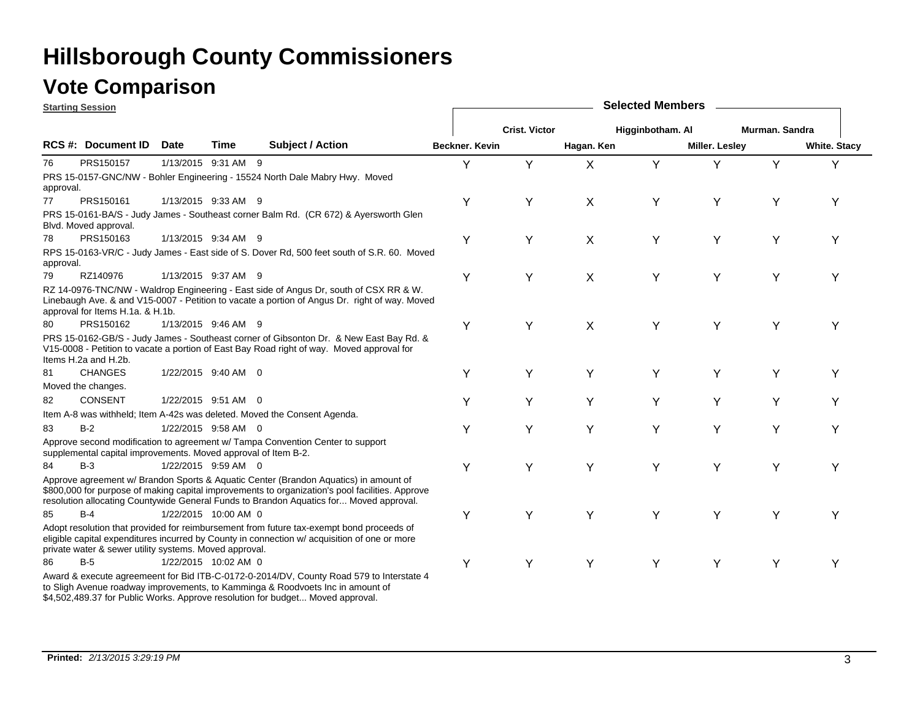### **Vote Comparison**

**Starting Session**

|           | <u>Jiai liliy Jessiuli</u>                                     |             |                      |                                                                                                                                                                                                                                                                                   |                |                      |            |                  |                |                |                     |
|-----------|----------------------------------------------------------------|-------------|----------------------|-----------------------------------------------------------------------------------------------------------------------------------------------------------------------------------------------------------------------------------------------------------------------------------|----------------|----------------------|------------|------------------|----------------|----------------|---------------------|
|           |                                                                |             |                      |                                                                                                                                                                                                                                                                                   |                | <b>Crist. Victor</b> |            | Higginbotham. Al |                | Murman. Sandra |                     |
|           | <b>RCS #: Document ID</b>                                      | <b>Date</b> | Time                 | <b>Subject / Action</b>                                                                                                                                                                                                                                                           | Beckner. Kevin |                      | Hagan. Ken |                  | Miller. Lesley |                | <b>White. Stacy</b> |
| 76        | PRS150157                                                      |             | 1/13/2015 9:31 AM 9  |                                                                                                                                                                                                                                                                                   | Y              | Y                    | X          | Y                | Y              | Y              | Υ                   |
| approval. |                                                                |             |                      | PRS 15-0157-GNC/NW - Bohler Engineering - 15524 North Dale Mabry Hwy. Moved                                                                                                                                                                                                       |                |                      |            |                  |                |                |                     |
| 77        | PRS150161                                                      |             | 1/13/2015 9:33 AM 9  |                                                                                                                                                                                                                                                                                   | Υ              | Y                    | X          | Υ                | Y              | Y              | Υ                   |
|           | Blvd. Moved approval.                                          |             |                      | PRS 15-0161-BA/S - Judy James - Southeast corner Balm Rd. (CR 672) & Ayersworth Glen                                                                                                                                                                                              |                |                      |            |                  |                |                |                     |
| 78        | PRS150163                                                      |             | 1/13/2015 9:34 AM 9  |                                                                                                                                                                                                                                                                                   | Y              | Y                    | X          | Υ                | Y              | Υ              | Υ                   |
| approval. |                                                                |             |                      | RPS 15-0163-VR/C - Judy James - East side of S. Dover Rd, 500 feet south of S.R. 60. Moved                                                                                                                                                                                        |                |                      |            |                  |                |                |                     |
| 79        | RZ140976                                                       |             | 1/13/2015 9:37 AM 9  |                                                                                                                                                                                                                                                                                   | Y              | Y                    | X          | Υ                | Y              | Y              | Y                   |
|           | approval for Items H.1a. & H.1b.                               |             |                      | RZ 14-0976-TNC/NW - Waldrop Engineering - East side of Angus Dr, south of CSX RR & W.<br>Linebaugh Ave. & and V15-0007 - Petition to vacate a portion of Angus Dr. right of way. Moved                                                                                            |                |                      |            |                  |                |                |                     |
| 80        | PRS150162                                                      |             | 1/13/2015 9:46 AM 9  |                                                                                                                                                                                                                                                                                   | Υ              | Y                    | X          | Υ                | Y              | Υ              | Υ                   |
|           | Items H.2a and H.2b.                                           |             |                      | PRS 15-0162-GB/S - Judy James - Southeast corner of Gibsonton Dr. & New East Bay Rd. &<br>V15-0008 - Petition to vacate a portion of East Bay Road right of way. Moved approval for                                                                                               |                |                      |            |                  |                |                |                     |
| 81        | <b>CHANGES</b>                                                 |             | 1/22/2015 9:40 AM 0  |                                                                                                                                                                                                                                                                                   | Υ              | Y                    | Υ          | Υ                | Y              | Y              | Υ                   |
|           | Moved the changes.                                             |             |                      |                                                                                                                                                                                                                                                                                   |                |                      |            |                  |                |                |                     |
| 82        | <b>CONSENT</b>                                                 |             | 1/22/2015 9:51 AM 0  |                                                                                                                                                                                                                                                                                   | Υ              | Y                    | Y          | Y                | Y              | Y              | Υ                   |
|           |                                                                |             |                      | Item A-8 was withheld; Item A-42s was deleted. Moved the Consent Agenda.                                                                                                                                                                                                          |                |                      |            |                  |                |                |                     |
| 83        | $B-2$                                                          |             | 1/22/2015 9:58 AM 0  |                                                                                                                                                                                                                                                                                   | Υ              | Y                    | Y          | Y                | Y              | Υ              | Y                   |
|           | supplemental capital improvements. Moved approval of Item B-2. |             |                      | Approve second modification to agreement w/ Tampa Convention Center to support                                                                                                                                                                                                    |                |                      |            |                  |                |                |                     |
| 84        | $B-3$                                                          |             | 1/22/2015 9:59 AM 0  |                                                                                                                                                                                                                                                                                   | Υ              | Y                    | Υ          | Υ                | Υ              | Y              | Υ                   |
|           |                                                                |             |                      | Approve agreement w/ Brandon Sports & Aquatic Center (Brandon Aquatics) in amount of<br>\$800,000 for purpose of making capital improvements to organization's pool facilities. Approve<br>resolution allocating Countywide General Funds to Brandon Aquatics for Moved approval. |                |                      |            |                  |                |                |                     |
| 85        | $B-4$                                                          |             | 1/22/2015 10:00 AM 0 |                                                                                                                                                                                                                                                                                   | Y              | Y                    | Y          | Υ                | Y              | Υ              | Y                   |
|           | private water & sewer utility systems. Moved approval.         |             |                      | Adopt resolution that provided for reimbursement from future tax-exempt bond proceeds of<br>eligible capital expenditures incurred by County in connection w/ acquisition of one or more                                                                                          |                |                      |            |                  |                |                |                     |
| 86        | $B-5$                                                          |             | 1/22/2015 10:02 AM 0 |                                                                                                                                                                                                                                                                                   | Y              | Y                    | Υ          | Y                | Y              | Υ              | Y                   |
|           |                                                                |             |                      | Award & execute agreemeent for Bid ITB-C-0172-0-2014/DV, County Road 579 to Interstate 4<br>to Sligh Avenue roadway improvements, to Kamminga & Roodvoets Inc in amount of<br>\$4,502,489.37 for Public Works. Approve resolution for budget Moved approval.                      |                |                      |            |                  |                |                |                     |

**Selected Members**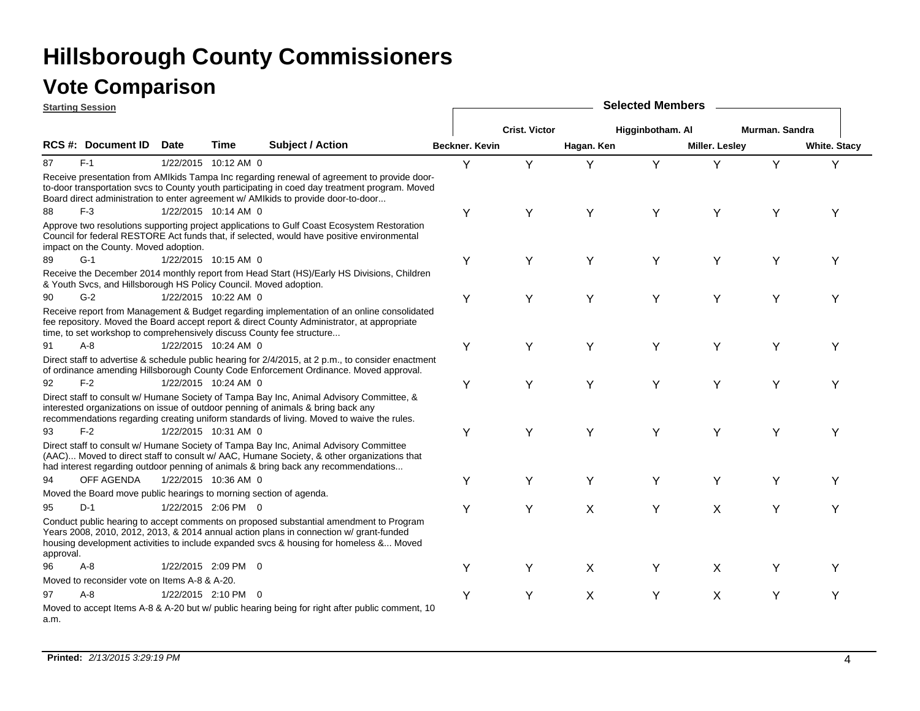|           | <b>Starting Session</b>                                               |             |                      |                                                                                                                                                                                                                                                                                    |                |                      |            | <b>Selected Members</b> |                       |                |                     |
|-----------|-----------------------------------------------------------------------|-------------|----------------------|------------------------------------------------------------------------------------------------------------------------------------------------------------------------------------------------------------------------------------------------------------------------------------|----------------|----------------------|------------|-------------------------|-----------------------|----------------|---------------------|
|           |                                                                       |             |                      |                                                                                                                                                                                                                                                                                    |                | <b>Crist. Victor</b> |            | Higginbotham. Al        |                       | Murman, Sandra |                     |
|           | <b>RCS #: Document ID</b>                                             | <b>Date</b> | Time                 | <b>Subject / Action</b>                                                                                                                                                                                                                                                            | Beckner, Kevin |                      | Hagan. Ken |                         | <b>Miller. Lesley</b> |                | <b>White. Stacy</b> |
| 87        | $F-1$                                                                 |             | 1/22/2015 10:12 AM 0 |                                                                                                                                                                                                                                                                                    | Y              | Y                    | Y          | Y                       | Y                     | Y              | Y                   |
|           |                                                                       |             |                      | Receive presentation from AMIkids Tampa Inc regarding renewal of agreement to provide door-<br>to-door transportation svcs to County youth participating in coed day treatment program. Moved<br>Board direct administration to enter agreement w/ AMIkids to provide door-to-door |                |                      |            |                         |                       |                |                     |
| 88        | $F-3$                                                                 |             | 1/22/2015 10:14 AM 0 |                                                                                                                                                                                                                                                                                    | Y              | Υ                    | Υ          | Υ                       | Υ                     | Y              | Y                   |
|           | impact on the County. Moved adoption.                                 |             |                      | Approve two resolutions supporting project applications to Gulf Coast Ecosystem Restoration<br>Council for federal RESTORE Act funds that, if selected, would have positive environmental                                                                                          |                |                      |            |                         |                       |                |                     |
| 89        | $G-1$                                                                 |             | 1/22/2015 10:15 AM 0 |                                                                                                                                                                                                                                                                                    | Υ              | Y                    | Y          | Y                       | Y                     | Y              | Υ                   |
|           | & Youth Svcs, and Hillsborough HS Policy Council. Moved adoption.     |             |                      | Receive the December 2014 monthly report from Head Start (HS)/Early HS Divisions, Children                                                                                                                                                                                         |                |                      |            |                         |                       |                |                     |
| 90        | $G-2$                                                                 |             | 1/22/2015 10:22 AM 0 |                                                                                                                                                                                                                                                                                    | Y              | Y                    | Y          | Y                       | Y                     | Y              | Υ                   |
|           | time, to set workshop to comprehensively discuss County fee structure |             |                      | Receive report from Management & Budget regarding implementation of an online consolidated<br>fee repository. Moved the Board accept report & direct County Administrator, at appropriate                                                                                          |                |                      |            |                         |                       |                |                     |
| 91        | $A - 8$                                                               |             | 1/22/2015 10:24 AM 0 |                                                                                                                                                                                                                                                                                    | Υ              | Y                    | Υ          | Y                       | Υ                     | Υ              | Y                   |
|           |                                                                       |             |                      | Direct staff to advertise & schedule public hearing for 2/4/2015, at 2 p.m., to consider enactment<br>of ordinance amending Hillsborough County Code Enforcement Ordinance. Moved approval.                                                                                        |                |                      |            |                         |                       |                |                     |
| 92        | $F-2$                                                                 |             | 1/22/2015 10:24 AM 0 |                                                                                                                                                                                                                                                                                    | Y              | Υ                    | Y          | Y                       | Y                     | Y              | Y                   |
|           |                                                                       |             |                      | Direct staff to consult w/ Humane Society of Tampa Bay Inc, Animal Advisory Committee, &<br>interested organizations on issue of outdoor penning of animals & bring back any<br>recommendations regarding creating uniform standards of living. Moved to waive the rules.          |                |                      |            |                         |                       |                |                     |
| 93        | $F-2$                                                                 |             | 1/22/2015 10:31 AM 0 |                                                                                                                                                                                                                                                                                    | Y              | Y                    | Y          | Y                       | Y                     | Υ              | Υ                   |
|           |                                                                       |             |                      | Direct staff to consult w/ Humane Society of Tampa Bay Inc, Animal Advisory Committee<br>(AAC) Moved to direct staff to consult w/ AAC, Humane Society, & other organizations that<br>had interest regarding outdoor penning of animals & bring back any recommendations           |                |                      |            |                         |                       |                |                     |
| 94        | <b>OFF AGENDA</b>                                                     |             | 1/22/2015 10:36 AM 0 |                                                                                                                                                                                                                                                                                    | Y              | Y                    | Y          | Y                       | Y                     | Υ              | Y                   |
|           | Moved the Board move public hearings to morning section of agenda.    |             |                      |                                                                                                                                                                                                                                                                                    |                |                      |            |                         |                       |                |                     |
| 95        | $D-1$                                                                 |             | 1/22/2015 2:06 PM 0  |                                                                                                                                                                                                                                                                                    | Y              | Y                    | X          | Y                       | $\mathsf{X}$          | Y              | Υ                   |
| approval. |                                                                       |             |                      | Conduct public hearing to accept comments on proposed substantial amendment to Program<br>Years 2008, 2010, 2012, 2013, & 2014 annual action plans in connection w/ grant-funded<br>housing development activities to include expanded svcs & housing for homeless & Moved         |                |                      |            |                         |                       |                |                     |
| 96        | $A-8$                                                                 |             | 1/22/2015 2:09 PM 0  |                                                                                                                                                                                                                                                                                    | Y              | Y                    | X          | Υ                       | X                     | Υ              | Υ                   |
|           | Moved to reconsider vote on Items A-8 & A-20.                         |             |                      |                                                                                                                                                                                                                                                                                    |                |                      |            |                         |                       |                |                     |
| 97        | $A - 8$                                                               |             | 1/22/2015 2:10 PM 0  |                                                                                                                                                                                                                                                                                    | Y              | Υ                    | X          | Y                       | X                     | Υ              | Y                   |
| a.m.      |                                                                       |             |                      | Moved to accept Items A-8 & A-20 but w/ public hearing being for right after public comment, 10                                                                                                                                                                                    |                |                      |            |                         |                       |                |                     |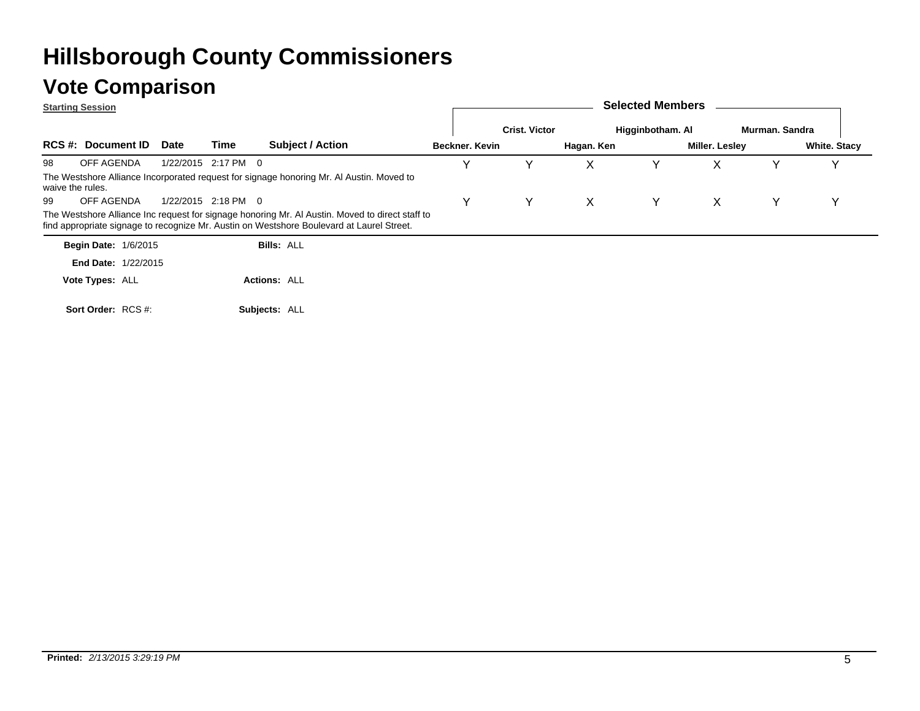### **Vote Comparison**

|                  | <b>Starting Session</b>     |             |                     |                                                                                                                                                                                              |                |                      |            | <b>Selected Members</b> |                |                |                     |
|------------------|-----------------------------|-------------|---------------------|----------------------------------------------------------------------------------------------------------------------------------------------------------------------------------------------|----------------|----------------------|------------|-------------------------|----------------|----------------|---------------------|
|                  |                             |             |                     |                                                                                                                                                                                              |                | <b>Crist. Victor</b> |            | Higginbotham. Al        |                | Murman. Sandra |                     |
|                  | <b>RCS #: Document ID</b>   | <b>Date</b> | Time                | <b>Subject / Action</b>                                                                                                                                                                      | Beckner, Kevin |                      | Hagan. Ken |                         | Miller. Lesley |                | <b>White. Stacy</b> |
| 98               | OFF AGENDA                  |             | 1/22/2015 2:17 PM 0 |                                                                                                                                                                                              |                |                      |            |                         | х              |                |                     |
| waive the rules. |                             |             |                     | The Westshore Alliance Incorporated request for signage honoring Mr. Al Austin. Moved to                                                                                                     |                |                      |            |                         |                |                |                     |
| 99               | OFF AGENDA                  |             | 1/22/2015 2:18 PM 0 |                                                                                                                                                                                              |                |                      |            |                         | x              |                |                     |
|                  |                             |             |                     | The Westshore Alliance Inc request for signage honoring Mr. Al Austin. Moved to direct staff to<br>find appropriate signage to recognize Mr. Austin on Westshore Boulevard at Laurel Street. |                |                      |            |                         |                |                |                     |
|                  | <b>Begin Date: 1/6/2015</b> |             |                     | $Bills'$ All                                                                                                                                                                                 |                |                      |            |                         |                |                |                     |

| <b>Begin Date: 1/6/2015</b> | <b>Bills: ALL</b>   |
|-----------------------------|---------------------|
| <b>End Date: 1/22/2015</b>  |                     |
| Vote Types: ALL             | <b>Actions: ALL</b> |
| Sort Order: RCS #:          | Subjects: ALL       |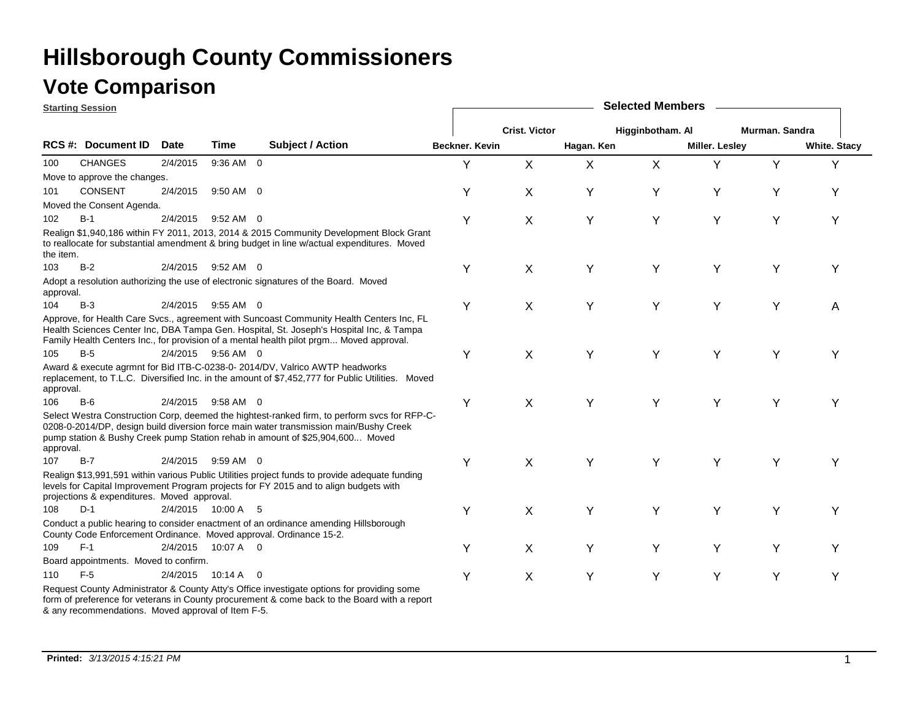|           | <b>Starting Session</b>                     |             |                    |                                                                                                                                                                                                                                                                                |                |                      |            | <b>Selected Members</b> |                       |                |                     |
|-----------|---------------------------------------------|-------------|--------------------|--------------------------------------------------------------------------------------------------------------------------------------------------------------------------------------------------------------------------------------------------------------------------------|----------------|----------------------|------------|-------------------------|-----------------------|----------------|---------------------|
|           |                                             |             |                    |                                                                                                                                                                                                                                                                                |                | <b>Crist. Victor</b> |            | Higginbotham. Al        |                       | Murman, Sandra |                     |
|           | <b>RCS #: Document ID</b>                   | <b>Date</b> | Time               | <b>Subject / Action</b>                                                                                                                                                                                                                                                        | Beckner. Kevin |                      | Hagan. Ken |                         | <b>Miller. Lesley</b> |                | <b>White. Stacy</b> |
| 100       | <b>CHANGES</b>                              | 2/4/2015    | 9:36 AM 0          |                                                                                                                                                                                                                                                                                | Y              | X                    | X          | X                       | Y                     | Y              | Y                   |
|           | Move to approve the changes.                |             |                    |                                                                                                                                                                                                                                                                                |                |                      |            |                         |                       |                |                     |
| 101       | CONSENT                                     | 2/4/2015    | 9:50 AM 0          |                                                                                                                                                                                                                                                                                | Υ              | X                    | Υ          | Υ                       | Y                     | Y              | Υ                   |
|           | Moved the Consent Agenda.                   |             |                    |                                                                                                                                                                                                                                                                                |                |                      |            |                         |                       |                |                     |
| 102       | $B-1$                                       | 2/4/2015    | 9:52 AM 0          |                                                                                                                                                                                                                                                                                | Υ              | X                    | Υ          | Υ                       | Y                     | Y              | Y                   |
| the item. |                                             |             |                    | Realign \$1,940,186 within FY 2011, 2013, 2014 & 2015 Community Development Block Grant<br>to reallocate for substantial amendment & bring budget in line w/actual expenditures. Moved                                                                                         |                |                      |            |                         |                       |                |                     |
| 103       | $B-2$                                       |             | 2/4/2015 9:52 AM 0 |                                                                                                                                                                                                                                                                                | Υ              | X                    | Υ          | Υ                       | Y                     | Y              | Υ                   |
| approval. |                                             |             |                    | Adopt a resolution authorizing the use of electronic signatures of the Board. Moved                                                                                                                                                                                            |                |                      |            |                         |                       |                |                     |
| 104       | $B-3$                                       |             | 2/4/2015 9:55 AM 0 |                                                                                                                                                                                                                                                                                | Y              | X                    | Y          | Υ                       | Y                     | Y              | Α                   |
|           |                                             |             |                    | Approve, for Health Care Svcs., agreement with Suncoast Community Health Centers Inc, FL<br>Health Sciences Center Inc, DBA Tampa Gen. Hospital, St. Joseph's Hospital Inc, & Tampa<br>Family Health Centers Inc., for provision of a mental health pilot prgm Moved approval. |                |                      |            |                         |                       |                |                     |
| 105       | $B-5$                                       |             | 2/4/2015 9:56 AM 0 |                                                                                                                                                                                                                                                                                | Υ              | X                    | Υ          | Υ                       | Y                     | Y              | Υ                   |
| approval. |                                             |             |                    | Award & execute agrmnt for Bid ITB-C-0238-0- 2014/DV, Valrico AWTP headworks<br>replacement, to T.L.C. Diversified Inc. in the amount of \$7,452,777 for Public Utilities. Moved                                                                                               |                |                      |            |                         |                       |                |                     |
| 106       | $B-6$                                       |             | 2/4/2015 9:58 AM 0 |                                                                                                                                                                                                                                                                                | Υ              | $\pmb{\times}$       | Υ          | Υ                       | Y                     | Y              | Υ                   |
| approval. |                                             |             |                    | Select Westra Construction Corp, deemed the hightest-ranked firm, to perform svcs for RFP-C-<br>0208-0-2014/DP, design build diversion force main water transmission main/Bushy Creek<br>pump station & Bushy Creek pump Station rehab in amount of \$25,904,600 Moved         |                |                      |            |                         |                       |                |                     |
| 107       | $B-7$                                       | 2/4/2015    | $9:59$ AM 0        |                                                                                                                                                                                                                                                                                | Υ              | X                    | Y          | Y                       | Υ                     | Υ              | Υ                   |
|           | projections & expenditures. Moved approval. |             |                    | Realign \$13,991,591 within various Public Utilities project funds to provide adequate funding<br>levels for Capital Improvement Program projects for FY 2015 and to align budgets with                                                                                        |                |                      |            |                         |                       |                |                     |
| 108       | $D-1$                                       |             | 2/4/2015 10:00 A 5 |                                                                                                                                                                                                                                                                                | Y              | X                    | Υ          | Υ                       | Y                     | Y              | Υ                   |
|           |                                             |             |                    | Conduct a public hearing to consider enactment of an ordinance amending Hillsborough<br>County Code Enforcement Ordinance. Moved approval. Ordinance 15-2.                                                                                                                     |                |                      |            |                         |                       |                |                     |
| 109       | $F-1$                                       | 2/4/2015    | 10:07 A 0          |                                                                                                                                                                                                                                                                                | Y              | X                    | Y          | Y                       | Y                     | Y              | Υ                   |
|           | Board appointments. Moved to confirm.       |             |                    |                                                                                                                                                                                                                                                                                |                |                      |            |                         |                       |                |                     |
| 110       | $F-5$                                       | 2/4/2015    | $10:14 A$ 0        |                                                                                                                                                                                                                                                                                | Y              | X                    | Y          | Υ                       | Y                     | Y              | Υ                   |
|           |                                             |             |                    | Request County Administrator & County Atty's Office investigate options for providing some<br>form of preference for veterans in County procurement & come back to the Board with a report                                                                                     |                |                      |            |                         |                       |                |                     |

& any recommendations. Moved approval of Item F-5.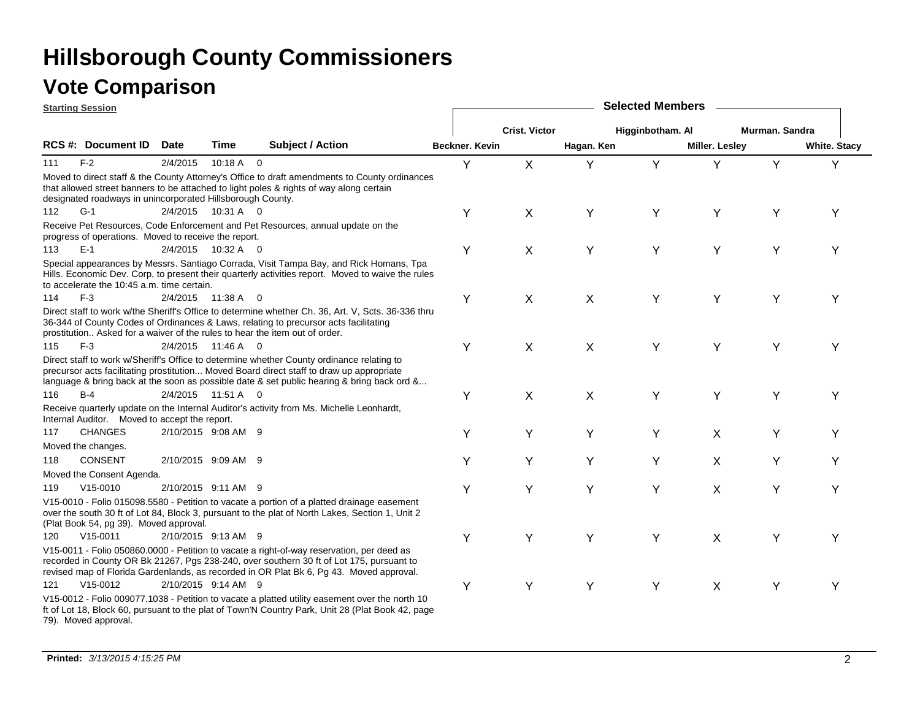|     | <b>Starting Session</b>                                    |             |                     |                                                                                                                                                                                                                                                                                     |                |                      |            | <b>Selected Members</b> |                       |                |                     |
|-----|------------------------------------------------------------|-------------|---------------------|-------------------------------------------------------------------------------------------------------------------------------------------------------------------------------------------------------------------------------------------------------------------------------------|----------------|----------------------|------------|-------------------------|-----------------------|----------------|---------------------|
|     |                                                            |             |                     |                                                                                                                                                                                                                                                                                     |                | <b>Crist. Victor</b> |            | Higginbotham. Al        |                       | Murman. Sandra |                     |
|     | RCS #: Document ID                                         | <b>Date</b> | <b>Time</b>         | Subject / Action                                                                                                                                                                                                                                                                    | Beckner. Kevin |                      | Hagan. Ken |                         | <b>Miller. Lesley</b> |                | <b>White. Stacy</b> |
| 111 | $F-2$                                                      | 2/4/2015    | $10:18 A$ 0         |                                                                                                                                                                                                                                                                                     | Y              | $\mathsf{X}$         | Y          | Y                       |                       | Y              | Υ                   |
|     | designated roadways in unincorporated Hillsborough County. |             |                     | Moved to direct staff & the County Attorney's Office to draft amendments to County ordinances<br>that allowed street banners to be attached to light poles & rights of way along certain                                                                                            |                |                      |            |                         |                       |                |                     |
| 112 | $G-1$                                                      |             | 2/4/2015 10:31 A 0  |                                                                                                                                                                                                                                                                                     | Y              | X                    | Y          | Υ                       | Y                     | Υ              | Υ                   |
|     | progress of operations. Moved to receive the report.       |             |                     | Receive Pet Resources, Code Enforcement and Pet Resources, annual update on the                                                                                                                                                                                                     |                |                      |            |                         |                       |                |                     |
| 113 | $E-1$                                                      |             | 2/4/2015 10:32 A 0  |                                                                                                                                                                                                                                                                                     | Υ              | X                    | Y          | Υ                       | Y                     | Y              | Υ                   |
|     | to accelerate the 10:45 a.m. time certain.                 |             |                     | Special appearances by Messrs. Santiago Corrada, Visit Tampa Bay, and Rick Homans, Tpa<br>Hills. Economic Dev. Corp, to present their quarterly activities report. Moved to waive the rules                                                                                         |                |                      |            |                         |                       |                |                     |
| 114 | $F-3$                                                      |             | 2/4/2015 11:38 A 0  |                                                                                                                                                                                                                                                                                     | Υ              | X                    | X          | Υ                       | Y                     | Y              | Y                   |
|     |                                                            |             |                     | Direct staff to work w/the Sheriff's Office to determine whether Ch. 36, Art. V, Scts. 36-336 thru<br>36-344 of County Codes of Ordinances & Laws, relating to precursor acts facilitating<br>prostitution Asked for a waiver of the rules to hear the item out of order.           |                |                      |            |                         |                       |                |                     |
| 115 | $F-3$                                                      |             | 2/4/2015 11:46 A 0  |                                                                                                                                                                                                                                                                                     | Υ              | X                    | X          | Υ                       | Y                     | Υ              | Υ                   |
|     |                                                            |             |                     | Direct staff to work w/Sheriff's Office to determine whether County ordinance relating to<br>precursor acts facilitating prostitution Moved Board direct staff to draw up appropriate<br>language & bring back at the soon as possible date & set public hearing & bring back ord & |                |                      |            |                         |                       |                |                     |
| 116 | $B-4$                                                      |             | 2/4/2015 11:51 A 0  |                                                                                                                                                                                                                                                                                     | Υ              | X                    | X          | Y                       | Y                     | Y              | Y                   |
|     | Internal Auditor. Moved to accept the report.              |             |                     | Receive quarterly update on the Internal Auditor's activity from Ms. Michelle Leonhardt,                                                                                                                                                                                            |                |                      |            |                         |                       |                |                     |
| 117 | <b>CHANGES</b>                                             |             | 2/10/2015 9:08 AM 9 |                                                                                                                                                                                                                                                                                     | Υ              | Υ                    | Υ          | Υ                       | X                     | Υ              | Y                   |
|     | Moved the changes.                                         |             |                     |                                                                                                                                                                                                                                                                                     |                |                      |            |                         |                       |                |                     |
| 118 | <b>CONSENT</b>                                             |             | 2/10/2015 9:09 AM 9 |                                                                                                                                                                                                                                                                                     | Y              | Y                    | Y          | Y                       | X                     | Y              | Y                   |
|     | Moved the Consent Agenda.                                  |             |                     |                                                                                                                                                                                                                                                                                     |                |                      |            |                         |                       |                |                     |
| 119 | $V15-0010$                                                 |             | 2/10/2015 9:11 AM 9 |                                                                                                                                                                                                                                                                                     | Υ              | Y                    | Y          | Υ                       | X                     | Y              | Y                   |
|     | (Plat Book 54, pg 39). Moved approval.                     |             |                     | V15-0010 - Folio 015098.5580 - Petition to vacate a portion of a platted drainage easement<br>over the south 30 ft of Lot 84, Block 3, pursuant to the plat of North Lakes, Section 1, Unit 2                                                                                       |                |                      |            |                         |                       |                |                     |
| 120 | $V15 - 0011$                                               |             | 2/10/2015 9:13 AM 9 |                                                                                                                                                                                                                                                                                     | Υ              | Y                    | Υ          | Y                       | X                     | Y              | Υ                   |
|     |                                                            |             |                     | V15-0011 - Folio 050860.0000 - Petition to vacate a right-of-way reservation, per deed as<br>recorded in County OR Bk 21267, Pgs 238-240, over southern 30 ft of Lot 175, pursuant to<br>revised map of Florida Gardenlands, as recorded in OR Plat Bk 6, Pg 43. Moved approval.    |                |                      |            |                         |                       |                |                     |
| 121 | $V15-0012$                                                 |             | 2/10/2015 9:14 AM 9 |                                                                                                                                                                                                                                                                                     | Υ              | Y                    | Υ          | Υ                       | X                     | Y              | Υ                   |
|     | 79). Moved approval.                                       |             |                     | V15-0012 - Folio 009077.1038 - Petition to vacate a platted utility easement over the north 10<br>ft of Lot 18, Block 60, pursuant to the plat of Town'N Country Park, Unit 28 (Plat Book 42, page                                                                                  |                |                      |            |                         |                       |                |                     |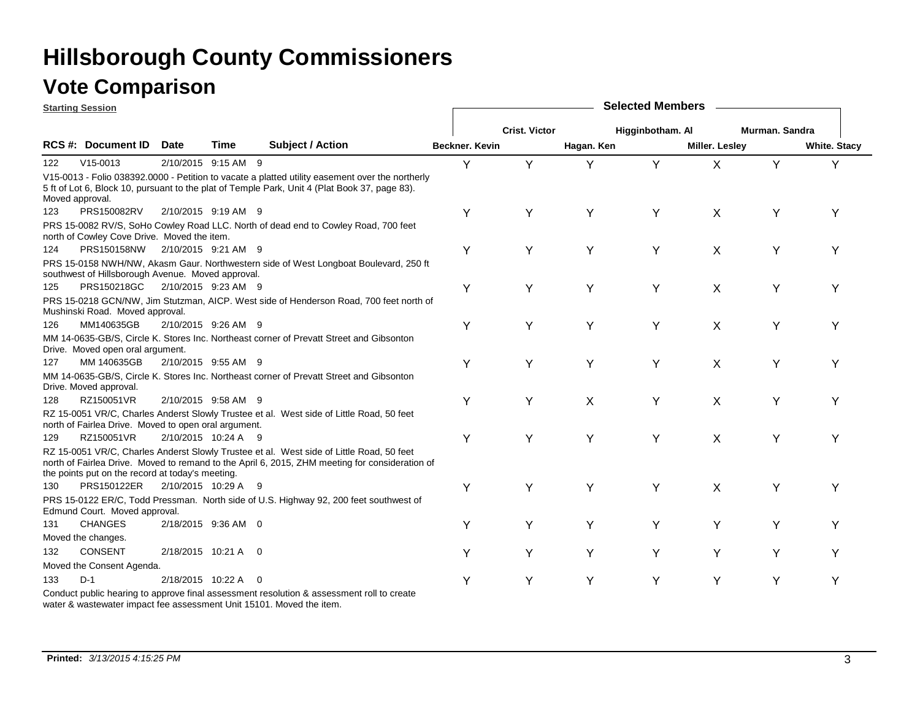**Starting Session**

|     | əlarlılıy ətəsibil                                   |                     |                     |                                                                                                                                                                                                  |                       |                      |            |                  |                       |                |                     |
|-----|------------------------------------------------------|---------------------|---------------------|--------------------------------------------------------------------------------------------------------------------------------------------------------------------------------------------------|-----------------------|----------------------|------------|------------------|-----------------------|----------------|---------------------|
|     |                                                      |                     |                     |                                                                                                                                                                                                  |                       | <b>Crist. Victor</b> |            | Higginbotham. Al |                       | Murman. Sandra |                     |
|     | RCS #: Document ID                                   | <b>Date</b>         | Time                | <b>Subject / Action</b>                                                                                                                                                                          | <b>Beckner, Kevin</b> |                      | Hagan. Ken |                  | <b>Miller. Lesley</b> |                | <b>White. Stacy</b> |
| 122 | $V15-0013$                                           |                     | 2/10/2015 9:15 AM 9 |                                                                                                                                                                                                  | Y                     | Y                    | Y          | Y                | X                     | Y              | Y                   |
|     | Moved approval.                                      |                     |                     | V15-0013 - Folio 038392.0000 - Petition to vacate a platted utility easement over the northerly<br>5 ft of Lot 6, Block 10, pursuant to the plat of Temple Park, Unit 4 (Plat Book 37, page 83). |                       |                      |            |                  |                       |                |                     |
| 123 | PRS150082RV                                          |                     | 2/10/2015 9:19 AM 9 |                                                                                                                                                                                                  | Υ                     | Υ                    | Υ          | Υ                | X                     | Y              | Y                   |
|     | north of Cowley Cove Drive. Moved the item.          |                     |                     | PRS 15-0082 RV/S, SoHo Cowley Road LLC. North of dead end to Cowley Road, 700 feet                                                                                                               |                       |                      |            |                  |                       |                |                     |
| 124 | PRS150158NW 2/10/2015 9:21 AM 9                      |                     |                     |                                                                                                                                                                                                  | Y                     | Y                    | Y          | Y                | X                     | Y              | Y                   |
|     | southwest of Hillsborough Avenue. Moved approval.    |                     |                     | PRS 15-0158 NWH/NW, Akasm Gaur. Northwestern side of West Longboat Boulevard, 250 ft                                                                                                             |                       |                      |            |                  |                       |                |                     |
| 125 | PRS150218GC                                          | 2/10/2015 9:23 AM 9 |                     |                                                                                                                                                                                                  | Y                     | Y                    | Y          | Y                | Χ                     | Y              | Y                   |
|     | Mushinski Road. Moved approval.                      |                     |                     | PRS 15-0218 GCN/NW, Jim Stutzman, AICP. West side of Henderson Road, 700 feet north of                                                                                                           |                       |                      |            |                  |                       |                |                     |
| 126 | MM140635GB                                           | 2/10/2015 9:26 AM 9 |                     |                                                                                                                                                                                                  | Y                     | Y                    | Y          | Y                | $\times$              | Υ              | Υ                   |
|     | Drive. Moved open oral argument.                     |                     |                     | MM 14-0635-GB/S, Circle K. Stores Inc. Northeast corner of Prevatt Street and Gibsonton                                                                                                          |                       |                      |            |                  |                       |                |                     |
| 127 | MM 140635GB                                          | 2/10/2015 9:55 AM 9 |                     |                                                                                                                                                                                                  | Y                     | Y                    | Υ          | Υ                | X                     | Y              | Υ                   |
|     | Drive. Moved approval.                               |                     |                     | MM 14-0635-GB/S, Circle K. Stores Inc. Northeast corner of Prevatt Street and Gibsonton                                                                                                          |                       |                      |            |                  |                       |                |                     |
| 128 | RZ150051VR                                           |                     | 2/10/2015 9:58 AM 9 |                                                                                                                                                                                                  | Y                     | Y                    | X          | Y                | X                     | Υ              | Υ                   |
|     | north of Fairlea Drive. Moved to open oral argument. |                     |                     | RZ 15-0051 VR/C, Charles Anderst Slowly Trustee et al. West side of Little Road, 50 feet                                                                                                         |                       |                      |            |                  |                       |                |                     |
| 129 | RZ150051VR                                           |                     | 2/10/2015 10:24 A 9 |                                                                                                                                                                                                  | Y                     | Y                    | Y          | Υ                | X                     | Υ              | Υ                   |
|     | the points put on the record at today's meeting.     |                     |                     | RZ 15-0051 VR/C, Charles Anderst Slowly Trustee et al. West side of Little Road, 50 feet<br>north of Fairlea Drive. Moved to remand to the April 6, 2015, ZHM meeting for consideration of       |                       |                      |            |                  |                       |                |                     |
| 130 | PRS150122ER                                          | 2/10/2015 10:29 A 9 |                     |                                                                                                                                                                                                  | Y                     | Υ                    | Y          | Υ                | X                     | Y              | Υ                   |
|     | Edmund Court. Moved approval.                        |                     |                     | PRS 15-0122 ER/C, Todd Pressman. North side of U.S. Highway 92, 200 feet southwest of                                                                                                            |                       |                      |            |                  |                       |                |                     |
| 131 | <b>CHANGES</b>                                       | 2/18/2015 9:36 AM 0 |                     |                                                                                                                                                                                                  | Y                     | Y                    | Y          | Υ                | Y                     | Y              | Y                   |
|     | Moved the changes.                                   |                     |                     |                                                                                                                                                                                                  |                       |                      |            |                  |                       |                |                     |
| 132 | <b>CONSENT</b>                                       | 2/18/2015 10:21 A 0 |                     |                                                                                                                                                                                                  | Y                     | Υ                    | Y          | Y                | Y                     | Y              | Y                   |
|     | Moved the Consent Agenda.                            |                     |                     |                                                                                                                                                                                                  |                       |                      |            |                  |                       |                |                     |
| 133 | $D-1$                                                | 2/18/2015 10:22 A   |                     | - 0                                                                                                                                                                                              | Υ                     | Υ                    | Υ          | Υ                | Y                     | Y              | Υ                   |
|     |                                                      |                     |                     | Conduct public hearing to approve final assessment resolution & assessment roll to create                                                                                                        |                       |                      |            |                  |                       |                |                     |

**Selected Members**

water & wastewater impact fee assessment Unit 15101. Moved the item.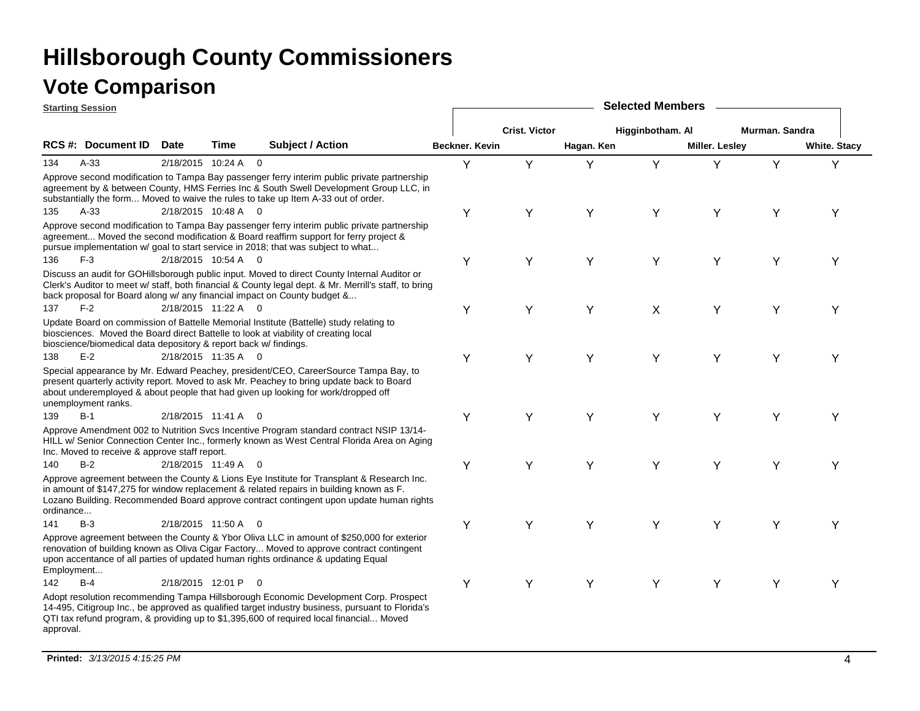|            | <b>Starting Session</b>                                          |                   |                     |                                                                                                                                                                                                                                                                                     |                |                      |            | <b>Selected Members</b> |                |                |                     |
|------------|------------------------------------------------------------------|-------------------|---------------------|-------------------------------------------------------------------------------------------------------------------------------------------------------------------------------------------------------------------------------------------------------------------------------------|----------------|----------------------|------------|-------------------------|----------------|----------------|---------------------|
|            |                                                                  |                   |                     |                                                                                                                                                                                                                                                                                     |                | <b>Crist. Victor</b> |            | Higginbotham. Al        |                | Murman. Sandra |                     |
|            | RCS #: Document ID                                               | <b>Date</b>       | Time                | <b>Subject / Action</b>                                                                                                                                                                                                                                                             | Beckner. Kevin |                      | Hagan. Ken |                         | Miller. Lesley |                | <b>White. Stacy</b> |
| 134        | $A-33$                                                           |                   | 2/18/2015 10:24 A 0 |                                                                                                                                                                                                                                                                                     | Y              | Y                    | Υ          | Y                       | Y              | Y              | Y                   |
|            |                                                                  |                   |                     | Approve second modification to Tampa Bay passenger ferry interim public private partnership<br>agreement by & between County, HMS Ferries Inc & South Swell Development Group LLC, in<br>substantially the form Moved to waive the rules to take up Item A-33 out of order.         |                |                      |            |                         |                |                |                     |
| 135        | $A-33$                                                           |                   | 2/18/2015 10:48 A 0 |                                                                                                                                                                                                                                                                                     | Υ              | Y                    | Y          | Y                       | Y              | Y              | Y                   |
|            |                                                                  |                   |                     | Approve second modification to Tampa Bay passenger ferry interim public private partnership<br>agreement Moved the second modification & Board reaffirm support for ferry project &<br>pursue implementation w/ goal to start service in 2018; that was subject to what             |                |                      |            |                         |                |                |                     |
| 136        | $F-3$                                                            |                   | 2/18/2015 10:54 A 0 |                                                                                                                                                                                                                                                                                     | Υ              | Υ                    | Y          | Y                       | Y              | Y              | Y                   |
|            |                                                                  |                   |                     | Discuss an audit for GOHillsborough public input. Moved to direct County Internal Auditor or<br>Clerk's Auditor to meet w/ staff, both financial & County legal dept. & Mr. Merrill's staff, to bring<br>back proposal for Board along w/ any financial impact on County budget &   |                |                      |            |                         |                |                |                     |
| 137        | $F-2$                                                            |                   | 2/18/2015 11:22 A 0 |                                                                                                                                                                                                                                                                                     | Υ              | Y                    | Y          | X                       | Y              | Υ              | Y                   |
|            | bioscience/biomedical data depository & report back w/ findings. |                   |                     | Update Board on commission of Battelle Memorial Institute (Battelle) study relating to<br>biosciences. Moved the Board direct Battelle to look at viability of creating local                                                                                                       |                |                      |            |                         |                |                |                     |
| 138        | $E-2$                                                            |                   | 2/18/2015 11:35 A 0 |                                                                                                                                                                                                                                                                                     | Υ              | Y                    | Y          | Y                       | Y              | Y              | Y                   |
|            | unemployment ranks.                                              |                   |                     | Special appearance by Mr. Edward Peachey, president/CEO, CareerSource Tampa Bay, to<br>present quarterly activity report. Moved to ask Mr. Peachey to bring update back to Board<br>about underemployed & about people that had given up looking for work/dropped off               |                |                      |            |                         |                |                |                     |
| 139        | $B-1$                                                            |                   | 2/18/2015 11:41 A 0 |                                                                                                                                                                                                                                                                                     | Y              | Y                    | Y          | Y                       | Y              | Y              | Y                   |
|            | Inc. Moved to receive & approve staff report.                    |                   |                     | Approve Amendment 002 to Nutrition Svcs Incentive Program standard contract NSIP 13/14-<br>HILL w/ Senior Connection Center Inc., formerly known as West Central Florida Area on Aging                                                                                              |                |                      |            |                         |                |                |                     |
| 140        | $B-2$                                                            |                   | 2/18/2015 11:49 A 0 |                                                                                                                                                                                                                                                                                     | Υ              | Y                    | Y          | Y                       | Y              | Y              | Y                   |
| ordinance  |                                                                  |                   |                     | Approve agreement between the County & Lions Eye Institute for Transplant & Research Inc.<br>in amount of \$147,275 for window replacement & related repairs in building known as F.<br>Lozano Building. Recommended Board approve contract contingent upon update human rights     |                |                      |            |                         |                |                |                     |
| 141        | $B-3$                                                            |                   | 2/18/2015 11:50 A 0 |                                                                                                                                                                                                                                                                                     | Υ              | Y                    | Y          | Y                       | Υ              | Y              | Y                   |
| Employment |                                                                  |                   |                     | Approve agreement between the County & Ybor Oliva LLC in amount of \$250,000 for exterior<br>renovation of building known as Oliva Cigar Factory Moved to approve contract contingent<br>upon accentance of all parties of updated human rights ordinance & updating Equal          |                |                      |            |                         |                |                |                     |
| 142        | $B-4$                                                            | 2/18/2015 12:01 P |                     | $\Omega$                                                                                                                                                                                                                                                                            | Υ              | Y                    | Y          | Υ                       | Υ              | Y              | Y                   |
| approval.  |                                                                  |                   |                     | Adopt resolution recommending Tampa Hillsborough Economic Development Corp. Prospect<br>14-495, Citigroup Inc., be approved as qualified target industry business, pursuant to Florida's<br>QTI tax refund program, & providing up to \$1,395,600 of required local financial Moved |                |                      |            |                         |                |                |                     |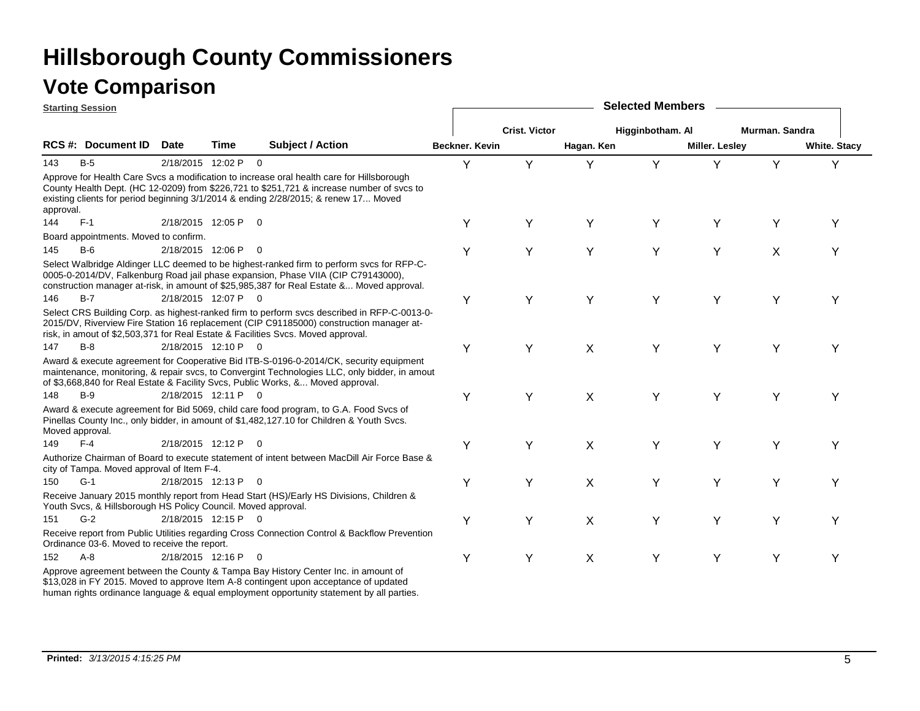|           | <b>Starting Session</b>                                       |                     |                     |                                                                                                                                                                                                                                                                               |                       |                      |            | <b>Selected Members</b> |                       |                |                     |
|-----------|---------------------------------------------------------------|---------------------|---------------------|-------------------------------------------------------------------------------------------------------------------------------------------------------------------------------------------------------------------------------------------------------------------------------|-----------------------|----------------------|------------|-------------------------|-----------------------|----------------|---------------------|
|           |                                                               |                     |                     |                                                                                                                                                                                                                                                                               |                       | <b>Crist. Victor</b> |            | Higginbotham. Al        |                       | Murman, Sandra |                     |
|           | <b>RCS #: Document ID</b>                                     | <b>Date</b>         | Time                | <b>Subject / Action</b>                                                                                                                                                                                                                                                       | <b>Beckner, Kevin</b> |                      | Hagan. Ken |                         | <b>Miller. Lesley</b> |                | <b>White. Stacy</b> |
| 143       | $B-5$                                                         |                     | 2/18/2015 12:02 P 0 |                                                                                                                                                                                                                                                                               | Y                     | Y                    | Y          | Y                       | Υ                     | Y              | Y                   |
| approval. |                                                               |                     |                     | Approve for Health Care Svcs a modification to increase oral health care for Hillsborough<br>County Health Dept. (HC 12-0209) from \$226,721 to \$251,721 & increase number of svcs to<br>existing clients for period beginning 3/1/2014 & ending 2/28/2015; & renew 17 Moved |                       |                      |            |                         |                       |                |                     |
| 144       | $F-1$                                                         | 2/18/2015 12:05 P   |                     | $\overline{0}$                                                                                                                                                                                                                                                                | Υ                     | Υ                    | Y          | Y                       | Υ                     | Υ              | Υ                   |
|           | Board appointments. Moved to confirm.                         |                     |                     |                                                                                                                                                                                                                                                                               |                       |                      |            |                         |                       |                |                     |
| 145       | $B-6$                                                         | 2/18/2015 12:06 P   |                     | $\overline{0}$                                                                                                                                                                                                                                                                | Υ                     | Υ                    | Y          | Y                       | Y                     | X              | Υ                   |
|           |                                                               |                     |                     | Select Walbridge Aldinger LLC deemed to be highest-ranked firm to perform svcs for RFP-C-<br>0005-0-2014/DV, Falkenburg Road jail phase expansion, Phase VIIA (CIP C79143000),<br>construction manager at-risk, in amount of \$25,985,387 for Real Estate & Moved approval.   |                       |                      |            |                         |                       |                |                     |
| 146       | $B-7$                                                         |                     | 2/18/2015 12:07 P 0 |                                                                                                                                                                                                                                                                               | Υ                     | Υ                    | Y          | Y                       | Υ                     | Υ              | Υ                   |
|           |                                                               |                     |                     | Select CRS Building Corp. as highest-ranked firm to perform svcs described in RFP-C-0013-0-<br>2015/DV, Riverview Fire Station 16 replacement (CIP C91185000) construction manager at-<br>risk, in amout of \$2,503,371 for Real Estate & Facilities Svcs. Moved approval.    |                       |                      |            |                         |                       |                |                     |
| 147       | $B-8$                                                         |                     | 2/18/2015 12:10 P 0 |                                                                                                                                                                                                                                                                               | Υ                     | Υ                    | X          | Y                       | Υ                     | Y              | Υ                   |
|           |                                                               |                     |                     | Award & execute agreement for Cooperative Bid ITB-S-0196-0-2014/CK, security equipment<br>maintenance, monitoring, & repair svcs, to Convergint Technologies LLC, only bidder, in amout<br>of \$3,668,840 for Real Estate & Facility Svcs, Public Works, & Moved approval.    |                       |                      |            |                         |                       |                |                     |
| 148       | $B-9$                                                         |                     | 2/18/2015 12:11 P 0 |                                                                                                                                                                                                                                                                               | Υ                     | Y                    | X          | Y                       | Υ                     | Y              | Y                   |
|           | Moved approval.                                               |                     |                     | Award & execute agreement for Bid 5069, child care food program, to G.A. Food Svcs of<br>Pinellas County Inc., only bidder, in amount of \$1,482,127.10 for Children & Youth Svcs.                                                                                            |                       |                      |            |                         |                       |                |                     |
| 149       | $F-4$                                                         | 2/18/2015 12:12 P   |                     | $\overline{0}$                                                                                                                                                                                                                                                                | Υ                     | Υ                    | X          | Y                       | Υ                     | Υ              | Υ                   |
|           | city of Tampa. Moved approval of Item F-4.                    |                     |                     | Authorize Chairman of Board to execute statement of intent between MacDill Air Force Base &                                                                                                                                                                                   |                       |                      |            |                         |                       |                |                     |
| 150       | $G-1$                                                         | 2/18/2015 12:13 P 0 |                     |                                                                                                                                                                                                                                                                               | Y                     | Υ                    | X          | Y                       | Υ                     | Υ              | Υ                   |
|           | Youth Svcs, & Hillsborough HS Policy Council. Moved approval. |                     |                     | Receive January 2015 monthly report from Head Start (HS)/Early HS Divisions, Children &                                                                                                                                                                                       |                       |                      |            |                         |                       |                |                     |
| 151       | $G-2$                                                         |                     | 2/18/2015 12:15 P 0 |                                                                                                                                                                                                                                                                               | Υ                     | Y                    | X          | Y                       | Υ                     | Y              | Υ                   |
|           | Ordinance 03-6. Moved to receive the report.                  |                     |                     | Receive report from Public Utilities regarding Cross Connection Control & Backflow Prevention                                                                                                                                                                                 |                       |                      |            |                         |                       |                |                     |
| 152       | $A - 8$                                                       |                     | 2/18/2015 12:16 P 0 |                                                                                                                                                                                                                                                                               | Υ                     | Y                    | X          | Y                       | Y                     | Y              | Υ                   |
|           |                                                               |                     |                     | Approve agreement between the County & Tampa Bay History Center Inc. in amount of<br>\$13,028 in FY 2015. Moved to approve Item A-8 contingent upon acceptance of updated                                                                                                     |                       |                      |            |                         |                       |                |                     |

human rights ordinance language & equal employment opportunity statement by all parties.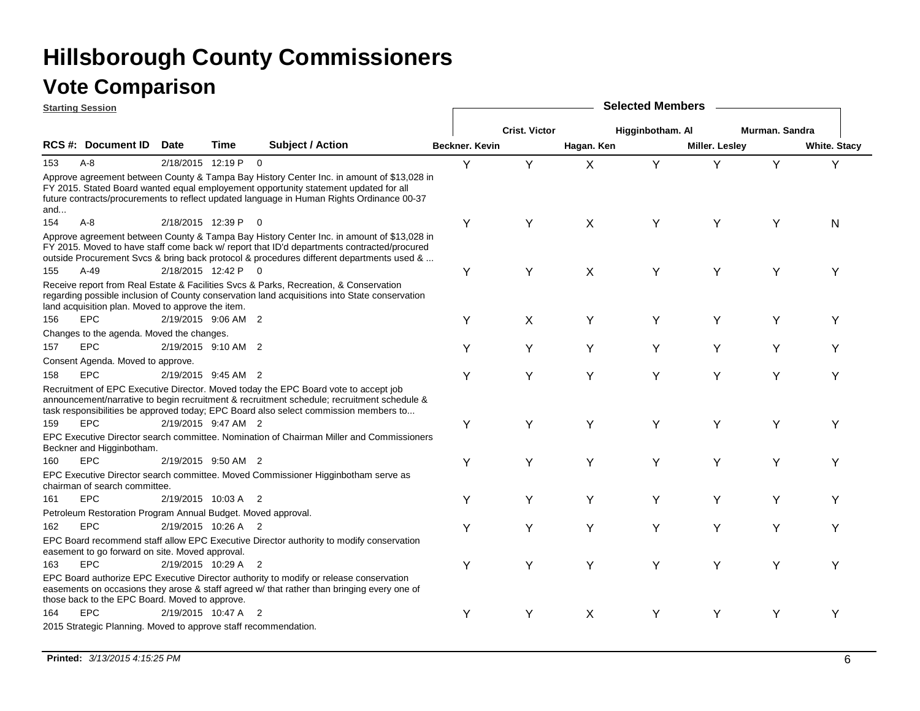| <b>Starting Session</b> |                                                                 |                     |      |                                                                                                                                                                                                                                                                                     |                |                      |            | <b>Selected Members</b> |                |                |                     |
|-------------------------|-----------------------------------------------------------------|---------------------|------|-------------------------------------------------------------------------------------------------------------------------------------------------------------------------------------------------------------------------------------------------------------------------------------|----------------|----------------------|------------|-------------------------|----------------|----------------|---------------------|
|                         |                                                                 |                     |      |                                                                                                                                                                                                                                                                                     |                | <b>Crist. Victor</b> |            | Higginbotham. Al        |                | Murman, Sandra |                     |
|                         | <b>RCS #: Document ID</b>                                       | <b>Date</b>         | Time | <b>Subject / Action</b>                                                                                                                                                                                                                                                             | Beckner, Kevin |                      | Hagan. Ken |                         | Miller. Lesley |                | <b>White. Stacy</b> |
| $A - 8$<br>153          |                                                                 | 2/18/2015 12:19 P 0 |      |                                                                                                                                                                                                                                                                                     | Y              | Y                    | $\sf X$    | Y                       | Y              | Y              | Y                   |
| and                     |                                                                 |                     |      | Approve agreement between County & Tampa Bay History Center Inc. in amount of \$13,028 in<br>FY 2015. Stated Board wanted equal employement opportunity statement updated for all<br>future contracts/procurements to reflect updated language in Human Rights Ordinance 00-37      |                |                      |            |                         |                |                |                     |
| 154<br>$A - 8$          |                                                                 | 2/18/2015 12:39 P   |      |                                                                                                                                                                                                                                                                                     | Υ              | Y                    | X          | Y                       | Y              | Y              | N                   |
|                         |                                                                 |                     |      | Approve agreement between County & Tampa Bay History Center Inc. in amount of \$13,028 in<br>FY 2015. Moved to have staff come back w/ report that ID'd departments contracted/procured<br>outside Procurement Svcs & bring back protocol & procedures different departments used & |                |                      |            |                         |                |                |                     |
| $A-49$<br>155           |                                                                 | 2/18/2015 12:42 P 0 |      |                                                                                                                                                                                                                                                                                     | Υ              | Υ                    | $\sf X$    | Y                       | Y              | Y              | Υ                   |
|                         | land acquisition plan. Moved to approve the item.               |                     |      | Receive report from Real Estate & Facilities Svcs & Parks, Recreation, & Conservation<br>regarding possible inclusion of County conservation land acquisitions into State conservation                                                                                              |                |                      |            |                         |                |                |                     |
| <b>EPC</b><br>156       |                                                                 | 2/19/2015 9:06 AM 2 |      |                                                                                                                                                                                                                                                                                     | Y              | X                    | Y          | Y                       | Y              | Y              | Υ                   |
|                         | Changes to the agenda. Moved the changes.                       |                     |      |                                                                                                                                                                                                                                                                                     |                |                      |            |                         |                |                |                     |
| <b>EPC</b><br>157       |                                                                 | 2/19/2015 9:10 AM 2 |      |                                                                                                                                                                                                                                                                                     | Υ              | Y                    | Y          | Y                       | Y              | Y              | Υ                   |
|                         | Consent Agenda. Moved to approve.                               |                     |      |                                                                                                                                                                                                                                                                                     |                |                      |            |                         |                |                |                     |
| 158<br><b>EPC</b>       |                                                                 | 2/19/2015 9:45 AM 2 |      |                                                                                                                                                                                                                                                                                     | Υ              | Υ                    | Y          | Y                       | Y              | Y              | Y                   |
|                         |                                                                 |                     |      | Recruitment of EPC Executive Director. Moved today the EPC Board vote to accept job<br>announcement/narrative to begin recruitment & recruitment schedule; recruitment schedule &<br>task responsibilities be approved today; EPC Board also select commission members to           |                |                      |            |                         |                |                |                     |
| <b>EPC</b><br>159       |                                                                 | 2/19/2015 9:47 AM 2 |      |                                                                                                                                                                                                                                                                                     | Y              | Y                    | Y          | Y                       | Υ              | Y              | Υ                   |
|                         | Beckner and Higginbotham.                                       |                     |      | EPC Executive Director search committee. Nomination of Chairman Miller and Commissioners                                                                                                                                                                                            |                |                      |            |                         |                |                |                     |
| <b>EPC</b><br>160       |                                                                 | 2/19/2015 9:50 AM 2 |      |                                                                                                                                                                                                                                                                                     | Y              | Y                    | Y          | Y                       | Y              | Y              | Υ                   |
|                         | chairman of search committee.                                   |                     |      | EPC Executive Director search committee. Moved Commissioner Higginbotham serve as                                                                                                                                                                                                   |                |                      |            |                         |                |                |                     |
| <b>EPC</b><br>161       |                                                                 | 2/19/2015 10:03 A 2 |      |                                                                                                                                                                                                                                                                                     | Y              | Y                    | Y          | Y                       | Y              | Y              | Υ                   |
|                         | Petroleum Restoration Program Annual Budget. Moved approval.    |                     |      |                                                                                                                                                                                                                                                                                     |                |                      |            |                         |                |                |                     |
| <b>EPC</b><br>162       |                                                                 | 2/19/2015 10:26 A 2 |      |                                                                                                                                                                                                                                                                                     | Y              | Y                    | Y          | Y                       | Y              | Y              | Υ                   |
|                         | easement to go forward on site. Moved approval.                 |                     |      | EPC Board recommend staff allow EPC Executive Director authority to modify conservation                                                                                                                                                                                             |                |                      |            |                         |                |                |                     |
| 163<br><b>EPC</b>       |                                                                 | 2/19/2015 10:29 A 2 |      |                                                                                                                                                                                                                                                                                     | Y              | Y                    | Y          | Y                       | Y              | Y              | Y                   |
|                         | those back to the EPC Board. Moved to approve.                  |                     |      | EPC Board authorize EPC Executive Director authority to modify or release conservation<br>easements on occasions they arose & staff agreed w/ that rather than bringing every one of                                                                                                |                |                      |            |                         |                |                |                     |
| <b>EPC</b><br>164       |                                                                 | 2/19/2015 10:47 A 2 |      |                                                                                                                                                                                                                                                                                     | Υ              | Υ                    | X          | Υ                       | Y              | Y              | Υ                   |
|                         | 2015 Strategic Planning. Moved to approve staff recommendation. |                     |      |                                                                                                                                                                                                                                                                                     |                |                      |            |                         |                |                |                     |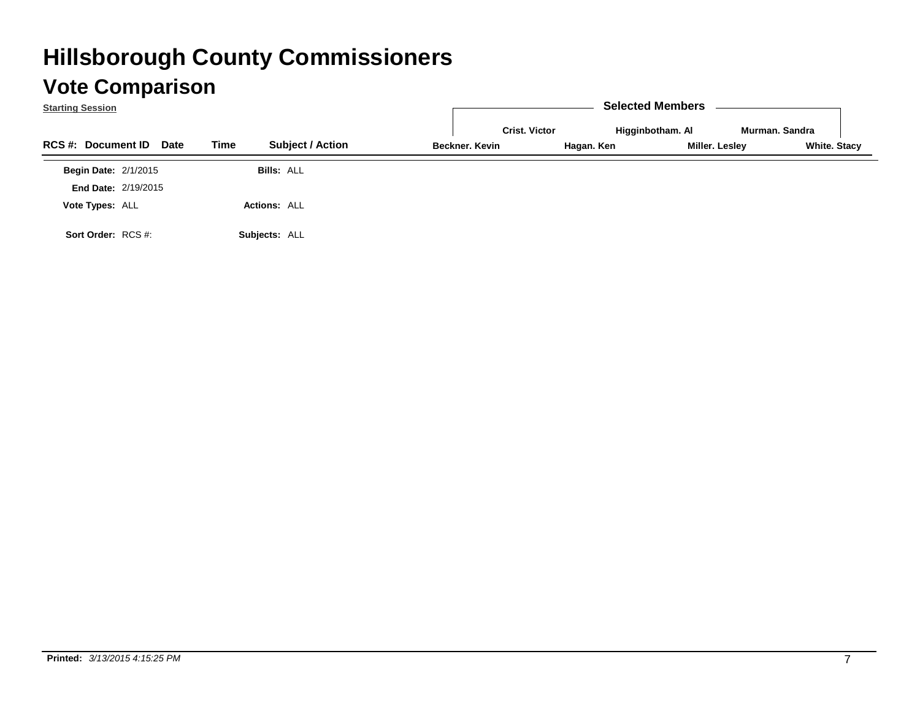| <b>Starting Session</b>           |                                 |                      | <b>Selected Members</b> |                |                     |
|-----------------------------------|---------------------------------|----------------------|-------------------------|----------------|---------------------|
|                                   |                                 | <b>Crist. Victor</b> | Higginbotham. Al        | Murman, Sandra |                     |
| <b>RCS #: Document ID</b><br>Date | Time<br><b>Subject / Action</b> | Beckner, Kevin       | Hagan. Ken              | Miller. Lesley | <b>White. Stacy</b> |
| <b>Begin Date: 2/1/2015</b>       | <b>Bills: ALL</b>               |                      |                         |                |                     |
| <b>End Date: 2/19/2015</b>        |                                 |                      |                         |                |                     |
| Vote Types: ALL                   | <b>Actions: ALL</b>             |                      |                         |                |                     |
| Sort Order: RCS #:                | Subjects: ALL                   |                      |                         |                |                     |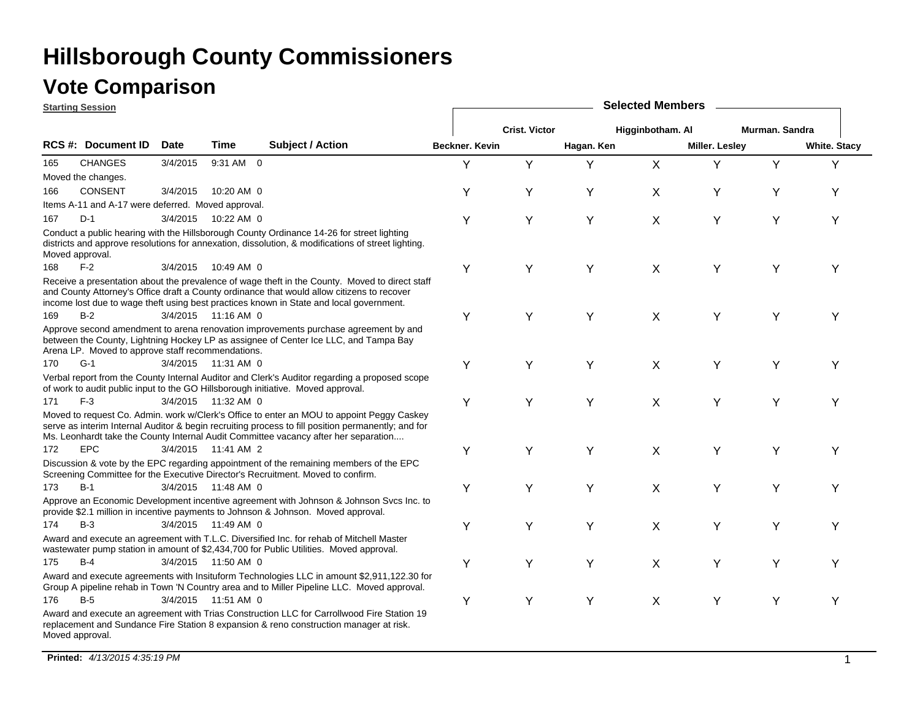#### **Vote Comparison**

|                 | <b>Starting Session</b>                            |             |                     |                                                                                                                                                                                                                                                                                         |                |                      |            | <b>Selected Members</b> |                |                |                     |
|-----------------|----------------------------------------------------|-------------|---------------------|-----------------------------------------------------------------------------------------------------------------------------------------------------------------------------------------------------------------------------------------------------------------------------------------|----------------|----------------------|------------|-------------------------|----------------|----------------|---------------------|
|                 |                                                    |             |                     |                                                                                                                                                                                                                                                                                         |                | <b>Crist. Victor</b> |            | Higginbotham. Al        |                | Murman, Sandra |                     |
|                 | RCS #: Document ID                                 | <b>Date</b> | Time                | <b>Subject / Action</b>                                                                                                                                                                                                                                                                 | Beckner. Kevin |                      | Hagan. Ken |                         | Miller. Lesley |                | <b>White. Stacy</b> |
| 165             | <b>CHANGES</b>                                     | 3/4/2015    | 9:31 AM 0           |                                                                                                                                                                                                                                                                                         | Y              | Y                    | Y          | X                       | Y              | Y              | Υ                   |
|                 | Moved the changes.                                 |             |                     |                                                                                                                                                                                                                                                                                         |                |                      |            |                         |                |                |                     |
| 166             | <b>CONSENT</b>                                     | 3/4/2015    | 10:20 AM 0          |                                                                                                                                                                                                                                                                                         | Υ              | Υ                    | Υ          | X                       | Υ              | Υ              | Υ                   |
|                 | Items A-11 and A-17 were deferred. Moved approval. |             |                     |                                                                                                                                                                                                                                                                                         |                |                      |            |                         |                |                |                     |
| 167             | $D-1$                                              | 3/4/2015    | 10:22 AM 0          |                                                                                                                                                                                                                                                                                         | Y              | Y                    | Y          | X                       | Y              | Y              | Y                   |
| Moved approval. |                                                    |             |                     | Conduct a public hearing with the Hillsborough County Ordinance 14-26 for street lighting<br>districts and approve resolutions for annexation, dissolution, & modifications of street lighting.                                                                                         |                |                      |            |                         |                |                |                     |
| 168             | $F-2$                                              | 3/4/2015    | 10:49 AM 0          |                                                                                                                                                                                                                                                                                         | Υ              | Y                    | Y          | $\sf X$                 | Y              | Υ              | Υ                   |
|                 |                                                    |             |                     | Receive a presentation about the prevalence of wage theft in the County. Moved to direct staff<br>and County Attorney's Office draft a County ordinance that would allow citizens to recover<br>income lost due to wage theft using best practices known in State and local government. |                |                      |            |                         |                |                |                     |
| 169             | $B-2$                                              |             | 3/4/2015 11:16 AM 0 |                                                                                                                                                                                                                                                                                         | Υ              | Y                    | Y          | X                       | Y              | Υ              | Υ                   |
|                 | Arena LP. Moved to approve staff recommendations.  |             |                     | Approve second amendment to arena renovation improvements purchase agreement by and<br>between the County, Lightning Hockey LP as assignee of Center Ice LLC, and Tampa Bay                                                                                                             |                |                      |            |                         |                |                |                     |
| 170             | $G-1$                                              |             | 3/4/2015 11:31 AM 0 |                                                                                                                                                                                                                                                                                         | Υ              | Y                    | Y          | X                       | Y              | Υ              | Υ                   |
|                 |                                                    |             |                     | Verbal report from the County Internal Auditor and Clerk's Auditor regarding a proposed scope<br>of work to audit public input to the GO Hillsborough initiative. Moved approval.                                                                                                       |                |                      |            |                         |                |                |                     |
| 171             | $F-3$                                              |             | 3/4/2015 11:32 AM 0 |                                                                                                                                                                                                                                                                                         | Υ              | Y                    | Y          | X                       | Y              | Υ              | Y                   |
|                 |                                                    |             |                     | Moved to request Co. Admin. work w/Clerk's Office to enter an MOU to appoint Peggy Caskey<br>serve as interim Internal Auditor & begin recruiting process to fill position permanently; and for<br>Ms. Leonhardt take the County Internal Audit Committee vacancy after her separation  |                |                      |            |                         |                |                |                     |
| 172             | <b>EPC</b>                                         |             | 3/4/2015 11:41 AM 2 |                                                                                                                                                                                                                                                                                         | Υ              | Y                    | Y          | X                       | Y              | Υ              | Υ                   |
|                 |                                                    |             |                     | Discussion & vote by the EPC regarding appointment of the remaining members of the EPC<br>Screening Committee for the Executive Director's Recruitment. Moved to confirm.                                                                                                               |                |                      |            |                         |                |                |                     |
| 173             | $B-1$                                              |             | 3/4/2015 11:48 AM 0 |                                                                                                                                                                                                                                                                                         | Υ              | Υ                    | Y          | X                       | Y              | Υ              | Y                   |
|                 |                                                    |             |                     | Approve an Economic Development incentive agreement with Johnson & Johnson Svcs Inc. to<br>provide \$2.1 million in incentive payments to Johnson & Johnson. Moved approval.                                                                                                            |                |                      |            |                         |                |                |                     |
| 174             | $B-3$                                              |             | 3/4/2015 11:49 AM 0 |                                                                                                                                                                                                                                                                                         | Υ              | Υ                    | Υ          | X                       | Y              | Y              | Y                   |
|                 |                                                    |             |                     | Award and execute an agreement with T.L.C. Diversified Inc. for rehab of Mitchell Master<br>wastewater pump station in amount of \$2,434,700 for Public Utilities. Moved approval.                                                                                                      |                |                      |            |                         |                |                |                     |
| 175             | $B-4$                                              |             | 3/4/2015 11:50 AM 0 |                                                                                                                                                                                                                                                                                         | Υ              | Υ                    | Y          | X                       | Υ              | Υ              | Υ                   |
|                 |                                                    |             |                     | Award and execute agreements with Insituform Technologies LLC in amount \$2,911,122.30 for<br>Group A pipeline rehab in Town 'N Country area and to Miller Pipeline LLC. Moved approval.                                                                                                |                |                      |            |                         |                |                |                     |
| 176             | $B-5$                                              |             | 3/4/2015 11:51 AM 0 |                                                                                                                                                                                                                                                                                         | Υ              | Y                    | Y          | X                       | Y              | Y              | Y                   |
| Moved approval. |                                                    |             |                     | Award and execute an agreement with Trias Construction LLC for Carrollwood Fire Station 19<br>replacement and Sundance Fire Station 8 expansion & reno construction manager at risk.                                                                                                    |                |                      |            |                         |                |                |                     |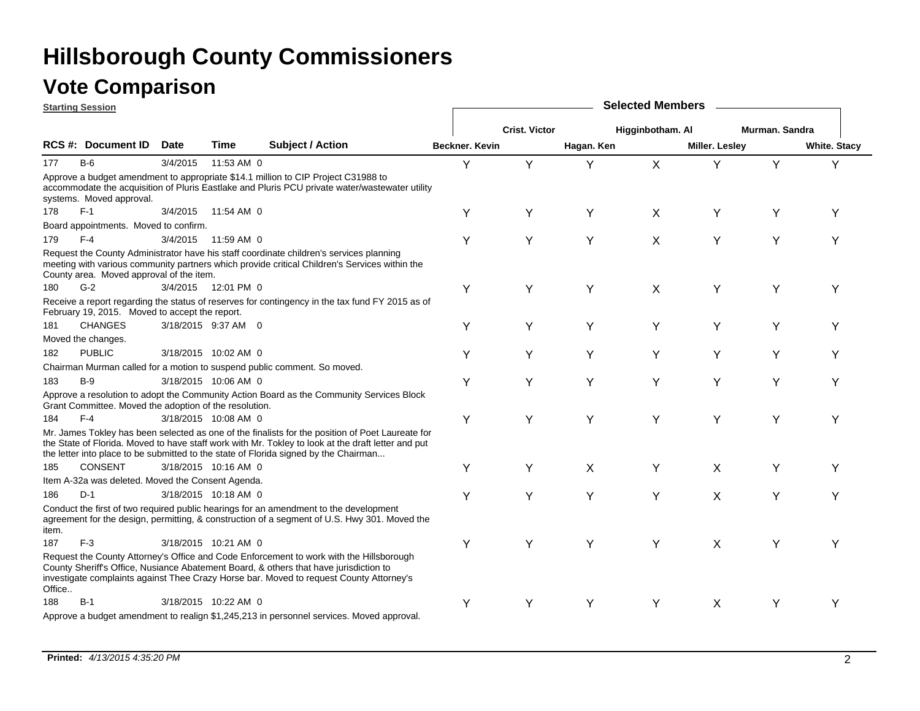|        | <b>Starting Session</b>                                |          |                      |                                                                                                                                                                                                                                                                                                |                |                      |            | <b>Selected Members</b> |                |                |                     |
|--------|--------------------------------------------------------|----------|----------------------|------------------------------------------------------------------------------------------------------------------------------------------------------------------------------------------------------------------------------------------------------------------------------------------------|----------------|----------------------|------------|-------------------------|----------------|----------------|---------------------|
|        |                                                        |          |                      |                                                                                                                                                                                                                                                                                                |                | <b>Crist. Victor</b> |            | Higginbotham. Al        |                | Murman, Sandra |                     |
|        | <b>RCS #: Document ID</b>                              | Date     | Time                 | <b>Subject / Action</b>                                                                                                                                                                                                                                                                        | Beckner, Kevin |                      | Hagan. Ken |                         | Miller. Lesley |                | <b>White. Stacy</b> |
| 177    | $B-6$                                                  | 3/4/2015 | 11:53 AM 0           |                                                                                                                                                                                                                                                                                                | Y              | Y                    | Y          | X                       | Y              | Y              | Υ                   |
|        | systems. Moved approval.                               |          |                      | Approve a budget amendment to appropriate \$14.1 million to CIP Project C31988 to<br>accommodate the acquisition of Pluris Eastlake and Pluris PCU private water/wastewater utility                                                                                                            |                |                      |            |                         |                |                |                     |
| 178    | $F-1$                                                  |          | 3/4/2015 11:54 AM 0  |                                                                                                                                                                                                                                                                                                | Y              | Y                    | Υ          | X                       | Y              | Υ              | Y                   |
|        | Board appointments. Moved to confirm.                  |          |                      |                                                                                                                                                                                                                                                                                                |                |                      |            |                         |                |                |                     |
| 179    | $F-4$                                                  | 3/4/2015 | 11:59 AM 0           |                                                                                                                                                                                                                                                                                                | Y              | Υ                    | Y          | X                       | Y              | Y              | Υ                   |
|        | County area. Moved approval of the item.               |          |                      | Request the County Administrator have his staff coordinate children's services planning<br>meeting with various community partners which provide critical Children's Services within the                                                                                                       |                |                      |            |                         |                |                |                     |
| 180    | $G-2$                                                  |          | 3/4/2015 12:01 PM 0  |                                                                                                                                                                                                                                                                                                | Υ              | Y                    | Υ          | X                       | Y              | Y              | Y                   |
|        | February 19, 2015. Moved to accept the report.         |          |                      | Receive a report regarding the status of reserves for contingency in the tax fund FY 2015 as of                                                                                                                                                                                                |                |                      |            |                         |                |                |                     |
| 181    | <b>CHANGES</b>                                         |          | 3/18/2015 9:37 AM 0  |                                                                                                                                                                                                                                                                                                | Υ              | Υ                    | Υ          | Υ                       | Υ              | Y              | Υ                   |
|        | Moved the changes.                                     |          |                      |                                                                                                                                                                                                                                                                                                |                |                      |            |                         |                |                |                     |
| 182    | <b>PUBLIC</b>                                          |          | 3/18/2015 10:02 AM 0 |                                                                                                                                                                                                                                                                                                | Y              | Y                    | Υ          | Y                       | Y              | Y              | Y                   |
|        |                                                        |          |                      | Chairman Murman called for a motion to suspend public comment. So moved.                                                                                                                                                                                                                       |                |                      |            |                         |                |                |                     |
| 183    | $B-9$                                                  |          | 3/18/2015 10:06 AM 0 |                                                                                                                                                                                                                                                                                                | Y              | Y                    | Y          | Υ                       | Y              | Y              | Υ                   |
|        | Grant Committee. Moved the adoption of the resolution. |          |                      | Approve a resolution to adopt the Community Action Board as the Community Services Block                                                                                                                                                                                                       |                |                      |            |                         |                |                |                     |
| 184    | $F-4$                                                  |          | 3/18/2015 10:08 AM 0 |                                                                                                                                                                                                                                                                                                | Υ              | Y                    | Y          | Y                       | Υ              | Y              | Υ                   |
|        |                                                        |          |                      | Mr. James Tokley has been selected as one of the finalists for the position of Poet Laureate for<br>the State of Florida. Moved to have staff work with Mr. Tokley to look at the draft letter and put<br>the letter into place to be submitted to the state of Florida signed by the Chairman |                |                      |            |                         |                |                |                     |
| 185    | <b>CONSENT</b>                                         |          | 3/18/2015 10:16 AM 0 |                                                                                                                                                                                                                                                                                                | Y              | Y                    | X          | Υ                       | X              | Y              | Υ                   |
|        | Item A-32a was deleted. Moved the Consent Agenda.      |          |                      |                                                                                                                                                                                                                                                                                                |                |                      |            |                         |                |                |                     |
| 186    | $D-1$                                                  |          | 3/18/2015 10:18 AM 0 |                                                                                                                                                                                                                                                                                                | Y              | Υ                    | Y          | Y                       | X              | Y              | Υ                   |
| item.  |                                                        |          |                      | Conduct the first of two required public hearings for an amendment to the development<br>agreement for the design, permitting, & construction of a segment of U.S. Hwy 301. Moved the                                                                                                          |                |                      |            |                         |                |                |                     |
| 187    | $F-3$                                                  |          | 3/18/2015 10:21 AM 0 |                                                                                                                                                                                                                                                                                                | Υ              | Y                    | Y          | Υ                       | X              | Υ              | Υ                   |
| Office |                                                        |          |                      | Request the County Attorney's Office and Code Enforcement to work with the Hillsborough<br>County Sheriff's Office, Nusiance Abatement Board, & others that have jurisdiction to<br>investigate complaints against Thee Crazy Horse bar. Moved to request County Attorney's                    |                |                      |            |                         |                |                |                     |
| 188    | $B-1$                                                  |          | 3/18/2015 10:22 AM 0 |                                                                                                                                                                                                                                                                                                | Y              | Y                    | Υ          | Υ                       | X              | Y              | Υ                   |
|        |                                                        |          |                      | Approve a budget amendment to realign \$1,245,213 in personnel services. Moved approval.                                                                                                                                                                                                       |                |                      |            |                         |                |                |                     |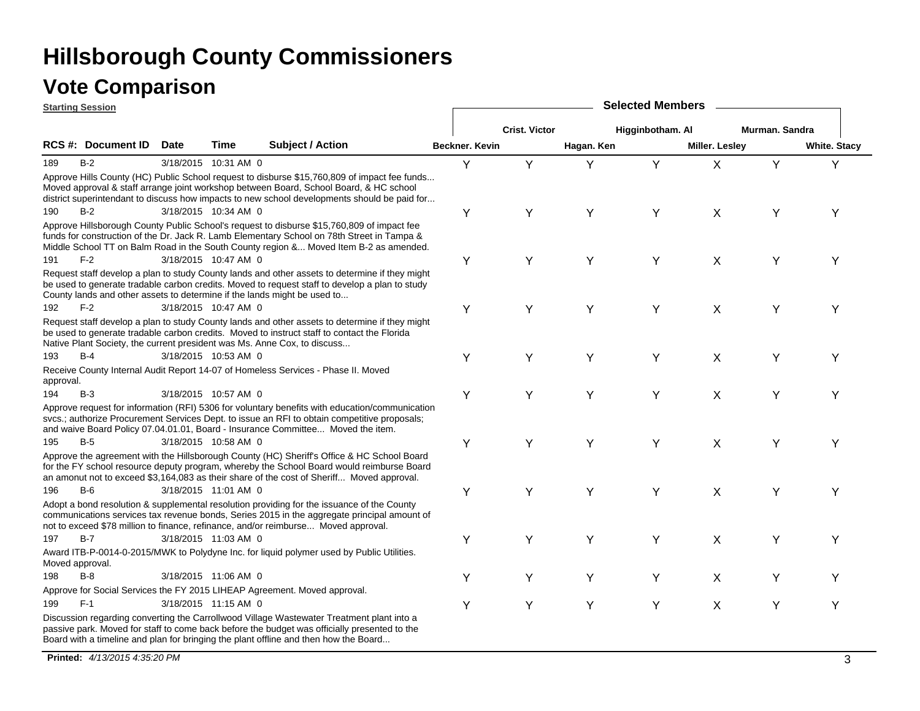|                 | <b>Starting Session</b>   |             |                      |                                                                                                                                                                                                                                                                                        |                |                      |            | <b>Selected Members</b> |                |                |                     |
|-----------------|---------------------------|-------------|----------------------|----------------------------------------------------------------------------------------------------------------------------------------------------------------------------------------------------------------------------------------------------------------------------------------|----------------|----------------------|------------|-------------------------|----------------|----------------|---------------------|
|                 |                           |             |                      |                                                                                                                                                                                                                                                                                        |                | <b>Crist. Victor</b> |            | Higginbotham. Al        |                | Murman. Sandra |                     |
|                 | <b>RCS #: Document ID</b> | <b>Date</b> | <b>Time</b>          | <b>Subject / Action</b>                                                                                                                                                                                                                                                                | Beckner, Kevin |                      | Hagan. Ken |                         | Miller. Lesley |                | <b>White. Stacy</b> |
| 189             | $B-2$                     |             | 3/18/2015 10:31 AM 0 |                                                                                                                                                                                                                                                                                        | Y              | Y                    | Υ          | Y                       | X              | Y              | Y                   |
|                 |                           |             |                      | Approve Hills County (HC) Public School request to disburse \$15,760,809 of impact fee funds<br>Moved approval & staff arrange joint workshop between Board, School Board, & HC school<br>district superintendant to discuss how impacts to new school developments should be paid for |                |                      |            |                         |                |                |                     |
| 190             | $B-2$                     |             | 3/18/2015 10:34 AM 0 |                                                                                                                                                                                                                                                                                        | Υ              | Y                    | Y          | Y                       | X              | Υ              | Y                   |
|                 |                           |             |                      | Approve Hillsborough County Public School's request to disburse \$15,760,809 of impact fee<br>funds for construction of the Dr. Jack R. Lamb Elementary School on 78th Street in Tampa &<br>Middle School TT on Balm Road in the South County region & Moved Item B-2 as amended.      |                |                      |            |                         |                |                |                     |
| 191             | $F-2$                     |             | 3/18/2015 10:47 AM 0 |                                                                                                                                                                                                                                                                                        | Υ              | Υ                    | Y          | Y                       | X              | Y              | Y                   |
|                 |                           |             |                      | Request staff develop a plan to study County lands and other assets to determine if they might<br>be used to generate tradable carbon credits. Moved to request staff to develop a plan to study<br>County lands and other assets to determine if the lands might be used to           |                |                      |            |                         |                |                |                     |
| 192             | $F-2$                     |             | 3/18/2015 10:47 AM 0 |                                                                                                                                                                                                                                                                                        | Υ              | Y                    | Y          | Y                       | X              | Y              | Υ                   |
|                 |                           |             |                      | Request staff develop a plan to study County lands and other assets to determine if they might<br>be used to generate tradable carbon credits. Moved to instruct staff to contact the Florida<br>Native Plant Society, the current president was Ms. Anne Cox, to discuss              |                |                      |            |                         |                |                |                     |
| 193             | B-4                       |             | 3/18/2015 10:53 AM 0 |                                                                                                                                                                                                                                                                                        | Υ              | Y                    | Y          | Y                       | X              | Y              | Υ                   |
| approval.       |                           |             |                      | Receive County Internal Audit Report 14-07 of Homeless Services - Phase II. Moved                                                                                                                                                                                                      |                |                      |            |                         |                |                |                     |
| 194             | $B-3$                     |             | 3/18/2015 10:57 AM 0 |                                                                                                                                                                                                                                                                                        | Υ              | Y                    | Υ          | Υ                       | X              | Υ              | Y                   |
|                 |                           |             |                      | Approve request for information (RFI) 5306 for voluntary benefits with education/communication<br>svcs.; authorize Procurement Services Dept. to issue an RFI to obtain competitive proposals;<br>and waive Board Policy 07.04.01.01, Board - Insurance Committee Moved the item.      |                |                      |            |                         |                |                |                     |
| 195             | $B-5$                     |             | 3/18/2015 10:58 AM 0 |                                                                                                                                                                                                                                                                                        | Υ              | Y                    | Y          | Y                       | X              | Y              | Υ                   |
|                 |                           |             |                      | Approve the agreement with the Hillsborough County (HC) Sheriff's Office & HC School Board<br>for the FY school resource deputy program, whereby the School Board would reimburse Board<br>an amonut not to exceed \$3,164,083 as their share of the cost of Sheriff Moved approval.   |                |                      |            |                         |                |                |                     |
| 196             | B-6                       |             | 3/18/2015 11:01 AM 0 |                                                                                                                                                                                                                                                                                        | Υ              | Y                    | Y          | Y                       | X              | Y              | Y                   |
|                 |                           |             |                      | Adopt a bond resolution & supplemental resolution providing for the issuance of the County<br>communications services tax revenue bonds, Series 2015 in the aggregate principal amount of<br>not to exceed \$78 million to finance, refinance, and/or reimburse Moved approval.        |                |                      |            |                         |                |                |                     |
| 197             | $B-7$                     |             | 3/18/2015 11:03 AM 0 |                                                                                                                                                                                                                                                                                        | Υ              | Y                    | Y          | Y                       | X              | Y              | Υ                   |
| Moved approval. |                           |             |                      | Award ITB-P-0014-0-2015/MWK to Polydyne Inc. for liquid polymer used by Public Utilities.                                                                                                                                                                                              |                |                      |            |                         |                |                |                     |
| 198             | $B-8$                     |             | 3/18/2015 11:06 AM 0 |                                                                                                                                                                                                                                                                                        | Y              | Y                    | Y          | Υ                       | X              | Υ              | Y                   |
|                 |                           |             |                      | Approve for Social Services the FY 2015 LIHEAP Agreement. Moved approval.                                                                                                                                                                                                              |                |                      |            |                         |                |                |                     |
| 199             | $F-1$                     |             | 3/18/2015 11:15 AM 0 |                                                                                                                                                                                                                                                                                        | Υ              | Υ                    | Υ          | Υ                       | X              | Υ              | Y                   |
|                 |                           |             |                      | Discussion regarding converting the Carrollwood Village Wastewater Treatment plant into a<br>passive park. Moved for staff to come back before the budget was officially presented to the<br>Board with a timeline and plan for bringing the plant offline and then how the Board      |                |                      |            |                         |                |                |                     |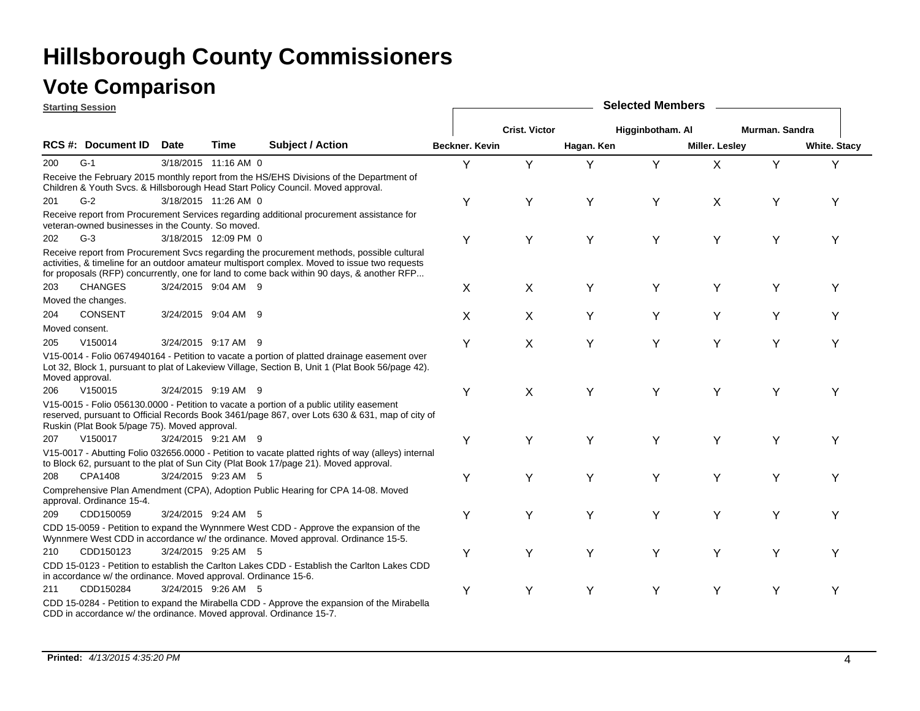|                | <b>Starting Session</b>                                         |      |                      |                                                                                                                                                                                                                                                                                         |                       |                      |            | <b>Selected Members</b> |                |                |                     |
|----------------|-----------------------------------------------------------------|------|----------------------|-----------------------------------------------------------------------------------------------------------------------------------------------------------------------------------------------------------------------------------------------------------------------------------------|-----------------------|----------------------|------------|-------------------------|----------------|----------------|---------------------|
|                |                                                                 |      |                      |                                                                                                                                                                                                                                                                                         |                       | <b>Crist. Victor</b> |            | Higginbotham. Al        |                | Murman, Sandra |                     |
|                | <b>RCS #: Document ID</b>                                       | Date | <b>Time</b>          | <b>Subject / Action</b>                                                                                                                                                                                                                                                                 | <b>Beckner, Kevin</b> |                      | Hagan. Ken |                         | Miller. Lesley |                | <b>White. Stacy</b> |
| 200            | $G-1$                                                           |      | 3/18/2015 11:16 AM 0 |                                                                                                                                                                                                                                                                                         | Υ                     | Y                    | Y          | Y                       | X              | Y              | Y                   |
|                |                                                                 |      |                      | Receive the February 2015 monthly report from the HS/EHS Divisions of the Department of<br>Children & Youth Svcs. & Hillsborough Head Start Policy Council. Moved approval.                                                                                                             |                       |                      |            |                         |                |                |                     |
| 201            | $G-2$                                                           |      | 3/18/2015 11:26 AM 0 |                                                                                                                                                                                                                                                                                         | Υ                     | Y                    | Y          | Υ                       | X              | Y              | Υ                   |
|                | veteran-owned businesses in the County. So moved.               |      |                      | Receive report from Procurement Services regarding additional procurement assistance for                                                                                                                                                                                                |                       |                      |            |                         |                |                |                     |
| 202            | $G-3$                                                           |      | 3/18/2015 12:09 PM 0 |                                                                                                                                                                                                                                                                                         | Υ                     | Y                    | Y          | Υ                       | Y              | Υ              | Υ                   |
|                |                                                                 |      |                      | Receive report from Procurement Svcs regarding the procurement methods, possible cultural<br>activities, & timeline for an outdoor amateur multisport complex. Moved to issue two requests<br>for proposals (RFP) concurrently, one for land to come back within 90 days, & another RFP |                       |                      |            |                         |                |                |                     |
| 203            | <b>CHANGES</b>                                                  |      | 3/24/2015 9:04 AM 9  |                                                                                                                                                                                                                                                                                         | X                     | X                    | Υ          | Y                       | Y              | Υ              | Υ                   |
|                | Moved the changes.                                              |      |                      |                                                                                                                                                                                                                                                                                         |                       |                      |            |                         |                |                |                     |
| 204            | <b>CONSENT</b>                                                  |      | 3/24/2015 9:04 AM 9  |                                                                                                                                                                                                                                                                                         | X                     | X                    | Υ          | Υ                       | Y              | Υ              | Y                   |
| Moved consent. |                                                                 |      |                      |                                                                                                                                                                                                                                                                                         |                       |                      |            |                         |                |                |                     |
| 205            | V150014                                                         |      | 3/24/2015 9:17 AM 9  |                                                                                                                                                                                                                                                                                         | Υ                     | X                    | Y          | Y                       | Y              | Υ              | Y                   |
|                | Moved approval.                                                 |      |                      | V15-0014 - Folio 0674940164 - Petition to vacate a portion of platted drainage easement over<br>Lot 32, Block 1, pursuant to plat of Lakeview Village, Section B, Unit 1 (Plat Book 56/page 42).                                                                                        |                       |                      |            |                         |                |                |                     |
| 206            | V150015                                                         |      | 3/24/2015 9:19 AM 9  |                                                                                                                                                                                                                                                                                         | Y                     | X                    | Y          | Y                       | Y              | Υ              | Y                   |
|                | Ruskin (Plat Book 5/page 75). Moved approval.                   |      |                      | V15-0015 - Folio 056130.0000 - Petition to vacate a portion of a public utility easement<br>reserved, pursuant to Official Records Book 3461/page 867, over Lots 630 & 631, map of city of                                                                                              |                       |                      |            |                         |                |                |                     |
| 207            | V150017                                                         |      | 3/24/2015 9:21 AM 9  |                                                                                                                                                                                                                                                                                         | Y                     | Υ                    | Y          | Y                       | Y              | Y              | Υ                   |
|                |                                                                 |      |                      | V15-0017 - Abutting Folio 032656.0000 - Petition to vacate platted rights of way (alleys) internal<br>to Block 62, pursuant to the plat of Sun City (Plat Book 17/page 21). Moved approval.                                                                                             |                       |                      |            |                         |                |                |                     |
| 208            | CPA1408                                                         |      | 3/24/2015 9:23 AM 5  |                                                                                                                                                                                                                                                                                         | Υ                     | Υ                    | Y          | Y                       | Y              | Y              | Υ                   |
|                | approval. Ordinance 15-4.                                       |      |                      | Comprehensive Plan Amendment (CPA), Adoption Public Hearing for CPA 14-08. Moved                                                                                                                                                                                                        |                       |                      |            |                         |                |                |                     |
| 209            | CDD150059                                                       |      | 3/24/2015 9:24 AM 5  |                                                                                                                                                                                                                                                                                         | Υ                     | Υ                    | Y          | Y                       | Y              | Y              | Y                   |
|                |                                                                 |      |                      | CDD 15-0059 - Petition to expand the Wynnmere West CDD - Approve the expansion of the<br>Wynnmere West CDD in accordance w/ the ordinance. Moved approval. Ordinance 15-5.                                                                                                              |                       |                      |            |                         |                |                |                     |
| 210            | CDD150123                                                       |      | 3/24/2015 9:25 AM 5  |                                                                                                                                                                                                                                                                                         | Υ                     | Y                    | Υ          | Υ                       | Y              | Y              | Y                   |
|                | in accordance w/ the ordinance. Moved approval. Ordinance 15-6. |      |                      | CDD 15-0123 - Petition to establish the Carlton Lakes CDD - Establish the Carlton Lakes CDD                                                                                                                                                                                             |                       |                      |            |                         |                |                |                     |
| 211            | CDD150284                                                       |      | 3/24/2015 9:26 AM 5  |                                                                                                                                                                                                                                                                                         | Υ                     | Y                    | Y          | Y                       | Y              | Y              | Y                   |
|                |                                                                 |      |                      | CDD 15-0284 - Petition to expand the Mirabella CDD - Approve the expansion of the Mirabella<br>CDD in accordance w/ the ordinance. Moved approval. Ordinance 15-7.                                                                                                                      |                       |                      |            |                         |                |                |                     |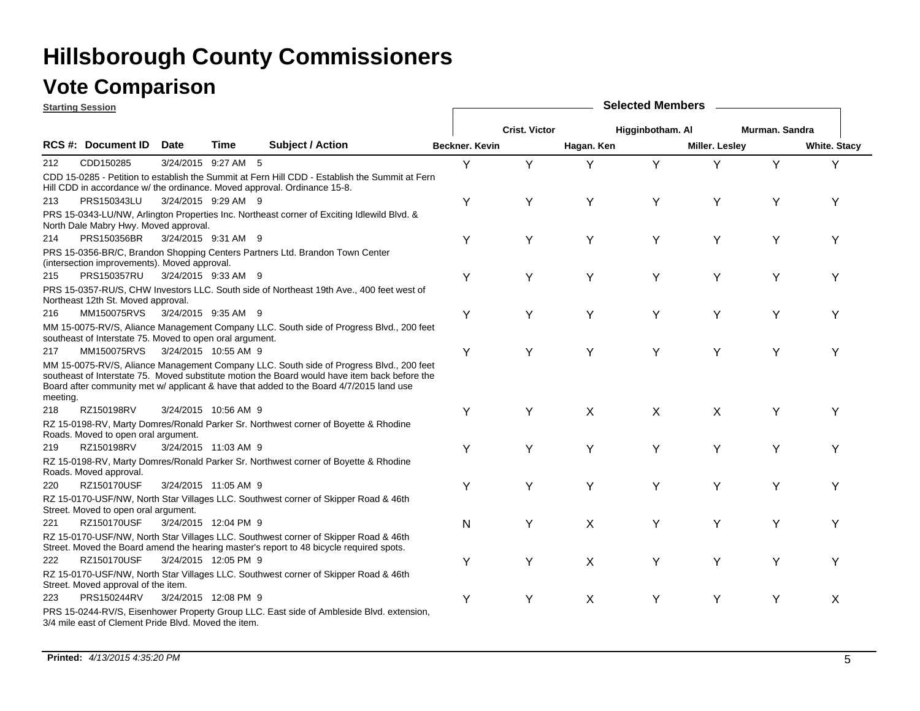### **Vote Comparison**

**Starting Session**

|          | <u>olarling əessiun</u>                                  |             |                      |                                                                                                                                                                                                                                                                                     |                |                      |            | OUIUULUU IIIUIIIN |                |                |                     |
|----------|----------------------------------------------------------|-------------|----------------------|-------------------------------------------------------------------------------------------------------------------------------------------------------------------------------------------------------------------------------------------------------------------------------------|----------------|----------------------|------------|-------------------|----------------|----------------|---------------------|
|          |                                                          |             |                      |                                                                                                                                                                                                                                                                                     |                | <b>Crist. Victor</b> |            | Higginbotham. Al  |                | Murman, Sandra |                     |
|          | RCS #: Document ID                                       | <b>Date</b> | <b>Time</b>          | <b>Subject / Action</b>                                                                                                                                                                                                                                                             | Beckner, Kevin |                      | Hagan. Ken |                   | Miller. Lesley |                | <b>White. Stacy</b> |
| 212      | CDD150285                                                |             | 3/24/2015 9:27 AM 5  |                                                                                                                                                                                                                                                                                     | Y              | Y                    | Y          | Y                 | Y              | Y              | Y                   |
|          |                                                          |             |                      | CDD 15-0285 - Petition to establish the Summit at Fern Hill CDD - Establish the Summit at Fern<br>Hill CDD in accordance w/ the ordinance. Moved approval. Ordinance 15-8.                                                                                                          |                |                      |            |                   |                |                |                     |
| 213      | PRS150343LU                                              |             | 3/24/2015 9:29 AM 9  |                                                                                                                                                                                                                                                                                     | Y              | Υ                    | Y          | Y                 | Y              | Υ              | Y                   |
|          | North Dale Mabry Hwy. Moved approval.                    |             |                      | PRS 15-0343-LU/NW, Arlington Properties Inc. Northeast corner of Exciting Idlewild Blvd. &                                                                                                                                                                                          |                |                      |            |                   |                |                |                     |
| 214      | PRS150356BR                                              |             | 3/24/2015 9:31 AM 9  |                                                                                                                                                                                                                                                                                     | Y              | Y                    | Y          | Ý                 | Y              | Y              | Υ                   |
|          | (intersection improvements). Moved approval.             |             |                      | PRS 15-0356-BR/C, Brandon Shopping Centers Partners Ltd. Brandon Town Center                                                                                                                                                                                                        |                |                      |            |                   |                |                |                     |
| 215      | PRS150357RU                                              |             | 3/24/2015 9:33 AM 9  |                                                                                                                                                                                                                                                                                     | Υ              | Υ                    | Υ          | Υ                 | Y              | Υ              | Υ                   |
|          | Northeast 12th St. Moved approval.                       |             |                      | PRS 15-0357-RU/S, CHW Investors LLC. South side of Northeast 19th Ave., 400 feet west of                                                                                                                                                                                            |                |                      |            |                   |                |                |                     |
| 216      | MM150075RVS                                              |             | 3/24/2015 9:35 AM 9  |                                                                                                                                                                                                                                                                                     | Y              | Υ                    | Y          | Y                 | Y              | Υ              | Υ                   |
|          | southeast of Interstate 75. Moved to open oral argument. |             |                      | MM 15-0075-RV/S, Aliance Management Company LLC. South side of Progress Blvd., 200 feet                                                                                                                                                                                             |                |                      |            |                   |                |                |                     |
| 217      | MM150075RVS                                              |             | 3/24/2015 10:55 AM 9 |                                                                                                                                                                                                                                                                                     | Y              | Y                    | Y          | Y                 | Y              | Υ              | Υ                   |
| meeting. |                                                          |             |                      | MM 15-0075-RV/S, Aliance Management Company LLC. South side of Progress Blvd., 200 feet<br>southeast of Interstate 75. Moved substitute motion the Board would have item back before the<br>Board after community met w/ applicant & have that added to the Board 4/7/2015 land use |                |                      |            |                   |                |                |                     |
| 218      | RZ150198RV                                               |             | 3/24/2015 10:56 AM 9 |                                                                                                                                                                                                                                                                                     | Y              | Υ                    | X          | X                 | X              | Y              | Y                   |
|          | Roads. Moved to open oral argument.                      |             |                      | RZ 15-0198-RV, Marty Domres/Ronald Parker Sr. Northwest corner of Boyette & Rhodine                                                                                                                                                                                                 |                |                      |            |                   |                |                |                     |
| 219      | RZ150198RV                                               |             | 3/24/2015 11:03 AM 9 |                                                                                                                                                                                                                                                                                     | Υ              | Υ                    | Y          | Υ                 | Y              | Y              | Υ                   |
|          | Roads. Moved approval.                                   |             |                      | RZ 15-0198-RV, Marty Domres/Ronald Parker Sr. Northwest corner of Boyette & Rhodine                                                                                                                                                                                                 |                |                      |            |                   |                |                |                     |
| 220      | RZ150170USF                                              |             | 3/24/2015 11:05 AM 9 |                                                                                                                                                                                                                                                                                     | Y              | Y                    | Y          | Υ                 | Y              | Υ              | Υ                   |
|          | Street. Moved to open oral argument.                     |             |                      | RZ 15-0170-USF/NW, North Star Villages LLC. Southwest corner of Skipper Road & 46th                                                                                                                                                                                                 |                |                      |            |                   |                |                |                     |
| 221      | RZ150170USF                                              |             | 3/24/2015 12:04 PM 9 |                                                                                                                                                                                                                                                                                     | N              | Υ                    | Χ          | Υ                 | Υ              | Υ              | Υ                   |
|          |                                                          |             |                      | RZ 15-0170-USF/NW, North Star Villages LLC. Southwest corner of Skipper Road & 46th<br>Street. Moved the Board amend the hearing master's report to 48 bicycle required spots.                                                                                                      |                |                      |            |                   |                |                |                     |
| 222.     | RZ150170USF                                              |             | 3/24/2015 12:05 PM 9 |                                                                                                                                                                                                                                                                                     | Y              | Υ                    | X          | Υ                 | Y              | Υ              | Υ                   |
|          | Street. Moved approval of the item.                      |             |                      | RZ 15-0170-USF/NW, North Star Villages LLC. Southwest corner of Skipper Road & 46th                                                                                                                                                                                                 |                |                      |            |                   |                |                |                     |
| 223      | PRS150244RV                                              |             | 3/24/2015 12:08 PM 9 |                                                                                                                                                                                                                                                                                     | Y              | Υ                    | X          | Υ                 | Y              | Y              | Χ                   |
|          | 3/4 mile east of Clement Pride Blvd. Moved the item.     |             |                      | PRS 15-0244-RV/S, Eisenhower Property Group LLC. East side of Ambleside Blvd. extension,                                                                                                                                                                                            |                |                      |            |                   |                |                |                     |

**Selected Members**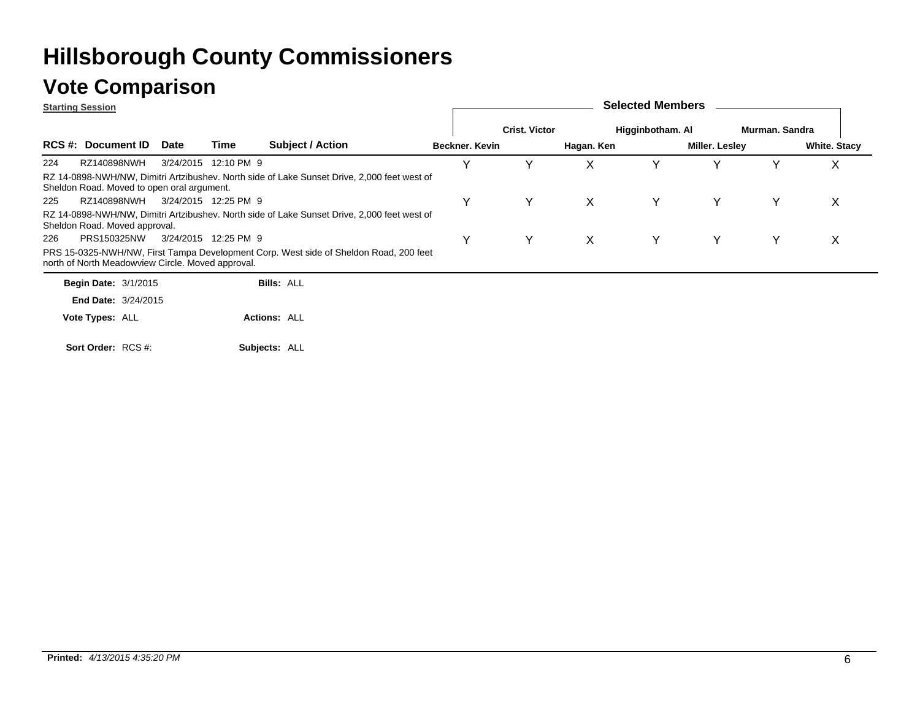### **Vote Comparison**

**Starting Session**

| <b>Starting Session</b>                           |             |                      |                                                                                             |                |                      |            | 00100100 11101111001 0 |                |                |                     |
|---------------------------------------------------|-------------|----------------------|---------------------------------------------------------------------------------------------|----------------|----------------------|------------|------------------------|----------------|----------------|---------------------|
|                                                   |             |                      |                                                                                             |                | <b>Crist. Victor</b> |            | Higginbotham. Al       |                | Murman, Sandra |                     |
| <b>RCS #: Document ID</b>                         | <b>Date</b> | Time                 | <b>Subject / Action</b>                                                                     | Beckner, Kevin |                      | Hagan. Ken |                        | Miller. Lesley |                | <b>White. Stacy</b> |
| 224<br>RZ140898NWH                                |             | 3/24/2015 12:10 PM 9 |                                                                                             | v              |                      | X          |                        |                |                | х                   |
| Sheldon Road. Moved to open oral argument.        |             |                      | RZ 14-0898-NWH/NW, Dimitri Artzibushev. North side of Lake Sunset Drive, 2,000 feet west of |                |                      |            |                        |                |                |                     |
| RZ140898NWH<br>225                                |             | 3/24/2015 12:25 PM 9 |                                                                                             | Y              | Y                    | X.         | Y.                     | Υ              | Y              | X                   |
| Sheldon Road. Moved approval.                     |             |                      | RZ 14-0898-NWH/NW, Dimitri Artzibushev. North side of Lake Sunset Drive, 2,000 feet west of |                |                      |            |                        |                |                |                     |
| PRS150325NW<br>226                                |             | 3/24/2015 12:25 PM 9 |                                                                                             | Y              | Y                    | X          | Y.                     | Υ              | Y              | X                   |
| north of North Meadowview Circle. Moved approval. |             |                      | PRS 15-0325-NWH/NW, First Tampa Development Corp. West side of Sheldon Road, 200 feet       |                |                      |            |                        |                |                |                     |
| <b>Begin Date: 3/1/2015</b>                       |             |                      | <b>Bills: ALL</b>                                                                           |                |                      |            |                        |                |                |                     |
| <b>End Date: 3/24/2015</b>                        |             |                      |                                                                                             |                |                      |            |                        |                |                |                     |
| <b>Vote Types: ALL</b>                            |             |                      | <b>Actions: ALL</b>                                                                         |                |                      |            |                        |                |                |                     |

**Selected Members**

**Subjects:** ALL **Sort Order:** RCS #: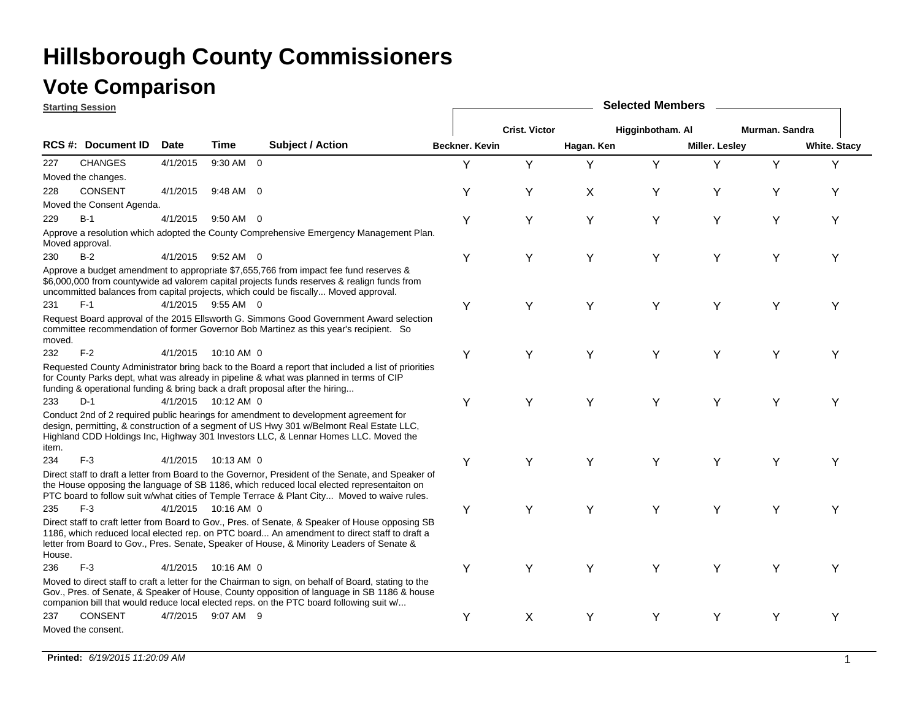#### **Vote Comparison**

**Starting Session**

|        | <u> Starting Session</u>  |             |                     |                                                                                                                                                                                                                                                                                                |                |                      |            |                  |                       |                |                     |
|--------|---------------------------|-------------|---------------------|------------------------------------------------------------------------------------------------------------------------------------------------------------------------------------------------------------------------------------------------------------------------------------------------|----------------|----------------------|------------|------------------|-----------------------|----------------|---------------------|
|        |                           |             |                     |                                                                                                                                                                                                                                                                                                |                | <b>Crist. Victor</b> |            | Higginbotham. Al |                       | Murman. Sandra |                     |
|        | <b>RCS #: Document ID</b> | <b>Date</b> | <b>Time</b>         | <b>Subject / Action</b>                                                                                                                                                                                                                                                                        | Beckner, Kevin |                      | Hagan. Ken |                  | <b>Miller. Lesley</b> |                | <b>White. Stacy</b> |
| 227    | <b>CHANGES</b>            | 4/1/2015    | 9:30 AM 0           |                                                                                                                                                                                                                                                                                                | Y              | Y                    | Y          | Y                | Y                     | Y              | Y                   |
|        | Moved the changes.        |             |                     |                                                                                                                                                                                                                                                                                                |                |                      |            |                  |                       |                |                     |
| 228    | <b>CONSENT</b>            | 4/1/2015    | 9:48 AM 0           |                                                                                                                                                                                                                                                                                                | Υ              | Υ                    | X          | Υ                | Y                     | Υ              | Υ                   |
|        | Moved the Consent Agenda. |             |                     |                                                                                                                                                                                                                                                                                                |                |                      |            |                  |                       |                |                     |
| 229    | $B-1$                     | 4/1/2015    | $9:50$ AM 0         |                                                                                                                                                                                                                                                                                                | Y              | Υ                    | Y          | Y                | Y                     | Υ              | Υ                   |
|        | Moved approval.           |             |                     | Approve a resolution which adopted the County Comprehensive Emergency Management Plan.                                                                                                                                                                                                         |                |                      |            |                  |                       |                |                     |
| 230    | $B-2$                     |             | 4/1/2015 9:52 AM 0  |                                                                                                                                                                                                                                                                                                | Y              | Υ                    | Y          | Y                | Y                     | Υ              | Υ                   |
|        |                           |             |                     | Approve a budget amendment to appropriate \$7,655,766 from impact fee fund reserves &<br>\$6,000,000 from countywide ad valorem capital projects funds reserves & realign funds from<br>uncommitted balances from capital projects, which could be fiscally Moved approval.                    |                |                      |            |                  |                       |                |                     |
| 231    | $F-1$                     |             | 4/1/2015 9:55 AM 0  |                                                                                                                                                                                                                                                                                                | Y              | Y                    | Y          | Ý                | Y                     | Υ              | Υ                   |
| moved. |                           |             |                     | Request Board approval of the 2015 Ellsworth G. Simmons Good Government Award selection<br>committee recommendation of former Governor Bob Martinez as this year's recipient. So                                                                                                               |                |                      |            |                  |                       |                |                     |
| 232    | $F-2$                     | 4/1/2015    | 10:10 AM 0          |                                                                                                                                                                                                                                                                                                | Υ              | Y                    | Y          | Y                | Y                     | Υ              | Y                   |
|        |                           |             |                     | Requested County Administrator bring back to the Board a report that included a list of priorities<br>for County Parks dept, what was already in pipeline & what was planned in terms of CIP<br>funding & operational funding & bring back a draft proposal after the hiring                   |                |                      |            |                  |                       |                |                     |
| 233    | $D-1$                     |             | 4/1/2015 10:12 AM 0 |                                                                                                                                                                                                                                                                                                | Y              | Υ                    | Y          | Y                | Y                     | Υ              | Y                   |
| item.  |                           |             |                     | Conduct 2nd of 2 required public hearings for amendment to development agreement for<br>design, permitting, & construction of a segment of US Hwy 301 w/Belmont Real Estate LLC,<br>Highland CDD Holdings Inc, Highway 301 Investors LLC, & Lennar Homes LLC. Moved the                        |                |                      |            |                  |                       |                |                     |
| 234    | $F-3$                     |             | 4/1/2015 10:13 AM 0 |                                                                                                                                                                                                                                                                                                | Υ              | Y                    | Y          | Y                | Y                     | Υ              | Y                   |
|        |                           |             |                     | Direct staff to draft a letter from Board to the Governor, President of the Senate, and Speaker of<br>the House opposing the language of SB 1186, which reduced local elected representaiton on<br>PTC board to follow suit w/what cities of Temple Terrace & Plant City Moved to waive rules. |                |                      |            |                  |                       |                |                     |
| 235    | $F-3$                     |             | 4/1/2015 10:16 AM 0 |                                                                                                                                                                                                                                                                                                | Y              | Y                    | Y          | Y                | Y                     | Υ              | Y                   |
| House. |                           |             |                     | Direct staff to craft letter from Board to Gov., Pres. of Senate, & Speaker of House opposing SB<br>1186, which reduced local elected rep. on PTC board An amendment to direct staff to draft a<br>letter from Board to Gov., Pres. Senate, Speaker of House, & Minority Leaders of Senate &   |                |                      |            |                  |                       |                |                     |
| 236    | $F-3$                     | 4/1/2015    | 10:16 AM 0          |                                                                                                                                                                                                                                                                                                | Y              | Y                    | Y          | Y                | Y                     | Υ              | Υ                   |
|        |                           |             |                     | Moved to direct staff to craft a letter for the Chairman to sign, on behalf of Board, stating to the<br>Gov., Pres. of Senate, & Speaker of House, County opposition of language in SB 1186 & house<br>companion bill that would reduce local elected reps. on the PTC board following suit w/ |                |                      |            |                  |                       |                |                     |
| 237    | <b>CONSENT</b>            |             | 4/7/2015 9:07 AM 9  |                                                                                                                                                                                                                                                                                                | Y              | X                    | Y          | Y                | Y                     | Υ              | Υ                   |
|        | Moved the consent.        |             |                     |                                                                                                                                                                                                                                                                                                |                |                      |            |                  |                       |                |                     |

**Selected Members**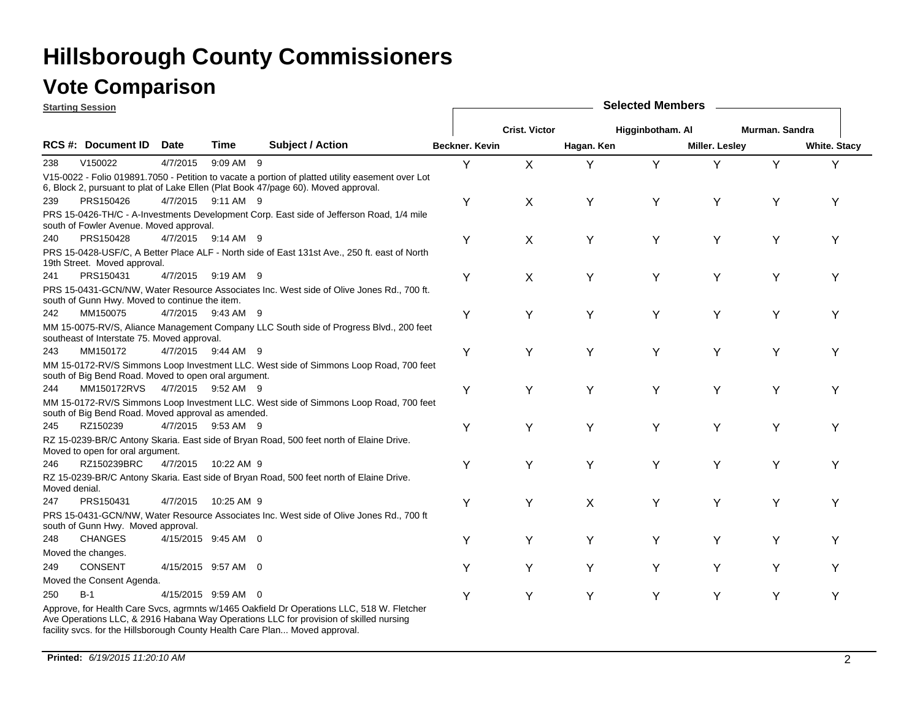|               | <b>Starting Session</b>                              |             |                      |                                                                                                                                                                                        |                |                      |            | <b>Selected Members</b> |                |                |                     |
|---------------|------------------------------------------------------|-------------|----------------------|----------------------------------------------------------------------------------------------------------------------------------------------------------------------------------------|----------------|----------------------|------------|-------------------------|----------------|----------------|---------------------|
|               |                                                      |             |                      |                                                                                                                                                                                        |                | <b>Crist. Victor</b> |            | Higginbotham. Al        |                | Murman, Sandra |                     |
|               | RCS #: Document ID                                   | <b>Date</b> | <b>Time</b>          | <b>Subject / Action</b>                                                                                                                                                                | Beckner, Kevin |                      | Hagan. Ken |                         | Miller. Lesley |                | <b>White. Stacy</b> |
| 238           | V150022                                              | 4/7/2015    | 9:09 AM 9            |                                                                                                                                                                                        | Y              | X                    | Υ          | Y                       | Y              | Y              | Y                   |
|               |                                                      |             |                      | V15-0022 - Folio 019891.7050 - Petition to vacate a portion of platted utility easement over Lot<br>6, Block 2, pursuant to plat of Lake Ellen (Plat Book 47/page 60). Moved approval. |                |                      |            |                         |                |                |                     |
| 239           | PRS150426                                            |             | 4/7/2015 9:11 AM 9   |                                                                                                                                                                                        | Y              | X                    | Y          | Y                       | Υ              | Y              | Υ                   |
|               | south of Fowler Avenue. Moved approval.              |             |                      | PRS 15-0426-TH/C - A-Investments Development Corp. East side of Jefferson Road, 1/4 mile                                                                                               |                |                      |            |                         |                |                |                     |
| 240           | PRS150428                                            |             | 4/7/2015 9:14 AM 9   |                                                                                                                                                                                        | Y              | X                    | Y          | Υ                       | Υ              | Υ              | Υ                   |
|               | 19th Street. Moved approval.                         |             |                      | PRS 15-0428-USF/C, A Better Place ALF - North side of East 131st Ave., 250 ft. east of North                                                                                           |                |                      |            |                         |                |                |                     |
| 241           | PRS150431                                            |             | 4/7/2015 9:19 AM 9   |                                                                                                                                                                                        | Y              | X                    | Y          | Y                       | Y              | Y              | Υ                   |
|               | south of Gunn Hwy. Moved to continue the item.       |             |                      | PRS 15-0431-GCN/NW, Water Resource Associates Inc. West side of Olive Jones Rd., 700 ft.                                                                                               |                |                      |            |                         |                |                |                     |
| 242           | MM150075                                             |             | 4/7/2015 9:43 AM 9   |                                                                                                                                                                                        | Y              | Y                    | Y          | Y                       | Y              | Y              | Υ                   |
|               | southeast of Interstate 75. Moved approval.          |             |                      | MM 15-0075-RV/S, Aliance Management Company LLC South side of Progress Blvd., 200 feet                                                                                                 |                |                      |            |                         |                |                |                     |
| 243           | MM150172                                             |             | 4/7/2015 9:44 AM 9   |                                                                                                                                                                                        | Y              | Υ                    | Y          | Υ                       | Υ              | Υ              | Υ                   |
|               | south of Big Bend Road. Moved to open oral argument. |             |                      | MM 15-0172-RV/S Simmons Loop Investment LLC. West side of Simmons Loop Road, 700 feet                                                                                                  |                |                      |            |                         |                |                |                     |
| 244           | MM150172RVS 4/7/2015 9:52 AM 9                       |             |                      |                                                                                                                                                                                        | Y              | Y                    | Υ          | Y                       | Υ              | Y              | Υ                   |
|               | south of Big Bend Road. Moved approval as amended.   |             |                      | MM 15-0172-RV/S Simmons Loop Investment LLC. West side of Simmons Loop Road, 700 feet                                                                                                  |                |                      |            |                         |                |                |                     |
| 245           | RZ150239                                             |             | 4/7/2015 9:53 AM 9   |                                                                                                                                                                                        | Y              | Y                    | Y          | Y                       | Υ              | Y              | Y                   |
|               | Moved to open for oral argument.                     |             |                      | RZ 15-0239-BR/C Antony Skaria. East side of Bryan Road, 500 feet north of Elaine Drive.                                                                                                |                |                      |            |                         |                |                |                     |
| 246           | RZ150239BRC                                          |             | 4/7/2015 10:22 AM 9  |                                                                                                                                                                                        | Y              | Y                    | Υ          | Υ                       | Υ              | Υ              | Υ                   |
| Moved denial. |                                                      |             |                      | RZ 15-0239-BR/C Antony Skaria. East side of Bryan Road, 500 feet north of Elaine Drive.                                                                                                |                |                      |            |                         |                |                |                     |
| 247           | PRS150431                                            |             | 4/7/2015  10:25 AM 9 |                                                                                                                                                                                        | Y              | Y                    | X          | Y                       | Υ              | Y              | Υ                   |
|               | south of Gunn Hwy. Moved approval.                   |             |                      | PRS 15-0431-GCN/NW, Water Resource Associates Inc. West side of Olive Jones Rd., 700 ft                                                                                                |                |                      |            |                         |                |                |                     |
| 248           | <b>CHANGES</b>                                       |             | 4/15/2015 9:45 AM 0  |                                                                                                                                                                                        | Y              | Y                    | Y          | Y                       | Υ              | Y              | Υ                   |
|               | Moved the changes.                                   |             |                      |                                                                                                                                                                                        |                |                      |            |                         |                |                |                     |
| 249           | CONSENT                                              |             | 4/15/2015 9:57 AM 0  |                                                                                                                                                                                        | Y              | Y                    | Y          | Y                       | Y              | Y              |                     |
|               | Moved the Consent Agenda.                            |             |                      |                                                                                                                                                                                        |                |                      |            |                         |                |                |                     |
| 250           | $B-1$                                                |             | 4/15/2015 9:59 AM 0  |                                                                                                                                                                                        | Y              | Y                    | Υ          | Y                       | Υ              | Y              | Υ                   |
|               |                                                      |             |                      | Approve, for Health Care Svcs, agrmnts w/1465 Oakfield Dr Operations LLC, 518 W. Fletcher<br>Ave Operations LLC, & 2916 Habana Way Operations LLC for provision of skilled nursing     |                |                      |            |                         |                |                |                     |

facility svcs. for the Hillsborough County Health Care Plan... Moved approval.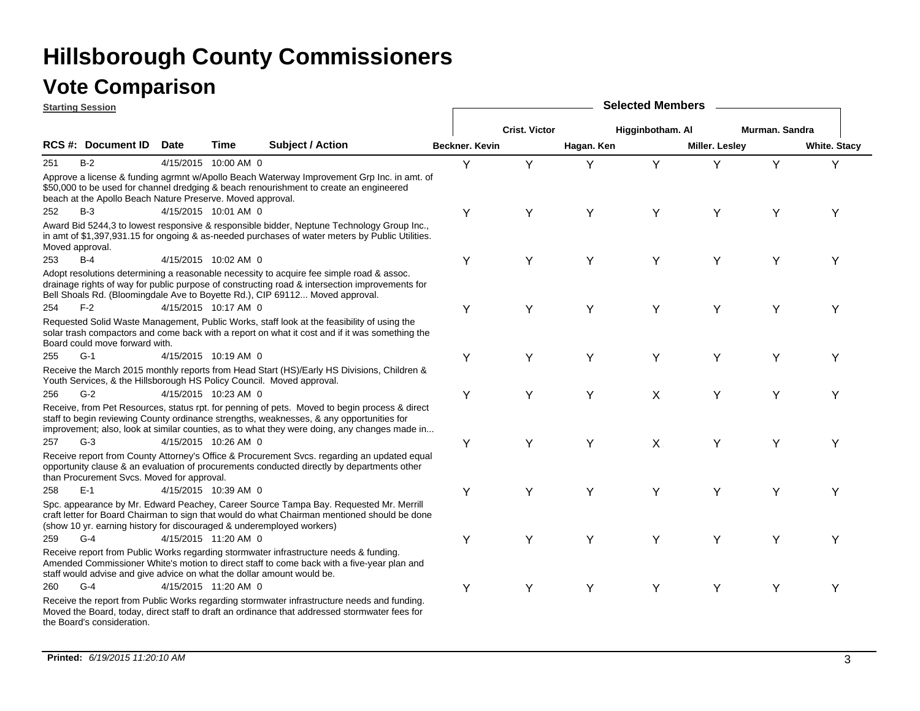|     | <b>Starting Session</b>                                                |             |                      |                                                                                                                                                                                                                                                                                           |                |                      |            | <b>Selected Members</b> |                       |                |                     |
|-----|------------------------------------------------------------------------|-------------|----------------------|-------------------------------------------------------------------------------------------------------------------------------------------------------------------------------------------------------------------------------------------------------------------------------------------|----------------|----------------------|------------|-------------------------|-----------------------|----------------|---------------------|
|     |                                                                        |             |                      |                                                                                                                                                                                                                                                                                           |                | <b>Crist. Victor</b> |            | Higginbotham. Al        |                       | Murman. Sandra |                     |
|     | RCS #: Document ID                                                     | <b>Date</b> | Time                 | <b>Subject / Action</b>                                                                                                                                                                                                                                                                   | Beckner, Kevin |                      | Hagan. Ken |                         | <b>Miller. Lesley</b> |                | <b>White. Stacy</b> |
| 251 | $B-2$                                                                  |             | 4/15/2015 10:00 AM 0 |                                                                                                                                                                                                                                                                                           | Υ              | Y                    | Y          | Y                       | Y                     | Y              | Y                   |
|     | beach at the Apollo Beach Nature Preserve. Moved approval.             |             |                      | Approve a license & funding agrmnt w/Apollo Beach Waterway Improvement Grp Inc. in amt. of<br>\$50,000 to be used for channel dredging & beach renourishment to create an engineered                                                                                                      |                |                      |            |                         |                       |                |                     |
| 252 | $B-3$                                                                  |             | 4/15/2015 10:01 AM 0 |                                                                                                                                                                                                                                                                                           | Y              | Υ                    | Y          | Y                       | Υ                     | Υ              | Y                   |
|     | Moved approval.                                                        |             |                      | Award Bid 5244,3 to lowest responsive & responsible bidder, Neptune Technology Group Inc.,<br>in amt of \$1,397,931.15 for ongoing & as-needed purchases of water meters by Public Utilities.                                                                                             |                |                      |            |                         |                       |                |                     |
| 253 | $B-4$                                                                  |             | 4/15/2015 10:02 AM 0 |                                                                                                                                                                                                                                                                                           | Υ              | Y                    | Y          | Y                       | Y                     | Y              | Υ                   |
|     |                                                                        |             |                      | Adopt resolutions determining a reasonable necessity to acquire fee simple road & assoc.<br>drainage rights of way for public purpose of constructing road & intersection improvements for<br>Bell Shoals Rd. (Bloomingdale Ave to Boyette Rd.), CIP 69112 Moved approval.                |                |                      |            |                         |                       |                |                     |
| 254 | $F-2$                                                                  |             | 4/15/2015 10:17 AM 0 |                                                                                                                                                                                                                                                                                           | Y              | Υ                    | Y          | Y                       | Y                     | Υ              | Υ                   |
|     | Board could move forward with.                                         |             |                      | Requested Solid Waste Management, Public Works, staff look at the feasibility of using the<br>solar trash compactors and come back with a report on what it cost and if it was something the                                                                                              |                |                      |            |                         |                       |                |                     |
| 255 | $G-1$                                                                  |             | 4/15/2015 10:19 AM 0 |                                                                                                                                                                                                                                                                                           | Υ              | Y                    | Y          | Y                       | Y                     | Y              | Y                   |
|     |                                                                        |             |                      | Receive the March 2015 monthly reports from Head Start (HS)/Early HS Divisions, Children &<br>Youth Services, & the Hillsborough HS Policy Council. Moved approval.                                                                                                                       |                |                      |            |                         |                       |                |                     |
| 256 | $G-2$                                                                  |             | 4/15/2015 10:23 AM 0 |                                                                                                                                                                                                                                                                                           | Υ              | Y                    | Y          | X                       | Y                     | Y              | Υ                   |
|     |                                                                        |             |                      | Receive, from Pet Resources, status rpt. for penning of pets. Moved to begin process & direct<br>staff to begin reviewing County ordinance strengths, weaknesses, & any opportunities for<br>improvement; also, look at similar counties, as to what they were doing, any changes made in |                |                      |            |                         |                       |                |                     |
| 257 | $G-3$                                                                  |             | 4/15/2015 10:26 AM 0 |                                                                                                                                                                                                                                                                                           | Υ              | Y                    | Y          | X                       | Y                     | Y              | Υ                   |
|     | than Procurement Svcs. Moved for approval.                             |             |                      | Receive report from County Attorney's Office & Procurement Svcs. regarding an updated equal<br>opportunity clause & an evaluation of procurements conducted directly by departments other                                                                                                 |                |                      |            |                         |                       |                |                     |
| 258 | $E-1$                                                                  |             | 4/15/2015 10:39 AM 0 |                                                                                                                                                                                                                                                                                           | Υ              | Y                    | Υ          | Y                       | Y                     | Y              | Υ                   |
|     | (show 10 yr. earning history for discouraged & underemployed workers)  |             |                      | Spc. appearance by Mr. Edward Peachey, Career Source Tampa Bay. Requested Mr. Merrill<br>craft letter for Board Chairman to sign that would do what Chairman mentioned should be done                                                                                                     |                |                      |            |                         |                       |                |                     |
| 259 | $G-4$                                                                  |             | 4/15/2015 11:20 AM 0 |                                                                                                                                                                                                                                                                                           | Υ              | Y                    | Y          | Y                       | Υ                     | Υ              | Y                   |
|     | staff would advise and give advice on what the dollar amount would be. |             |                      | Receive report from Public Works regarding stormwater infrastructure needs & funding.<br>Amended Commissioner White's motion to direct staff to come back with a five-year plan and                                                                                                       |                |                      |            |                         |                       |                |                     |
| 260 | $G-4$                                                                  |             | 4/15/2015 11:20 AM 0 |                                                                                                                                                                                                                                                                                           | Υ              | Y                    | Y          | Υ                       | Υ                     | Υ              | Υ                   |
|     | the Board's consideration.                                             |             |                      | Receive the report from Public Works regarding stormwater infrastructure needs and funding.<br>Moved the Board, today, direct staff to draft an ordinance that addressed stormwater fees for                                                                                              |                |                      |            |                         |                       |                |                     |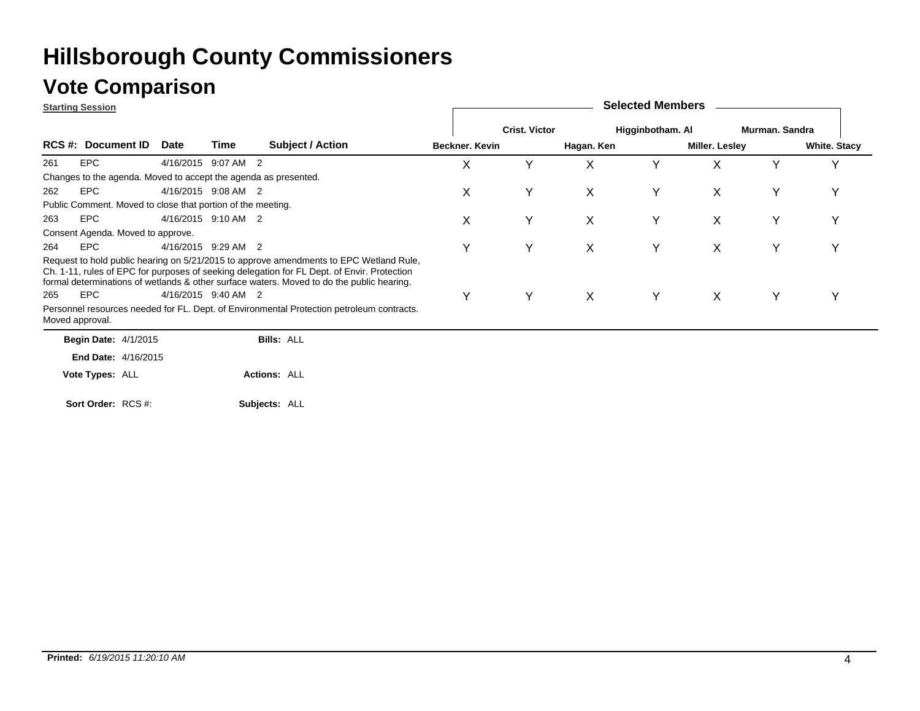|                 | <b>Starting Session</b>                                         |                     |      |                                                                                                                                                                                                                                                                                    |                |                      |            | <b>Selected Members</b> |                |                |                     |
|-----------------|-----------------------------------------------------------------|---------------------|------|------------------------------------------------------------------------------------------------------------------------------------------------------------------------------------------------------------------------------------------------------------------------------------|----------------|----------------------|------------|-------------------------|----------------|----------------|---------------------|
|                 |                                                                 |                     |      |                                                                                                                                                                                                                                                                                    |                | <b>Crist. Victor</b> |            | Higginbotham. Al        |                | Murman, Sandra |                     |
|                 | RCS #: Document ID                                              | <b>Date</b>         | Time | <b>Subject / Action</b>                                                                                                                                                                                                                                                            | Beckner. Kevin |                      | Hagan. Ken |                         | Miller. Lesley |                | <b>White. Stacy</b> |
| 261             | <b>EPC</b>                                                      | 4/16/2015 9:07 AM 2 |      |                                                                                                                                                                                                                                                                                    | X              | Υ                    | X          | Y                       | X              | Y              | Υ                   |
|                 | Changes to the agenda. Moved to accept the agenda as presented. |                     |      |                                                                                                                                                                                                                                                                                    |                |                      |            |                         |                |                |                     |
| 262             | <b>EPC</b>                                                      | 4/16/2015 9:08 AM 2 |      |                                                                                                                                                                                                                                                                                    | X              | Υ                    | X          | Y                       | X              | Υ              | Υ                   |
|                 | Public Comment. Moved to close that portion of the meeting.     |                     |      |                                                                                                                                                                                                                                                                                    |                |                      |            |                         |                |                |                     |
| 263             | <b>EPC</b>                                                      | 4/16/2015 9:10 AM 2 |      |                                                                                                                                                                                                                                                                                    | X              | Y                    | X          | Y                       | X              | Υ              | Υ                   |
|                 | Consent Agenda. Moved to approve.                               |                     |      |                                                                                                                                                                                                                                                                                    |                |                      |            |                         |                |                |                     |
| 264             | <b>EPC</b>                                                      | 4/16/2015 9:29 AM 2 |      |                                                                                                                                                                                                                                                                                    | Y              | Y                    | X          | Y                       | X              | Υ              | Υ                   |
|                 |                                                                 |                     |      | Request to hold public hearing on 5/21/2015 to approve amendments to EPC Wetland Rule,<br>Ch. 1-11, rules of EPC for purposes of seeking delegation for FL Dept. of Envir. Protection<br>formal determinations of wetlands & other surface waters. Moved to do the public hearing. |                |                      |            |                         |                |                |                     |
| 265             | <b>EPC</b>                                                      | 4/16/2015 9:40 AM 2 |      |                                                                                                                                                                                                                                                                                    | Υ              | Y                    | X          | Y                       | $\times$       | Y              | Υ                   |
| Moved approval. |                                                                 |                     |      | Personnel resources needed for FL. Dept. of Environmental Protection petroleum contracts.                                                                                                                                                                                          |                |                      |            |                         |                |                |                     |
|                 | <b>Begin Date: 4/1/2015</b>                                     |                     |      | <b>Bills: ALL</b>                                                                                                                                                                                                                                                                  |                |                      |            |                         |                |                |                     |
|                 | <b>End Date: 4/16/2015</b>                                      |                     |      |                                                                                                                                                                                                                                                                                    |                |                      |            |                         |                |                |                     |
|                 | Vote Types: ALL                                                 |                     |      | <b>Actions: ALL</b>                                                                                                                                                                                                                                                                |                |                      |            |                         |                |                |                     |
|                 | Sort Order: RCS #:                                              |                     |      | Subjects: ALL                                                                                                                                                                                                                                                                      |                |                      |            |                         |                |                |                     |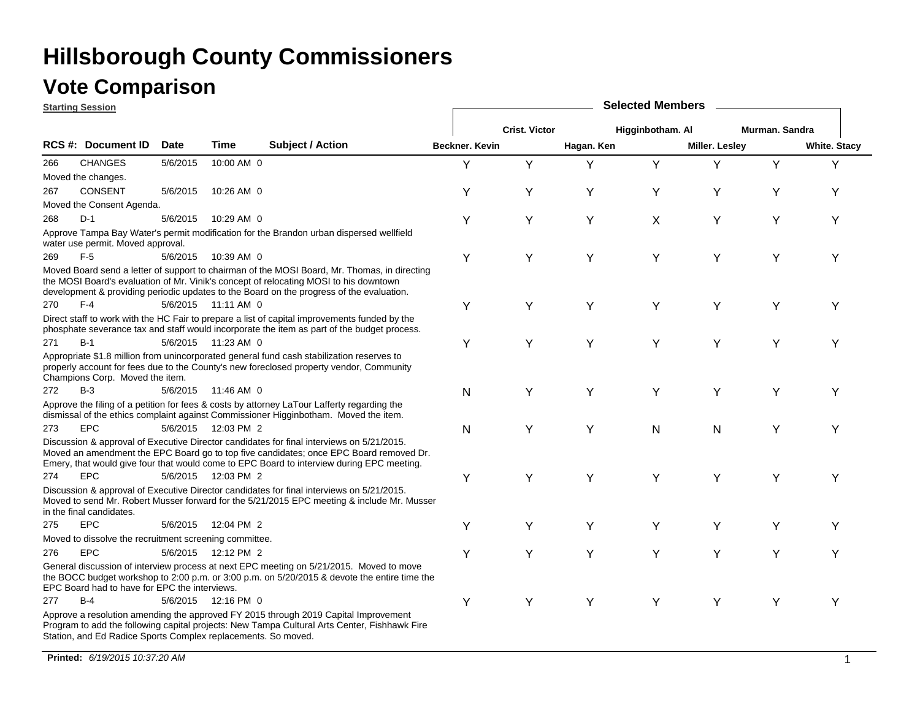#### **Vote Comparison**

**Starting Session**

|     | <u>Starting Session</u>                                       |             |                      |                                                                                                                                                                                                                                                                                   |                |                      |            | <b>OVIGOLOG INIGHTIN</b> |                |                |                     |
|-----|---------------------------------------------------------------|-------------|----------------------|-----------------------------------------------------------------------------------------------------------------------------------------------------------------------------------------------------------------------------------------------------------------------------------|----------------|----------------------|------------|--------------------------|----------------|----------------|---------------------|
|     |                                                               |             |                      |                                                                                                                                                                                                                                                                                   |                | <b>Crist. Victor</b> |            | Higginbotham. Al         |                | Murman. Sandra |                     |
|     | RCS #: Document ID                                            | <b>Date</b> | <b>Time</b>          | <b>Subject / Action</b>                                                                                                                                                                                                                                                           | Beckner, Kevin |                      | Hagan. Ken |                          | Miller. Lesley |                | <b>White. Stacy</b> |
| 266 | <b>CHANGES</b>                                                | 5/6/2015    | 10:00 AM 0           |                                                                                                                                                                                                                                                                                   | Y              | Y                    | Y          | Y                        | Y              | Y              | Y                   |
|     | Moved the changes.                                            |             |                      |                                                                                                                                                                                                                                                                                   |                |                      |            |                          |                |                |                     |
| 267 | <b>CONSENT</b>                                                | 5/6/2015    | 10:26 AM 0           |                                                                                                                                                                                                                                                                                   | Y              | Y                    | Y          | Υ                        | Υ              | Υ              | Y                   |
|     | Moved the Consent Agenda.                                     |             |                      |                                                                                                                                                                                                                                                                                   |                |                      |            |                          |                |                |                     |
| 268 | $D-1$                                                         | 5/6/2015    | 10:29 AM 0           |                                                                                                                                                                                                                                                                                   | Y              | Y                    | Υ          | X                        | Y              | Υ              | Υ                   |
|     | water use permit. Moved approval.                             |             |                      | Approve Tampa Bay Water's permit modification for the Brandon urban dispersed wellfield                                                                                                                                                                                           |                |                      |            |                          |                |                |                     |
| 269 | $F-5$                                                         | 5/6/2015    | 10:39 AM 0           |                                                                                                                                                                                                                                                                                   | Y              | Y                    | Υ          | Υ                        | Y              | Y              | Υ                   |
|     |                                                               |             |                      | Moved Board send a letter of support to chairman of the MOSI Board, Mr. Thomas, in directing<br>the MOSI Board's evaluation of Mr. Vinik's concept of relocating MOSI to his downtown<br>development & providing periodic updates to the Board on the progress of the evaluation. |                |                      |            |                          |                |                |                     |
| 270 | $F-4$                                                         |             | 5/6/2015 11:11 AM 0  |                                                                                                                                                                                                                                                                                   | Υ              | Υ                    | Y          | Υ                        | Υ              | Y              | Υ                   |
|     |                                                               |             |                      | Direct staff to work with the HC Fair to prepare a list of capital improvements funded by the<br>phosphate severance tax and staff would incorporate the item as part of the budget process.                                                                                      |                |                      |            |                          |                |                |                     |
| 271 | $B-1$                                                         |             | 5/6/2015 11:23 AM 0  |                                                                                                                                                                                                                                                                                   | Υ              | Y                    | Υ          | Υ                        | Y              | Y              | Υ                   |
|     | Champions Corp. Moved the item.                               |             |                      | Appropriate \$1.8 million from unincorporated general fund cash stabilization reserves to<br>properly account for fees due to the County's new foreclosed property vendor, Community                                                                                              |                |                      |            |                          |                |                |                     |
| 272 | $B-3$                                                         |             | 5/6/2015 11:46 AM 0  |                                                                                                                                                                                                                                                                                   | N              | Υ                    | Υ          | Υ                        | Υ              | Υ              | Y                   |
|     |                                                               |             |                      | Approve the filing of a petition for fees & costs by attorney LaTour Lafferty regarding the<br>dismissal of the ethics complaint against Commissioner Higginbotham. Moved the item.                                                                                               |                |                      |            |                          |                |                |                     |
| 273 | <b>EPC</b>                                                    |             | 5/6/2015  12:03 PM 2 |                                                                                                                                                                                                                                                                                   | $\mathsf{N}$   | Υ                    | Υ          | N                        | N              | Y              | Y                   |
|     |                                                               |             |                      | Discussion & approval of Executive Director candidates for final interviews on 5/21/2015.<br>Moved an amendment the EPC Board go to top five candidates; once EPC Board removed Dr.<br>Emery, that would give four that would come to EPC Board to interview during EPC meeting.  |                |                      |            |                          |                |                |                     |
| 274 | <b>EPC</b>                                                    |             | 5/6/2015  12:03 PM 2 |                                                                                                                                                                                                                                                                                   | Υ              | Y                    | Y          | Y                        | Y              | Υ              | Υ                   |
|     | in the final candidates.                                      |             |                      | Discussion & approval of Executive Director candidates for final interviews on 5/21/2015.<br>Moved to send Mr. Robert Musser forward for the 5/21/2015 EPC meeting & include Mr. Musser                                                                                           |                |                      |            |                          |                |                |                     |
| 275 | <b>EPC</b>                                                    | 5/6/2015    | 12:04 PM 2           |                                                                                                                                                                                                                                                                                   | Y              | Y                    | Υ          | Υ                        | Y              | Y              | Y                   |
|     | Moved to dissolve the recruitment screening committee.        |             |                      |                                                                                                                                                                                                                                                                                   |                |                      |            |                          |                |                |                     |
| 276 | <b>EPC</b>                                                    | 5/6/2015    | 12:12 PM 2           |                                                                                                                                                                                                                                                                                   | Y              | Y                    | Y          | Y                        | Y              | Y              | Y                   |
|     | EPC Board had to have for EPC the interviews.                 |             |                      | General discussion of interview process at next EPC meeting on 5/21/2015. Moved to move<br>the BOCC budget workshop to 2:00 p.m. or 3:00 p.m. on 5/20/2015 & devote the entire time the                                                                                           |                |                      |            |                          |                |                |                     |
| 277 | $B-4$                                                         |             | 5/6/2015 12:16 PM 0  |                                                                                                                                                                                                                                                                                   | Y              | Y                    | Y          | Υ                        | Y              | Y              | Υ                   |
|     | Station, and Ed Radice Sports Complex replacements. So moved. |             |                      | Approve a resolution amending the approved FY 2015 through 2019 Capital Improvement<br>Program to add the following capital projects: New Tampa Cultural Arts Center, Fishhawk Fire                                                                                               |                |                      |            |                          |                |                |                     |

**Selected Members**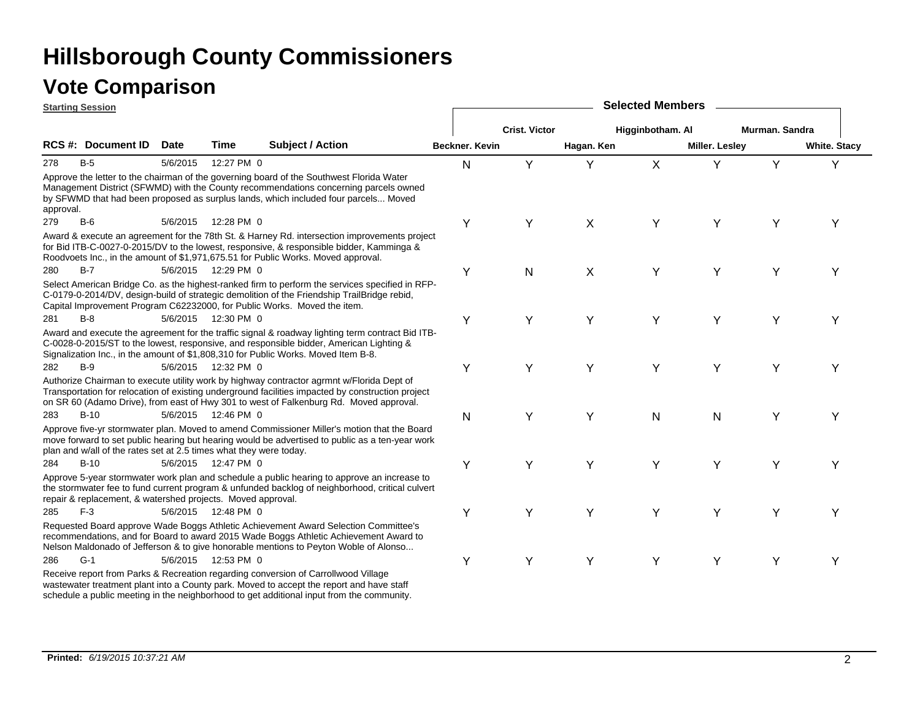|           | <b>Starting Session</b>                                            |             |                      |                                                                                                                                                                                                                                                                                          |                |                      |                           | <b>Selected Members</b> |                       |                |                     |
|-----------|--------------------------------------------------------------------|-------------|----------------------|------------------------------------------------------------------------------------------------------------------------------------------------------------------------------------------------------------------------------------------------------------------------------------------|----------------|----------------------|---------------------------|-------------------------|-----------------------|----------------|---------------------|
|           |                                                                    |             |                      |                                                                                                                                                                                                                                                                                          |                | <b>Crist. Victor</b> |                           | Higginbotham. Al        |                       | Murman. Sandra |                     |
|           | <b>RCS #: Document ID</b>                                          | <b>Date</b> | Time                 | Subject / Action                                                                                                                                                                                                                                                                         | Beckner. Kevin |                      | Hagan. Ken                |                         | <b>Miller. Lesley</b> |                | <b>White. Stacy</b> |
| 278       | $B-5$                                                              | 5/6/2015    | 12:27 PM 0           |                                                                                                                                                                                                                                                                                          | N              | Y                    | Y                         | $\mathsf{X}$            | Y                     | Y              | Υ                   |
| approval. |                                                                    |             |                      | Approve the letter to the chairman of the governing board of the Southwest Florida Water<br>Management District (SFWMD) with the County recommendations concerning parcels owned<br>by SFWMD that had been proposed as surplus lands, which included four parcels Moved                  |                |                      |                           |                         |                       |                |                     |
| 279       | $B-6$                                                              |             | 5/6/2015  12:28 PM 0 |                                                                                                                                                                                                                                                                                          | Υ              | Y                    | $\boldsymbol{\mathsf{X}}$ | Y                       | Y                     | Υ              | Y                   |
|           |                                                                    |             |                      | Award & execute an agreement for the 78th St. & Harney Rd. intersection improvements project<br>for Bid ITB-C-0027-0-2015/DV to the lowest, responsive, & responsible bidder, Kamminga &<br>Roodvoets Inc., in the amount of \$1,971,675.51 for Public Works. Moved approval.            |                |                      |                           |                         |                       |                |                     |
| 280       | $B-7$                                                              |             | 5/6/2015  12:29 PM 0 |                                                                                                                                                                                                                                                                                          | Υ              | ${\sf N}$            | X                         | Υ                       | Y                     | Υ              | Υ                   |
|           |                                                                    |             |                      | Select American Bridge Co. as the highest-ranked firm to perform the services specified in RFP-<br>C-0179-0-2014/DV, design-build of strategic demolition of the Friendship TrailBridge rebid,<br>Capital Improvement Program C62232000, for Public Works. Moved the item.               |                |                      |                           |                         |                       |                |                     |
| 281       | $B-8$                                                              |             | 5/6/2015 12:30 PM 0  |                                                                                                                                                                                                                                                                                          | Υ              | Y                    | Y                         | Y                       | Y                     | Y              | Υ                   |
|           |                                                                    |             |                      | Award and execute the agreement for the traffic signal & roadway lighting term contract Bid ITB-<br>C-0028-0-2015/ST to the lowest, responsive, and responsible bidder, American Lighting &<br>Signalization Inc., in the amount of \$1,808,310 for Public Works. Moved Item B-8.        |                |                      |                           |                         |                       |                |                     |
| 282       | $B-9$                                                              |             | 5/6/2015  12:32 PM 0 |                                                                                                                                                                                                                                                                                          | Υ              | Y                    | Y                         | Y                       | Y                     | Y              | Υ                   |
|           |                                                                    |             |                      | Authorize Chairman to execute utility work by highway contractor agrmnt w/Florida Dept of<br>Transportation for relocation of existing underground facilities impacted by construction project<br>on SR 60 (Adamo Drive), from east of Hwy 301 to west of Falkenburg Rd. Moved approval. |                |                      |                           |                         |                       |                |                     |
| 283       | $B-10$                                                             |             | 5/6/2015 12:46 PM 0  |                                                                                                                                                                                                                                                                                          | N              | Y                    | Y                         | N                       | N                     | Υ              | Y                   |
|           | plan and w/all of the rates set at 2.5 times what they were today. |             |                      | Approve five-yr stormwater plan. Moved to amend Commissioner Miller's motion that the Board<br>move forward to set public hearing but hearing would be advertised to public as a ten-year work                                                                                           |                |                      |                           |                         |                       |                |                     |
| 284       | $B-10$                                                             |             | 5/6/2015  12:47 PM 0 |                                                                                                                                                                                                                                                                                          | Υ              | Y                    | Y                         | Y                       | Y                     | Υ              | Y                   |
|           | repair & replacement, & watershed projects. Moved approval.        |             |                      | Approve 5-year stormwater work plan and schedule a public hearing to approve an increase to<br>the stormwater fee to fund current program & unfunded backlog of neighborhood, critical culvert                                                                                           |                |                      |                           |                         |                       |                |                     |
| 285       | $F-3$                                                              |             | 5/6/2015  12:48 PM 0 |                                                                                                                                                                                                                                                                                          | Υ              | Y                    | Υ                         | Υ                       | Y                     | Y              | Y                   |
|           |                                                                    |             |                      | Requested Board approve Wade Boggs Athletic Achievement Award Selection Committee's<br>recommendations, and for Board to award 2015 Wade Boggs Athletic Achievement Award to<br>Nelson Maldonado of Jefferson & to give honorable mentions to Peyton Woble of Alonso                     |                |                      |                           |                         |                       |                |                     |
| 286       | $G-1$                                                              |             | 5/6/2015  12:53 PM 0 |                                                                                                                                                                                                                                                                                          | Y              | Υ                    | Y                         | Y                       | Υ                     | Υ              | Υ                   |
|           |                                                                    |             |                      | Receive report from Parks & Recreation regarding conversion of Carrollwood Village<br>wastewater treatment plant into a County park. Moved to accept the report and have staff<br>schedule a public meeting in the neighborhood to get additional input from the community.              |                |                      |                           |                         |                       |                |                     |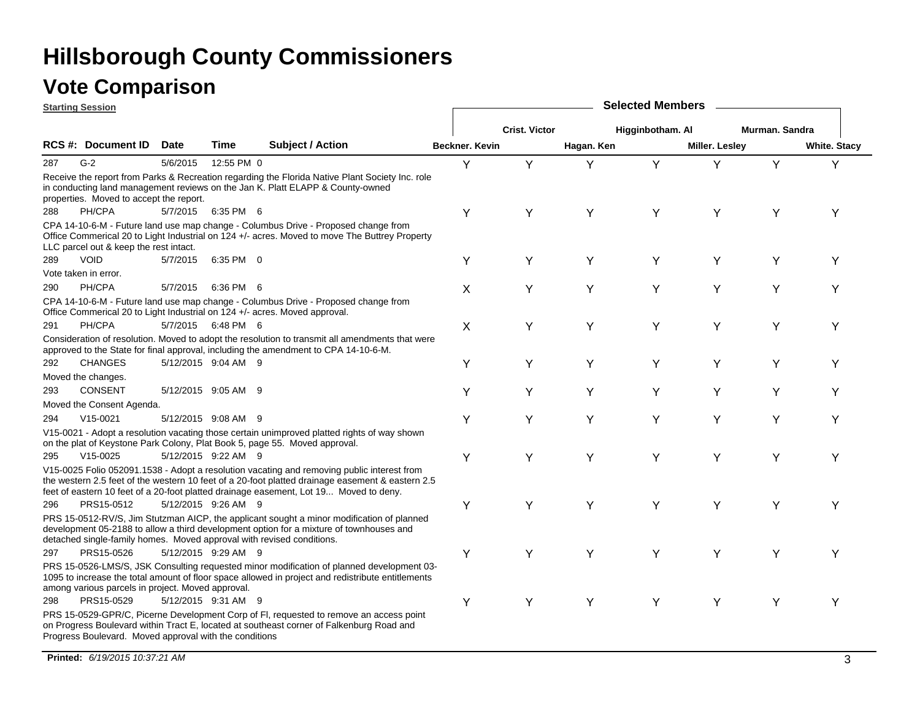|     | <b>Starting Session</b>                                |             |                     |                                                                                                                                                                                                                                                                                         |                |                      |            | <b>Selected Members</b> |                       |                |                     |
|-----|--------------------------------------------------------|-------------|---------------------|-----------------------------------------------------------------------------------------------------------------------------------------------------------------------------------------------------------------------------------------------------------------------------------------|----------------|----------------------|------------|-------------------------|-----------------------|----------------|---------------------|
|     |                                                        |             |                     |                                                                                                                                                                                                                                                                                         |                | <b>Crist. Victor</b> |            | Higginbotham. Al        |                       | Murman. Sandra |                     |
|     | RCS #: Document ID                                     | <b>Date</b> | <b>Time</b>         | <b>Subject / Action</b>                                                                                                                                                                                                                                                                 | Beckner, Kevin |                      | Hagan. Ken |                         | <b>Miller. Lesley</b> |                | <b>White. Stacy</b> |
| 287 | $G-2$                                                  | 5/6/2015    | 12:55 PM 0          |                                                                                                                                                                                                                                                                                         | Y              | Y                    | Υ          | Y                       | Y                     | Y              | Y                   |
|     | properties. Moved to accept the report.                |             |                     | Receive the report from Parks & Recreation regarding the Florida Native Plant Society Inc. role<br>in conducting land management reviews on the Jan K. Platt ELAPP & County-owned                                                                                                       |                |                      |            |                         |                       |                |                     |
| 288 | PH/CPA                                                 | 5/7/2015    | 6:35 PM 6           |                                                                                                                                                                                                                                                                                         | Υ              | Υ                    | Y          | Υ                       | Υ                     | Υ              | Y                   |
|     | LLC parcel out & keep the rest intact.                 |             |                     | CPA 14-10-6-M - Future land use map change - Columbus Drive - Proposed change from<br>Office Commerical 20 to Light Industrial on 124 +/- acres. Moved to move The Buttrey Property                                                                                                     |                |                      |            |                         |                       |                |                     |
| 289 | <b>VOID</b>                                            | 5/7/2015    | 6:35 PM 0           |                                                                                                                                                                                                                                                                                         | Υ              | Y                    | Y          | Υ                       | Υ                     | Υ              | Y                   |
|     | Vote taken in error.                                   |             |                     |                                                                                                                                                                                                                                                                                         |                |                      |            |                         |                       |                |                     |
| 290 | PH/CPA                                                 | 5/7/2015    | 6:36 PM 6           |                                                                                                                                                                                                                                                                                         | X              | Υ                    | Y          | Υ                       | Υ                     | Υ              | Y                   |
|     |                                                        |             |                     | CPA 14-10-6-M - Future land use map change - Columbus Drive - Proposed change from<br>Office Commerical 20 to Light Industrial on 124 +/- acres. Moved approval.                                                                                                                        |                |                      |            |                         |                       |                |                     |
| 291 | PH/CPA                                                 |             | 5/7/2015 6:48 PM 6  |                                                                                                                                                                                                                                                                                         | X              | Y                    | Y          | Y                       | Υ                     | Y              | Y                   |
|     |                                                        |             |                     | Consideration of resolution. Moved to adopt the resolution to transmit all amendments that were<br>approved to the State for final approval, including the amendment to CPA 14-10-6-M.                                                                                                  |                |                      |            |                         |                       |                |                     |
| 292 | <b>CHANGES</b>                                         |             | 5/12/2015 9:04 AM 9 |                                                                                                                                                                                                                                                                                         | Y              | Y                    | Υ          | Y                       | Y                     | Υ              | Υ                   |
|     | Moved the changes.                                     |             |                     |                                                                                                                                                                                                                                                                                         |                |                      |            |                         |                       |                |                     |
| 293 | <b>CONSENT</b>                                         |             | 5/12/2015 9:05 AM 9 |                                                                                                                                                                                                                                                                                         | Y              | Y                    | Y          | Y                       | Υ                     | Y              | Y                   |
|     | Moved the Consent Agenda.                              |             |                     |                                                                                                                                                                                                                                                                                         |                |                      |            |                         |                       |                |                     |
| 294 | $V15-0021$                                             |             | 5/12/2015 9:08 AM 9 |                                                                                                                                                                                                                                                                                         | Υ              | Y                    | Y          | Υ                       | Y                     | Υ              | Y                   |
|     |                                                        |             |                     | V15-0021 - Adopt a resolution vacating those certain unimproved platted rights of way shown<br>on the plat of Keystone Park Colony, Plat Book 5, page 55. Moved approval.                                                                                                               |                |                      |            |                         |                       |                |                     |
| 295 | $V15-0025$                                             |             | 5/12/2015 9:22 AM 9 |                                                                                                                                                                                                                                                                                         | Y              | Y                    | Y          | Y                       | Υ                     | Y              | Y                   |
|     |                                                        |             |                     | V15-0025 Folio 052091.1538 - Adopt a resolution vacating and removing public interest from<br>the western 2.5 feet of the western 10 feet of a 20-foot platted drainage easement & eastern 2.5<br>feet of eastern 10 feet of a 20-foot platted drainage easement, Lot 19 Moved to deny. |                |                      |            |                         |                       |                |                     |
| 296 | PRS15-0512                                             |             | 5/12/2015 9:26 AM 9 |                                                                                                                                                                                                                                                                                         | Υ              | Υ                    | Y          | Υ                       | Υ                     | Υ              | Y                   |
|     |                                                        |             |                     | PRS 15-0512-RV/S, Jim Stutzman AICP, the applicant sought a minor modification of planned<br>development 05-2188 to allow a third development option for a mixture of townhouses and<br>detached single-family homes. Moved approval with revised conditions.                           |                |                      |            |                         |                       |                |                     |
| 297 | PRS15-0526                                             |             | 5/12/2015 9:29 AM 9 |                                                                                                                                                                                                                                                                                         | Y              | Y                    | Y          | Y                       | Υ                     | Υ              | Y                   |
|     | among various parcels in project. Moved approval.      |             |                     | PRS 15-0526-LMS/S, JSK Consulting requested minor modification of planned development 03-<br>1095 to increase the total amount of floor space allowed in project and redistribute entitlements                                                                                          |                |                      |            |                         |                       |                |                     |
| 298 | PRS15-0529                                             |             | 5/12/2015 9:31 AM 9 |                                                                                                                                                                                                                                                                                         | Υ              | Y                    | Y          | Y                       | Y                     | Y              | Y                   |
|     | Progress Boulevard. Moved approval with the conditions |             |                     | PRS 15-0529-GPR/C, Picerne Development Corp of FI, requested to remove an access point<br>on Progress Boulevard within Tract E, located at southeast corner of Falkenburg Road and                                                                                                      |                |                      |            |                         |                       |                |                     |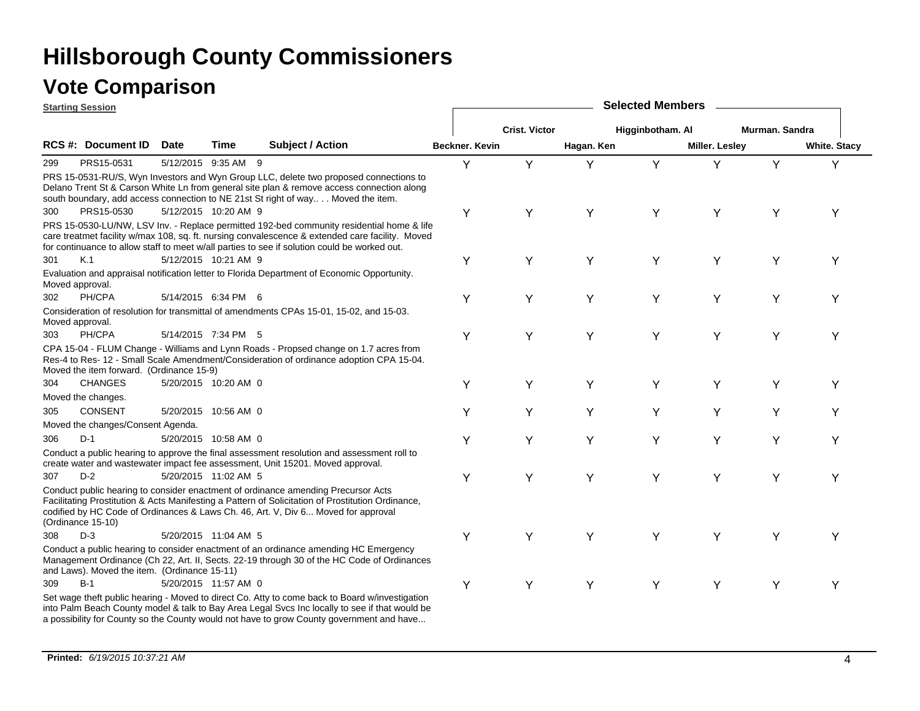|                 | <b>Starting Session</b>                      |                      |                      |                                                                                                                                                                                                                                                                                              |                       |                      |            | <b>Selected Members</b> |                       |                |                     |
|-----------------|----------------------------------------------|----------------------|----------------------|----------------------------------------------------------------------------------------------------------------------------------------------------------------------------------------------------------------------------------------------------------------------------------------------|-----------------------|----------------------|------------|-------------------------|-----------------------|----------------|---------------------|
|                 |                                              |                      |                      |                                                                                                                                                                                                                                                                                              |                       | <b>Crist. Victor</b> |            | Higginbotham. Al        |                       | Murman, Sandra |                     |
|                 | RCS #: Document ID                           | <b>Date</b>          | Time                 | <b>Subject / Action</b>                                                                                                                                                                                                                                                                      | <b>Beckner, Kevin</b> |                      | Hagan. Ken |                         | <b>Miller. Lesley</b> |                | <b>White. Stacy</b> |
| 299             | PRS15-0531                                   |                      | 5/12/2015 9:35 AM 9  |                                                                                                                                                                                                                                                                                              | Y                     | Y                    | Υ          | Y                       | Y                     | Y              | Y                   |
|                 |                                              |                      |                      | PRS 15-0531-RU/S, Wyn Investors and Wyn Group LLC, delete two proposed connections to<br>Delano Trent St & Carson White Ln from general site plan & remove access connection along<br>south boundary, add access connection to NE 21st St right of way Moved the item.                       |                       |                      |            |                         |                       |                |                     |
| 300             | PRS15-0530                                   |                      | 5/12/2015 10:20 AM 9 |                                                                                                                                                                                                                                                                                              | Υ                     | Υ                    | Y          | Y                       | Y                     | Υ              | Υ                   |
|                 |                                              |                      |                      | PRS 15-0530-LU/NW, LSV Inv. - Replace permitted 192-bed community residential home & life<br>care treatmet facility w/max 108, sq. ft. nursing convalescence & extended care facility. Moved<br>for continuance to allow staff to meet w/all parties to see if solution could be worked out. |                       |                      |            |                         |                       |                |                     |
| 301             | K.1                                          |                      | 5/12/2015 10:21 AM 9 |                                                                                                                                                                                                                                                                                              | Υ                     | Y                    | Y          | Υ                       | Υ                     | Y              | Υ                   |
| Moved approval. |                                              |                      |                      | Evaluation and appraisal notification letter to Florida Department of Economic Opportunity.                                                                                                                                                                                                  |                       |                      |            |                         |                       |                |                     |
| 302             | PH/CPA                                       |                      | 5/14/2015 6:34 PM 6  |                                                                                                                                                                                                                                                                                              | Υ                     | Y                    | Y          | Υ                       | Y                     | Υ              | Y                   |
| Moved approval. |                                              |                      |                      | Consideration of resolution for transmittal of amendments CPAs 15-01, 15-02, and 15-03.                                                                                                                                                                                                      |                       |                      |            |                         |                       |                |                     |
| 303             | PH/CPA                                       |                      | 5/14/2015 7:34 PM 5  |                                                                                                                                                                                                                                                                                              | Υ                     | Υ                    | Y          | Υ                       | Υ                     | Y              | Y                   |
|                 | Moved the item forward. (Ordinance 15-9)     |                      |                      | CPA 15-04 - FLUM Change - Williams and Lynn Roads - Propsed change on 1.7 acres from<br>Res-4 to Res- 12 - Small Scale Amendment/Consideration of ordinance adoption CPA 15-04.                                                                                                              |                       |                      |            |                         |                       |                |                     |
| 304             | <b>CHANGES</b>                               |                      | 5/20/2015 10:20 AM 0 |                                                                                                                                                                                                                                                                                              | Υ                     | Y                    | Y          | Y                       | Y                     | Υ              | Υ                   |
|                 | Moved the changes.                           |                      |                      |                                                                                                                                                                                                                                                                                              |                       |                      |            |                         |                       |                |                     |
| 305             | <b>CONSENT</b>                               |                      | 5/20/2015 10:56 AM 0 |                                                                                                                                                                                                                                                                                              | Y                     | Υ                    | Υ          | Y                       | Y                     | Υ              | Y                   |
|                 | Moved the changes/Consent Agenda.            |                      |                      |                                                                                                                                                                                                                                                                                              |                       |                      |            |                         |                       |                |                     |
| 306             | $D-1$                                        | 5/20/2015 10:58 AM 0 |                      |                                                                                                                                                                                                                                                                                              | Υ                     | Y                    | Y          | Υ                       | Υ                     | Υ              | Υ                   |
|                 |                                              |                      |                      | Conduct a public hearing to approve the final assessment resolution and assessment roll to<br>create water and wastewater impact fee assessment, Unit 15201. Moved approval.                                                                                                                 |                       |                      |            |                         |                       |                |                     |
| 307             | $D-2$                                        |                      | 5/20/2015 11:02 AM 5 |                                                                                                                                                                                                                                                                                              | Y                     | Y                    | Υ          | Υ                       | Υ                     | Υ              | Y                   |
|                 | (Ordinance 15-10)                            |                      |                      | Conduct public hearing to consider enactment of ordinance amending Precursor Acts<br>Facilitating Prostitution & Acts Manifesting a Pattern of Solicitation of Prostitution Ordinance,<br>codified by HC Code of Ordinances & Laws Ch. 46, Art. V, Div 6 Moved for approval                  |                       |                      |            |                         |                       |                |                     |
| 308             | $D-3$                                        |                      | 5/20/2015 11:04 AM 5 |                                                                                                                                                                                                                                                                                              | Υ                     | Y                    | Y          | Y                       | Y                     | Y              | Υ                   |
|                 | and Laws). Moved the item. (Ordinance 15-11) |                      |                      | Conduct a public hearing to consider enactment of an ordinance amending HC Emergency<br>Management Ordinance (Ch 22, Art. II, Sects. 22-19 through 30 of the HC Code of Ordinances                                                                                                           |                       |                      |            |                         |                       |                |                     |
| 309             | $B-1$                                        |                      | 5/20/2015 11:57 AM 0 |                                                                                                                                                                                                                                                                                              | Υ                     | Υ                    | Y          | Y                       | Y                     | Y              | Υ                   |
|                 |                                              |                      |                      | Set wage theft public hearing - Moved to direct Co. Atty to come back to Board w/investigation<br>into Palm Beach County model & talk to Bay Area Legal Svcs Inc locally to see if that would be<br>a possibility for County so the County would not have to grow County government and have |                       |                      |            |                         |                       |                |                     |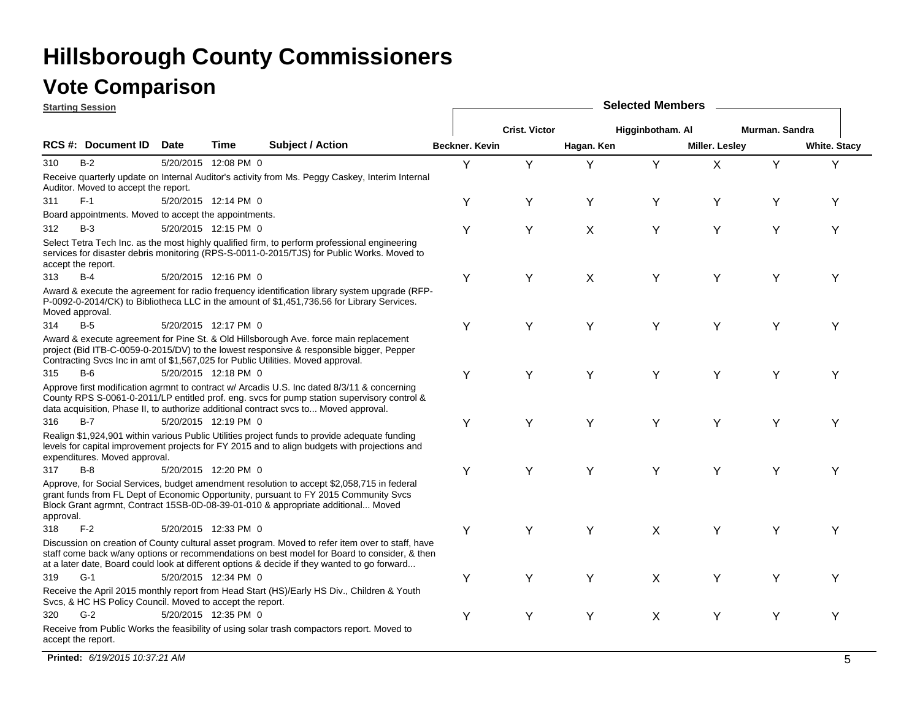|                 | <b>Starting Session</b>                                   |             |                      |                                                                                                                                                                                                                                                                                                  | <b>Selected Members</b> |                      |            |                  |                |                |                     |  |
|-----------------|-----------------------------------------------------------|-------------|----------------------|--------------------------------------------------------------------------------------------------------------------------------------------------------------------------------------------------------------------------------------------------------------------------------------------------|-------------------------|----------------------|------------|------------------|----------------|----------------|---------------------|--|
|                 |                                                           |             |                      |                                                                                                                                                                                                                                                                                                  |                         | <b>Crist. Victor</b> |            | Higginbotham. Al |                | Murman, Sandra |                     |  |
|                 | RCS #: Document ID                                        | <b>Date</b> | Time                 | <b>Subject / Action</b>                                                                                                                                                                                                                                                                          | Beckner. Kevin          |                      | Hagan. Ken |                  | Miller. Lesley |                | <b>White. Stacy</b> |  |
| 310             | $B-2$                                                     |             | 5/20/2015 12:08 PM 0 |                                                                                                                                                                                                                                                                                                  | Y                       | Y                    | Y          | Y                | $\sf X$        | Y              | Y                   |  |
|                 | Auditor. Moved to accept the report.                      |             |                      | Receive quarterly update on Internal Auditor's activity from Ms. Peggy Caskey, Interim Internal                                                                                                                                                                                                  |                         |                      |            |                  |                |                |                     |  |
| 311             | $F-1$                                                     |             | 5/20/2015 12:14 PM 0 |                                                                                                                                                                                                                                                                                                  | Υ                       | Υ                    | Υ          | Y                | Y              | Y              | Y                   |  |
|                 | Board appointments. Moved to accept the appointments.     |             |                      |                                                                                                                                                                                                                                                                                                  |                         |                      |            |                  |                |                |                     |  |
| 312             | $B-3$                                                     |             | 5/20/2015 12:15 PM 0 |                                                                                                                                                                                                                                                                                                  | Y                       | Y                    | X          | Y                | Y              | Y              | Y                   |  |
|                 | accept the report.                                        |             |                      | Select Tetra Tech Inc. as the most highly qualified firm, to perform professional engineering<br>services for disaster debris monitoring (RPS-S-0011-0-2015/TJS) for Public Works. Moved to                                                                                                      |                         |                      |            |                  |                |                |                     |  |
| 313             | $B-4$                                                     |             | 5/20/2015 12:16 PM 0 |                                                                                                                                                                                                                                                                                                  | Υ                       | Y                    | X          | Y                | Y              | Y              | Υ                   |  |
| Moved approval. |                                                           |             |                      | Award & execute the agreement for radio frequency identification library system upgrade (RFP-<br>P-0092-0-2014/CK) to Bibliotheca LLC in the amount of \$1,451,736.56 for Library Services.                                                                                                      |                         |                      |            |                  |                |                |                     |  |
| 314             | $B-5$                                                     |             | 5/20/2015 12:17 PM 0 |                                                                                                                                                                                                                                                                                                  | Y                       | Y                    | Y          | Y                | Y              | Y              | Υ                   |  |
|                 |                                                           |             |                      | Award & execute agreement for Pine St. & Old Hillsborough Ave. force main replacement<br>project (Bid ITB-C-0059-0-2015/DV) to the lowest responsive & responsible bigger, Pepper<br>Contracting Svcs Inc in amt of \$1,567,025 for Public Utilities. Moved approval.                            |                         |                      |            |                  |                |                |                     |  |
| 315             | $B-6$                                                     |             | 5/20/2015 12:18 PM 0 |                                                                                                                                                                                                                                                                                                  | Y                       | Y                    | Υ          | Y                | Y              | Y              | Y                   |  |
|                 |                                                           |             |                      | Approve first modification agrmnt to contract w/ Arcadis U.S. Inc dated 8/3/11 & concerning<br>County RPS S-0061-0-2011/LP entitled prof. eng. svcs for pump station supervisory control &<br>data acquisition, Phase II, to authorize additional contract svcs to Moved approval.               |                         |                      |            |                  |                |                |                     |  |
| 316             | $B-7$                                                     |             | 5/20/2015 12:19 PM 0 |                                                                                                                                                                                                                                                                                                  | Υ                       | Y                    | Υ          | Y                | Y              | Y              | Y                   |  |
|                 | expenditures. Moved approval.                             |             |                      | Realign \$1,924,901 within various Public Utilities project funds to provide adequate funding<br>levels for capital improvement projects for FY 2015 and to align budgets with projections and                                                                                                   |                         |                      |            |                  |                |                |                     |  |
| 317             | $B-8$                                                     |             | 5/20/2015 12:20 PM 0 |                                                                                                                                                                                                                                                                                                  | Y                       | Y                    | Y          | Y                | Y              | Y              | Υ                   |  |
| approval.       |                                                           |             |                      | Approve, for Social Services, budget amendment resolution to accept \$2,058,715 in federal<br>grant funds from FL Dept of Economic Opportunity, pursuant to FY 2015 Community Svcs<br>Block Grant agrmnt, Contract 15SB-0D-08-39-01-010 & appropriate additional Moved                           |                         |                      |            |                  |                |                |                     |  |
| 318             | $F-2$                                                     |             | 5/20/2015 12:33 PM 0 |                                                                                                                                                                                                                                                                                                  | Y                       | Y                    | Y          | $\sf X$          | Y              | Y              | Υ                   |  |
|                 |                                                           |             |                      | Discussion on creation of County cultural asset program. Moved to refer item over to staff, have<br>staff come back w/any options or recommendations on best model for Board to consider, & then<br>at a later date, Board could look at different options & decide if they wanted to go forward |                         |                      |            |                  |                |                |                     |  |
| 319             | $G-1$                                                     |             | 5/20/2015 12:34 PM 0 |                                                                                                                                                                                                                                                                                                  | Y                       | Υ                    | Y          | X                | Υ              | Y              | Υ                   |  |
|                 | Svcs, & HC HS Policy Council. Moved to accept the report. |             |                      | Receive the April 2015 monthly report from Head Start (HS)/Early HS Div., Children & Youth                                                                                                                                                                                                       |                         |                      |            |                  |                |                |                     |  |
| 320             | $G-2$                                                     |             | 5/20/2015 12:35 PM 0 |                                                                                                                                                                                                                                                                                                  | Y                       | Y                    | Υ          | X                | Y              | Y              | Υ                   |  |
|                 | accept the report.                                        |             |                      | Receive from Public Works the feasibility of using solar trash compactors report. Moved to                                                                                                                                                                                                       |                         |                      |            |                  |                |                |                     |  |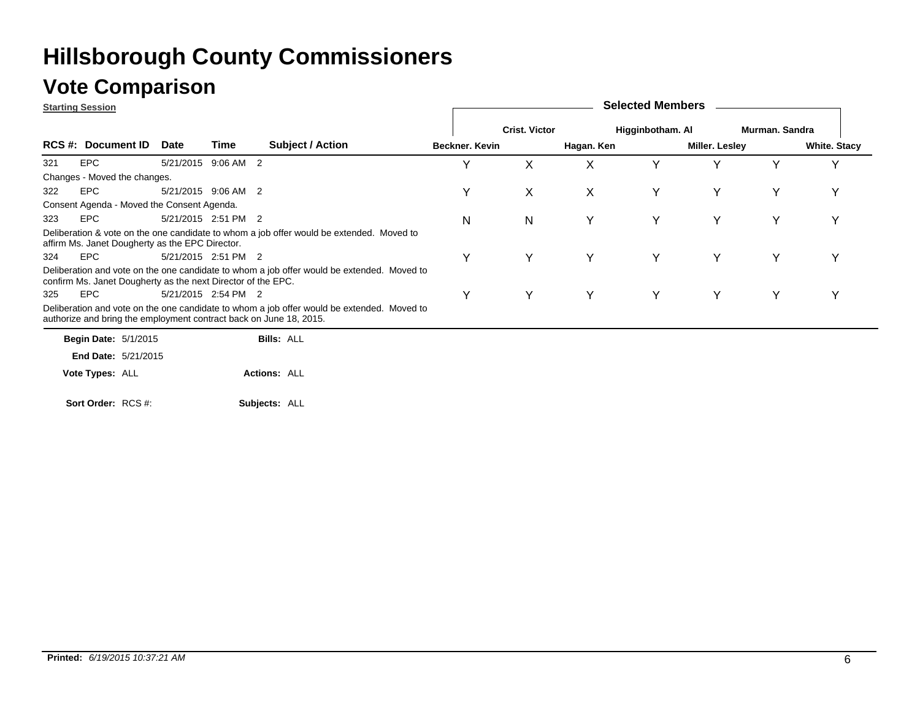#### **Vote Comparison**

|     | <b>Starting Session</b>                                            |                     |      |                                                                                            |                |                      |            | <b>Selected Members</b> |                |                |                     |
|-----|--------------------------------------------------------------------|---------------------|------|--------------------------------------------------------------------------------------------|----------------|----------------------|------------|-------------------------|----------------|----------------|---------------------|
|     |                                                                    |                     |      |                                                                                            |                | <b>Crist. Victor</b> |            | Higginbotham. Al        |                | Murman, Sandra |                     |
|     | <b>RCS #: Document ID</b>                                          | Date                | Time | <b>Subject / Action</b>                                                                    | Beckner. Kevin |                      | Hagan. Ken |                         | Miller. Lesley |                | <b>White. Stacy</b> |
| 321 | <b>EPC</b>                                                         | 5/21/2015 9:06 AM 2 |      |                                                                                            | Υ              | X                    | X          | Υ                       | Υ              | Y              | v                   |
|     | Changes - Moved the changes.                                       |                     |      |                                                                                            |                |                      |            |                         |                |                |                     |
| 322 | EPC                                                                | 5/21/2015 9:06 AM 2 |      |                                                                                            | Υ              | X                    | X          | Y                       | Y              | Y              | Υ                   |
|     | Consent Agenda - Moved the Consent Agenda.                         |                     |      |                                                                                            |                |                      |            |                         |                |                |                     |
| 323 | EPC                                                                | 5/21/2015 2:51 PM 2 |      |                                                                                            | N              | N                    | Y          | Υ                       | Υ              | Y              | Υ                   |
|     | affirm Ms. Janet Dougherty as the EPC Director.                    |                     |      | Deliberation & vote on the one candidate to whom a job offer would be extended. Moved to   |                |                      |            |                         |                |                |                     |
| 324 | EPC                                                                | 5/21/2015 2:51 PM 2 |      |                                                                                            | Υ              | Y                    | Y          | Υ                       | Y              | Y              | Υ                   |
|     | confirm Ms. Janet Dougherty as the next Director of the EPC.       |                     |      | Deliberation and vote on the one candidate to whom a job offer would be extended. Moved to |                |                      |            |                         |                |                |                     |
| 325 | EPC                                                                | 5/21/2015 2:54 PM 2 |      |                                                                                            | Υ              | Υ                    | Y          | Y                       | Υ              | Y              | Y                   |
|     | authorize and bring the employment contract back on June 18, 2015. |                     |      | Deliberation and vote on the one candidate to whom a job offer would be extended. Moved to |                |                      |            |                         |                |                |                     |
|     | <b>Begin Date: 5/1/2015</b>                                        |                     |      | <b>Bills: ALL</b>                                                                          |                |                      |            |                         |                |                |                     |
|     | <b>End Date: 5/21/2015</b>                                         |                     |      |                                                                                            |                |                      |            |                         |                |                |                     |
|     | Vote Types: ALL                                                    |                     |      | <b>Actions: ALL</b>                                                                        |                |                      |            |                         |                |                |                     |
|     | Sort Order: RCS #:                                                 |                     |      | Subjects: ALL                                                                              |                |                      |            |                         |                |                |                     |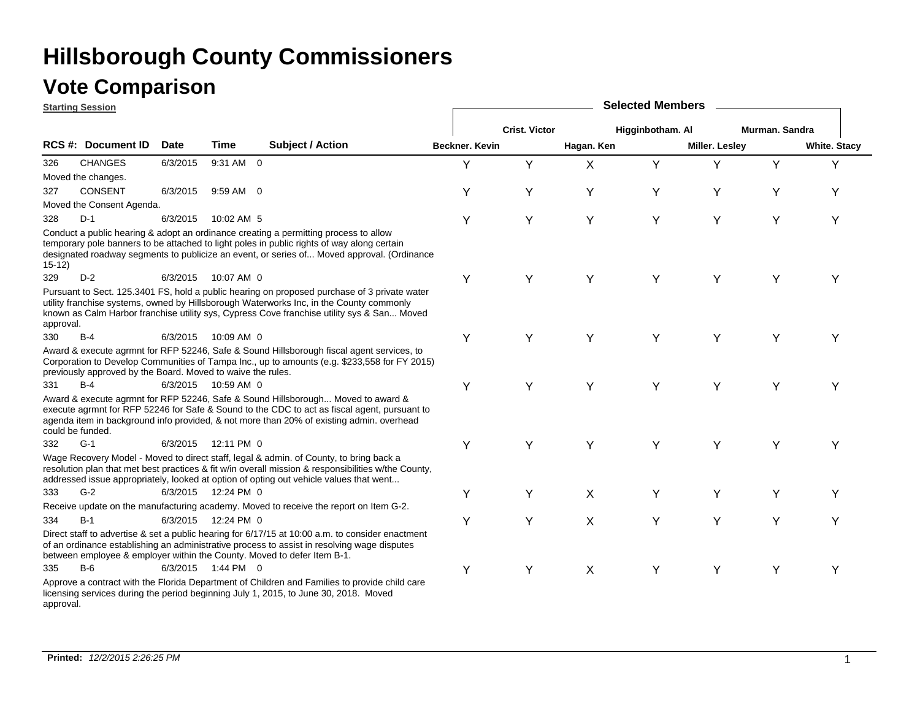#### **Vote Comparison**

**Starting Session**

|           | <u>Starting Session</u>                                     |             |                     |                                                                                                                                                                                                                                                                                         |                       |                      |            | <b>OUIUULUM INUITIN</b> |                       |                |                     |
|-----------|-------------------------------------------------------------|-------------|---------------------|-----------------------------------------------------------------------------------------------------------------------------------------------------------------------------------------------------------------------------------------------------------------------------------------|-----------------------|----------------------|------------|-------------------------|-----------------------|----------------|---------------------|
|           |                                                             |             |                     |                                                                                                                                                                                                                                                                                         |                       | <b>Crist. Victor</b> |            | Higginbotham. Al        |                       | Murman. Sandra |                     |
|           | <b>RCS#: Document ID</b>                                    | <b>Date</b> | Time                | <b>Subject / Action</b>                                                                                                                                                                                                                                                                 | <b>Beckner, Kevin</b> |                      | Hagan. Ken |                         | <b>Miller. Lesley</b> |                | <b>White. Stacy</b> |
| 326       | <b>CHANGES</b>                                              | 6/3/2015    | 9:31 AM 0           |                                                                                                                                                                                                                                                                                         | Y                     | Y                    | X          | Y                       | Y                     | Y              | Y                   |
|           | Moved the changes.                                          |             |                     |                                                                                                                                                                                                                                                                                         |                       |                      |            |                         |                       |                |                     |
| 327       | <b>CONSENT</b>                                              | 6/3/2015    | 9:59 AM 0           |                                                                                                                                                                                                                                                                                         | Y                     | Y                    | Υ          | Υ                       | Υ                     | Y              | Υ                   |
|           | Moved the Consent Agenda.                                   |             |                     |                                                                                                                                                                                                                                                                                         |                       |                      |            |                         |                       |                |                     |
| 328       | $D-1$                                                       | 6/3/2015    | 10:02 AM 5          |                                                                                                                                                                                                                                                                                         | Υ                     | Υ                    | Y          | Y                       | Y                     | Y              | Υ                   |
| $15-12)$  |                                                             |             |                     | Conduct a public hearing & adopt an ordinance creating a permitting process to allow<br>temporary pole banners to be attached to light poles in public rights of way along certain<br>designated roadway segments to publicize an event, or series of Moved approval. (Ordinance        |                       |                      |            |                         |                       |                |                     |
| 329       | $D-2$                                                       | 6/3/2015    | 10:07 AM 0          |                                                                                                                                                                                                                                                                                         | Y                     | Y                    | Y          | Y                       | Y                     | Y              | Y                   |
| approval. |                                                             |             |                     | Pursuant to Sect. 125.3401 FS, hold a public hearing on proposed purchase of 3 private water<br>utility franchise systems, owned by Hillsborough Waterworks Inc, in the County commonly<br>known as Calm Harbor franchise utility sys, Cypress Cove franchise utility sys & San Moved   |                       |                      |            |                         |                       |                |                     |
| 330       | $B-4$                                                       | 6/3/2015    | 10:09 AM 0          |                                                                                                                                                                                                                                                                                         | Υ                     | Υ                    | Y          | Y                       | Υ                     | Υ              | Υ                   |
|           | previously approved by the Board. Moved to waive the rules. |             |                     | Award & execute agrmnt for RFP 52246, Safe & Sound Hillsborough fiscal agent services, to<br>Corporation to Develop Communities of Tampa Inc., up to amounts (e.g. \$233,558 for FY 2015)                                                                                               |                       |                      |            |                         |                       |                |                     |
| 331       | $B-4$                                                       |             | 6/3/2015 10:59 AM 0 |                                                                                                                                                                                                                                                                                         | Υ                     | Y                    | Υ          | Y                       | Y                     | Y              | Y                   |
|           | could be funded.                                            |             |                     | Award & execute agrmnt for RFP 52246, Safe & Sound Hillsborough Moved to award &<br>execute agrmnt for RFP 52246 for Safe & Sound to the CDC to act as fiscal agent, pursuant to<br>agenda item in background info provided, & not more than 20% of existing admin. overhead            |                       |                      |            |                         |                       |                |                     |
| 332       | $G-1$                                                       | 6/3/2015    | 12:11 PM 0          |                                                                                                                                                                                                                                                                                         | Υ                     | Υ                    | Υ          | Y                       | Υ                     | Υ              | Y                   |
|           |                                                             |             |                     | Wage Recovery Model - Moved to direct staff, legal & admin. of County, to bring back a<br>resolution plan that met best practices & fit w/in overall mission & responsibilities w/the County,<br>addressed issue appropriately, looked at option of opting out vehicle values that went |                       |                      |            |                         |                       |                |                     |
| 333       | $G-2$                                                       |             | 6/3/2015 12:24 PM 0 |                                                                                                                                                                                                                                                                                         | Υ                     | Υ                    | X          | Y                       | Y                     | Y              | Y                   |
|           |                                                             |             |                     | Receive update on the manufacturing academy. Moved to receive the report on Item G-2.                                                                                                                                                                                                   |                       |                      |            |                         |                       |                |                     |
| 334       | $B-1$                                                       | 6/3/2015    | 12:24 PM 0          |                                                                                                                                                                                                                                                                                         | Υ                     | Υ                    | X          | Y                       | Y                     | Y              | Y                   |
|           |                                                             |             |                     | Direct staff to advertise & set a public hearing for 6/17/15 at 10:00 a.m. to consider enactment<br>of an ordinance establishing an administrative process to assist in resolving wage disputes<br>between employee & employer within the County. Moved to defer Item B-1.              |                       |                      |            |                         |                       |                |                     |
| 335       | $B-6$                                                       |             | 6/3/2015 1:44 PM 0  |                                                                                                                                                                                                                                                                                         | Υ                     | Υ                    | X          | Υ                       | Υ                     | Υ              | Y                   |
| approval. |                                                             |             |                     | Approve a contract with the Florida Department of Children and Families to provide child care<br>licensing services during the period beginning July 1, 2015, to June 30, 2018. Moved                                                                                                   |                       |                      |            |                         |                       |                |                     |

**Selected Members**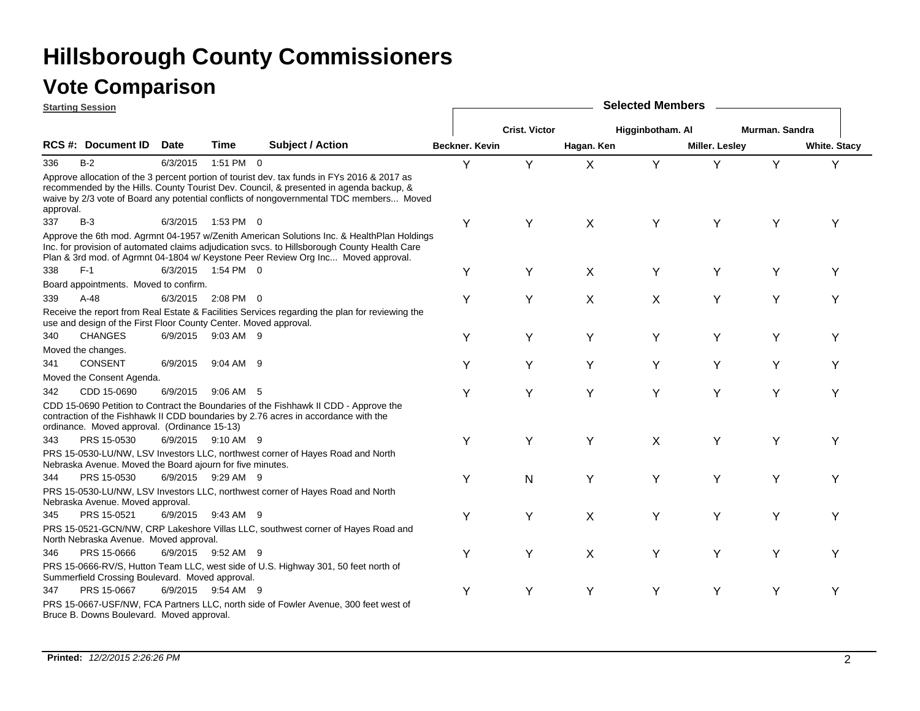|           | <b>Starting Session</b>                                          |             |                    |                                                                                                                                                                                                                                                                                  |                |                      |             | <b>Selected Members</b> |                       |                |                     |
|-----------|------------------------------------------------------------------|-------------|--------------------|----------------------------------------------------------------------------------------------------------------------------------------------------------------------------------------------------------------------------------------------------------------------------------|----------------|----------------------|-------------|-------------------------|-----------------------|----------------|---------------------|
|           |                                                                  |             |                    |                                                                                                                                                                                                                                                                                  |                | <b>Crist. Victor</b> |             | Higginbotham. Al        |                       | Murman, Sandra |                     |
|           | <b>RCS #: Document ID</b>                                        | <b>Date</b> | Time               | <b>Subject / Action</b>                                                                                                                                                                                                                                                          | Beckner, Kevin |                      | Hagan. Ken  |                         | <b>Miller. Lesley</b> |                | <b>White. Stacy</b> |
| 336       | $B-2$                                                            | 6/3/2015    | 1:51 PM 0          |                                                                                                                                                                                                                                                                                  | Y              | Y                    | X           | Y                       | Y                     | Y              | Y                   |
| approval. |                                                                  |             |                    | Approve allocation of the 3 percent portion of tourist dev. tax funds in FYs 2016 & 2017 as<br>recommended by the Hills. County Tourist Dev. Council, & presented in agenda backup, &<br>waive by 2/3 vote of Board any potential conflicts of nongovernmental TDC members Moved |                |                      |             |                         |                       |                |                     |
| 337       | $B-3$                                                            | 6/3/2015    | 1:53 PM 0          |                                                                                                                                                                                                                                                                                  | Y              | Y                    | X           | Y                       | Y                     | Y              | Υ                   |
|           |                                                                  |             |                    | Approve the 6th mod. Agrmnt 04-1957 w/Zenith American Solutions Inc. & HealthPlan Holdings<br>Inc. for provision of automated claims adjudication svcs. to Hillsborough County Health Care<br>Plan & 3rd mod. of Agrmnt 04-1804 w/ Keystone Peer Review Org Inc Moved approval.  |                |                      |             |                         |                       |                |                     |
| 338       | $F-1$                                                            |             | 6/3/2015 1:54 PM 0 |                                                                                                                                                                                                                                                                                  | Υ              | Υ                    | $\mathsf X$ | Υ                       | Υ                     | Y              | Υ                   |
|           | Board appointments. Moved to confirm.                            |             |                    |                                                                                                                                                                                                                                                                                  |                |                      |             |                         |                       |                |                     |
| 339       | $A-48$                                                           | 6/3/2015    | 2:08 PM 0          |                                                                                                                                                                                                                                                                                  | Υ              | Υ                    | X           | X                       | Υ                     | Y              | Υ                   |
|           | use and design of the First Floor County Center. Moved approval. |             |                    | Receive the report from Real Estate & Facilities Services regarding the plan for reviewing the                                                                                                                                                                                   |                |                      |             |                         |                       |                |                     |
| 340       | <b>CHANGES</b>                                                   | 6/9/2015    | 9:03 AM 9          |                                                                                                                                                                                                                                                                                  | Y              | Y                    | Y           | Y                       | Υ                     | Y              | Y                   |
|           | Moved the changes.                                               |             |                    |                                                                                                                                                                                                                                                                                  |                |                      |             |                         |                       |                |                     |
| 341       | <b>CONSENT</b>                                                   | 6/9/2015    | $9:04$ AM $9$      |                                                                                                                                                                                                                                                                                  | Y              | Y                    | Υ           | Υ                       | Y                     | Υ              | Υ                   |
|           | Moved the Consent Agenda.                                        |             |                    |                                                                                                                                                                                                                                                                                  |                |                      |             |                         |                       |                |                     |
| 342       | CDD 15-0690                                                      | 6/9/2015    | $9:06$ AM $5$      |                                                                                                                                                                                                                                                                                  | Y              | Y                    | Y           | Y                       | Υ                     | Y              | Y                   |
|           | ordinance. Moved approval. (Ordinance 15-13)                     |             |                    | CDD 15-0690 Petition to Contract the Boundaries of the Fishhawk II CDD - Approve the<br>contraction of the Fishhawk II CDD boundaries by 2.76 acres in accordance with the                                                                                                       |                |                      |             |                         |                       |                |                     |
| 343       | PRS 15-0530                                                      |             | 6/9/2015 9:10 AM 9 |                                                                                                                                                                                                                                                                                  | Y              | Y                    | Y           | X                       | Υ                     | Y              | Y                   |
|           | Nebraska Avenue. Moved the Board ajourn for five minutes.        |             |                    | PRS 15-0530-LU/NW, LSV Investors LLC, northwest corner of Hayes Road and North                                                                                                                                                                                                   |                |                      |             |                         |                       |                |                     |
| 344       | PRS 15-0530                                                      |             | 6/9/2015 9:29 AM 9 |                                                                                                                                                                                                                                                                                  | Υ              | N                    | Y           | Y                       | Y                     | Υ              | Y                   |
|           | Nebraska Avenue. Moved approval.                                 |             |                    | PRS 15-0530-LU/NW, LSV Investors LLC, northwest corner of Hayes Road and North                                                                                                                                                                                                   |                |                      |             |                         |                       |                |                     |
| 345       | PRS 15-0521                                                      |             | 6/9/2015 9:43 AM 9 |                                                                                                                                                                                                                                                                                  | Υ              | Υ                    | X           | Υ                       | Υ                     | Υ              | Υ                   |
|           | North Nebraska Avenue. Moved approval.                           |             |                    | PRS 15-0521-GCN/NW, CRP Lakeshore Villas LLC, southwest corner of Hayes Road and                                                                                                                                                                                                 |                |                      |             |                         |                       |                |                     |
| 346       | PRS 15-0666                                                      |             | 6/9/2015 9:52 AM 9 |                                                                                                                                                                                                                                                                                  | Y              | Y                    | X           | Y                       | Υ                     | Y              | Υ                   |
|           | Summerfield Crossing Boulevard. Moved approval.                  |             |                    | PRS 15-0666-RV/S, Hutton Team LLC, west side of U.S. Highway 301, 50 feet north of                                                                                                                                                                                               |                |                      |             |                         |                       |                |                     |
| 347       | PRS 15-0667                                                      |             | 6/9/2015 9:54 AM 9 |                                                                                                                                                                                                                                                                                  | Y              | Y                    | Y           | Y                       | Y                     | Y              | Υ                   |
|           | Bruce B. Downs Boulevard. Moved approval.                        |             |                    | PRS 15-0667-USF/NW, FCA Partners LLC, north side of Fowler Avenue, 300 feet west of                                                                                                                                                                                              |                |                      |             |                         |                       |                |                     |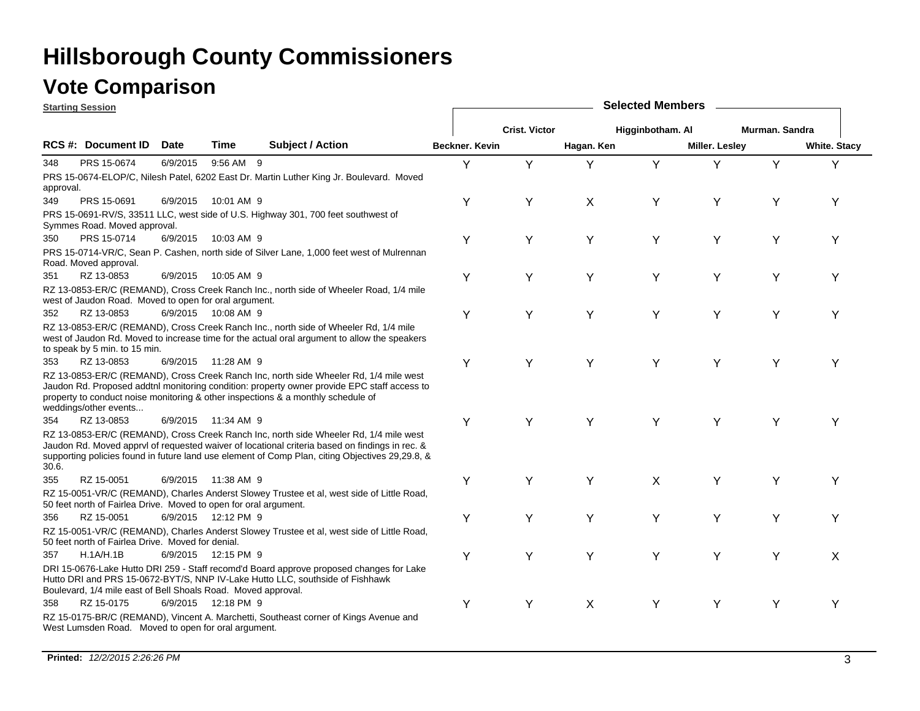### **Vote Comparison**

| <b>Starting Session</b> |                                                                  |             |                     |                                                                                                                                                                                                                                                                                            |                |                      |                           | <b>Selected Members</b> |                       |                |                     |
|-------------------------|------------------------------------------------------------------|-------------|---------------------|--------------------------------------------------------------------------------------------------------------------------------------------------------------------------------------------------------------------------------------------------------------------------------------------|----------------|----------------------|---------------------------|-------------------------|-----------------------|----------------|---------------------|
|                         |                                                                  |             |                     |                                                                                                                                                                                                                                                                                            |                | <b>Crist. Victor</b> |                           | Higginbotham. Al        |                       | Murman. Sandra |                     |
|                         | RCS #: Document ID                                               | <b>Date</b> | Time                | <b>Subject / Action</b>                                                                                                                                                                                                                                                                    | Beckner. Kevin |                      | Hagan. Ken                |                         | <b>Miller. Lesley</b> |                | <b>White. Stacy</b> |
| 348                     | PRS 15-0674                                                      | 6/9/2015    | 9:56 AM 9           |                                                                                                                                                                                                                                                                                            | Y              | Y                    | Y                         | Y                       | Y                     | Y              | Υ                   |
| approval.               |                                                                  |             |                     | PRS 15-0674-ELOP/C, Nilesh Patel, 6202 East Dr. Martin Luther King Jr. Boulevard. Moved                                                                                                                                                                                                    |                |                      |                           |                         |                       |                |                     |
| 349                     | PRS 15-0691                                                      | 6/9/2015    | 10:01 AM 9          |                                                                                                                                                                                                                                                                                            | Υ              | Y                    | X                         | Y                       | Y                     | Υ              | Y                   |
|                         | Symmes Road. Moved approval.                                     |             |                     | PRS 15-0691-RV/S, 33511 LLC, west side of U.S. Highway 301, 700 feet southwest of                                                                                                                                                                                                          |                |                      |                           |                         |                       |                |                     |
| 350                     | PRS 15-0714                                                      |             | 6/9/2015 10:03 AM 9 |                                                                                                                                                                                                                                                                                            | Y              | Υ                    | Υ                         | Υ                       | Υ                     | Υ              | Y                   |
|                         | Road. Moved approval.                                            |             |                     | PRS 15-0714-VR/C, Sean P. Cashen, north side of Silver Lane, 1,000 feet west of Mulrennan                                                                                                                                                                                                  |                |                      |                           |                         |                       |                |                     |
| 351                     | RZ 13-0853                                                       | 6/9/2015    | 10:05 AM 9          |                                                                                                                                                                                                                                                                                            | Υ              | Υ                    | Y                         | Y                       | Y                     | Y              | Υ                   |
|                         | west of Jaudon Road. Moved to open for oral argument.            |             |                     | RZ 13-0853-ER/C (REMAND), Cross Creek Ranch Inc., north side of Wheeler Road, 1/4 mile                                                                                                                                                                                                     |                |                      |                           |                         |                       |                |                     |
| 352                     | RZ 13-0853                                                       |             | 6/9/2015 10:08 AM 9 |                                                                                                                                                                                                                                                                                            | Y              | Y                    | Y                         | Y                       | Y                     | Y              | Υ                   |
|                         | to speak by 5 min. to 15 min.                                    |             |                     | RZ 13-0853-ER/C (REMAND), Cross Creek Ranch Inc., north side of Wheeler Rd, 1/4 mile<br>west of Jaudon Rd. Moved to increase time for the actual oral argument to allow the speakers                                                                                                       |                |                      |                           |                         |                       |                |                     |
| 353                     | RZ 13-0853                                                       |             | 6/9/2015 11:28 AM 9 |                                                                                                                                                                                                                                                                                            | Υ              | Υ                    | Υ                         | Υ                       | Y                     | Y              | Υ                   |
|                         | weddings/other events                                            |             |                     | RZ 13-0853-ER/C (REMAND), Cross Creek Ranch Inc, north side Wheeler Rd, 1/4 mile west<br>Jaudon Rd. Proposed addtnl monitoring condition: property owner provide EPC staff access to<br>property to conduct noise monitoring & other inspections & a monthly schedule of                   |                |                      |                           |                         |                       |                |                     |
| 354                     | RZ 13-0853                                                       |             | 6/9/2015 11:34 AM 9 |                                                                                                                                                                                                                                                                                            | Y              | Y                    | Y                         | Y                       | Y                     | Υ              | Y                   |
| 30.6.                   |                                                                  |             |                     | RZ 13-0853-ER/C (REMAND), Cross Creek Ranch Inc, north side Wheeler Rd, 1/4 mile west<br>Jaudon Rd. Moved apprvl of requested waiver of locational criteria based on findings in rec. &<br>supporting policies found in future land use element of Comp Plan, citing Objectives 29,29.8, & |                |                      |                           |                         |                       |                |                     |
| 355                     | RZ 15-0051                                                       |             | 6/9/2015 11:38 AM 9 |                                                                                                                                                                                                                                                                                            | Υ              | Y                    | Y                         | X                       | Y                     | Υ              | Υ                   |
|                         | 50 feet north of Fairlea Drive. Moved to open for oral argument. |             |                     | RZ 15-0051-VR/C (REMAND), Charles Anderst Slowey Trustee et al, west side of Little Road,                                                                                                                                                                                                  |                |                      |                           |                         |                       |                |                     |
| 356                     | RZ 15-0051                                                       |             | 6/9/2015 12:12 PM 9 |                                                                                                                                                                                                                                                                                            | Y              | Y                    | Y                         | Y                       | Y                     | Y              | Υ                   |
|                         | 50 feet north of Fairlea Drive. Moved for denial.                |             |                     | RZ 15-0051-VR/C (REMAND), Charles Anderst Slowey Trustee et al, west side of Little Road,                                                                                                                                                                                                  |                |                      |                           |                         |                       |                |                     |
| 357                     | H.1A/H.1B                                                        |             | 6/9/2015 12:15 PM 9 |                                                                                                                                                                                                                                                                                            | Υ              | Y                    | Y                         | Y                       | Y                     | Y              | X                   |
|                         | Boulevard, 1/4 mile east of Bell Shoals Road. Moved approval.    |             |                     | DRI 15-0676-Lake Hutto DRI 259 - Staff recomd'd Board approve proposed changes for Lake<br>Hutto DRI and PRS 15-0672-BYT/S, NNP IV-Lake Hutto LLC, southside of Fishhawk                                                                                                                   |                |                      |                           |                         |                       |                |                     |
| 358                     | RZ 15-0175                                                       |             | 6/9/2015 12:18 PM 9 |                                                                                                                                                                                                                                                                                            | Υ              | Y                    | $\boldsymbol{\mathsf{X}}$ | Υ                       | Y                     | Υ              | Υ                   |
|                         | West Lumsden Road. Moved to open for oral argument.              |             |                     | RZ 15-0175-BR/C (REMAND), Vincent A. Marchetti, Southeast corner of Kings Avenue and                                                                                                                                                                                                       |                |                      |                           |                         |                       |                |                     |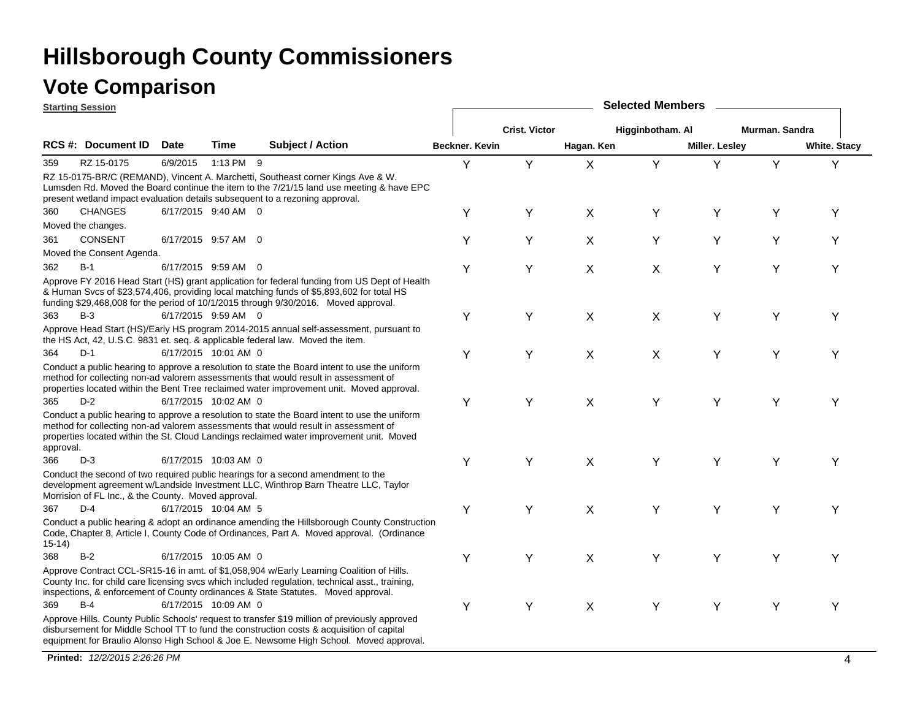|           | <b>Starting Session</b>                             |             |                      |                                                                                                                                                                                                                                                                                      |                |                      |            | <b>Selected Members</b> |                |                |                     |
|-----------|-----------------------------------------------------|-------------|----------------------|--------------------------------------------------------------------------------------------------------------------------------------------------------------------------------------------------------------------------------------------------------------------------------------|----------------|----------------------|------------|-------------------------|----------------|----------------|---------------------|
|           |                                                     |             |                      |                                                                                                                                                                                                                                                                                      |                | <b>Crist. Victor</b> |            | Higginbotham. Al        |                | Murman. Sandra |                     |
|           | RCS #: Document ID                                  | <b>Date</b> | Time                 | <b>Subject / Action</b>                                                                                                                                                                                                                                                              | Beckner, Kevin |                      | Hagan. Ken |                         | Miller. Lesley |                | <b>White. Stacy</b> |
| 359       | RZ 15-0175                                          | 6/9/2015    | 1:13 PM 9            |                                                                                                                                                                                                                                                                                      | Y              | Y                    | X          | Y                       | Y              | Y              | Y                   |
|           |                                                     |             |                      | RZ 15-0175-BR/C (REMAND), Vincent A. Marchetti, Southeast corner Kings Ave & W.<br>Lumsden Rd. Moved the Board continue the item to the 7/21/15 land use meeting & have EPC<br>present wetland impact evaluation details subsequent to a rezoning approval.                          |                |                      |            |                         |                |                |                     |
| 360       | <b>CHANGES</b>                                      |             | 6/17/2015 9:40 AM 0  |                                                                                                                                                                                                                                                                                      | Υ              | Y                    | X          | Υ                       | Y              | Y              | Y                   |
|           | Moved the changes.                                  |             |                      |                                                                                                                                                                                                                                                                                      |                |                      |            |                         |                |                |                     |
| 361       | <b>CONSENT</b>                                      |             | 6/17/2015 9:57 AM 0  |                                                                                                                                                                                                                                                                                      | Y              | Y                    | X          | Υ                       | Y              | Y              | Y                   |
|           | Moved the Consent Agenda.                           |             |                      |                                                                                                                                                                                                                                                                                      |                |                      |            |                         |                |                |                     |
| 362       | $B-1$                                               |             | 6/17/2015 9:59 AM 0  |                                                                                                                                                                                                                                                                                      | Υ              | Y                    | X          | X                       | Υ              | Y              | Y                   |
|           |                                                     |             |                      | Approve FY 2016 Head Start (HS) grant application for federal funding from US Dept of Health<br>& Human Svcs of \$23,574,406, providing local matching funds of \$5,893,602 for total HS<br>funding \$29,468,008 for the period of 10/1/2015 through 9/30/2016. Moved approval.      |                |                      |            |                         |                |                |                     |
| 363       | $B-3$                                               |             | 6/17/2015 9:59 AM 0  |                                                                                                                                                                                                                                                                                      | Υ              | Υ                    | X          | X                       | Υ              | Y              | Y                   |
|           |                                                     |             |                      | Approve Head Start (HS)/Early HS program 2014-2015 annual self-assessment, pursuant to<br>the HS Act, 42, U.S.C. 9831 et. seq. & applicable federal law. Moved the item.                                                                                                             |                |                      |            |                         |                |                |                     |
| 364       | $D-1$                                               |             | 6/17/2015 10:01 AM 0 |                                                                                                                                                                                                                                                                                      | Υ              | Y                    | X          | X                       | Y              | Y              | Y                   |
|           |                                                     |             |                      | Conduct a public hearing to approve a resolution to state the Board intent to use the uniform<br>method for collecting non-ad valorem assessments that would result in assessment of<br>properties located within the Bent Tree reclaimed water improvement unit. Moved approval.    |                |                      |            |                         |                |                |                     |
| 365       | $D-2$                                               |             | 6/17/2015 10:02 AM 0 |                                                                                                                                                                                                                                                                                      | Υ              | Υ                    | X          | Υ                       | Y              | Υ              | Y                   |
| approval. |                                                     |             |                      | Conduct a public hearing to approve a resolution to state the Board intent to use the uniform<br>method for collecting non-ad valorem assessments that would result in assessment of<br>properties located within the St. Cloud Landings reclaimed water improvement unit. Moved     |                |                      |            |                         |                |                |                     |
| 366       | $D-3$                                               |             | 6/17/2015 10:03 AM 0 |                                                                                                                                                                                                                                                                                      | Υ              | Y                    | X          | Υ                       | Y              | Υ              | Y                   |
|           | Morrision of FL Inc., & the County. Moved approval. |             |                      | Conduct the second of two required public hearings for a second amendment to the<br>development agreement w/Landside Investment LLC, Winthrop Barn Theatre LLC, Taylor                                                                                                               |                |                      |            |                         |                |                |                     |
| 367       | $D-4$                                               |             | 6/17/2015 10:04 AM 5 |                                                                                                                                                                                                                                                                                      | Υ              | Y                    | X          | Υ                       | Y              | Y              | Y                   |
| $15-14)$  |                                                     |             |                      | Conduct a public hearing & adopt an ordinance amending the Hillsborough County Construction<br>Code, Chapter 8, Article I, County Code of Ordinances, Part A. Moved approval. (Ordinance                                                                                             |                |                      |            |                         |                |                |                     |
| 368       | $B-2$                                               |             | 6/17/2015 10:05 AM 0 |                                                                                                                                                                                                                                                                                      | Υ              | Y                    | X          | Υ                       | Υ              | Y              | Y                   |
|           |                                                     |             |                      | Approve Contract CCL-SR15-16 in amt. of \$1,058,904 w/Early Learning Coalition of Hills.<br>County Inc. for child care licensing svcs which included regulation, technical asst., training,<br>inspections, & enforcement of County ordinances & State Statutes. Moved approval.     |                |                      |            |                         |                |                |                     |
| 369       | $B-4$                                               |             | 6/17/2015 10:09 AM 0 |                                                                                                                                                                                                                                                                                      | Υ              | Υ                    | X          | Υ                       | Y              | Y              | Y                   |
|           |                                                     |             |                      | Approve Hills. County Public Schools' request to transfer \$19 million of previously approved<br>disbursement for Middle School TT to fund the construction costs & acquisition of capital<br>equipment for Braulio Alonso High School & Joe E. Newsome High School. Moved approval. |                |                      |            |                         |                |                |                     |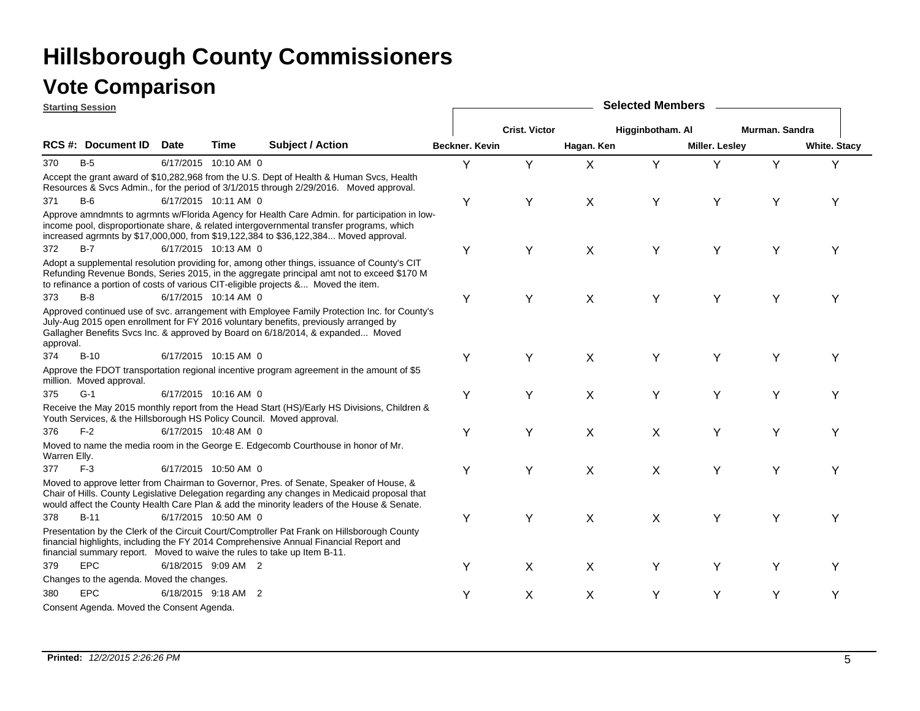|              | <b>Starting Session</b>                   |             |                      |                                                                                                                                                                                                                                                                                        |                |                      |                           | <b>Selected Members</b> |                       |                |                     |
|--------------|-------------------------------------------|-------------|----------------------|----------------------------------------------------------------------------------------------------------------------------------------------------------------------------------------------------------------------------------------------------------------------------------------|----------------|----------------------|---------------------------|-------------------------|-----------------------|----------------|---------------------|
|              |                                           |             |                      |                                                                                                                                                                                                                                                                                        |                | <b>Crist. Victor</b> |                           | Higginbotham. Al        |                       | Murman, Sandra |                     |
|              | <b>RCS #: Document ID</b>                 | <b>Date</b> | Time                 | <b>Subject / Action</b>                                                                                                                                                                                                                                                                | Beckner, Kevin |                      | Hagan. Ken                |                         | <b>Miller. Lesley</b> |                | <b>White. Stacy</b> |
| 370          | B-5                                       |             | 6/17/2015 10:10 AM 0 |                                                                                                                                                                                                                                                                                        | Υ              | Y                    | X                         | Y                       | Y                     | Y              | Y                   |
|              |                                           |             |                      | Accept the grant award of \$10,282,968 from the U.S. Dept of Health & Human Svcs, Health<br>Resources & Svcs Admin., for the period of 3/1/2015 through 2/29/2016. Moved approval.                                                                                                     |                |                      |                           |                         |                       |                |                     |
| 371          | $B-6$                                     |             | 6/17/2015 10:11 AM 0 |                                                                                                                                                                                                                                                                                        | Υ              | Y                    | $\mathsf{X}$              | Y                       | Υ                     | Y              | Y                   |
|              |                                           |             |                      | Approve amndmnts to agrmnts w/Florida Agency for Health Care Admin. for participation in low-<br>income pool, disproportionate share, & related intergovernmental transfer programs, which<br>increased agrmnts by \$17,000,000, from \$19,122,384 to \$36,122,384 Moved approval.     |                |                      |                           |                         |                       |                |                     |
| 372          | B-7                                       |             | 6/17/2015 10:13 AM 0 |                                                                                                                                                                                                                                                                                        | Υ              | Y                    | X                         | Y                       | Υ                     | Y              | Y                   |
|              |                                           |             |                      | Adopt a supplemental resolution providing for, among other things, issuance of County's CIT<br>Refunding Revenue Bonds, Series 2015, in the aggregate principal amt not to exceed \$170 M<br>to refinance a portion of costs of various CIT-eligible projects & Moved the item.        |                |                      |                           |                         |                       |                |                     |
| 373          | $B-8$                                     |             | 6/17/2015 10:14 AM 0 |                                                                                                                                                                                                                                                                                        | Υ              | Y                    | $\mathsf{X}$              | Y                       | Y                     | Y              | Υ                   |
| approval.    |                                           |             |                      | Approved continued use of svc. arrangement with Employee Family Protection Inc. for County's<br>July-Aug 2015 open enrollment for FY 2016 voluntary benefits, previously arranged by<br>Gallagher Benefits Svcs Inc. & approved by Board on 6/18/2014, & expanded Moved                |                |                      |                           |                         |                       |                |                     |
| 374          | <b>B-10</b>                               |             | 6/17/2015 10:15 AM 0 |                                                                                                                                                                                                                                                                                        | Υ              | Υ                    | X                         | Y                       | Y                     | Υ              | Y                   |
|              | million. Moved approval.                  |             |                      | Approve the FDOT transportation regional incentive program agreement in the amount of \$5                                                                                                                                                                                              |                |                      |                           |                         |                       |                |                     |
| 375          | $G-1$                                     |             | 6/17/2015 10:16 AM 0 |                                                                                                                                                                                                                                                                                        | Υ              | Y                    | $\sf X$                   | Y                       | Y                     | Y              | Υ                   |
|              |                                           |             |                      | Receive the May 2015 monthly report from the Head Start (HS)/Early HS Divisions, Children &<br>Youth Services, & the Hillsborough HS Policy Council. Moved approval.                                                                                                                   |                |                      |                           |                         |                       |                |                     |
| 376          | $F-2$                                     |             | 6/17/2015 10:48 AM 0 |                                                                                                                                                                                                                                                                                        | Υ              | Y                    | X                         | X                       | Υ                     | Y              | Υ                   |
| Warren Elly. |                                           |             |                      | Moved to name the media room in the George E. Edgecomb Courthouse in honor of Mr.                                                                                                                                                                                                      |                |                      |                           |                         |                       |                |                     |
| 377          | $F-3$                                     |             | 6/17/2015 10:50 AM 0 |                                                                                                                                                                                                                                                                                        | Υ              | Y                    | $\boldsymbol{\mathsf{X}}$ | X                       | Y                     | Υ              | Y                   |
|              |                                           |             |                      | Moved to approve letter from Chairman to Governor, Pres. of Senate, Speaker of House, &<br>Chair of Hills. County Legislative Delegation regarding any changes in Medicaid proposal that<br>would affect the County Health Care Plan & add the minority leaders of the House & Senate. |                |                      |                           |                         |                       |                |                     |
| 378          | $B-11$                                    |             | 6/17/2015 10:50 AM 0 |                                                                                                                                                                                                                                                                                        | Υ              | Y                    | X                         | X                       | Y                     | Y              | Υ                   |
|              |                                           |             |                      | Presentation by the Clerk of the Circuit Court/Comptroller Pat Frank on Hillsborough County<br>financial highlights, including the FY 2014 Comprehensive Annual Financial Report and<br>financial summary report. Moved to waive the rules to take up Item B-11.                       |                |                      |                           |                         |                       |                |                     |
| 379          | <b>EPC</b>                                |             | 6/18/2015 9:09 AM 2  |                                                                                                                                                                                                                                                                                        | Υ              | X                    | X                         | Υ                       | Y                     | Υ              | Υ                   |
|              | Changes to the agenda. Moved the changes. |             |                      |                                                                                                                                                                                                                                                                                        |                |                      |                           |                         |                       |                |                     |
| 380          | EPC                                       |             | 6/18/2015 9:18 AM 2  |                                                                                                                                                                                                                                                                                        | Υ              | X                    | X                         | Y                       | Υ                     | Υ              | Υ                   |
|              | Consent Agenda. Moved the Consent Agenda. |             |                      |                                                                                                                                                                                                                                                                                        |                |                      |                           |                         |                       |                |                     |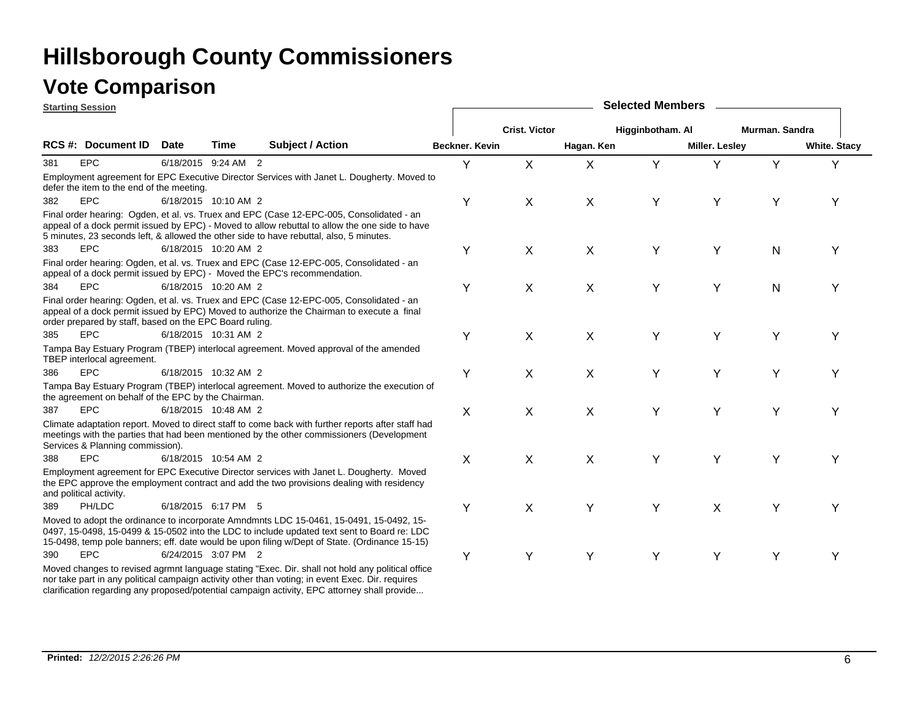clarification regarding any proposed/potential campaign activity, EPC attorney shall provide...

### **Vote Comparison**

|     | <b>Starting Session</b>                                 |             |                      |                                                                                                                                                                                                                                                                                         |                       |                      |            | <b>Selected Members</b> |                       |                |                     |
|-----|---------------------------------------------------------|-------------|----------------------|-----------------------------------------------------------------------------------------------------------------------------------------------------------------------------------------------------------------------------------------------------------------------------------------|-----------------------|----------------------|------------|-------------------------|-----------------------|----------------|---------------------|
|     |                                                         |             |                      |                                                                                                                                                                                                                                                                                         |                       | <b>Crist. Victor</b> |            | Higginbotham. Al        |                       | Murman. Sandra |                     |
|     | <b>RCS #: Document ID</b>                               | <b>Date</b> | <b>Time</b>          | <b>Subject / Action</b>                                                                                                                                                                                                                                                                 | <b>Beckner, Kevin</b> |                      | Hagan. Ken |                         | <b>Miller. Lesley</b> |                | <b>White. Stacy</b> |
| 381 | <b>EPC</b>                                              |             | 6/18/2015 9:24 AM 2  |                                                                                                                                                                                                                                                                                         | Y                     | X                    | X          | Y                       | Y                     | Y              | Y                   |
|     | defer the item to the end of the meeting.               |             |                      | Employment agreement for EPC Executive Director Services with Janet L. Dougherty. Moved to                                                                                                                                                                                              |                       |                      |            |                         |                       |                |                     |
| 382 | <b>EPC</b>                                              |             | 6/18/2015 10:10 AM 2 |                                                                                                                                                                                                                                                                                         | Υ                     | Χ                    | X          | Υ                       | Υ                     | Υ              | Υ                   |
|     |                                                         |             |                      | Final order hearing: Ogden, et al. vs. Truex and EPC (Case 12-EPC-005, Consolidated - an<br>appeal of a dock permit issued by EPC) - Moved to allow rebuttal to allow the one side to have<br>5 minutes, 23 seconds left, & allowed the other side to have rebuttal, also, 5 minutes.   |                       |                      |            |                         |                       |                |                     |
| 383 | <b>EPC</b>                                              |             | 6/18/2015 10:20 AM 2 |                                                                                                                                                                                                                                                                                         | Y                     | X                    | X          | Y                       | Y                     | N              | Υ                   |
|     |                                                         |             |                      | Final order hearing: Ogden, et al. vs. Truex and EPC (Case 12-EPC-005, Consolidated - an<br>appeal of a dock permit issued by EPC) - Moved the EPC's recommendation.                                                                                                                    |                       |                      |            |                         |                       |                |                     |
| 384 | EPC                                                     |             | 6/18/2015 10:20 AM 2 |                                                                                                                                                                                                                                                                                         | Υ                     | X                    | $\sf X$    | Y                       | Y                     | N              | Y                   |
|     | order prepared by staff, based on the EPC Board ruling. |             |                      | Final order hearing: Ogden, et al. vs. Truex and EPC (Case 12-EPC-005, Consolidated - an<br>appeal of a dock permit issued by EPC) Moved to authorize the Chairman to execute a final                                                                                                   |                       |                      |            |                         |                       |                |                     |
| 385 | EPC                                                     |             | 6/18/2015 10:31 AM 2 |                                                                                                                                                                                                                                                                                         | Y                     | X                    | X          | Υ                       | Υ                     | Y              | Y                   |
|     | TBEP interlocal agreement.                              |             |                      | Tampa Bay Estuary Program (TBEP) interlocal agreement. Moved approval of the amended                                                                                                                                                                                                    |                       |                      |            |                         |                       |                |                     |
| 386 | <b>EPC</b>                                              |             | 6/18/2015 10:32 AM 2 |                                                                                                                                                                                                                                                                                         | Y                     | X                    | X          | Υ                       | Y                     | Υ              | ٧                   |
|     | the agreement on behalf of the EPC by the Chairman.     |             |                      | Tampa Bay Estuary Program (TBEP) interlocal agreement. Moved to authorize the execution of                                                                                                                                                                                              |                       |                      |            |                         |                       |                |                     |
| 387 | EPC                                                     |             | 6/18/2015 10:48 AM 2 |                                                                                                                                                                                                                                                                                         | $\sf X$               | X                    | X          | Y                       | Y                     | Υ              | Y                   |
|     | Services & Planning commission).                        |             |                      | Climate adaptation report. Moved to direct staff to come back with further reports after staff had<br>meetings with the parties that had been mentioned by the other commissioners (Development                                                                                         |                       |                      |            |                         |                       |                |                     |
| 388 | <b>EPC</b>                                              |             | 6/18/2015 10:54 AM 2 |                                                                                                                                                                                                                                                                                         | X                     | X                    | X          | Y                       | Υ                     | Υ              | Y                   |
|     | and political activity.                                 |             |                      | Employment agreement for EPC Executive Director services with Janet L. Dougherty. Moved<br>the EPC approve the employment contract and add the two provisions dealing with residency                                                                                                    |                       |                      |            |                         |                       |                |                     |
| 389 | PH/LDC                                                  |             | 6/18/2015 6:17 PM 5  |                                                                                                                                                                                                                                                                                         | Y                     | X                    | Y          | Y                       | X                     | Y              | Υ                   |
|     |                                                         |             |                      | Moved to adopt the ordinance to incorporate Amndmnts LDC 15-0461, 15-0491, 15-0492, 15-<br>0497, 15-0498, 15-0499 & 15-0502 into the LDC to include updated text sent to Board re: LDC<br>15-0498, temp pole banners; eff. date would be upon filing w/Dept of State. (Ordinance 15-15) |                       |                      |            |                         |                       |                |                     |
| 390 | EPC                                                     |             | 6/24/2015 3:07 PM 2  |                                                                                                                                                                                                                                                                                         | Υ                     | Υ                    | Y          | Υ                       | Υ                     | Υ              | Υ                   |
|     |                                                         |             |                      | Moved changes to revised agrmnt language stating "Exec. Dir. shall not hold any political office<br>nor take part in any political campaign activity other than voting; in event Exec. Dir. requires                                                                                    |                       |                      |            |                         |                       |                |                     |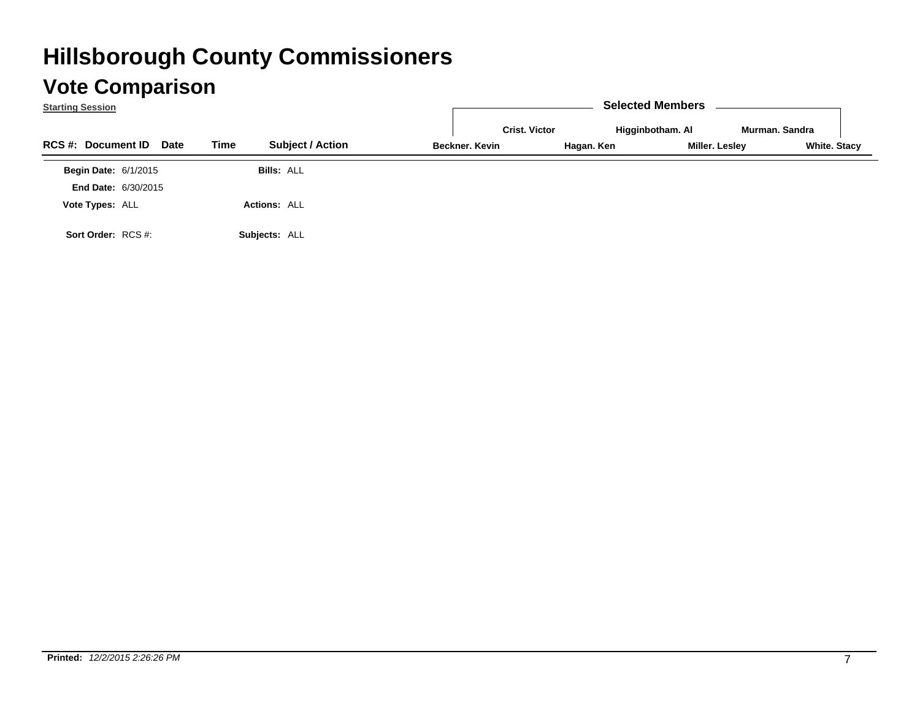| <b>Starting Session</b>                  |                                 |                                        | <b>Selected Members</b>                          |                                       |
|------------------------------------------|---------------------------------|----------------------------------------|--------------------------------------------------|---------------------------------------|
| <b>RCS #: Document ID</b><br><b>Date</b> | <b>Subject / Action</b><br>Time | <b>Crist. Victor</b><br>Beckner, Kevin | Higginbotham. Al<br>Miller. Lesley<br>Hagan. Ken | Murman, Sandra<br><b>White. Stacy</b> |
|                                          |                                 |                                        |                                                  |                                       |
| <b>Begin Date: 6/1/2015</b>              | <b>Bills: ALL</b>               |                                        |                                                  |                                       |
| <b>End Date: 6/30/2015</b>               |                                 |                                        |                                                  |                                       |
| Vote Types: ALL                          | <b>Actions: ALL</b>             |                                        |                                                  |                                       |
| Sort Order: RCS #:                       | Subjects: ALL                   |                                        |                                                  |                                       |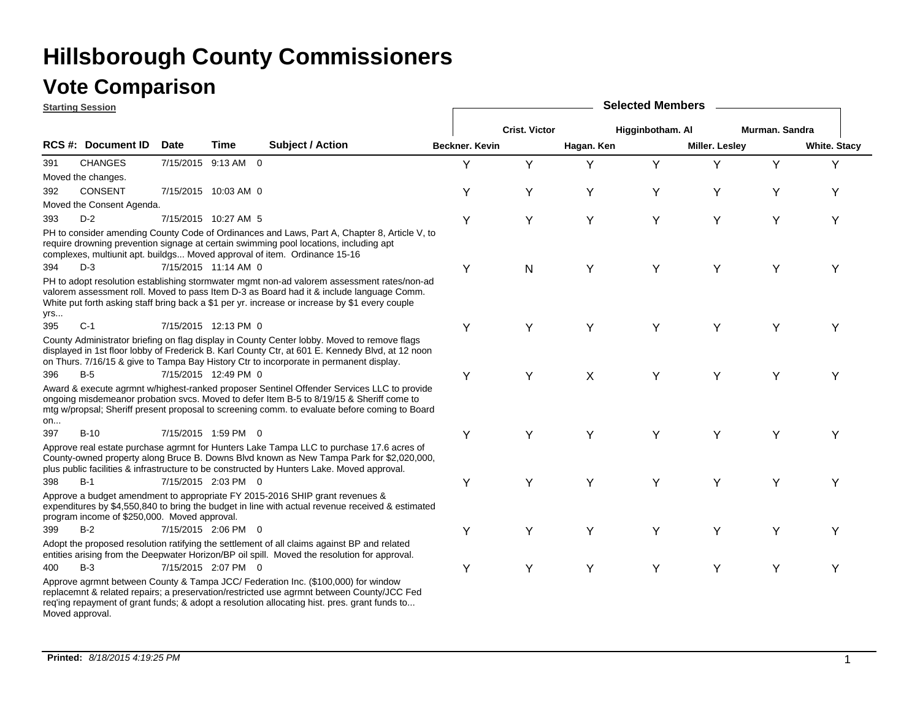### **Vote Comparison**

**Starting Session**

|     | <u>otarting bession</u>                      |             |                      |                                                                                                                                                                                                                                                                                           |                       |                      |            | <b>OUIGULUM INGITIOUS</b> |                       |                |                     |
|-----|----------------------------------------------|-------------|----------------------|-------------------------------------------------------------------------------------------------------------------------------------------------------------------------------------------------------------------------------------------------------------------------------------------|-----------------------|----------------------|------------|---------------------------|-----------------------|----------------|---------------------|
|     |                                              |             |                      |                                                                                                                                                                                                                                                                                           |                       | <b>Crist. Victor</b> |            | Higginbotham. Al          |                       | Murman. Sandra |                     |
|     | <b>RCS #: Document ID</b>                    | <b>Date</b> | <b>Time</b>          | <b>Subject / Action</b>                                                                                                                                                                                                                                                                   | <b>Beckner, Kevin</b> |                      | Hagan. Ken |                           | <b>Miller. Lesley</b> |                | <b>White. Stacy</b> |
| 391 | <b>CHANGES</b>                               |             | 7/15/2015 9:13 AM 0  |                                                                                                                                                                                                                                                                                           | Y                     | Y                    | Y          | Y                         | Y                     | Y              | Y                   |
|     | Moved the changes.                           |             |                      |                                                                                                                                                                                                                                                                                           |                       |                      |            |                           |                       |                |                     |
| 392 | <b>CONSENT</b>                               |             | 7/15/2015 10:03 AM 0 |                                                                                                                                                                                                                                                                                           | Υ                     | Υ                    | Y          | Y                         | Υ                     | Υ              | Υ                   |
|     | Moved the Consent Agenda.                    |             |                      |                                                                                                                                                                                                                                                                                           |                       |                      |            |                           |                       |                |                     |
| 393 | $D-2$                                        |             | 7/15/2015 10:27 AM 5 |                                                                                                                                                                                                                                                                                           | Y                     | Υ                    | Υ          | Υ                         | Y                     | Y              | Υ                   |
|     |                                              |             |                      | PH to consider amending County Code of Ordinances and Laws, Part A, Chapter 8, Article V, to<br>require drowning prevention signage at certain swimming pool locations, including apt<br>complexes, multiunit apt. buildgs Moved approval of item. Ordinance 15-16                        |                       |                      |            |                           |                       |                |                     |
| 394 | $D-3$                                        |             | 7/15/2015 11:14 AM 0 |                                                                                                                                                                                                                                                                                           | Υ                     | N                    | Y          | Y                         | Y                     | Υ              | Υ                   |
| yrs |                                              |             |                      | PH to adopt resolution establishing stormwater mgmt non-ad valorem assessment rates/non-ad<br>valorem assessment roll. Moved to pass Item D-3 as Board had it & include language Comm.<br>White put forth asking staff bring back a \$1 per yr. increase or increase by \$1 every couple  |                       |                      |            |                           |                       |                |                     |
| 395 | $C-1$                                        |             | 7/15/2015 12:13 PM 0 |                                                                                                                                                                                                                                                                                           | Y                     | Υ                    | Y          | Υ                         | Y                     | Υ              | Υ                   |
|     |                                              |             |                      | County Administrator briefing on flag display in County Center lobby. Moved to remove flags<br>displayed in 1st floor lobby of Frederick B. Karl County Ctr, at 601 E. Kennedy Blvd, at 12 noon<br>on Thurs. 7/16/15 & give to Tampa Bay History Ctr to incorporate in permanent display. |                       |                      |            |                           |                       |                |                     |
| 396 | $B-5$                                        |             | 7/15/2015 12:49 PM 0 |                                                                                                                                                                                                                                                                                           | Y                     | Υ                    | X          | Υ                         | Y                     | Υ              | Y                   |
| on  |                                              |             |                      | Award & execute agrmnt w/highest-ranked proposer Sentinel Offender Services LLC to provide<br>ongoing misdemeanor probation svcs. Moved to defer Item B-5 to 8/19/15 & Sheriff come to<br>mtg w/propsal; Sheriff present proposal to screening comm. to evaluate before coming to Board   |                       |                      |            |                           |                       |                |                     |
| 397 | $B-10$                                       |             | 7/15/2015 1:59 PM 0  |                                                                                                                                                                                                                                                                                           | Y                     | Υ                    | Υ          | Υ                         | Y                     | Y              | Y                   |
|     |                                              |             |                      | Approve real estate purchase agrmnt for Hunters Lake Tampa LLC to purchase 17.6 acres of<br>County-owned property along Bruce B. Downs Blvd known as New Tampa Park for \$2,020,000.<br>plus public facilities & infrastructure to be constructed by Hunters Lake. Moved approval.        |                       |                      |            |                           |                       |                |                     |
| 398 | $B-1$                                        |             | 7/15/2015 2:03 PM 0  |                                                                                                                                                                                                                                                                                           | Y                     | Y                    | Y          | Y                         | Y                     | Υ              | Y                   |
|     | program income of \$250,000. Moved approval. |             |                      | Approve a budget amendment to appropriate FY 2015-2016 SHIP grant revenues &<br>expenditures by \$4,550,840 to bring the budget in line with actual revenue received & estimated                                                                                                          |                       |                      |            |                           |                       |                |                     |
| 399 | $B-2$                                        |             | 7/15/2015 2:06 PM 0  |                                                                                                                                                                                                                                                                                           | Y                     | Υ                    | Y          | Y                         | Y                     | Y              | Y                   |
|     |                                              |             |                      | Adopt the proposed resolution ratifying the settlement of all claims against BP and related<br>entities arising from the Deepwater Horizon/BP oil spill. Moved the resolution for approval.                                                                                               |                       |                      |            |                           |                       |                |                     |
| 400 | $B-3$                                        |             | 7/15/2015 2:07 PM 0  |                                                                                                                                                                                                                                                                                           | Υ                     | Υ                    | Y          | Υ                         | Υ                     | Υ              | Υ                   |
|     | Moved approval.                              |             |                      | Approve agrmnt between County & Tampa JCC/ Federation Inc. (\$100,000) for window<br>replacemnt & related repairs; a preservation/restricted use agrmnt between County/JCC Fed<br>req'ing repayment of grant funds; & adopt a resolution allocating hist. pres. grant funds to            |                       |                      |            |                           |                       |                |                     |

**Selected Members**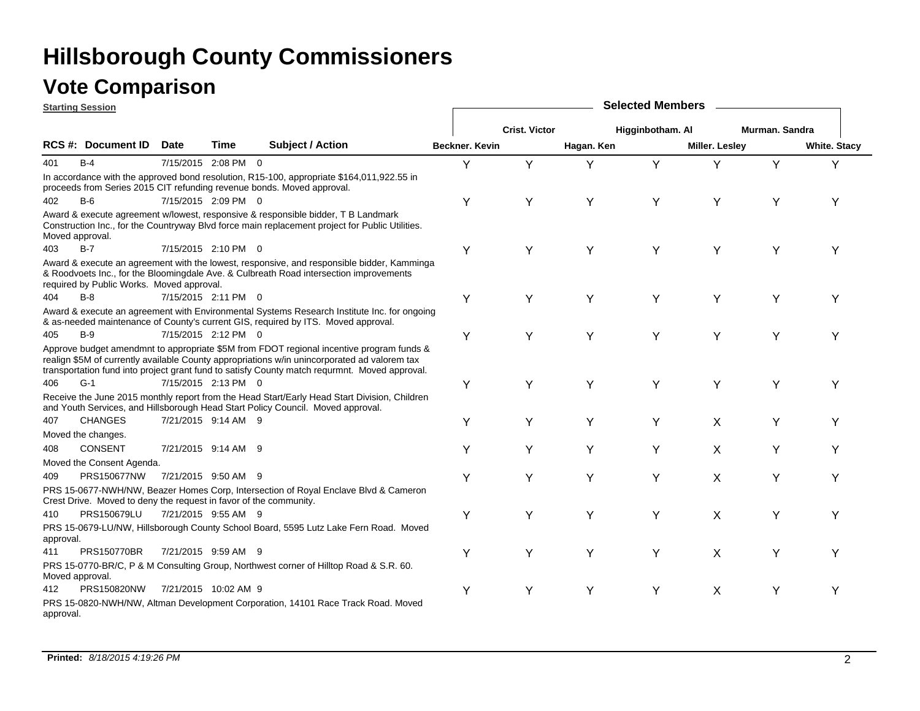|           | <b>Starting Session</b>                                           |             |                      |                                                                                                                                                                                                                                                                                           |                       | <b>Selected Members</b> |            |                  |                |                |                     |  |  |
|-----------|-------------------------------------------------------------------|-------------|----------------------|-------------------------------------------------------------------------------------------------------------------------------------------------------------------------------------------------------------------------------------------------------------------------------------------|-----------------------|-------------------------|------------|------------------|----------------|----------------|---------------------|--|--|
|           |                                                                   |             |                      |                                                                                                                                                                                                                                                                                           |                       | <b>Crist. Victor</b>    |            | Higginbotham. Al |                | Murman, Sandra |                     |  |  |
|           | <b>RCS#: Document ID</b>                                          | <b>Date</b> | <b>Time</b>          | <b>Subject / Action</b>                                                                                                                                                                                                                                                                   | <b>Beckner, Kevin</b> |                         | Hagan. Ken |                  | Miller. Lesley |                | <b>White. Stacy</b> |  |  |
| 401       | $B-4$                                                             |             | 7/15/2015 2:08 PM 0  |                                                                                                                                                                                                                                                                                           | Υ                     | Y                       | Υ          | Y                | Y              | Y              | Υ                   |  |  |
|           |                                                                   |             |                      | In accordance with the approved bond resolution, R15-100, appropriate \$164,011,922.55 in<br>proceeds from Series 2015 CIT refunding revenue bonds. Moved approval.                                                                                                                       |                       |                         |            |                  |                |                |                     |  |  |
| 402       | $B-6$                                                             |             | 7/15/2015 2:09 PM 0  |                                                                                                                                                                                                                                                                                           | Υ                     | Y                       | Υ          | Y                | Υ              | Υ              | Υ                   |  |  |
|           | Moved approval.                                                   |             |                      | Award & execute agreement w/lowest, responsive & responsible bidder, T B Landmark<br>Construction Inc., for the Countryway Blvd force main replacement project for Public Utilities.                                                                                                      |                       |                         |            |                  |                |                |                     |  |  |
| 403       | $B-7$                                                             |             | 7/15/2015 2:10 PM 0  |                                                                                                                                                                                                                                                                                           | Υ                     | Υ                       | Y          | Y                | Υ              | Υ              | Y                   |  |  |
|           | required by Public Works. Moved approval.                         |             |                      | Award & execute an agreement with the lowest, responsive, and responsible bidder, Kamminga<br>& Roodvoets Inc., for the Bloomingdale Ave. & Culbreath Road intersection improvements                                                                                                      |                       |                         |            |                  |                |                |                     |  |  |
| 404       | $B-8$                                                             |             | 7/15/2015 2:11 PM 0  |                                                                                                                                                                                                                                                                                           | Υ                     | Υ                       | Υ          | Y                | Υ              | Υ              | Υ                   |  |  |
|           |                                                                   |             |                      | Award & execute an agreement with Environmental Systems Research Institute Inc. for ongoing<br>& as-needed maintenance of County's current GIS, required by ITS. Moved approval.                                                                                                          |                       |                         |            |                  |                |                |                     |  |  |
| 405       | $B-9$                                                             |             | 7/15/2015 2:12 PM 0  |                                                                                                                                                                                                                                                                                           | Υ                     | Υ                       | Y          | Y                | Υ              | Υ              | Υ                   |  |  |
|           |                                                                   |             |                      | Approve budget amendmnt to appropriate \$5M from FDOT regional incentive program funds &<br>realign \$5M of currently available County appropriations w/in unincorporated ad valorem tax<br>transportation fund into project grant fund to satisfy County match requrmnt. Moved approval. |                       |                         |            |                  |                |                |                     |  |  |
| 406       | $G-1$                                                             |             | 7/15/2015 2:13 PM 0  |                                                                                                                                                                                                                                                                                           | Υ                     | Υ                       | Y          | Y                | Υ              | Y              | Υ                   |  |  |
|           |                                                                   |             |                      | Receive the June 2015 monthly report from the Head Start/Early Head Start Division, Children<br>and Youth Services, and Hillsborough Head Start Policy Council. Moved approval.                                                                                                           |                       |                         |            |                  |                |                |                     |  |  |
| 407       | <b>CHANGES</b>                                                    |             | 7/21/2015 9:14 AM 9  |                                                                                                                                                                                                                                                                                           | Y                     | Y                       | Y          | Y                | X              | Y              | Υ                   |  |  |
|           | Moved the changes.                                                |             |                      |                                                                                                                                                                                                                                                                                           |                       |                         |            |                  |                |                |                     |  |  |
| 408       | <b>CONSENT</b>                                                    |             | 7/21/2015 9:14 AM 9  |                                                                                                                                                                                                                                                                                           | Y                     | Y                       | Y          | Y                | X              | Y              | Υ                   |  |  |
|           | Moved the Consent Agenda.                                         |             |                      |                                                                                                                                                                                                                                                                                           |                       |                         |            |                  |                |                |                     |  |  |
| 409       | <b>PRS150677NW</b>                                                |             | 7/21/2015 9:50 AM 9  |                                                                                                                                                                                                                                                                                           | Y                     | Y                       | Y          | Y                | X              | Y              | Y                   |  |  |
|           | Crest Drive. Moved to deny the request in favor of the community. |             |                      | PRS 15-0677-NWH/NW, Beazer Homes Corp, Intersection of Royal Enclave Blvd & Cameron                                                                                                                                                                                                       |                       |                         |            |                  |                |                |                     |  |  |
| 410       | PRS150679LU                                                       |             | 7/21/2015 9:55 AM 9  |                                                                                                                                                                                                                                                                                           | Υ                     | Υ                       | Υ          | Υ                | X              | Υ              | Υ                   |  |  |
| approval. |                                                                   |             |                      | PRS 15-0679-LU/NW, Hillsborough County School Board, 5595 Lutz Lake Fern Road. Moved                                                                                                                                                                                                      |                       |                         |            |                  |                |                |                     |  |  |
| 411       | PRS150770BR                                                       |             | 7/21/2015 9:59 AM 9  |                                                                                                                                                                                                                                                                                           | Υ                     | Y                       | Υ          | Y                | X              | Y              | Υ                   |  |  |
|           | Moved approval.                                                   |             |                      | PRS 15-0770-BR/C, P & M Consulting Group, Northwest corner of Hilltop Road & S.R. 60.                                                                                                                                                                                                     |                       |                         |            |                  |                |                |                     |  |  |
| 412       | PRS150820NW                                                       |             | 7/21/2015 10:02 AM 9 |                                                                                                                                                                                                                                                                                           | Y                     | Y                       | Υ          | Y                | X              | Y              | Υ                   |  |  |
| approval. |                                                                   |             |                      | PRS 15-0820-NWH/NW, Altman Development Corporation, 14101 Race Track Road. Moved                                                                                                                                                                                                          |                       |                         |            |                  |                |                |                     |  |  |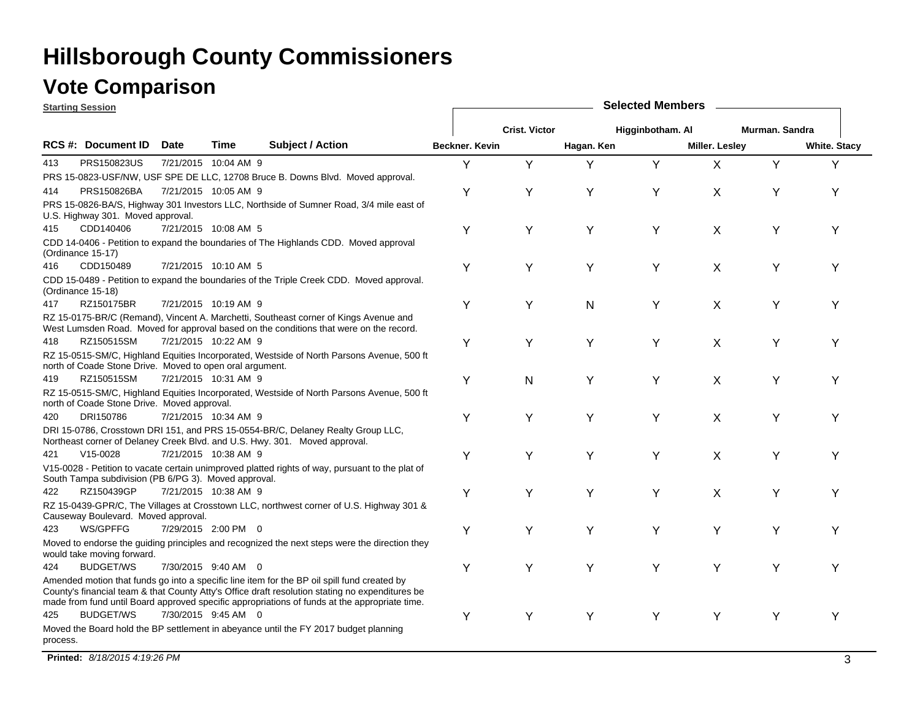### **Vote Comparison**

**Starting Session**

|          | <u>Starting Session</u>                                  |             |                      |                                                                                                                                                                                                                                                                                                 |                       |                      |            |                  |                |                |                     |  |
|----------|----------------------------------------------------------|-------------|----------------------|-------------------------------------------------------------------------------------------------------------------------------------------------------------------------------------------------------------------------------------------------------------------------------------------------|-----------------------|----------------------|------------|------------------|----------------|----------------|---------------------|--|
|          |                                                          |             |                      |                                                                                                                                                                                                                                                                                                 |                       | <b>Crist. Victor</b> |            | Higginbotham. Al |                | Murman. Sandra |                     |  |
|          | RCS #: Document ID                                       | <b>Date</b> | <b>Time</b>          | <b>Subject / Action</b>                                                                                                                                                                                                                                                                         | <b>Beckner, Kevin</b> |                      | Hagan. Ken |                  | Miller. Lesley |                | <b>White. Stacy</b> |  |
| 413      | PRS150823US                                              |             | 7/21/2015 10:04 AM 9 |                                                                                                                                                                                                                                                                                                 | Υ                     | Y                    | Υ          | Y                | X              | Y              | Y                   |  |
|          |                                                          |             |                      | PRS 15-0823-USF/NW, USF SPE DE LLC, 12708 Bruce B. Downs Blvd. Moved approval.                                                                                                                                                                                                                  |                       |                      |            |                  |                |                |                     |  |
| 414      | PRS150826BA                                              |             | 7/21/2015 10:05 AM 9 |                                                                                                                                                                                                                                                                                                 | Υ                     | Υ                    | Y          | Υ                | X              | Υ              | Υ                   |  |
|          | U.S. Highway 301. Moved approval.                        |             |                      | PRS 15-0826-BA/S, Highway 301 Investors LLC, Northside of Sumner Road, 3/4 mile east of                                                                                                                                                                                                         |                       |                      |            |                  |                |                |                     |  |
| 415      | CDD140406                                                |             | 7/21/2015 10:08 AM 5 |                                                                                                                                                                                                                                                                                                 | Υ                     | Υ                    | Y          | Υ                | X              | Υ              | Υ                   |  |
|          | (Ordinance 15-17)                                        |             |                      | CDD 14-0406 - Petition to expand the boundaries of The Highlands CDD. Moved approval                                                                                                                                                                                                            |                       |                      |            |                  |                |                |                     |  |
| 416      | CDD150489                                                |             | 7/21/2015 10:10 AM 5 |                                                                                                                                                                                                                                                                                                 | Υ                     | Υ                    | Υ          | Υ                | X              | Υ              | Υ                   |  |
|          | (Ordinance 15-18)                                        |             |                      | CDD 15-0489 - Petition to expand the boundaries of the Triple Creek CDD. Moved approval.                                                                                                                                                                                                        |                       |                      |            |                  |                |                |                     |  |
| 417      | RZ150175BR                                               |             | 7/21/2015 10:19 AM 9 |                                                                                                                                                                                                                                                                                                 | Υ                     | Y                    | N          | Y                | Χ              | Υ              | Υ                   |  |
|          |                                                          |             |                      | RZ 15-0175-BR/C (Remand), Vincent A. Marchetti, Southeast corner of Kings Avenue and<br>West Lumsden Road. Moved for approval based on the conditions that were on the record.                                                                                                                  |                       |                      |            |                  |                |                |                     |  |
| 418      | RZ150515SM                                               |             | 7/21/2015 10:22 AM 9 |                                                                                                                                                                                                                                                                                                 | Υ                     | Y                    | Υ          | Y                | X              | Υ              | Υ                   |  |
|          | north of Coade Stone Drive. Moved to open oral argument. |             |                      | RZ 15-0515-SM/C, Highland Equities Incorporated, Westside of North Parsons Avenue, 500 ft                                                                                                                                                                                                       |                       |                      |            |                  |                |                |                     |  |
| 419      | RZ150515SM                                               |             | 7/21/2015 10:31 AM 9 |                                                                                                                                                                                                                                                                                                 | Υ                     | N                    | Υ          | Υ                | X              | Υ              | Υ                   |  |
|          | north of Coade Stone Drive. Moved approval.              |             |                      | RZ 15-0515-SM/C, Highland Equities Incorporated, Westside of North Parsons Avenue, 500 ft                                                                                                                                                                                                       |                       |                      |            |                  |                |                |                     |  |
| 420      | DRI150786                                                |             | 7/21/2015 10:34 AM 9 |                                                                                                                                                                                                                                                                                                 | Υ                     | Υ                    | Υ          | Υ                | X              | Υ              | Υ                   |  |
|          |                                                          |             |                      | DRI 15-0786, Crosstown DRI 151, and PRS 15-0554-BR/C, Delaney Realty Group LLC,<br>Northeast corner of Delaney Creek Blvd. and U.S. Hwy. 301. Moved approval.                                                                                                                                   |                       |                      |            |                  |                |                |                     |  |
| 421      | $V15-0028$                                               |             | 7/21/2015 10:38 AM 9 |                                                                                                                                                                                                                                                                                                 | Y                     | Y                    | Y          | Y                | X              | Y              | Υ                   |  |
|          | South Tampa subdivision (PB 6/PG 3). Moved approval.     |             |                      | V15-0028 - Petition to vacate certain unimproved platted rights of way, pursuant to the plat of                                                                                                                                                                                                 |                       |                      |            |                  |                |                |                     |  |
| 422      | RZ150439GP                                               |             | 7/21/2015 10:38 AM 9 |                                                                                                                                                                                                                                                                                                 | Υ                     | Y                    | Y          | Y                | X              | Y              | Υ                   |  |
|          | Causeway Boulevard. Moved approval.                      |             |                      | RZ 15-0439-GPR/C, The Villages at Crosstown LLC, northwest corner of U.S. Highway 301 &                                                                                                                                                                                                         |                       |                      |            |                  |                |                |                     |  |
| 423      | WS/GPFFG                                                 |             | 7/29/2015 2:00 PM 0  |                                                                                                                                                                                                                                                                                                 | Υ                     | Y                    | Y          | Y                | Y              | Y              | Υ                   |  |
|          | would take moving forward.                               |             |                      | Moved to endorse the guiding principles and recognized the next steps were the direction they                                                                                                                                                                                                   |                       |                      |            |                  |                |                |                     |  |
| 424      | <b>BUDGET/WS</b>                                         |             | 7/30/2015 9:40 AM 0  |                                                                                                                                                                                                                                                                                                 | Υ                     | Y                    | Y          | Y                | Υ              | Y              | Υ                   |  |
|          |                                                          |             |                      | Amended motion that funds go into a specific line item for the BP oil spill fund created by<br>County's financial team & that County Atty's Office draft resolution stating no expenditures be<br>made from fund until Board approved specific appropriations of funds at the appropriate time. |                       |                      |            |                  |                |                |                     |  |
| 425      | <b>BUDGET/WS</b>                                         |             | 7/30/2015 9:45 AM 0  |                                                                                                                                                                                                                                                                                                 | Y                     | Υ                    | Y          | Y                | Y              | Y              | Υ                   |  |
| process. |                                                          |             |                      | Moved the Board hold the BP settlement in abeyance until the FY 2017 budget planning                                                                                                                                                                                                            |                       |                      |            |                  |                |                |                     |  |

**Selected Members**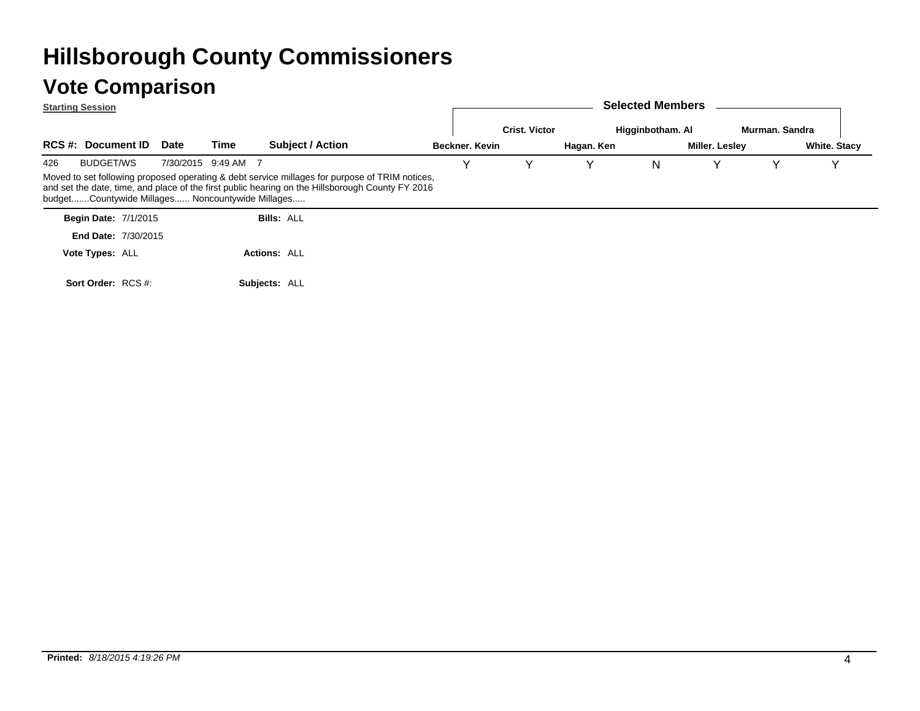|     | <b>Starting Session</b>     |                                                  |                     |               |                                                                                                                       |                       |                      |            | <b>Selected Members</b> |                |                |                     |
|-----|-----------------------------|--------------------------------------------------|---------------------|---------------|-----------------------------------------------------------------------------------------------------------------------|-----------------------|----------------------|------------|-------------------------|----------------|----------------|---------------------|
|     |                             |                                                  |                     |               |                                                                                                                       |                       | <b>Crist. Victor</b> |            | Higginbotham. Al        |                | Murman, Sandra |                     |
|     | <b>RCS #: Document ID</b>   | <b>Date</b>                                      | Time                |               | <b>Subject / Action</b>                                                                                               | <b>Beckner, Kevin</b> |                      | Hagan. Ken |                         | Miller. Lesley |                | <b>White. Stacy</b> |
| 426 | <b>BUDGET/WS</b>            |                                                  | 7/30/2015 9:49 AM 7 |               |                                                                                                                       |                       |                      |            | N                       | Y              | Y              |                     |
|     | <b>Begin Date: 7/1/2015</b> | budgetCountywide Millages Noncountywide Millages |                     |               | and set the date, time, and place of the first public hearing on the Hillsborough County FY 2016<br><b>Bills: ALL</b> |                       |                      |            |                         |                |                |                     |
|     | End Date: 7/30/2015         |                                                  |                     |               |                                                                                                                       |                       |                      |            |                         |                |                |                     |
|     | Vote Types: ALL             |                                                  |                     |               | <b>Actions: ALL</b>                                                                                                   |                       |                      |            |                         |                |                |                     |
|     | Sort Order: RCS #:          |                                                  |                     | Subiects: ALL |                                                                                                                       |                       |                      |            |                         |                |                |                     |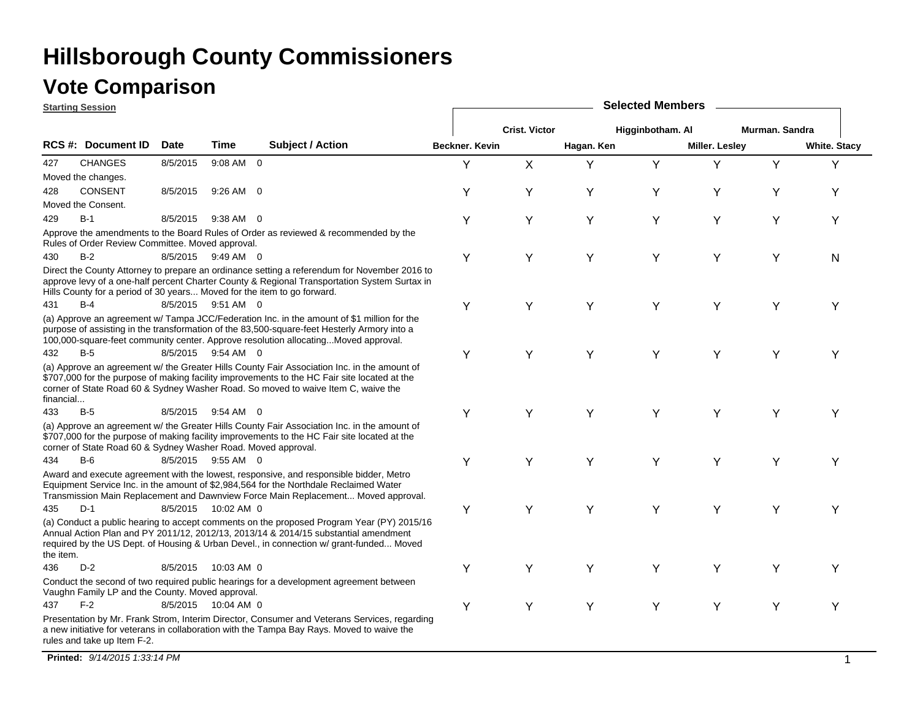### **Vote Comparison**

|           | <b>Starting Session</b>                                                                                                                                                                                                                                                                                                                                                                                                                                                                                                                                                                                                                                                                                                                                                                                                                                                                                                                                                                                                                                                                                                                                                                                                                                                                                                                                                                                                                                                                                                                                                                                                                                                                                                                                                                                                                                                                                                                                                                                                                                                                                                                                                                                                                                                                                                                                                                                                                                                                                                                                                                                                                                                                                                                                                                                                                                                                                                                                                                                                                                                                                                                                                                                                               |  |  | <b>Selected Members</b> |                      |  |  |  |  |  |  |
|-----------|---------------------------------------------------------------------------------------------------------------------------------------------------------------------------------------------------------------------------------------------------------------------------------------------------------------------------------------------------------------------------------------------------------------------------------------------------------------------------------------------------------------------------------------------------------------------------------------------------------------------------------------------------------------------------------------------------------------------------------------------------------------------------------------------------------------------------------------------------------------------------------------------------------------------------------------------------------------------------------------------------------------------------------------------------------------------------------------------------------------------------------------------------------------------------------------------------------------------------------------------------------------------------------------------------------------------------------------------------------------------------------------------------------------------------------------------------------------------------------------------------------------------------------------------------------------------------------------------------------------------------------------------------------------------------------------------------------------------------------------------------------------------------------------------------------------------------------------------------------------------------------------------------------------------------------------------------------------------------------------------------------------------------------------------------------------------------------------------------------------------------------------------------------------------------------------------------------------------------------------------------------------------------------------------------------------------------------------------------------------------------------------------------------------------------------------------------------------------------------------------------------------------------------------------------------------------------------------------------------------------------------------------------------------------------------------------------------------------------------------------------------------------------------------------------------------------------------------------------------------------------------------------------------------------------------------------------------------------------------------------------------------------------------------------------------------------------------------------------------------------------------------------------------------------------------------------------------------------------------------|--|--|-------------------------|----------------------|--|--|--|--|--|--|
|           |                                                                                                                                                                                                                                                                                                                                                                                                                                                                                                                                                                                                                                                                                                                                                                                                                                                                                                                                                                                                                                                                                                                                                                                                                                                                                                                                                                                                                                                                                                                                                                                                                                                                                                                                                                                                                                                                                                                                                                                                                                                                                                                                                                                                                                                                                                                                                                                                                                                                                                                                                                                                                                                                                                                                                                                                                                                                                                                                                                                                                                                                                                                                                                                                                                       |  |  |                         | <b>Crist. Victor</b> |  |  |  |  |  |  |
|           | Higginbotham. Al<br>Murman. Sandra<br><b>RCS #: Document ID</b><br><b>Date</b><br>Time<br><b>Subject / Action</b><br><b>Beckner, Kevin</b><br>Hagan. Ken<br>Miller. Lesley<br><b>White. Stacy</b><br><b>CHANGES</b><br>9:08 AM 0<br>X<br>Y<br>8/5/2015<br>Y<br>Υ<br>Y<br>Y<br>Y<br>Moved the changes.<br><b>CONSENT</b><br>8/5/2015<br>9:26 AM 0<br>Y<br>Υ<br>Y<br>Y<br>Υ<br>Υ<br>Y<br>Moved the Consent.<br>$B-1$<br>8/5/2015<br>$9:38$ AM 0<br>Υ<br>Υ<br>Υ<br>Y<br>Υ<br>Υ<br>Y<br>Approve the amendments to the Board Rules of Order as reviewed & recommended by the<br>Rules of Order Review Committee. Moved approval.<br>$B-2$<br>8/5/2015 9:49 AM 0<br>Y<br>Y<br>Y<br>Y<br>Y<br>Y<br>N<br>Direct the County Attorney to prepare an ordinance setting a referendum for November 2016 to<br>approve levy of a one-half percent Charter County & Regional Transportation System Surtax in<br>Hills County for a period of 30 years Moved for the item to go forward.<br>$B-4$<br>8/5/2015 9:51 AM 0<br>Y<br>Y<br>Y<br>Y<br>Y<br>Υ<br>Y<br>(a) Approve an agreement w/ Tampa JCC/Federation Inc. in the amount of \$1 million for the<br>purpose of assisting in the transformation of the 83,500-square-feet Hesterly Armory into a<br>100,000-square-feet community center. Approve resolution allocatingMoved approval.<br>$B-5$<br>8/5/2015 9:54 AM 0<br>Y<br>Y<br>Y<br>Y<br>Y<br>Υ<br>Y<br>(a) Approve an agreement w/ the Greater Hills County Fair Association Inc. in the amount of<br>\$707,000 for the purpose of making facility improvements to the HC Fair site located at the<br>corner of State Road 60 & Sydney Washer Road. So moved to waive Item C, waive the<br>$B-5$<br>8/5/2015 9:54 AM 0<br>Y<br>Y<br>Y<br>Y<br>Y<br>Υ<br>Y<br>(a) Approve an agreement w/ the Greater Hills County Fair Association Inc. in the amount of<br>\$707,000 for the purpose of making facility improvements to the HC Fair site located at the<br>corner of State Road 60 & Sydney Washer Road. Moved approval.<br>$B-6$<br>8/5/2015 9:55 AM 0<br>Y<br>Y<br>Υ<br>Υ<br>Y<br>Υ<br>Υ<br>Award and execute agreement with the lowest, responsive, and responsible bidder, Metro<br>Equipment Service Inc. in the amount of \$2,984,564 for the Northdale Reclaimed Water<br>Transmission Main Replacement and Dawnview Force Main Replacement Moved approval.<br>$D-1$<br>Υ<br>Υ<br>Y<br>8/5/2015 10:02 AM 0<br>Υ<br>Y<br>Y<br>Y<br>(a) Conduct a public hearing to accept comments on the proposed Program Year (PY) 2015/16<br>Annual Action Plan and PY 2011/12, 2012/13, 2013/14 & 2014/15 substantial amendment<br>required by the US Dept. of Housing & Urban Devel., in connection w/ grant-funded Moved<br>$D-2$<br>8/5/2015<br>Y<br>Υ<br>Υ<br>10:03 AM 0<br>Υ<br>Υ<br>Υ<br>Υ<br>Conduct the second of two required public hearings for a development agreement between<br>Vaughn Family LP and the County. Moved approval.<br>$F-2$<br>8/5/2015 10:04 AM 0<br>Υ<br>Υ<br>Υ<br>Υ<br>Y<br>Y<br>Υ<br>Presentation by Mr. Frank Strom, Interim Director, Consumer and Veterans Services, regarding<br>a new initiative for veterans in collaboration with the Tampa Bay Rays. Moved to waive the<br>rules and take up Item F-2. |  |  |                         |                      |  |  |  |  |  |  |
| 427       |                                                                                                                                                                                                                                                                                                                                                                                                                                                                                                                                                                                                                                                                                                                                                                                                                                                                                                                                                                                                                                                                                                                                                                                                                                                                                                                                                                                                                                                                                                                                                                                                                                                                                                                                                                                                                                                                                                                                                                                                                                                                                                                                                                                                                                                                                                                                                                                                                                                                                                                                                                                                                                                                                                                                                                                                                                                                                                                                                                                                                                                                                                                                                                                                                                       |  |  |                         |                      |  |  |  |  |  |  |
|           |                                                                                                                                                                                                                                                                                                                                                                                                                                                                                                                                                                                                                                                                                                                                                                                                                                                                                                                                                                                                                                                                                                                                                                                                                                                                                                                                                                                                                                                                                                                                                                                                                                                                                                                                                                                                                                                                                                                                                                                                                                                                                                                                                                                                                                                                                                                                                                                                                                                                                                                                                                                                                                                                                                                                                                                                                                                                                                                                                                                                                                                                                                                                                                                                                                       |  |  |                         |                      |  |  |  |  |  |  |
| 428       |                                                                                                                                                                                                                                                                                                                                                                                                                                                                                                                                                                                                                                                                                                                                                                                                                                                                                                                                                                                                                                                                                                                                                                                                                                                                                                                                                                                                                                                                                                                                                                                                                                                                                                                                                                                                                                                                                                                                                                                                                                                                                                                                                                                                                                                                                                                                                                                                                                                                                                                                                                                                                                                                                                                                                                                                                                                                                                                                                                                                                                                                                                                                                                                                                                       |  |  |                         |                      |  |  |  |  |  |  |
|           |                                                                                                                                                                                                                                                                                                                                                                                                                                                                                                                                                                                                                                                                                                                                                                                                                                                                                                                                                                                                                                                                                                                                                                                                                                                                                                                                                                                                                                                                                                                                                                                                                                                                                                                                                                                                                                                                                                                                                                                                                                                                                                                                                                                                                                                                                                                                                                                                                                                                                                                                                                                                                                                                                                                                                                                                                                                                                                                                                                                                                                                                                                                                                                                                                                       |  |  |                         |                      |  |  |  |  |  |  |
| 429       |                                                                                                                                                                                                                                                                                                                                                                                                                                                                                                                                                                                                                                                                                                                                                                                                                                                                                                                                                                                                                                                                                                                                                                                                                                                                                                                                                                                                                                                                                                                                                                                                                                                                                                                                                                                                                                                                                                                                                                                                                                                                                                                                                                                                                                                                                                                                                                                                                                                                                                                                                                                                                                                                                                                                                                                                                                                                                                                                                                                                                                                                                                                                                                                                                                       |  |  |                         |                      |  |  |  |  |  |  |
|           |                                                                                                                                                                                                                                                                                                                                                                                                                                                                                                                                                                                                                                                                                                                                                                                                                                                                                                                                                                                                                                                                                                                                                                                                                                                                                                                                                                                                                                                                                                                                                                                                                                                                                                                                                                                                                                                                                                                                                                                                                                                                                                                                                                                                                                                                                                                                                                                                                                                                                                                                                                                                                                                                                                                                                                                                                                                                                                                                                                                                                                                                                                                                                                                                                                       |  |  |                         |                      |  |  |  |  |  |  |
| 430       |                                                                                                                                                                                                                                                                                                                                                                                                                                                                                                                                                                                                                                                                                                                                                                                                                                                                                                                                                                                                                                                                                                                                                                                                                                                                                                                                                                                                                                                                                                                                                                                                                                                                                                                                                                                                                                                                                                                                                                                                                                                                                                                                                                                                                                                                                                                                                                                                                                                                                                                                                                                                                                                                                                                                                                                                                                                                                                                                                                                                                                                                                                                                                                                                                                       |  |  |                         |                      |  |  |  |  |  |  |
|           |                                                                                                                                                                                                                                                                                                                                                                                                                                                                                                                                                                                                                                                                                                                                                                                                                                                                                                                                                                                                                                                                                                                                                                                                                                                                                                                                                                                                                                                                                                                                                                                                                                                                                                                                                                                                                                                                                                                                                                                                                                                                                                                                                                                                                                                                                                                                                                                                                                                                                                                                                                                                                                                                                                                                                                                                                                                                                                                                                                                                                                                                                                                                                                                                                                       |  |  |                         |                      |  |  |  |  |  |  |
| 431       |                                                                                                                                                                                                                                                                                                                                                                                                                                                                                                                                                                                                                                                                                                                                                                                                                                                                                                                                                                                                                                                                                                                                                                                                                                                                                                                                                                                                                                                                                                                                                                                                                                                                                                                                                                                                                                                                                                                                                                                                                                                                                                                                                                                                                                                                                                                                                                                                                                                                                                                                                                                                                                                                                                                                                                                                                                                                                                                                                                                                                                                                                                                                                                                                                                       |  |  |                         |                      |  |  |  |  |  |  |
|           |                                                                                                                                                                                                                                                                                                                                                                                                                                                                                                                                                                                                                                                                                                                                                                                                                                                                                                                                                                                                                                                                                                                                                                                                                                                                                                                                                                                                                                                                                                                                                                                                                                                                                                                                                                                                                                                                                                                                                                                                                                                                                                                                                                                                                                                                                                                                                                                                                                                                                                                                                                                                                                                                                                                                                                                                                                                                                                                                                                                                                                                                                                                                                                                                                                       |  |  |                         |                      |  |  |  |  |  |  |
| 432       |                                                                                                                                                                                                                                                                                                                                                                                                                                                                                                                                                                                                                                                                                                                                                                                                                                                                                                                                                                                                                                                                                                                                                                                                                                                                                                                                                                                                                                                                                                                                                                                                                                                                                                                                                                                                                                                                                                                                                                                                                                                                                                                                                                                                                                                                                                                                                                                                                                                                                                                                                                                                                                                                                                                                                                                                                                                                                                                                                                                                                                                                                                                                                                                                                                       |  |  |                         |                      |  |  |  |  |  |  |
| financial |                                                                                                                                                                                                                                                                                                                                                                                                                                                                                                                                                                                                                                                                                                                                                                                                                                                                                                                                                                                                                                                                                                                                                                                                                                                                                                                                                                                                                                                                                                                                                                                                                                                                                                                                                                                                                                                                                                                                                                                                                                                                                                                                                                                                                                                                                                                                                                                                                                                                                                                                                                                                                                                                                                                                                                                                                                                                                                                                                                                                                                                                                                                                                                                                                                       |  |  |                         |                      |  |  |  |  |  |  |
| 433       |                                                                                                                                                                                                                                                                                                                                                                                                                                                                                                                                                                                                                                                                                                                                                                                                                                                                                                                                                                                                                                                                                                                                                                                                                                                                                                                                                                                                                                                                                                                                                                                                                                                                                                                                                                                                                                                                                                                                                                                                                                                                                                                                                                                                                                                                                                                                                                                                                                                                                                                                                                                                                                                                                                                                                                                                                                                                                                                                                                                                                                                                                                                                                                                                                                       |  |  |                         |                      |  |  |  |  |  |  |
|           |                                                                                                                                                                                                                                                                                                                                                                                                                                                                                                                                                                                                                                                                                                                                                                                                                                                                                                                                                                                                                                                                                                                                                                                                                                                                                                                                                                                                                                                                                                                                                                                                                                                                                                                                                                                                                                                                                                                                                                                                                                                                                                                                                                                                                                                                                                                                                                                                                                                                                                                                                                                                                                                                                                                                                                                                                                                                                                                                                                                                                                                                                                                                                                                                                                       |  |  |                         |                      |  |  |  |  |  |  |
| 434       |                                                                                                                                                                                                                                                                                                                                                                                                                                                                                                                                                                                                                                                                                                                                                                                                                                                                                                                                                                                                                                                                                                                                                                                                                                                                                                                                                                                                                                                                                                                                                                                                                                                                                                                                                                                                                                                                                                                                                                                                                                                                                                                                                                                                                                                                                                                                                                                                                                                                                                                                                                                                                                                                                                                                                                                                                                                                                                                                                                                                                                                                                                                                                                                                                                       |  |  |                         |                      |  |  |  |  |  |  |
|           |                                                                                                                                                                                                                                                                                                                                                                                                                                                                                                                                                                                                                                                                                                                                                                                                                                                                                                                                                                                                                                                                                                                                                                                                                                                                                                                                                                                                                                                                                                                                                                                                                                                                                                                                                                                                                                                                                                                                                                                                                                                                                                                                                                                                                                                                                                                                                                                                                                                                                                                                                                                                                                                                                                                                                                                                                                                                                                                                                                                                                                                                                                                                                                                                                                       |  |  |                         |                      |  |  |  |  |  |  |
| 435       |                                                                                                                                                                                                                                                                                                                                                                                                                                                                                                                                                                                                                                                                                                                                                                                                                                                                                                                                                                                                                                                                                                                                                                                                                                                                                                                                                                                                                                                                                                                                                                                                                                                                                                                                                                                                                                                                                                                                                                                                                                                                                                                                                                                                                                                                                                                                                                                                                                                                                                                                                                                                                                                                                                                                                                                                                                                                                                                                                                                                                                                                                                                                                                                                                                       |  |  |                         |                      |  |  |  |  |  |  |
| the item. |                                                                                                                                                                                                                                                                                                                                                                                                                                                                                                                                                                                                                                                                                                                                                                                                                                                                                                                                                                                                                                                                                                                                                                                                                                                                                                                                                                                                                                                                                                                                                                                                                                                                                                                                                                                                                                                                                                                                                                                                                                                                                                                                                                                                                                                                                                                                                                                                                                                                                                                                                                                                                                                                                                                                                                                                                                                                                                                                                                                                                                                                                                                                                                                                                                       |  |  |                         |                      |  |  |  |  |  |  |
| 436       |                                                                                                                                                                                                                                                                                                                                                                                                                                                                                                                                                                                                                                                                                                                                                                                                                                                                                                                                                                                                                                                                                                                                                                                                                                                                                                                                                                                                                                                                                                                                                                                                                                                                                                                                                                                                                                                                                                                                                                                                                                                                                                                                                                                                                                                                                                                                                                                                                                                                                                                                                                                                                                                                                                                                                                                                                                                                                                                                                                                                                                                                                                                                                                                                                                       |  |  |                         |                      |  |  |  |  |  |  |
|           |                                                                                                                                                                                                                                                                                                                                                                                                                                                                                                                                                                                                                                                                                                                                                                                                                                                                                                                                                                                                                                                                                                                                                                                                                                                                                                                                                                                                                                                                                                                                                                                                                                                                                                                                                                                                                                                                                                                                                                                                                                                                                                                                                                                                                                                                                                                                                                                                                                                                                                                                                                                                                                                                                                                                                                                                                                                                                                                                                                                                                                                                                                                                                                                                                                       |  |  |                         |                      |  |  |  |  |  |  |
| 437       |                                                                                                                                                                                                                                                                                                                                                                                                                                                                                                                                                                                                                                                                                                                                                                                                                                                                                                                                                                                                                                                                                                                                                                                                                                                                                                                                                                                                                                                                                                                                                                                                                                                                                                                                                                                                                                                                                                                                                                                                                                                                                                                                                                                                                                                                                                                                                                                                                                                                                                                                                                                                                                                                                                                                                                                                                                                                                                                                                                                                                                                                                                                                                                                                                                       |  |  |                         |                      |  |  |  |  |  |  |
|           |                                                                                                                                                                                                                                                                                                                                                                                                                                                                                                                                                                                                                                                                                                                                                                                                                                                                                                                                                                                                                                                                                                                                                                                                                                                                                                                                                                                                                                                                                                                                                                                                                                                                                                                                                                                                                                                                                                                                                                                                                                                                                                                                                                                                                                                                                                                                                                                                                                                                                                                                                                                                                                                                                                                                                                                                                                                                                                                                                                                                                                                                                                                                                                                                                                       |  |  |                         |                      |  |  |  |  |  |  |

**Printed:** *9/14/2015 1:33:14 PM* $\blacksquare$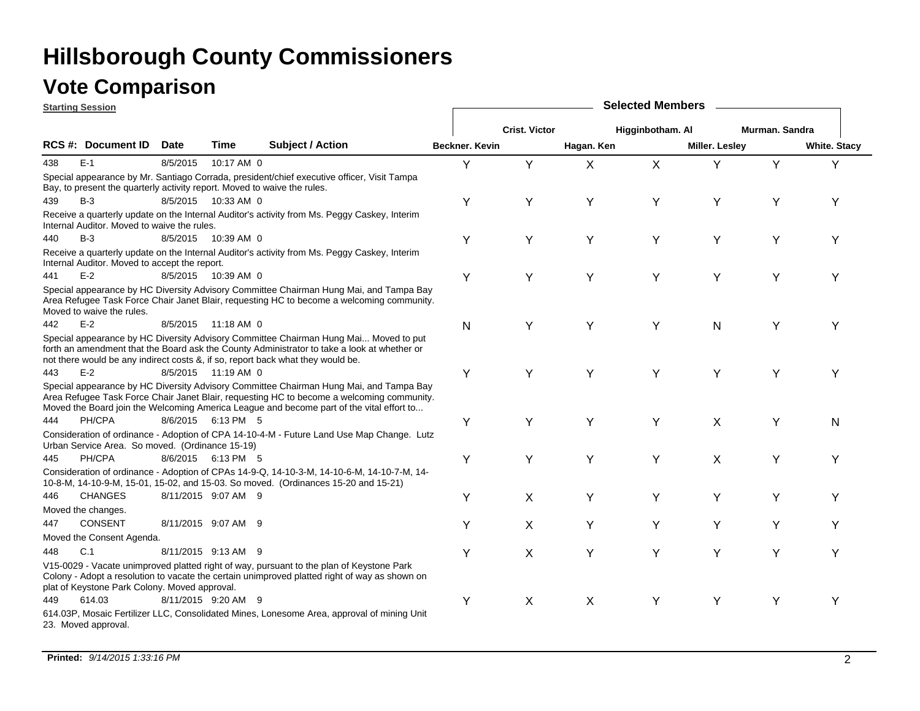|     | <b>Starting Session</b>                                                  |             |                      |                                                                                                                                                                                                                                                                                 |                | <b>Selected Members</b> |            |                  |                |                |                     |  |  |
|-----|--------------------------------------------------------------------------|-------------|----------------------|---------------------------------------------------------------------------------------------------------------------------------------------------------------------------------------------------------------------------------------------------------------------------------|----------------|-------------------------|------------|------------------|----------------|----------------|---------------------|--|--|
|     |                                                                          |             |                      |                                                                                                                                                                                                                                                                                 |                | <b>Crist. Victor</b>    |            | Higginbotham. Al |                | Murman, Sandra |                     |  |  |
|     | RCS #: Document ID                                                       | <b>Date</b> | <b>Time</b>          | <b>Subject / Action</b>                                                                                                                                                                                                                                                         | Beckner. Kevin |                         | Hagan. Ken |                  | Miller. Lesley |                | <b>White. Stacy</b> |  |  |
| 438 | $E-1$                                                                    | 8/5/2015    | 10:17 AM 0           |                                                                                                                                                                                                                                                                                 | Y              | Y                       | X          | X                | Y              | Υ              | Y                   |  |  |
|     | Bay, to present the quarterly activity report. Moved to waive the rules. |             |                      | Special appearance by Mr. Santiago Corrada, president/chief executive officer, Visit Tampa                                                                                                                                                                                      |                |                         |            |                  |                |                |                     |  |  |
| 439 | $B-3$                                                                    |             | 8/5/2015  10:33 AM 0 |                                                                                                                                                                                                                                                                                 | Y              | Y                       | Υ          | Υ                | Y              | Y              | Υ                   |  |  |
|     | Internal Auditor. Moved to waive the rules.                              |             |                      | Receive a quarterly update on the Internal Auditor's activity from Ms. Peggy Caskey, Interim                                                                                                                                                                                    |                |                         |            |                  |                |                |                     |  |  |
| 440 | $B-3$                                                                    |             | 8/5/2015  10:39 AM 0 |                                                                                                                                                                                                                                                                                 | Υ              | Υ                       | Υ          | Υ                | Υ              | Y              | Υ                   |  |  |
|     | Internal Auditor. Moved to accept the report.                            |             |                      | Receive a quarterly update on the Internal Auditor's activity from Ms. Peggy Caskey, Interim                                                                                                                                                                                    |                |                         |            |                  |                |                |                     |  |  |
| 441 | $E-2$                                                                    |             | 8/5/2015 10:39 AM 0  |                                                                                                                                                                                                                                                                                 | Y              | Υ                       | Y          | Υ                | Υ              | Y              | Υ                   |  |  |
|     | Moved to waive the rules.                                                |             |                      | Special appearance by HC Diversity Advisory Committee Chairman Hung Mai, and Tampa Bay<br>Area Refugee Task Force Chair Janet Blair, requesting HC to become a welcoming community.                                                                                             |                |                         |            |                  |                |                |                     |  |  |
| 442 | $E-2$                                                                    |             | 8/5/2015 11:18 AM 0  |                                                                                                                                                                                                                                                                                 | $\mathsf{N}$   | Υ                       | Υ          | Υ                | N              | Υ              | Y                   |  |  |
|     |                                                                          |             |                      | Special appearance by HC Diversity Advisory Committee Chairman Hung Mai Moved to put<br>forth an amendment that the Board ask the County Administrator to take a look at whether or<br>not there would be any indirect costs &, if so, report back what they would be.          |                |                         |            |                  |                |                |                     |  |  |
| 443 | $E-2$                                                                    |             | 8/5/2015 11:19 AM 0  |                                                                                                                                                                                                                                                                                 | Y              | Y                       | Y          | Y                | Y              | Y              | Υ                   |  |  |
|     |                                                                          |             |                      | Special appearance by HC Diversity Advisory Committee Chairman Hung Mai, and Tampa Bay<br>Area Refugee Task Force Chair Janet Blair, requesting HC to become a welcoming community.<br>Moved the Board join the Welcoming America League and become part of the vital effort to |                |                         |            |                  |                |                |                     |  |  |
| 444 | PH/CPA                                                                   |             | 8/6/2015 6:13 PM 5   |                                                                                                                                                                                                                                                                                 | Υ              | Υ                       | Υ          | Υ                | X              | Υ              | N                   |  |  |
|     | Urban Service Area. So moved. (Ordinance 15-19)                          |             |                      | Consideration of ordinance - Adoption of CPA 14-10-4-M - Future Land Use Map Change. Lutz                                                                                                                                                                                       |                |                         |            |                  |                |                |                     |  |  |
| 445 | PH/CPA                                                                   |             | 8/6/2015 6:13 PM 5   |                                                                                                                                                                                                                                                                                 | Y              | Y                       | Y          | Υ                | X              | Y              | Y                   |  |  |
|     |                                                                          |             |                      | Consideration of ordinance - Adoption of CPAs 14-9-Q, 14-10-3-M, 14-10-6-M, 14-10-7-M, 14-<br>10-8-M, 14-10-9-M, 15-01, 15-02, and 15-03. So moved. (Ordinances 15-20 and 15-21)                                                                                                |                |                         |            |                  |                |                |                     |  |  |
| 446 | <b>CHANGES</b>                                                           |             | 8/11/2015 9:07 AM 9  |                                                                                                                                                                                                                                                                                 | Y              | X                       | Υ          | Υ                | Y              | Y              | Υ                   |  |  |
|     | Moved the changes.                                                       |             |                      |                                                                                                                                                                                                                                                                                 |                |                         |            |                  |                |                |                     |  |  |
| 447 | <b>CONSENT</b>                                                           |             | 8/11/2015 9:07 AM 9  |                                                                                                                                                                                                                                                                                 | Υ              | X                       | Υ          | Y                | Y              | Y              | Y                   |  |  |
|     | Moved the Consent Agenda.                                                |             |                      |                                                                                                                                                                                                                                                                                 |                |                         |            |                  |                |                |                     |  |  |
| 448 | C.1                                                                      |             | 8/11/2015 9:13 AM 9  |                                                                                                                                                                                                                                                                                 | Y              | $\mathsf{X}$            | Υ          | Y                | Y              | Y              | Y                   |  |  |
|     | plat of Keystone Park Colony. Moved approval.                            |             |                      | V15-0029 - Vacate unimproved platted right of way, pursuant to the plan of Keystone Park<br>Colony - Adopt a resolution to vacate the certain unimproved platted right of way as shown on                                                                                       |                |                         |            |                  |                |                |                     |  |  |
| 449 | 614.03                                                                   |             | 8/11/2015 9:20 AM 9  |                                                                                                                                                                                                                                                                                 | Y              | X                       | X          | Y                | Y              | Y              | Υ                   |  |  |
|     | 23. Moved approval.                                                      |             |                      | 614.03P, Mosaic Fertilizer LLC, Consolidated Mines, Lonesome Area, approval of mining Unit                                                                                                                                                                                      |                |                         |            |                  |                |                |                     |  |  |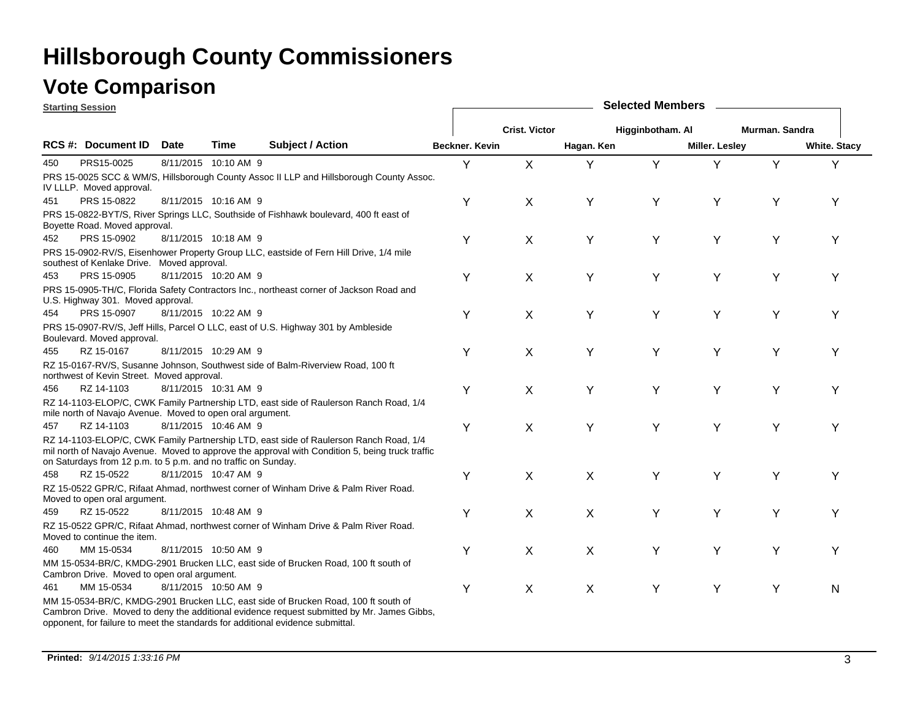### **Vote Comparison**

**Starting Session**

|     | <u>starting session</u>                                                                                                                                                                                                                                                                                                                                                                                                                                                                                                                                                                                                                                                                                                                                                                                                                                                                                                                                                                                                                                                                                                                                                                                                                                                                                                                                                                                                                                                                                                                                                                                                                                                                                                                                                                                                                                                                                                                                                                                                                                                                                                                                                                                                                                                                                                                                                                                                                                                                                                                                                                                                                                                                                             |             |      |                         |                       |                      |            | <b>OVIGOLOG INIGHTING</b> |                |                |                     |
|-----|---------------------------------------------------------------------------------------------------------------------------------------------------------------------------------------------------------------------------------------------------------------------------------------------------------------------------------------------------------------------------------------------------------------------------------------------------------------------------------------------------------------------------------------------------------------------------------------------------------------------------------------------------------------------------------------------------------------------------------------------------------------------------------------------------------------------------------------------------------------------------------------------------------------------------------------------------------------------------------------------------------------------------------------------------------------------------------------------------------------------------------------------------------------------------------------------------------------------------------------------------------------------------------------------------------------------------------------------------------------------------------------------------------------------------------------------------------------------------------------------------------------------------------------------------------------------------------------------------------------------------------------------------------------------------------------------------------------------------------------------------------------------------------------------------------------------------------------------------------------------------------------------------------------------------------------------------------------------------------------------------------------------------------------------------------------------------------------------------------------------------------------------------------------------------------------------------------------------------------------------------------------------------------------------------------------------------------------------------------------------------------------------------------------------------------------------------------------------------------------------------------------------------------------------------------------------------------------------------------------------------------------------------------------------------------------------------------------------|-------------|------|-------------------------|-----------------------|----------------------|------------|---------------------------|----------------|----------------|---------------------|
|     |                                                                                                                                                                                                                                                                                                                                                                                                                                                                                                                                                                                                                                                                                                                                                                                                                                                                                                                                                                                                                                                                                                                                                                                                                                                                                                                                                                                                                                                                                                                                                                                                                                                                                                                                                                                                                                                                                                                                                                                                                                                                                                                                                                                                                                                                                                                                                                                                                                                                                                                                                                                                                                                                                                                     |             |      |                         |                       | <b>Crist. Victor</b> |            | Higginbotham. Al          |                | Murman. Sandra |                     |
|     | <b>RCS #: Document ID</b>                                                                                                                                                                                                                                                                                                                                                                                                                                                                                                                                                                                                                                                                                                                                                                                                                                                                                                                                                                                                                                                                                                                                                                                                                                                                                                                                                                                                                                                                                                                                                                                                                                                                                                                                                                                                                                                                                                                                                                                                                                                                                                                                                                                                                                                                                                                                                                                                                                                                                                                                                                                                                                                                                           | <b>Date</b> | Time | <b>Subject / Action</b> | <b>Beckner, Kevin</b> |                      | Hagan. Ken |                           | Miller. Lesley |                | <b>White. Stacy</b> |
| 450 | PRS15-0025                                                                                                                                                                                                                                                                                                                                                                                                                                                                                                                                                                                                                                                                                                                                                                                                                                                                                                                                                                                                                                                                                                                                                                                                                                                                                                                                                                                                                                                                                                                                                                                                                                                                                                                                                                                                                                                                                                                                                                                                                                                                                                                                                                                                                                                                                                                                                                                                                                                                                                                                                                                                                                                                                                          |             |      |                         | Υ                     | $\mathsf{X}$         | Y          | Y                         | Y              | Y              | Y                   |
|     |                                                                                                                                                                                                                                                                                                                                                                                                                                                                                                                                                                                                                                                                                                                                                                                                                                                                                                                                                                                                                                                                                                                                                                                                                                                                                                                                                                                                                                                                                                                                                                                                                                                                                                                                                                                                                                                                                                                                                                                                                                                                                                                                                                                                                                                                                                                                                                                                                                                                                                                                                                                                                                                                                                                     |             |      |                         |                       |                      |            |                           |                |                |                     |
| 451 | 8/11/2015 10:10 AM 9<br>PRS 15-0025 SCC & WM/S, Hillsborough County Assoc II LLP and Hillsborough County Assoc.<br>IV LLLP. Moved approval.<br>PRS 15-0822<br>8/11/2015 10:16 AM 9<br>Υ<br>X<br>Y<br>Υ<br>Y<br>Υ<br>Y<br>PRS 15-0822-BYT/S, River Springs LLC, Southside of Fishhawk boulevard, 400 ft east of<br>Boyette Road. Moved approval.<br>PRS 15-0902<br>8/11/2015 10:18 AM 9<br>Υ<br>X<br>Υ<br>Υ<br>Υ<br>Υ<br>Υ<br>PRS 15-0902-RV/S, Eisenhower Property Group LLC, eastside of Fern Hill Drive, 1/4 mile<br>southest of Kenlake Drive. Moved approval.<br>PRS 15-0905<br>8/11/2015 10:20 AM 9<br>X<br>Y<br>Y<br>Υ<br>Y<br>Υ<br>Y<br>PRS 15-0905-TH/C, Florida Safety Contractors Inc., northeast corner of Jackson Road and<br>U.S. Highway 301. Moved approval.<br>PRS 15-0907<br>8/11/2015 10:22 AM 9<br>X<br>Y<br>Y<br>Y<br>Y<br>Y<br>Y<br>PRS 15-0907-RV/S, Jeff Hills, Parcel O LLC, east of U.S. Highway 301 by Ambleside<br>Boulevard. Moved approval.<br>RZ 15-0167<br>8/11/2015 10:29 AM 9<br>Y<br>Υ<br>X<br>Υ<br>Υ<br>Y<br>Υ<br>RZ 15-0167-RV/S, Susanne Johnson, Southwest side of Balm-Riverview Road, 100 ft<br>northwest of Kevin Street. Moved approval.<br>RZ 14-1103<br>8/11/2015 10:31 AM 9<br>Υ<br>X<br>Υ<br>Υ<br>Y<br>Υ<br>Υ<br>RZ 14-1103-ELOP/C, CWK Family Partnership LTD, east side of Raulerson Ranch Road, 1/4<br>mile north of Navajo Avenue. Moved to open oral argument.<br>RZ 14-1103<br>8/11/2015 10:46 AM 9<br>Y<br>X<br>Y<br>Y<br>Υ<br>Y<br>Υ<br>RZ 14-1103-ELOP/C, CWK Family Partnership LTD, east side of Raulerson Ranch Road, 1/4<br>mil north of Navajo Avenue. Moved to approve the approval with Condition 5, being truck traffic<br>on Saturdays from 12 p.m. to 5 p.m. and no traffic on Sunday.<br>RZ 15-0522<br>8/11/2015 10:47 AM 9<br>Υ<br>X<br>X<br>Y<br>Y<br>Y<br>Υ<br>RZ 15-0522 GPR/C, Rifaat Ahmad, northwest corner of Winham Drive & Palm River Road.<br>Moved to open oral argument.<br>RZ 15-0522<br>8/11/2015 10:48 AM 9<br>Υ<br>X<br>X<br>Υ<br>Υ<br>Υ<br>Υ<br>RZ 15-0522 GPR/C, Rifaat Ahmad, northwest corner of Winham Drive & Palm River Road.<br>Moved to continue the item.<br>MM 15-0534<br>8/11/2015 10:50 AM 9<br>Υ<br>X<br>Y<br>Υ<br>Y<br>Υ<br>X<br>MM 15-0534-BR/C, KMDG-2901 Brucken LLC, east side of Brucken Road, 100 ft south of<br>Cambron Drive. Moved to open oral argument.<br>MM 15-0534<br>8/11/2015 10:50 AM 9<br>Υ<br>X<br>X<br>Υ<br>Y<br>Υ<br>N<br>MM 15-0534-BR/C, KMDG-2901 Brucken LLC, east side of Brucken Road, 100 ft south of<br>Cambron Drive. Moved to deny the additional evidence request submitted by Mr. James Gibbs,<br>opponent, for failure to meet the standards for additional evidence submittal. |             |      |                         |                       |                      |            |                           |                |                |                     |
|     |                                                                                                                                                                                                                                                                                                                                                                                                                                                                                                                                                                                                                                                                                                                                                                                                                                                                                                                                                                                                                                                                                                                                                                                                                                                                                                                                                                                                                                                                                                                                                                                                                                                                                                                                                                                                                                                                                                                                                                                                                                                                                                                                                                                                                                                                                                                                                                                                                                                                                                                                                                                                                                                                                                                     |             |      |                         |                       |                      |            |                           |                |                |                     |
| 452 |                                                                                                                                                                                                                                                                                                                                                                                                                                                                                                                                                                                                                                                                                                                                                                                                                                                                                                                                                                                                                                                                                                                                                                                                                                                                                                                                                                                                                                                                                                                                                                                                                                                                                                                                                                                                                                                                                                                                                                                                                                                                                                                                                                                                                                                                                                                                                                                                                                                                                                                                                                                                                                                                                                                     |             |      |                         |                       |                      |            |                           |                |                |                     |
|     |                                                                                                                                                                                                                                                                                                                                                                                                                                                                                                                                                                                                                                                                                                                                                                                                                                                                                                                                                                                                                                                                                                                                                                                                                                                                                                                                                                                                                                                                                                                                                                                                                                                                                                                                                                                                                                                                                                                                                                                                                                                                                                                                                                                                                                                                                                                                                                                                                                                                                                                                                                                                                                                                                                                     |             |      |                         |                       |                      |            |                           |                |                |                     |
| 453 |                                                                                                                                                                                                                                                                                                                                                                                                                                                                                                                                                                                                                                                                                                                                                                                                                                                                                                                                                                                                                                                                                                                                                                                                                                                                                                                                                                                                                                                                                                                                                                                                                                                                                                                                                                                                                                                                                                                                                                                                                                                                                                                                                                                                                                                                                                                                                                                                                                                                                                                                                                                                                                                                                                                     |             |      |                         |                       |                      |            |                           |                |                |                     |
|     |                                                                                                                                                                                                                                                                                                                                                                                                                                                                                                                                                                                                                                                                                                                                                                                                                                                                                                                                                                                                                                                                                                                                                                                                                                                                                                                                                                                                                                                                                                                                                                                                                                                                                                                                                                                                                                                                                                                                                                                                                                                                                                                                                                                                                                                                                                                                                                                                                                                                                                                                                                                                                                                                                                                     |             |      |                         |                       |                      |            |                           |                |                |                     |
| 454 |                                                                                                                                                                                                                                                                                                                                                                                                                                                                                                                                                                                                                                                                                                                                                                                                                                                                                                                                                                                                                                                                                                                                                                                                                                                                                                                                                                                                                                                                                                                                                                                                                                                                                                                                                                                                                                                                                                                                                                                                                                                                                                                                                                                                                                                                                                                                                                                                                                                                                                                                                                                                                                                                                                                     |             |      |                         |                       |                      |            |                           |                |                |                     |
|     |                                                                                                                                                                                                                                                                                                                                                                                                                                                                                                                                                                                                                                                                                                                                                                                                                                                                                                                                                                                                                                                                                                                                                                                                                                                                                                                                                                                                                                                                                                                                                                                                                                                                                                                                                                                                                                                                                                                                                                                                                                                                                                                                                                                                                                                                                                                                                                                                                                                                                                                                                                                                                                                                                                                     |             |      |                         |                       |                      |            |                           |                |                |                     |
| 455 |                                                                                                                                                                                                                                                                                                                                                                                                                                                                                                                                                                                                                                                                                                                                                                                                                                                                                                                                                                                                                                                                                                                                                                                                                                                                                                                                                                                                                                                                                                                                                                                                                                                                                                                                                                                                                                                                                                                                                                                                                                                                                                                                                                                                                                                                                                                                                                                                                                                                                                                                                                                                                                                                                                                     |             |      |                         |                       |                      |            |                           |                |                |                     |
|     |                                                                                                                                                                                                                                                                                                                                                                                                                                                                                                                                                                                                                                                                                                                                                                                                                                                                                                                                                                                                                                                                                                                                                                                                                                                                                                                                                                                                                                                                                                                                                                                                                                                                                                                                                                                                                                                                                                                                                                                                                                                                                                                                                                                                                                                                                                                                                                                                                                                                                                                                                                                                                                                                                                                     |             |      |                         |                       |                      |            |                           |                |                |                     |
| 456 |                                                                                                                                                                                                                                                                                                                                                                                                                                                                                                                                                                                                                                                                                                                                                                                                                                                                                                                                                                                                                                                                                                                                                                                                                                                                                                                                                                                                                                                                                                                                                                                                                                                                                                                                                                                                                                                                                                                                                                                                                                                                                                                                                                                                                                                                                                                                                                                                                                                                                                                                                                                                                                                                                                                     |             |      |                         |                       |                      |            |                           |                |                |                     |
|     |                                                                                                                                                                                                                                                                                                                                                                                                                                                                                                                                                                                                                                                                                                                                                                                                                                                                                                                                                                                                                                                                                                                                                                                                                                                                                                                                                                                                                                                                                                                                                                                                                                                                                                                                                                                                                                                                                                                                                                                                                                                                                                                                                                                                                                                                                                                                                                                                                                                                                                                                                                                                                                                                                                                     |             |      |                         |                       |                      |            |                           |                |                |                     |
| 457 |                                                                                                                                                                                                                                                                                                                                                                                                                                                                                                                                                                                                                                                                                                                                                                                                                                                                                                                                                                                                                                                                                                                                                                                                                                                                                                                                                                                                                                                                                                                                                                                                                                                                                                                                                                                                                                                                                                                                                                                                                                                                                                                                                                                                                                                                                                                                                                                                                                                                                                                                                                                                                                                                                                                     |             |      |                         |                       |                      |            |                           |                |                |                     |
|     |                                                                                                                                                                                                                                                                                                                                                                                                                                                                                                                                                                                                                                                                                                                                                                                                                                                                                                                                                                                                                                                                                                                                                                                                                                                                                                                                                                                                                                                                                                                                                                                                                                                                                                                                                                                                                                                                                                                                                                                                                                                                                                                                                                                                                                                                                                                                                                                                                                                                                                                                                                                                                                                                                                                     |             |      |                         |                       |                      |            |                           |                |                |                     |
| 458 |                                                                                                                                                                                                                                                                                                                                                                                                                                                                                                                                                                                                                                                                                                                                                                                                                                                                                                                                                                                                                                                                                                                                                                                                                                                                                                                                                                                                                                                                                                                                                                                                                                                                                                                                                                                                                                                                                                                                                                                                                                                                                                                                                                                                                                                                                                                                                                                                                                                                                                                                                                                                                                                                                                                     |             |      |                         |                       |                      |            |                           |                |                |                     |
|     |                                                                                                                                                                                                                                                                                                                                                                                                                                                                                                                                                                                                                                                                                                                                                                                                                                                                                                                                                                                                                                                                                                                                                                                                                                                                                                                                                                                                                                                                                                                                                                                                                                                                                                                                                                                                                                                                                                                                                                                                                                                                                                                                                                                                                                                                                                                                                                                                                                                                                                                                                                                                                                                                                                                     |             |      |                         |                       |                      |            |                           |                |                |                     |
| 459 |                                                                                                                                                                                                                                                                                                                                                                                                                                                                                                                                                                                                                                                                                                                                                                                                                                                                                                                                                                                                                                                                                                                                                                                                                                                                                                                                                                                                                                                                                                                                                                                                                                                                                                                                                                                                                                                                                                                                                                                                                                                                                                                                                                                                                                                                                                                                                                                                                                                                                                                                                                                                                                                                                                                     |             |      |                         |                       |                      |            |                           |                |                |                     |
|     |                                                                                                                                                                                                                                                                                                                                                                                                                                                                                                                                                                                                                                                                                                                                                                                                                                                                                                                                                                                                                                                                                                                                                                                                                                                                                                                                                                                                                                                                                                                                                                                                                                                                                                                                                                                                                                                                                                                                                                                                                                                                                                                                                                                                                                                                                                                                                                                                                                                                                                                                                                                                                                                                                                                     |             |      |                         |                       |                      |            |                           |                |                |                     |
| 460 |                                                                                                                                                                                                                                                                                                                                                                                                                                                                                                                                                                                                                                                                                                                                                                                                                                                                                                                                                                                                                                                                                                                                                                                                                                                                                                                                                                                                                                                                                                                                                                                                                                                                                                                                                                                                                                                                                                                                                                                                                                                                                                                                                                                                                                                                                                                                                                                                                                                                                                                                                                                                                                                                                                                     |             |      |                         |                       |                      |            |                           |                |                |                     |
|     |                                                                                                                                                                                                                                                                                                                                                                                                                                                                                                                                                                                                                                                                                                                                                                                                                                                                                                                                                                                                                                                                                                                                                                                                                                                                                                                                                                                                                                                                                                                                                                                                                                                                                                                                                                                                                                                                                                                                                                                                                                                                                                                                                                                                                                                                                                                                                                                                                                                                                                                                                                                                                                                                                                                     |             |      |                         |                       |                      |            |                           |                |                |                     |
| 461 |                                                                                                                                                                                                                                                                                                                                                                                                                                                                                                                                                                                                                                                                                                                                                                                                                                                                                                                                                                                                                                                                                                                                                                                                                                                                                                                                                                                                                                                                                                                                                                                                                                                                                                                                                                                                                                                                                                                                                                                                                                                                                                                                                                                                                                                                                                                                                                                                                                                                                                                                                                                                                                                                                                                     |             |      |                         |                       |                      |            |                           |                |                |                     |
|     |                                                                                                                                                                                                                                                                                                                                                                                                                                                                                                                                                                                                                                                                                                                                                                                                                                                                                                                                                                                                                                                                                                                                                                                                                                                                                                                                                                                                                                                                                                                                                                                                                                                                                                                                                                                                                                                                                                                                                                                                                                                                                                                                                                                                                                                                                                                                                                                                                                                                                                                                                                                                                                                                                                                     |             |      |                         |                       |                      |            |                           |                |                |                     |

**Selected Members**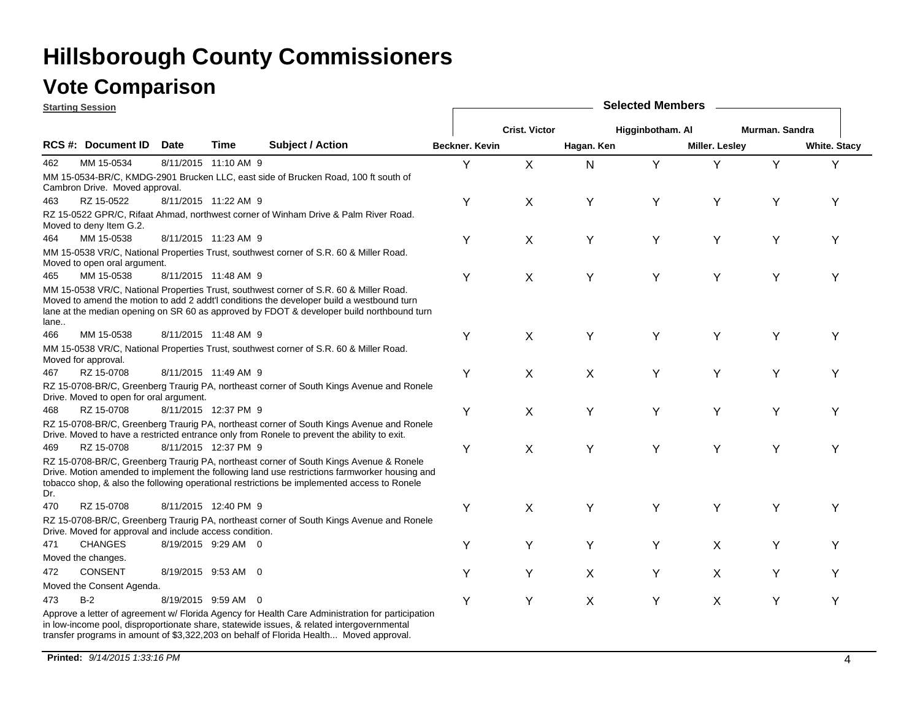### **Vote Comparison**

| <b>Starting Session</b> |                                                                                                                                                                                                                                                                                                                                                                                                                                                                                                                                                                                                                                                                                                                                                                                                                                                                                                                                                                                                                                                                                                                                                                                                                                                                                                                                                                                                                                                                                                                                                                                                                                                                                                                                                                                                                                                                                                                                                                                                                                                                             |                                                                                                                                                                                                                                                                                                                                                                                                                                                                                                                                                                                                                                                                                                                                                                  |             |                         |   | <b>Selected Members</b> |            |   |                       |   |                     |  |  |
|-------------------------|-----------------------------------------------------------------------------------------------------------------------------------------------------------------------------------------------------------------------------------------------------------------------------------------------------------------------------------------------------------------------------------------------------------------------------------------------------------------------------------------------------------------------------------------------------------------------------------------------------------------------------------------------------------------------------------------------------------------------------------------------------------------------------------------------------------------------------------------------------------------------------------------------------------------------------------------------------------------------------------------------------------------------------------------------------------------------------------------------------------------------------------------------------------------------------------------------------------------------------------------------------------------------------------------------------------------------------------------------------------------------------------------------------------------------------------------------------------------------------------------------------------------------------------------------------------------------------------------------------------------------------------------------------------------------------------------------------------------------------------------------------------------------------------------------------------------------------------------------------------------------------------------------------------------------------------------------------------------------------------------------------------------------------------------------------------------------------|------------------------------------------------------------------------------------------------------------------------------------------------------------------------------------------------------------------------------------------------------------------------------------------------------------------------------------------------------------------------------------------------------------------------------------------------------------------------------------------------------------------------------------------------------------------------------------------------------------------------------------------------------------------------------------------------------------------------------------------------------------------|-------------|-------------------------|---|-------------------------|------------|---|-----------------------|---|---------------------|--|--|
|                         |                                                                                                                                                                                                                                                                                                                                                                                                                                                                                                                                                                                                                                                                                                                                                                                                                                                                                                                                                                                                                                                                                                                                                                                                                                                                                                                                                                                                                                                                                                                                                                                                                                                                                                                                                                                                                                                                                                                                                                                                                                                                             |                                                                                                                                                                                                                                                                                                                                                                                                                                                                                                                                                                                                                                                                                                                                                                  |             |                         |   | <b>Crist. Victor</b>    |            |   |                       |   |                     |  |  |
|                         |                                                                                                                                                                                                                                                                                                                                                                                                                                                                                                                                                                                                                                                                                                                                                                                                                                                                                                                                                                                                                                                                                                                                                                                                                                                                                                                                                                                                                                                                                                                                                                                                                                                                                                                                                                                                                                                                                                                                                                                                                                                                             | <b>Date</b>                                                                                                                                                                                                                                                                                                                                                                                                                                                                                                                                                                                                                                                                                                                                                      | <b>Time</b> | <b>Subject / Action</b> |   |                         | Hagan. Ken |   | <b>Miller. Lesley</b> |   | <b>White. Stacy</b> |  |  |
| 462                     | MM 15-0534                                                                                                                                                                                                                                                                                                                                                                                                                                                                                                                                                                                                                                                                                                                                                                                                                                                                                                                                                                                                                                                                                                                                                                                                                                                                                                                                                                                                                                                                                                                                                                                                                                                                                                                                                                                                                                                                                                                                                                                                                                                                  |                                                                                                                                                                                                                                                                                                                                                                                                                                                                                                                                                                                                                                                                                                                                                                  |             |                         | Y | X                       | N          | Y | Υ                     | Y | Y                   |  |  |
|                         |                                                                                                                                                                                                                                                                                                                                                                                                                                                                                                                                                                                                                                                                                                                                                                                                                                                                                                                                                                                                                                                                                                                                                                                                                                                                                                                                                                                                                                                                                                                                                                                                                                                                                                                                                                                                                                                                                                                                                                                                                                                                             |                                                                                                                                                                                                                                                                                                                                                                                                                                                                                                                                                                                                                                                                                                                                                                  |             |                         |   |                         |            |   |                       |   |                     |  |  |
| 463                     | RZ 15-0522                                                                                                                                                                                                                                                                                                                                                                                                                                                                                                                                                                                                                                                                                                                                                                                                                                                                                                                                                                                                                                                                                                                                                                                                                                                                                                                                                                                                                                                                                                                                                                                                                                                                                                                                                                                                                                                                                                                                                                                                                                                                  | Murman. Sandra<br>Higginbotham. Al<br>Beckner. Kevin<br>8/11/2015 11:10 AM 9<br>8/11/2015 11:22 AM 9<br>Υ<br>X<br>Y<br>Υ<br>Υ<br>Y<br>Υ<br>8/11/2015 11:23 AM 9<br>Y<br>X<br>Υ<br>Υ<br>Υ<br>Υ<br>Y<br>8/11/2015 11:48 AM 9<br>Υ<br>X<br>Y<br>Υ<br>Y<br>Y<br>Y<br>8/11/2015 11:48 AM 9<br>Υ<br>$\pmb{\times}$<br>Y<br>Υ<br>Υ<br>Y<br>Y<br>8/11/2015 11:49 AM 9<br>Υ<br>X<br>X<br>Υ<br>Υ<br>Υ<br>Y<br>8/11/2015 12:37 PM 9<br>Υ<br>Y<br>Y<br>Υ<br>Y<br>X<br>Υ<br>8/11/2015 12:37 PM 9<br>Υ<br>X<br>Y<br>Υ<br>Υ<br>Υ<br>Υ<br>8/11/2015 12:40 PM 9<br>Υ<br>X<br>Υ<br>Υ<br>Y<br>Υ<br>Y<br>8/19/2015 9:29 AM 0<br>Υ<br>Υ<br>Y<br>Υ<br>X.<br>Y<br>Y<br>8/19/2015 9:53 AM 0<br>X<br>Y<br>Y<br>Υ<br>X<br>Υ<br>Υ<br>8/19/2015 9:59 AM 0<br>Υ<br>Υ<br>X<br>Υ<br>X<br>Υ<br>Υ |             |                         |   |                         |            |   |                       |   |                     |  |  |
|                         |                                                                                                                                                                                                                                                                                                                                                                                                                                                                                                                                                                                                                                                                                                                                                                                                                                                                                                                                                                                                                                                                                                                                                                                                                                                                                                                                                                                                                                                                                                                                                                                                                                                                                                                                                                                                                                                                                                                                                                                                                                                                             |                                                                                                                                                                                                                                                                                                                                                                                                                                                                                                                                                                                                                                                                                                                                                                  |             |                         |   |                         |            |   |                       |   |                     |  |  |
| 464                     | RCS #: Document ID<br>MM 15-0534-BR/C, KMDG-2901 Brucken LLC, east side of Brucken Road, 100 ft south of<br>Cambron Drive. Moved approval.<br>RZ 15-0522 GPR/C, Rifaat Ahmad, northwest corner of Winham Drive & Palm River Road.<br>Moved to deny Item G.2.<br>MM 15-0538<br>MM 15-0538 VR/C, National Properties Trust, southwest corner of S.R. 60 & Miller Road.<br>Moved to open oral argument.<br>MM 15-0538<br>MM 15-0538 VR/C, National Properties Trust, southwest corner of S.R. 60 & Miller Road.<br>Moved to amend the motion to add 2 addt'l conditions the developer build a westbound turn<br>lane at the median opening on SR 60 as approved by FDOT & developer build northbound turn<br>MM 15-0538<br>MM 15-0538 VR/C, National Properties Trust, southwest corner of S.R. 60 & Miller Road.<br>Moved for approval.<br>RZ 15-0708<br>RZ 15-0708-BR/C, Greenberg Traurig PA, northeast corner of South Kings Avenue and Ronele<br>Drive. Moved to open for oral argument.<br>RZ 15-0708<br>RZ 15-0708-BR/C, Greenberg Traurig PA, northeast corner of South Kings Avenue and Ronele<br>Drive. Moved to have a restricted entrance only from Ronele to prevent the ability to exit.<br>RZ 15-0708<br>RZ 15-0708-BR/C, Greenberg Traurig PA, northeast corner of South Kings Avenue & Ronele<br>Drive. Motion amended to implement the following land use restrictions farmworker housing and<br>tobacco shop, & also the following operational restrictions be implemented access to Ronele<br>RZ 15-0708<br>RZ 15-0708-BR/C, Greenberg Traurig PA, northeast corner of South Kings Avenue and Ronele<br>Drive. Moved for approval and include access condition.<br><b>CHANGES</b><br>Moved the changes.<br><b>CONSENT</b><br>Moved the Consent Agenda.<br>$B-2$<br>Approve a letter of agreement w/ Florida Agency for Health Care Administration for participation<br>in low-income pool, disproportionate share, statewide issues, & related intergovernmental<br>transfer programs in amount of \$3,322,203 on behalf of Florida Health Moved approval. |                                                                                                                                                                                                                                                                                                                                                                                                                                                                                                                                                                                                                                                                                                                                                                  |             |                         |   |                         |            |   |                       |   |                     |  |  |
|                         |                                                                                                                                                                                                                                                                                                                                                                                                                                                                                                                                                                                                                                                                                                                                                                                                                                                                                                                                                                                                                                                                                                                                                                                                                                                                                                                                                                                                                                                                                                                                                                                                                                                                                                                                                                                                                                                                                                                                                                                                                                                                             |                                                                                                                                                                                                                                                                                                                                                                                                                                                                                                                                                                                                                                                                                                                                                                  |             |                         |   |                         |            |   |                       |   |                     |  |  |
| 465                     |                                                                                                                                                                                                                                                                                                                                                                                                                                                                                                                                                                                                                                                                                                                                                                                                                                                                                                                                                                                                                                                                                                                                                                                                                                                                                                                                                                                                                                                                                                                                                                                                                                                                                                                                                                                                                                                                                                                                                                                                                                                                             |                                                                                                                                                                                                                                                                                                                                                                                                                                                                                                                                                                                                                                                                                                                                                                  |             |                         |   |                         |            |   |                       |   |                     |  |  |
| lane                    |                                                                                                                                                                                                                                                                                                                                                                                                                                                                                                                                                                                                                                                                                                                                                                                                                                                                                                                                                                                                                                                                                                                                                                                                                                                                                                                                                                                                                                                                                                                                                                                                                                                                                                                                                                                                                                                                                                                                                                                                                                                                             |                                                                                                                                                                                                                                                                                                                                                                                                                                                                                                                                                                                                                                                                                                                                                                  |             |                         |   |                         |            |   |                       |   |                     |  |  |
| 466                     |                                                                                                                                                                                                                                                                                                                                                                                                                                                                                                                                                                                                                                                                                                                                                                                                                                                                                                                                                                                                                                                                                                                                                                                                                                                                                                                                                                                                                                                                                                                                                                                                                                                                                                                                                                                                                                                                                                                                                                                                                                                                             |                                                                                                                                                                                                                                                                                                                                                                                                                                                                                                                                                                                                                                                                                                                                                                  |             |                         |   |                         |            |   |                       |   |                     |  |  |
|                         |                                                                                                                                                                                                                                                                                                                                                                                                                                                                                                                                                                                                                                                                                                                                                                                                                                                                                                                                                                                                                                                                                                                                                                                                                                                                                                                                                                                                                                                                                                                                                                                                                                                                                                                                                                                                                                                                                                                                                                                                                                                                             |                                                                                                                                                                                                                                                                                                                                                                                                                                                                                                                                                                                                                                                                                                                                                                  |             |                         |   |                         |            |   |                       |   |                     |  |  |
| 467                     |                                                                                                                                                                                                                                                                                                                                                                                                                                                                                                                                                                                                                                                                                                                                                                                                                                                                                                                                                                                                                                                                                                                                                                                                                                                                                                                                                                                                                                                                                                                                                                                                                                                                                                                                                                                                                                                                                                                                                                                                                                                                             |                                                                                                                                                                                                                                                                                                                                                                                                                                                                                                                                                                                                                                                                                                                                                                  |             |                         |   |                         |            |   |                       |   |                     |  |  |
|                         |                                                                                                                                                                                                                                                                                                                                                                                                                                                                                                                                                                                                                                                                                                                                                                                                                                                                                                                                                                                                                                                                                                                                                                                                                                                                                                                                                                                                                                                                                                                                                                                                                                                                                                                                                                                                                                                                                                                                                                                                                                                                             |                                                                                                                                                                                                                                                                                                                                                                                                                                                                                                                                                                                                                                                                                                                                                                  |             |                         |   |                         |            |   |                       |   |                     |  |  |
| 468                     |                                                                                                                                                                                                                                                                                                                                                                                                                                                                                                                                                                                                                                                                                                                                                                                                                                                                                                                                                                                                                                                                                                                                                                                                                                                                                                                                                                                                                                                                                                                                                                                                                                                                                                                                                                                                                                                                                                                                                                                                                                                                             |                                                                                                                                                                                                                                                                                                                                                                                                                                                                                                                                                                                                                                                                                                                                                                  |             |                         |   |                         |            |   |                       |   |                     |  |  |
|                         |                                                                                                                                                                                                                                                                                                                                                                                                                                                                                                                                                                                                                                                                                                                                                                                                                                                                                                                                                                                                                                                                                                                                                                                                                                                                                                                                                                                                                                                                                                                                                                                                                                                                                                                                                                                                                                                                                                                                                                                                                                                                             |                                                                                                                                                                                                                                                                                                                                                                                                                                                                                                                                                                                                                                                                                                                                                                  |             |                         |   |                         |            |   |                       |   |                     |  |  |
| 469                     |                                                                                                                                                                                                                                                                                                                                                                                                                                                                                                                                                                                                                                                                                                                                                                                                                                                                                                                                                                                                                                                                                                                                                                                                                                                                                                                                                                                                                                                                                                                                                                                                                                                                                                                                                                                                                                                                                                                                                                                                                                                                             |                                                                                                                                                                                                                                                                                                                                                                                                                                                                                                                                                                                                                                                                                                                                                                  |             |                         |   |                         |            |   |                       |   |                     |  |  |
| Dr.                     |                                                                                                                                                                                                                                                                                                                                                                                                                                                                                                                                                                                                                                                                                                                                                                                                                                                                                                                                                                                                                                                                                                                                                                                                                                                                                                                                                                                                                                                                                                                                                                                                                                                                                                                                                                                                                                                                                                                                                                                                                                                                             |                                                                                                                                                                                                                                                                                                                                                                                                                                                                                                                                                                                                                                                                                                                                                                  |             |                         |   |                         |            |   |                       |   |                     |  |  |
| 470                     |                                                                                                                                                                                                                                                                                                                                                                                                                                                                                                                                                                                                                                                                                                                                                                                                                                                                                                                                                                                                                                                                                                                                                                                                                                                                                                                                                                                                                                                                                                                                                                                                                                                                                                                                                                                                                                                                                                                                                                                                                                                                             |                                                                                                                                                                                                                                                                                                                                                                                                                                                                                                                                                                                                                                                                                                                                                                  |             |                         |   |                         |            |   |                       |   |                     |  |  |
|                         |                                                                                                                                                                                                                                                                                                                                                                                                                                                                                                                                                                                                                                                                                                                                                                                                                                                                                                                                                                                                                                                                                                                                                                                                                                                                                                                                                                                                                                                                                                                                                                                                                                                                                                                                                                                                                                                                                                                                                                                                                                                                             |                                                                                                                                                                                                                                                                                                                                                                                                                                                                                                                                                                                                                                                                                                                                                                  |             |                         |   |                         |            |   |                       |   |                     |  |  |
| 471                     |                                                                                                                                                                                                                                                                                                                                                                                                                                                                                                                                                                                                                                                                                                                                                                                                                                                                                                                                                                                                                                                                                                                                                                                                                                                                                                                                                                                                                                                                                                                                                                                                                                                                                                                                                                                                                                                                                                                                                                                                                                                                             |                                                                                                                                                                                                                                                                                                                                                                                                                                                                                                                                                                                                                                                                                                                                                                  |             |                         |   |                         |            |   |                       |   |                     |  |  |
|                         |                                                                                                                                                                                                                                                                                                                                                                                                                                                                                                                                                                                                                                                                                                                                                                                                                                                                                                                                                                                                                                                                                                                                                                                                                                                                                                                                                                                                                                                                                                                                                                                                                                                                                                                                                                                                                                                                                                                                                                                                                                                                             |                                                                                                                                                                                                                                                                                                                                                                                                                                                                                                                                                                                                                                                                                                                                                                  |             |                         |   |                         |            |   |                       |   |                     |  |  |
| 472                     |                                                                                                                                                                                                                                                                                                                                                                                                                                                                                                                                                                                                                                                                                                                                                                                                                                                                                                                                                                                                                                                                                                                                                                                                                                                                                                                                                                                                                                                                                                                                                                                                                                                                                                                                                                                                                                                                                                                                                                                                                                                                             |                                                                                                                                                                                                                                                                                                                                                                                                                                                                                                                                                                                                                                                                                                                                                                  |             |                         |   |                         |            |   |                       |   |                     |  |  |
|                         |                                                                                                                                                                                                                                                                                                                                                                                                                                                                                                                                                                                                                                                                                                                                                                                                                                                                                                                                                                                                                                                                                                                                                                                                                                                                                                                                                                                                                                                                                                                                                                                                                                                                                                                                                                                                                                                                                                                                                                                                                                                                             |                                                                                                                                                                                                                                                                                                                                                                                                                                                                                                                                                                                                                                                                                                                                                                  |             |                         |   |                         |            |   |                       |   |                     |  |  |
| 473                     |                                                                                                                                                                                                                                                                                                                                                                                                                                                                                                                                                                                                                                                                                                                                                                                                                                                                                                                                                                                                                                                                                                                                                                                                                                                                                                                                                                                                                                                                                                                                                                                                                                                                                                                                                                                                                                                                                                                                                                                                                                                                             |                                                                                                                                                                                                                                                                                                                                                                                                                                                                                                                                                                                                                                                                                                                                                                  |             |                         |   |                         |            |   |                       |   |                     |  |  |
|                         |                                                                                                                                                                                                                                                                                                                                                                                                                                                                                                                                                                                                                                                                                                                                                                                                                                                                                                                                                                                                                                                                                                                                                                                                                                                                                                                                                                                                                                                                                                                                                                                                                                                                                                                                                                                                                                                                                                                                                                                                                                                                             |                                                                                                                                                                                                                                                                                                                                                                                                                                                                                                                                                                                                                                                                                                                                                                  |             |                         |   |                         |            |   |                       |   |                     |  |  |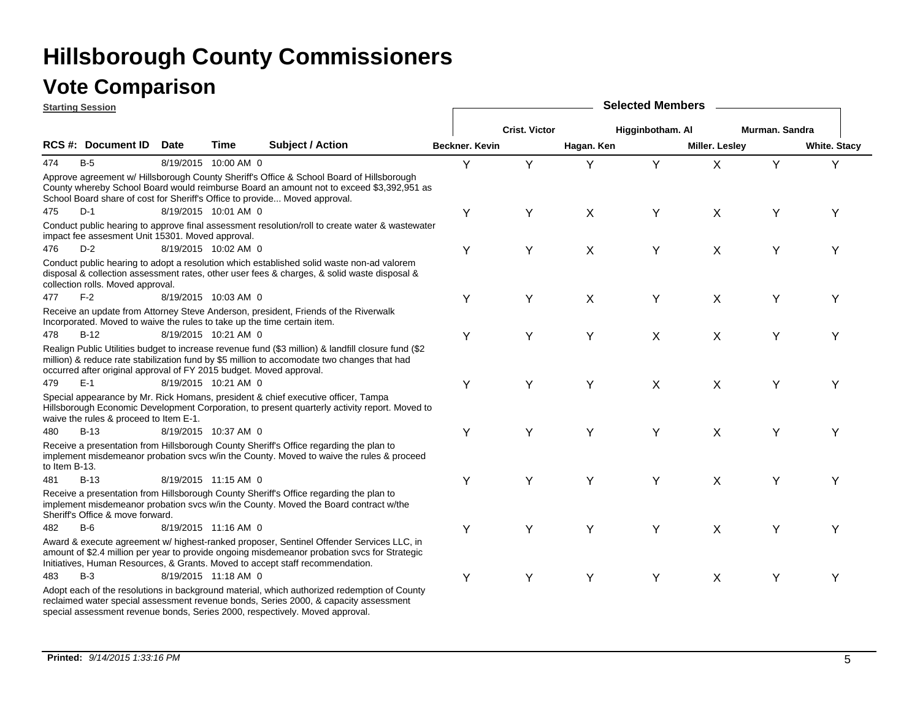|               | <b>Starting Session</b> |                                                                                                                                                                                                                                                                                                                                                                                                                                                                                                                                                                                                                                                                                                                                                                                                                                                                                                                                                                                                                                                                                                                                                                                                                                                                                                                                                                                                                                                                                                                                                                                                                                                                                                                                                                                                                                                                                                                                                                                                                                                                                                                                                                                                                                                                                                                                                                                                                                                                                                                                                                                                                                                                                                                                                                                                                                   |      |                  | <b>Selected Members</b> |                      |            |                  |                       |                |                     |  |
|---------------|-------------------------|-----------------------------------------------------------------------------------------------------------------------------------------------------------------------------------------------------------------------------------------------------------------------------------------------------------------------------------------------------------------------------------------------------------------------------------------------------------------------------------------------------------------------------------------------------------------------------------------------------------------------------------------------------------------------------------------------------------------------------------------------------------------------------------------------------------------------------------------------------------------------------------------------------------------------------------------------------------------------------------------------------------------------------------------------------------------------------------------------------------------------------------------------------------------------------------------------------------------------------------------------------------------------------------------------------------------------------------------------------------------------------------------------------------------------------------------------------------------------------------------------------------------------------------------------------------------------------------------------------------------------------------------------------------------------------------------------------------------------------------------------------------------------------------------------------------------------------------------------------------------------------------------------------------------------------------------------------------------------------------------------------------------------------------------------------------------------------------------------------------------------------------------------------------------------------------------------------------------------------------------------------------------------------------------------------------------------------------------------------------------------------------------------------------------------------------------------------------------------------------------------------------------------------------------------------------------------------------------------------------------------------------------------------------------------------------------------------------------------------------------------------------------------------------------------------------------------------------|------|------------------|-------------------------|----------------------|------------|------------------|-----------------------|----------------|---------------------|--|
|               |                         |                                                                                                                                                                                                                                                                                                                                                                                                                                                                                                                                                                                                                                                                                                                                                                                                                                                                                                                                                                                                                                                                                                                                                                                                                                                                                                                                                                                                                                                                                                                                                                                                                                                                                                                                                                                                                                                                                                                                                                                                                                                                                                                                                                                                                                                                                                                                                                                                                                                                                                                                                                                                                                                                                                                                                                                                                                   |      |                  |                         | <b>Crist. Victor</b> |            | Higginbotham. Al |                       | Murman. Sandra |                     |  |
|               | RCS #: Document ID      | <b>Date</b>                                                                                                                                                                                                                                                                                                                                                                                                                                                                                                                                                                                                                                                                                                                                                                                                                                                                                                                                                                                                                                                                                                                                                                                                                                                                                                                                                                                                                                                                                                                                                                                                                                                                                                                                                                                                                                                                                                                                                                                                                                                                                                                                                                                                                                                                                                                                                                                                                                                                                                                                                                                                                                                                                                                                                                                                                       | Time | Subject / Action |                         |                      | Hagan. Ken |                  | <b>Miller. Lesley</b> |                | <b>White. Stacy</b> |  |
| 474           | $B-5$                   |                                                                                                                                                                                                                                                                                                                                                                                                                                                                                                                                                                                                                                                                                                                                                                                                                                                                                                                                                                                                                                                                                                                                                                                                                                                                                                                                                                                                                                                                                                                                                                                                                                                                                                                                                                                                                                                                                                                                                                                                                                                                                                                                                                                                                                                                                                                                                                                                                                                                                                                                                                                                                                                                                                                                                                                                                                   |      |                  | Y                       | Y                    | Y          | Y                | X                     | Y              | Y                   |  |
|               |                         |                                                                                                                                                                                                                                                                                                                                                                                                                                                                                                                                                                                                                                                                                                                                                                                                                                                                                                                                                                                                                                                                                                                                                                                                                                                                                                                                                                                                                                                                                                                                                                                                                                                                                                                                                                                                                                                                                                                                                                                                                                                                                                                                                                                                                                                                                                                                                                                                                                                                                                                                                                                                                                                                                                                                                                                                                                   |      |                  |                         |                      |            |                  |                       |                |                     |  |
| 475           | $D-1$                   |                                                                                                                                                                                                                                                                                                                                                                                                                                                                                                                                                                                                                                                                                                                                                                                                                                                                                                                                                                                                                                                                                                                                                                                                                                                                                                                                                                                                                                                                                                                                                                                                                                                                                                                                                                                                                                                                                                                                                                                                                                                                                                                                                                                                                                                                                                                                                                                                                                                                                                                                                                                                                                                                                                                                                                                                                                   |      |                  | Υ                       | Y                    | X          | Υ                | X                     | Y              | Y                   |  |
|               |                         |                                                                                                                                                                                                                                                                                                                                                                                                                                                                                                                                                                                                                                                                                                                                                                                                                                                                                                                                                                                                                                                                                                                                                                                                                                                                                                                                                                                                                                                                                                                                                                                                                                                                                                                                                                                                                                                                                                                                                                                                                                                                                                                                                                                                                                                                                                                                                                                                                                                                                                                                                                                                                                                                                                                                                                                                                                   |      |                  |                         |                      |            |                  |                       |                |                     |  |
| 476           | $D-2$                   |                                                                                                                                                                                                                                                                                                                                                                                                                                                                                                                                                                                                                                                                                                                                                                                                                                                                                                                                                                                                                                                                                                                                                                                                                                                                                                                                                                                                                                                                                                                                                                                                                                                                                                                                                                                                                                                                                                                                                                                                                                                                                                                                                                                                                                                                                                                                                                                                                                                                                                                                                                                                                                                                                                                                                                                                                                   |      |                  | Υ                       | Υ                    | X          | Υ                | X                     | Υ              | Y                   |  |
|               |                         |                                                                                                                                                                                                                                                                                                                                                                                                                                                                                                                                                                                                                                                                                                                                                                                                                                                                                                                                                                                                                                                                                                                                                                                                                                                                                                                                                                                                                                                                                                                                                                                                                                                                                                                                                                                                                                                                                                                                                                                                                                                                                                                                                                                                                                                                                                                                                                                                                                                                                                                                                                                                                                                                                                                                                                                                                                   |      |                  |                         |                      |            |                  |                       |                |                     |  |
| 477           | $F-2$                   | Beckner. Kevin<br>8/19/2015 10:00 AM 0<br>Approve agreement w/ Hillsborough County Sheriff's Office & School Board of Hillsborough<br>County whereby School Board would reimburse Board an amount not to exceed \$3,392,951 as<br>School Board share of cost for Sheriff's Office to provide Moved approval.<br>8/19/2015 10:01 AM 0<br>Conduct public hearing to approve final assessment resolution/roll to create water & wastewater<br>impact fee assesment Unit 15301. Moved approval.<br>8/19/2015 10:02 AM 0<br>Conduct public hearing to adopt a resolution which established solid waste non-ad valorem<br>disposal & collection assessment rates, other user fees & charges, & solid waste disposal &<br>collection rolls. Moved approval.<br>8/19/2015 10:03 AM 0<br>Υ<br>X<br>Υ<br>Υ<br>X<br>Υ<br>Υ<br>Receive an update from Attorney Steve Anderson, president, Friends of the Riverwalk<br>Incorporated. Moved to waive the rules to take up the time certain item.<br>8/19/2015 10:21 AM 0<br>Υ<br>Υ<br>Υ<br>X<br>Υ<br>X<br>Υ<br>Realign Public Utilities budget to increase revenue fund (\$3 million) & landfill closure fund (\$2<br>million) & reduce rate stabilization fund by \$5 million to accomodate two changes that had<br>occurred after original approval of FY 2015 budget. Moved approval.<br>8/19/2015 10:21 AM 0<br>Υ<br>Υ<br>Υ<br>X<br>X<br>Υ<br>Y<br>Special appearance by Mr. Rick Homans, president & chief executive officer, Tampa<br>Hillsborough Economic Development Corporation, to present quarterly activity report. Moved to<br>waive the rules & proceed to Item E-1.<br>Y<br>Υ<br>8/19/2015 10:37 AM 0<br>Υ<br>Υ<br>X<br>Υ<br>Y<br>Receive a presentation from Hillsborough County Sheriff's Office regarding the plan to<br>implement misdemeanor probation svcs w/in the County. Moved to waive the rules & proceed<br>Y<br>8/19/2015 11:15 AM 0<br>Υ<br>Υ<br>Y<br>X<br>Y<br>Υ<br>Receive a presentation from Hillsborough County Sheriff's Office regarding the plan to<br>implement misdemeanor probation svcs w/in the County. Moved the Board contract w/the<br>Sheriff's Office & move forward.<br>8/19/2015 11:16 AM 0<br>Υ<br>Υ<br>Y<br>Υ<br>X<br>Y<br>Y<br>Award & execute agreement w/ highest-ranked proposer, Sentinel Offender Services LLC, in<br>amount of \$2.4 million per year to provide ongoing misdemeanor probation svcs for Strategic<br>Initiatives, Human Resources, & Grants. Moved to accept staff recommendation.<br>8/19/2015 11:18 AM 0<br>Υ<br>Υ<br>Υ<br>Y<br>Υ<br>X<br>Y<br>Adopt each of the resolutions in background material, which authorized redemption of County<br>reclaimed water special assessment revenue bonds, Series 2000, & capacity assessment<br>special assessment revenue bonds, Series 2000, respectively. Moved approval. |      |                  |                         |                      |            |                  |                       |                |                     |  |
|               |                         |                                                                                                                                                                                                                                                                                                                                                                                                                                                                                                                                                                                                                                                                                                                                                                                                                                                                                                                                                                                                                                                                                                                                                                                                                                                                                                                                                                                                                                                                                                                                                                                                                                                                                                                                                                                                                                                                                                                                                                                                                                                                                                                                                                                                                                                                                                                                                                                                                                                                                                                                                                                                                                                                                                                                                                                                                                   |      |                  |                         |                      |            |                  |                       |                |                     |  |
| 478           | $B-12$                  |                                                                                                                                                                                                                                                                                                                                                                                                                                                                                                                                                                                                                                                                                                                                                                                                                                                                                                                                                                                                                                                                                                                                                                                                                                                                                                                                                                                                                                                                                                                                                                                                                                                                                                                                                                                                                                                                                                                                                                                                                                                                                                                                                                                                                                                                                                                                                                                                                                                                                                                                                                                                                                                                                                                                                                                                                                   |      |                  |                         |                      |            |                  |                       |                |                     |  |
|               |                         |                                                                                                                                                                                                                                                                                                                                                                                                                                                                                                                                                                                                                                                                                                                                                                                                                                                                                                                                                                                                                                                                                                                                                                                                                                                                                                                                                                                                                                                                                                                                                                                                                                                                                                                                                                                                                                                                                                                                                                                                                                                                                                                                                                                                                                                                                                                                                                                                                                                                                                                                                                                                                                                                                                                                                                                                                                   |      |                  |                         |                      |            |                  |                       |                |                     |  |
| 479           | $E-1$                   |                                                                                                                                                                                                                                                                                                                                                                                                                                                                                                                                                                                                                                                                                                                                                                                                                                                                                                                                                                                                                                                                                                                                                                                                                                                                                                                                                                                                                                                                                                                                                                                                                                                                                                                                                                                                                                                                                                                                                                                                                                                                                                                                                                                                                                                                                                                                                                                                                                                                                                                                                                                                                                                                                                                                                                                                                                   |      |                  |                         |                      |            |                  |                       |                |                     |  |
|               |                         |                                                                                                                                                                                                                                                                                                                                                                                                                                                                                                                                                                                                                                                                                                                                                                                                                                                                                                                                                                                                                                                                                                                                                                                                                                                                                                                                                                                                                                                                                                                                                                                                                                                                                                                                                                                                                                                                                                                                                                                                                                                                                                                                                                                                                                                                                                                                                                                                                                                                                                                                                                                                                                                                                                                                                                                                                                   |      |                  |                         |                      |            |                  |                       |                |                     |  |
| 480           | $B-13$                  |                                                                                                                                                                                                                                                                                                                                                                                                                                                                                                                                                                                                                                                                                                                                                                                                                                                                                                                                                                                                                                                                                                                                                                                                                                                                                                                                                                                                                                                                                                                                                                                                                                                                                                                                                                                                                                                                                                                                                                                                                                                                                                                                                                                                                                                                                                                                                                                                                                                                                                                                                                                                                                                                                                                                                                                                                                   |      |                  |                         |                      |            |                  |                       |                |                     |  |
| to Item B-13. |                         |                                                                                                                                                                                                                                                                                                                                                                                                                                                                                                                                                                                                                                                                                                                                                                                                                                                                                                                                                                                                                                                                                                                                                                                                                                                                                                                                                                                                                                                                                                                                                                                                                                                                                                                                                                                                                                                                                                                                                                                                                                                                                                                                                                                                                                                                                                                                                                                                                                                                                                                                                                                                                                                                                                                                                                                                                                   |      |                  |                         |                      |            |                  |                       |                |                     |  |
| 481           | $B-13$                  |                                                                                                                                                                                                                                                                                                                                                                                                                                                                                                                                                                                                                                                                                                                                                                                                                                                                                                                                                                                                                                                                                                                                                                                                                                                                                                                                                                                                                                                                                                                                                                                                                                                                                                                                                                                                                                                                                                                                                                                                                                                                                                                                                                                                                                                                                                                                                                                                                                                                                                                                                                                                                                                                                                                                                                                                                                   |      |                  |                         |                      |            |                  |                       |                |                     |  |
|               |                         |                                                                                                                                                                                                                                                                                                                                                                                                                                                                                                                                                                                                                                                                                                                                                                                                                                                                                                                                                                                                                                                                                                                                                                                                                                                                                                                                                                                                                                                                                                                                                                                                                                                                                                                                                                                                                                                                                                                                                                                                                                                                                                                                                                                                                                                                                                                                                                                                                                                                                                                                                                                                                                                                                                                                                                                                                                   |      |                  |                         |                      |            |                  |                       |                |                     |  |
| 482           | B-6                     |                                                                                                                                                                                                                                                                                                                                                                                                                                                                                                                                                                                                                                                                                                                                                                                                                                                                                                                                                                                                                                                                                                                                                                                                                                                                                                                                                                                                                                                                                                                                                                                                                                                                                                                                                                                                                                                                                                                                                                                                                                                                                                                                                                                                                                                                                                                                                                                                                                                                                                                                                                                                                                                                                                                                                                                                                                   |      |                  |                         |                      |            |                  |                       |                |                     |  |
|               |                         |                                                                                                                                                                                                                                                                                                                                                                                                                                                                                                                                                                                                                                                                                                                                                                                                                                                                                                                                                                                                                                                                                                                                                                                                                                                                                                                                                                                                                                                                                                                                                                                                                                                                                                                                                                                                                                                                                                                                                                                                                                                                                                                                                                                                                                                                                                                                                                                                                                                                                                                                                                                                                                                                                                                                                                                                                                   |      |                  |                         |                      |            |                  |                       |                |                     |  |
| 483           | $B-3$                   |                                                                                                                                                                                                                                                                                                                                                                                                                                                                                                                                                                                                                                                                                                                                                                                                                                                                                                                                                                                                                                                                                                                                                                                                                                                                                                                                                                                                                                                                                                                                                                                                                                                                                                                                                                                                                                                                                                                                                                                                                                                                                                                                                                                                                                                                                                                                                                                                                                                                                                                                                                                                                                                                                                                                                                                                                                   |      |                  |                         |                      |            |                  |                       |                |                     |  |
|               |                         |                                                                                                                                                                                                                                                                                                                                                                                                                                                                                                                                                                                                                                                                                                                                                                                                                                                                                                                                                                                                                                                                                                                                                                                                                                                                                                                                                                                                                                                                                                                                                                                                                                                                                                                                                                                                                                                                                                                                                                                                                                                                                                                                                                                                                                                                                                                                                                                                                                                                                                                                                                                                                                                                                                                                                                                                                                   |      |                  |                         |                      |            |                  |                       |                |                     |  |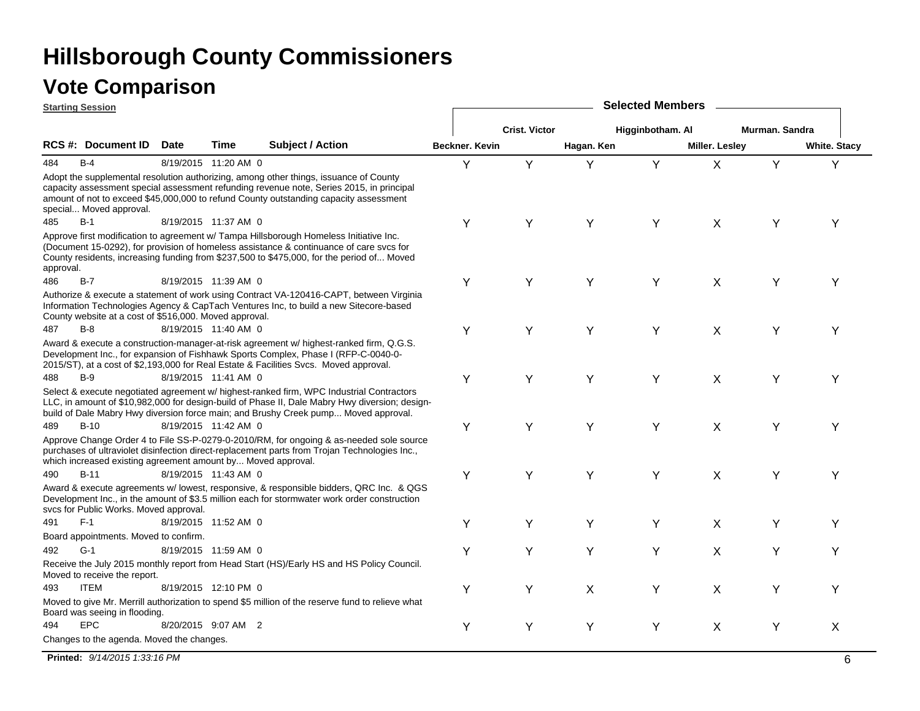|           | <b>Starting Session</b>                                      |             |                      |                                                                                                                                                                                                                                                                                   |                |                      |            | <b>Selected Members</b> |                |                |                     |
|-----------|--------------------------------------------------------------|-------------|----------------------|-----------------------------------------------------------------------------------------------------------------------------------------------------------------------------------------------------------------------------------------------------------------------------------|----------------|----------------------|------------|-------------------------|----------------|----------------|---------------------|
|           |                                                              |             |                      |                                                                                                                                                                                                                                                                                   |                | <b>Crist. Victor</b> |            | Higginbotham. Al        |                | Murman, Sandra |                     |
|           | <b>RCS #: Document ID</b>                                    | <b>Date</b> | Time                 | <b>Subject / Action</b>                                                                                                                                                                                                                                                           | Beckner. Kevin |                      | Hagan. Ken |                         | Miller. Lesley |                | <b>White. Stacy</b> |
| 484       | $B-4$                                                        |             | 8/19/2015 11:20 AM 0 |                                                                                                                                                                                                                                                                                   | Y              | Y                    | Y          | Y                       | $\mathsf{X}$   | Y              | Y                   |
|           | special Moved approval.                                      |             |                      | Adopt the supplemental resolution authorizing, among other things, issuance of County<br>capacity assessment special assessment refunding revenue note, Series 2015, in principal<br>amount of not to exceed \$45,000,000 to refund County outstanding capacity assessment        |                |                      |            |                         |                |                |                     |
| 485       | $B-1$                                                        |             | 8/19/2015 11:37 AM 0 |                                                                                                                                                                                                                                                                                   | Υ              | Y                    | Y          | Y                       | X              | Y              | Y                   |
| approval. |                                                              |             |                      | Approve first modification to agreement w/ Tampa Hillsborough Homeless Initiative Inc.<br>(Document 15-0292), for provision of homeless assistance & continuance of care svcs for<br>County residents, increasing funding from \$237,500 to \$475,000, for the period of Moved    |                |                      |            |                         |                |                |                     |
| 486       | $B-7$                                                        |             | 8/19/2015 11:39 AM 0 |                                                                                                                                                                                                                                                                                   | Y              | Y                    | Y          | Y                       | $\mathsf{X}$   | Y              | Υ                   |
|           | County website at a cost of \$516,000. Moved approval.       |             |                      | Authorize & execute a statement of work using Contract VA-120416-CAPT, between Virginia<br>Information Technologies Agency & CapTach Ventures Inc, to build a new Sitecore-based                                                                                                  |                |                      |            |                         |                |                |                     |
| 487       | $B-8$                                                        |             | 8/19/2015 11:40 AM 0 |                                                                                                                                                                                                                                                                                   | Υ              | Y                    | Υ          | Y                       | X              | Υ              | Υ                   |
|           |                                                              |             |                      | Award & execute a construction-manager-at-risk agreement w/ highest-ranked firm, Q.G.S.<br>Development Inc., for expansion of Fishhawk Sports Complex, Phase I (RFP-C-0040-0-<br>2015/ST), at a cost of \$2,193,000 for Real Estate & Facilities Svcs. Moved approval.            |                |                      |            |                         |                |                |                     |
| 488       | $B-9$                                                        |             | 8/19/2015 11:41 AM 0 |                                                                                                                                                                                                                                                                                   | Υ              | Y                    | Υ          | Υ                       | X              | Y              | Υ                   |
|           |                                                              |             |                      | Select & execute negotiated agreement w/ highest-ranked firm, WPC Industrial Contractors<br>LLC, in amount of \$10,982,000 for design-build of Phase II, Dale Mabry Hwy diversion; design-<br>build of Dale Mabry Hwy diversion force main; and Brushy Creek pump Moved approval. |                |                      |            |                         |                |                |                     |
| 489       | $B-10$                                                       |             | 8/19/2015 11:42 AM 0 |                                                                                                                                                                                                                                                                                   | Υ              | Y                    | Y          | Υ                       | X              | Y              | Y                   |
|           | which increased existing agreement amount by Moved approval. |             |                      | Approve Change Order 4 to File SS-P-0279-0-2010/RM, for ongoing & as-needed sole source<br>purchases of ultraviolet disinfection direct-replacement parts from Trojan Technologies Inc.,                                                                                          |                |                      |            |                         |                |                |                     |
| 490       | $B-11$                                                       |             | 8/19/2015 11:43 AM 0 |                                                                                                                                                                                                                                                                                   | Υ              | Y                    | Y          | Y                       | X              | Y              | Y                   |
|           | svcs for Public Works. Moved approval.                       |             |                      | Award & execute agreements w/ lowest, responsive, & responsible bidders, QRC Inc. & QGS<br>Development Inc., in the amount of \$3.5 million each for stormwater work order construction                                                                                           |                |                      |            |                         |                |                |                     |
| 491       | $F-1$                                                        |             | 8/19/2015 11:52 AM 0 |                                                                                                                                                                                                                                                                                   | Υ              | Υ                    | Υ          | Y                       | X              | Υ              | Υ                   |
|           | Board appointments. Moved to confirm.                        |             |                      |                                                                                                                                                                                                                                                                                   |                |                      |            |                         |                |                |                     |
| 492       | $G-1$                                                        |             | 8/19/2015 11:59 AM 0 |                                                                                                                                                                                                                                                                                   | Υ              | Υ                    | Υ          | Υ                       | X              | Υ              | Υ                   |
|           | Moved to receive the report.                                 |             |                      | Receive the July 2015 monthly report from Head Start (HS)/Early HS and HS Policy Council.                                                                                                                                                                                         |                |                      |            |                         |                |                |                     |
| 493       | <b>ITEM</b>                                                  |             | 8/19/2015 12:10 PM 0 |                                                                                                                                                                                                                                                                                   | Υ              | Y                    | X          | Y                       | X              | Υ              | Υ                   |
|           | Board was seeing in flooding.                                |             |                      | Moved to give Mr. Merrill authorization to spend \$5 million of the reserve fund to relieve what                                                                                                                                                                                  |                |                      |            |                         |                |                |                     |
| 494       | <b>EPC</b>                                                   |             | 8/20/2015 9:07 AM 2  |                                                                                                                                                                                                                                                                                   | Υ              | Y                    | Y          | Y                       | X              | Υ              | X                   |
|           | Changes to the agenda. Moved the changes.                    |             |                      |                                                                                                                                                                                                                                                                                   |                |                      |            |                         |                |                |                     |

**Printed:** *9/14/2015 1:33:16 PM*м на последните се постани на политичките се постани на политичките се постани на политичките се постани на б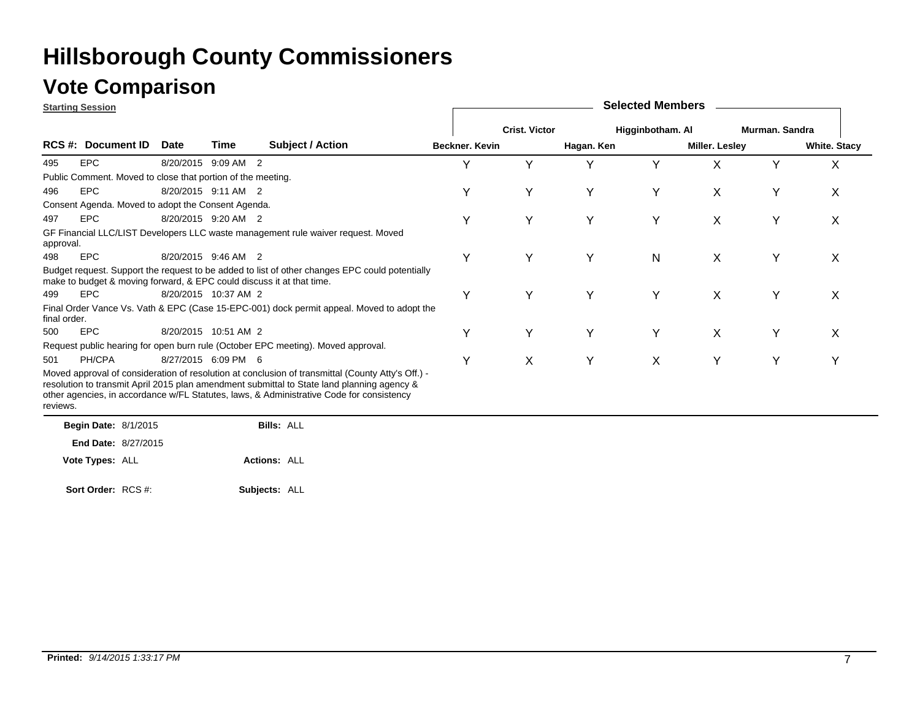### **Vote Comparison**

**Starting Session**

|              | <u>Jianing Jessiun</u>                                                |             |                      |                                                                                                                                                                                                                                                                                             |                |                      |            |                  |                |                |                     |
|--------------|-----------------------------------------------------------------------|-------------|----------------------|---------------------------------------------------------------------------------------------------------------------------------------------------------------------------------------------------------------------------------------------------------------------------------------------|----------------|----------------------|------------|------------------|----------------|----------------|---------------------|
|              |                                                                       |             |                      |                                                                                                                                                                                                                                                                                             |                | <b>Crist. Victor</b> |            | Higginbotham. Al |                | Murman, Sandra |                     |
|              | RCS #: Document ID                                                    | <b>Date</b> | Time                 | <b>Subject / Action</b>                                                                                                                                                                                                                                                                     | Beckner, Kevin |                      | Hagan. Ken |                  | Miller. Lesley |                | <b>White. Stacy</b> |
| 495          | <b>EPC</b>                                                            |             | 8/20/2015 9:09 AM 2  |                                                                                                                                                                                                                                                                                             | v              | Y                    | ٧          | Y                | X              | Y              | X                   |
|              | Public Comment. Moved to close that portion of the meeting.           |             |                      |                                                                                                                                                                                                                                                                                             |                |                      |            |                  |                |                |                     |
| 496          | <b>EPC</b>                                                            |             | 8/20/2015 9:11 AM 2  |                                                                                                                                                                                                                                                                                             | Υ              | Y                    | Υ          | Y                | X              | Υ              | X                   |
|              | Consent Agenda. Moved to adopt the Consent Agenda.                    |             |                      |                                                                                                                                                                                                                                                                                             |                |                      |            |                  |                |                |                     |
| 497          | <b>EPC</b>                                                            |             | 8/20/2015 9:20 AM 2  |                                                                                                                                                                                                                                                                                             |                | Y                    | Υ          | Y                | X              | Υ              | X                   |
| approval.    |                                                                       |             |                      | GF Financial LLC/LIST Developers LLC waste management rule waiver request. Moved                                                                                                                                                                                                            |                |                      |            |                  |                |                |                     |
| 498          | <b>EPC</b>                                                            |             | 8/20/2015 9:46 AM 2  |                                                                                                                                                                                                                                                                                             | Υ              | Y                    | Υ          | $\mathsf{N}$     | X              | Y              | X                   |
|              | make to budget & moving forward, & EPC could discuss it at that time. |             |                      | Budget request. Support the request to be added to list of other changes EPC could potentially                                                                                                                                                                                              |                |                      |            |                  |                |                |                     |
| 499          | <b>EPC</b>                                                            |             | 8/20/2015 10:37 AM 2 |                                                                                                                                                                                                                                                                                             | Υ              | Y                    | Υ          | Y                | X              | Y              | X                   |
| final order. |                                                                       |             |                      | Final Order Vance Vs. Vath & EPC (Case 15-EPC-001) dock permit appeal. Moved to adopt the                                                                                                                                                                                                   |                |                      |            |                  |                |                |                     |
| 500          | <b>EPC</b>                                                            |             | 8/20/2015 10:51 AM 2 |                                                                                                                                                                                                                                                                                             | Υ              | Y                    | Υ          | Y                | X              | Y              | X                   |
|              |                                                                       |             |                      | Request public hearing for open burn rule (October EPC meeting). Moved approval.                                                                                                                                                                                                            |                |                      |            |                  |                |                |                     |
| 501          | PH/CPA                                                                |             | 8/27/2015 6:09 PM 6  |                                                                                                                                                                                                                                                                                             | Υ              | X                    | Υ          | X                | Y              | Y              | Υ                   |
| reviews.     |                                                                       |             |                      | Moved approval of consideration of resolution at conclusion of transmittal (County Atty's Off.) -<br>resolution to transmit April 2015 plan amendment submittal to State land planning agency &<br>other agencies, in accordance w/FL Statutes, laws, & Administrative Code for consistency |                |                      |            |                  |                |                |                     |
|              | <b>Begin Date: 8/1/2015</b>                                           |             |                      | <b>Bills: ALL</b>                                                                                                                                                                                                                                                                           |                |                      |            |                  |                |                |                     |
|              | <b>End Date: 8/27/2015</b>                                            |             |                      |                                                                                                                                                                                                                                                                                             |                |                      |            |                  |                |                |                     |
|              | Vote Types: ALL                                                       |             |                      | <b>Actions: ALL</b>                                                                                                                                                                                                                                                                         |                |                      |            |                  |                |                |                     |

**Selected Members**

**Subjects:** ALL **Sort Order:** RCS #: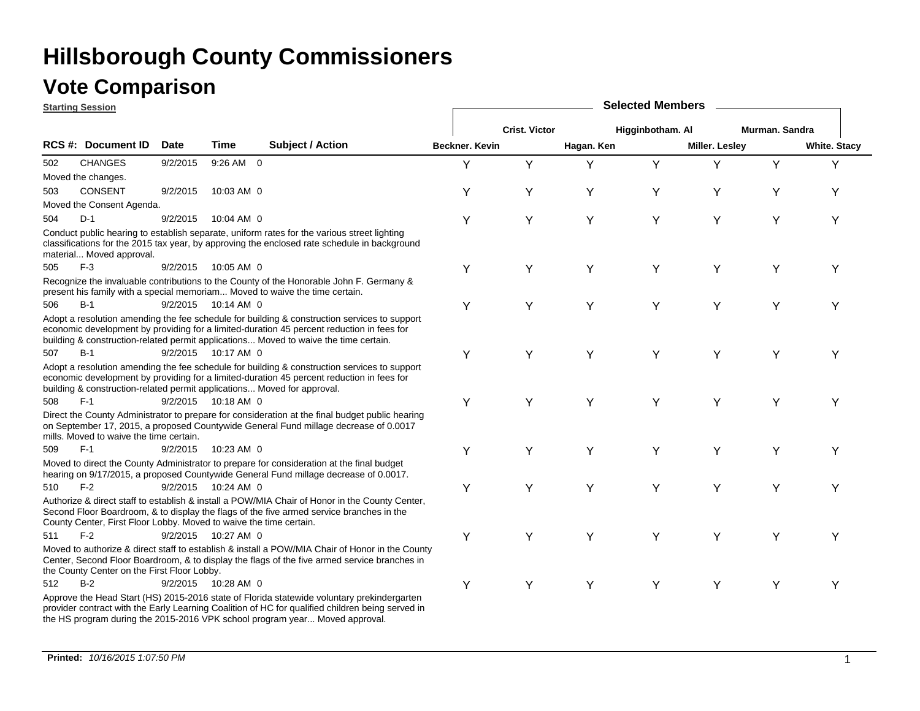#### **Vote Comparison**

| <b>Starting Session</b> |                                                                    |             |                     |                                                                                                                                                                                                                                                                                   | <b>Selected Members</b> |                      |            |                  |                |                |                     |  |  |
|-------------------------|--------------------------------------------------------------------|-------------|---------------------|-----------------------------------------------------------------------------------------------------------------------------------------------------------------------------------------------------------------------------------------------------------------------------------|-------------------------|----------------------|------------|------------------|----------------|----------------|---------------------|--|--|
|                         |                                                                    |             |                     |                                                                                                                                                                                                                                                                                   |                         | <b>Crist. Victor</b> |            | Higginbotham. Al |                | Murman, Sandra |                     |  |  |
|                         | RCS #: Document ID                                                 | <b>Date</b> | Time                | <b>Subject / Action</b>                                                                                                                                                                                                                                                           | <b>Beckner, Kevin</b>   |                      | Hagan. Ken |                  | Miller. Lesley |                | <b>White. Stacy</b> |  |  |
| 502                     | <b>CHANGES</b>                                                     | 9/2/2015    | 9:26 AM 0           |                                                                                                                                                                                                                                                                                   | Υ                       | Y                    | Υ          | Y                | Υ              | Y              | Y                   |  |  |
|                         | Moved the changes.                                                 |             |                     |                                                                                                                                                                                                                                                                                   |                         |                      |            |                  |                |                |                     |  |  |
| 503                     | <b>CONSENT</b>                                                     | 9/2/2015    | 10:03 AM 0          |                                                                                                                                                                                                                                                                                   | Υ                       | Υ                    | Υ          | Υ                | Y              | Υ              | Υ                   |  |  |
|                         | Moved the Consent Agenda.                                          |             |                     |                                                                                                                                                                                                                                                                                   |                         |                      |            |                  |                |                |                     |  |  |
| 504                     | $D-1$                                                              | 9/2/2015    | 10:04 AM 0          |                                                                                                                                                                                                                                                                                   | Y                       | Y                    | Υ          | Υ                | Y              | Υ              | Υ                   |  |  |
|                         | material Moved approval.                                           |             |                     | Conduct public hearing to establish separate, uniform rates for the various street lighting<br>classifications for the 2015 tax year, by approving the enclosed rate schedule in background                                                                                       |                         |                      |            |                  |                |                |                     |  |  |
| 505                     | $F-3$                                                              | 9/2/2015    | 10:05 AM 0          |                                                                                                                                                                                                                                                                                   | Y                       | Y                    | Υ          | Υ                | Y              | Υ              | Υ                   |  |  |
|                         |                                                                    |             |                     | Recognize the invaluable contributions to the County of the Honorable John F. Germany &<br>present his family with a special memoriam Moved to waive the time certain.                                                                                                            |                         |                      |            |                  |                |                |                     |  |  |
| 506                     | $B-1$                                                              | 9/2/2015    | $10:14$ AM $\,$ 0   |                                                                                                                                                                                                                                                                                   | Y                       | Y                    | Υ          | Υ                | Y              | Υ              | Y                   |  |  |
|                         |                                                                    |             |                     | Adopt a resolution amending the fee schedule for building & construction services to support<br>economic development by providing for a limited-duration 45 percent reduction in fees for<br>building & construction-related permit applications Moved to waive the time certain. |                         |                      |            |                  |                |                |                     |  |  |
| 507                     | $B-1$                                                              |             | 9/2/2015 10:17 AM 0 |                                                                                                                                                                                                                                                                                   | Υ                       | Υ                    | Y          | Y                | Y              | Υ              | Υ                   |  |  |
|                         |                                                                    |             |                     | Adopt a resolution amending the fee schedule for building & construction services to support<br>economic development by providing for a limited-duration 45 percent reduction in fees for<br>building & construction-related permit applications Moved for approval.              |                         |                      |            |                  |                |                |                     |  |  |
| 508                     | $F-1$                                                              |             | 9/2/2015 10:18 AM 0 |                                                                                                                                                                                                                                                                                   | Y                       | Y                    | Y          | Y                | Y              | Υ              | Y                   |  |  |
|                         | mills. Moved to waive the time certain.                            |             |                     | Direct the County Administrator to prepare for consideration at the final budget public hearing<br>on September 17, 2015, a proposed Countywide General Fund millage decrease of 0.0017                                                                                           |                         |                      |            |                  |                |                |                     |  |  |
| 509                     | $F-1$                                                              | 9/2/2015    | 10:23 AM 0          |                                                                                                                                                                                                                                                                                   | Υ                       | Y                    | Y          | Υ                | Y              | Y              | Υ                   |  |  |
|                         |                                                                    |             |                     | Moved to direct the County Administrator to prepare for consideration at the final budget<br>hearing on 9/17/2015, a proposed Countywide General Fund millage decrease of 0.0017.                                                                                                 |                         |                      |            |                  |                |                |                     |  |  |
| 510                     | $F-2$                                                              |             | 9/2/2015 10:24 AM 0 |                                                                                                                                                                                                                                                                                   | Y                       | Y                    | Y          | Y                | Y              | Υ              | Y                   |  |  |
|                         | County Center, First Floor Lobby. Moved to waive the time certain. |             |                     | Authorize & direct staff to establish & install a POW/MIA Chair of Honor in the County Center,<br>Second Floor Boardroom, & to display the flags of the five armed service branches in the                                                                                        |                         |                      |            |                  |                |                |                     |  |  |
| 511                     | $F-2$                                                              |             | 9/2/2015 10:27 AM 0 |                                                                                                                                                                                                                                                                                   | Y                       | Y                    | Υ          | Υ                | Y              | Υ              | Υ                   |  |  |
|                         | the County Center on the First Floor Lobby.                        |             |                     | Moved to authorize & direct staff to establish & install a POW/MIA Chair of Honor in the County<br>Center, Second Floor Boardroom, & to display the flags of the five armed service branches in                                                                                   |                         |                      |            |                  |                |                |                     |  |  |
| 512                     | $B-2$                                                              | 9/2/2015    | 10:28 AM 0          |                                                                                                                                                                                                                                                                                   | Y                       | Y                    | Υ          | Υ                | Y              | Υ              | Y                   |  |  |
|                         |                                                                    |             |                     | Approve the Head Start (HS) 2015-2016 state of Florida statewide voluntary prekindergarten<br>provider contract with the Early Learning Coalition of HC for qualified children being served in<br>the HS program during the 2015-2016 VPK school program year Moved approval.     |                         |                      |            |                  |                |                |                     |  |  |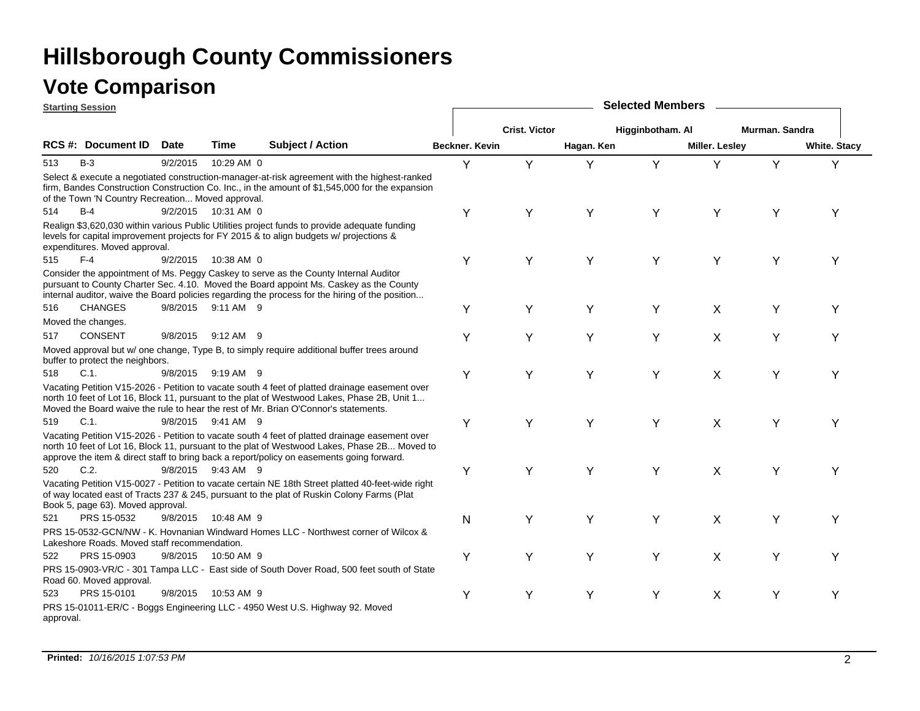|           | <b>Starting Session</b>                           |             |                     |                                                                                                                                                                                                                                                                                             |                       | <b>Selected Members</b> |            |                  |                |                |                     |  |  |  |
|-----------|---------------------------------------------------|-------------|---------------------|---------------------------------------------------------------------------------------------------------------------------------------------------------------------------------------------------------------------------------------------------------------------------------------------|-----------------------|-------------------------|------------|------------------|----------------|----------------|---------------------|--|--|--|
|           |                                                   |             |                     |                                                                                                                                                                                                                                                                                             |                       | <b>Crist. Victor</b>    |            | Higginbotham. Al |                | Murman, Sandra |                     |  |  |  |
|           | RCS #: Document ID                                | <b>Date</b> | <b>Time</b>         | <b>Subject / Action</b>                                                                                                                                                                                                                                                                     | <b>Beckner, Kevin</b> |                         | Hagan. Ken |                  | Miller. Lesley |                | <b>White. Stacy</b> |  |  |  |
| 513       | $B-3$                                             | 9/2/2015    | 10:29 AM 0          |                                                                                                                                                                                                                                                                                             | Y                     | Y                       | Υ          | Y                | Y              | Y              | Y                   |  |  |  |
|           | of the Town 'N Country Recreation Moved approval. |             |                     | Select & execute a negotiated construction-manager-at-risk agreement with the highest-ranked<br>firm, Bandes Construction Construction Co. Inc., in the amount of \$1,545,000 for the expansion                                                                                             |                       |                         |            |                  |                |                |                     |  |  |  |
| 514       | $B-4$                                             |             | 9/2/2015 10:31 AM 0 |                                                                                                                                                                                                                                                                                             | Υ                     | Y                       | Y          | Υ                | Y              | Y              | Y                   |  |  |  |
|           | expenditures. Moved approval.                     |             |                     | Realign \$3,620,030 within various Public Utilities project funds to provide adequate funding<br>levels for capital improvement projects for FY 2015 & to align budgets w/ projections &                                                                                                    |                       |                         |            |                  |                |                |                     |  |  |  |
| 515       | $F-4$                                             | 9/2/2015    | 10:38 AM 0          |                                                                                                                                                                                                                                                                                             | Y                     | Y                       | Y          | Y                | Y              | Y              | Υ                   |  |  |  |
|           |                                                   |             |                     | Consider the appointment of Ms. Peggy Caskey to serve as the County Internal Auditor<br>pursuant to County Charter Sec. 4.10. Moved the Board appoint Ms. Caskey as the County<br>internal auditor, waive the Board policies regarding the process for the hiring of the position           |                       |                         |            |                  |                |                |                     |  |  |  |
| 516       | <b>CHANGES</b>                                    |             | 9/8/2015 9:11 AM 9  |                                                                                                                                                                                                                                                                                             | Υ                     | Y                       | Y          | Y                | X              | Υ              | Υ                   |  |  |  |
|           | Moved the changes.                                |             |                     |                                                                                                                                                                                                                                                                                             |                       |                         |            |                  |                |                |                     |  |  |  |
| 517       | <b>CONSENT</b>                                    | 9/8/2015    | $9:12$ AM 9         |                                                                                                                                                                                                                                                                                             | Y                     | Y                       | Y          | Y                | X              | Υ              | Υ                   |  |  |  |
|           | buffer to protect the neighbors.                  |             |                     | Moved approval but w/ one change, Type B, to simply require additional buffer trees around                                                                                                                                                                                                  |                       |                         |            |                  |                |                |                     |  |  |  |
| 518       | C.1.                                              |             | 9/8/2015 9:19 AM 9  |                                                                                                                                                                                                                                                                                             | Y                     | Y                       | Υ          | Y                | X              | Υ              | Υ                   |  |  |  |
|           |                                                   |             |                     | Vacating Petition V15-2026 - Petition to vacate south 4 feet of platted drainage easement over<br>north 10 feet of Lot 16, Block 11, pursuant to the plat of Westwood Lakes, Phase 2B, Unit 1<br>Moved the Board waive the rule to hear the rest of Mr. Brian O'Connor's statements.        |                       |                         |            |                  |                |                |                     |  |  |  |
| 519       | $C.1$ .                                           |             | 9/8/2015 9:41 AM 9  |                                                                                                                                                                                                                                                                                             | Y                     | Υ                       | Y          | Y                | X              | Y              | Υ                   |  |  |  |
|           |                                                   |             |                     | Vacating Petition V15-2026 - Petition to vacate south 4 feet of platted drainage easement over<br>north 10 feet of Lot 16, Block 11, pursuant to the plat of Westwood Lakes, Phase 2B Moved to<br>approve the item & direct staff to bring back a report/policy on easements going forward. |                       |                         |            |                  |                |                |                     |  |  |  |
| 520       | C.2.                                              |             | 9/8/2015 9:43 AM 9  |                                                                                                                                                                                                                                                                                             | Υ                     | Y                       | Y          | Y                | X              | Y              | Υ                   |  |  |  |
|           | Book 5, page 63). Moved approval.                 |             |                     | Vacating Petition V15-0027 - Petition to vacate certain NE 18th Street platted 40-feet-wide right<br>of way located east of Tracts 237 & 245, pursuant to the plat of Ruskin Colony Farms (Plat                                                                                             |                       |                         |            |                  |                |                |                     |  |  |  |
| 521       | PRS 15-0532                                       | 9/8/2015    | 10:48 AM 9          |                                                                                                                                                                                                                                                                                             | N                     | Υ                       | Y          | Y                | X              | Y              | Υ                   |  |  |  |
|           | Lakeshore Roads. Moved staff recommendation.      |             |                     | PRS 15-0532-GCN/NW - K. Hovnanian Windward Homes LLC - Northwest corner of Wilcox &                                                                                                                                                                                                         |                       |                         |            |                  |                |                |                     |  |  |  |
| 522       | PRS 15-0903                                       | 9/8/2015    | 10:50 AM 9          |                                                                                                                                                                                                                                                                                             | Υ                     | Υ                       | Y          | Y                | X              | Y              | Υ                   |  |  |  |
|           | Road 60. Moved approval.                          |             |                     | PRS 15-0903-VR/C - 301 Tampa LLC - East side of South Dover Road, 500 feet south of State                                                                                                                                                                                                   |                       |                         |            |                  |                |                |                     |  |  |  |
| 523       | PRS 15-0101                                       |             | 9/8/2015 10:53 AM 9 |                                                                                                                                                                                                                                                                                             | Υ                     | Y                       | Υ          | Y                | X              | Υ              | Y                   |  |  |  |
| approval. |                                                   |             |                     | PRS 15-01011-ER/C - Boggs Engineering LLC - 4950 West U.S. Highway 92. Moved                                                                                                                                                                                                                |                       |                         |            |                  |                |                |                     |  |  |  |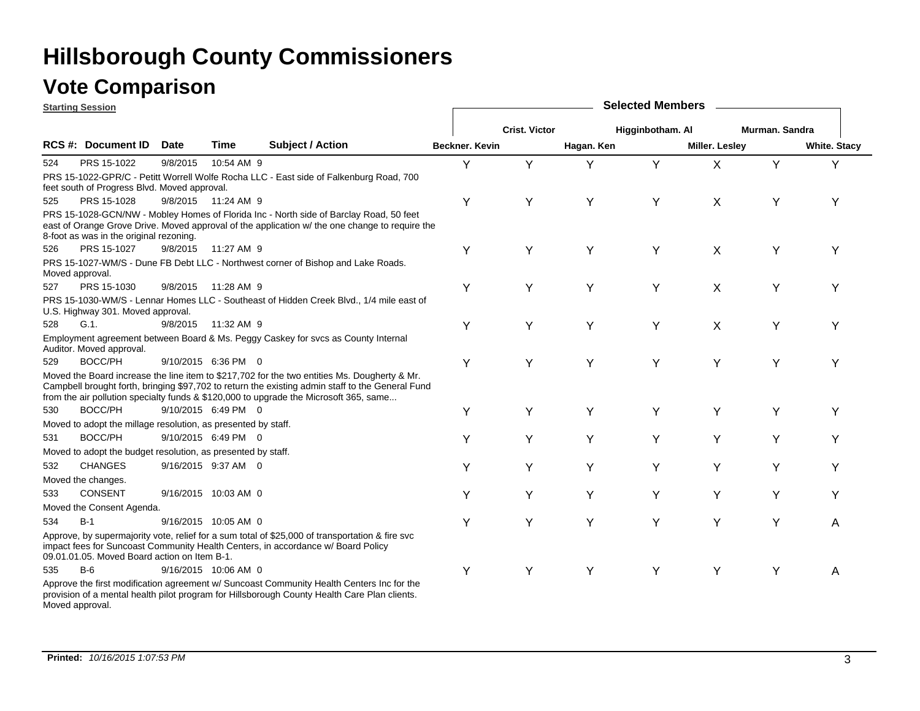### **Vote Comparison**

|     | <b>Starting Session</b>                                       |             |                      | <b>Selected Members</b>                                                                                                                                                                                                                                                                   |                       |                      |            |                  |                       |                |                     |
|-----|---------------------------------------------------------------|-------------|----------------------|-------------------------------------------------------------------------------------------------------------------------------------------------------------------------------------------------------------------------------------------------------------------------------------------|-----------------------|----------------------|------------|------------------|-----------------------|----------------|---------------------|
|     |                                                               |             |                      |                                                                                                                                                                                                                                                                                           |                       | <b>Crist. Victor</b> |            | Higginbotham. Al |                       | Murman, Sandra |                     |
|     | <b>RCS #: Document ID</b>                                     | <b>Date</b> | Time                 | <b>Subject / Action</b>                                                                                                                                                                                                                                                                   | <b>Beckner. Kevin</b> |                      | Hagan. Ken |                  | <b>Miller. Lesley</b> |                | <b>White. Stacy</b> |
| 524 | PRS 15-1022                                                   | 9/8/2015    | 10:54 AM 9           |                                                                                                                                                                                                                                                                                           | Y                     | Y                    | Y          | Y                | X                     | Y              | Y                   |
|     | feet south of Progress Blvd. Moved approval.                  |             |                      | PRS 15-1022-GPR/C - Petitt Worrell Wolfe Rocha LLC - East side of Falkenburg Road, 700                                                                                                                                                                                                    |                       |                      |            |                  |                       |                |                     |
| 525 | PRS 15-1028                                                   |             | 9/8/2015 11:24 AM 9  |                                                                                                                                                                                                                                                                                           | Y                     | Y                    | Υ          | Υ                | X                     | Y              | Y                   |
|     | 8-foot as was in the original rezoning.                       |             |                      | PRS 15-1028-GCN/NW - Mobley Homes of Florida Inc - North side of Barclay Road, 50 feet<br>east of Orange Grove Drive. Moved approval of the application w/ the one change to require the                                                                                                  |                       |                      |            |                  |                       |                |                     |
| 526 | PRS 15-1027                                                   |             | 9/8/2015 11:27 AM 9  |                                                                                                                                                                                                                                                                                           | Y                     | Υ                    | Y          | Υ                | X                     | Y              | Υ                   |
|     | Moved approval.                                               |             |                      | PRS 15-1027-WM/S - Dune FB Debt LLC - Northwest corner of Bishop and Lake Roads.                                                                                                                                                                                                          |                       |                      |            |                  |                       |                |                     |
| 527 | PRS 15-1030                                                   | 9/8/2015    | 11:28 AM 9           |                                                                                                                                                                                                                                                                                           | Υ                     | Υ                    | Υ          | Υ                | X                     | Y              | Υ                   |
|     | U.S. Highway 301. Moved approval.                             |             |                      | PRS 15-1030-WM/S - Lennar Homes LLC - Southeast of Hidden Creek Blvd., 1/4 mile east of                                                                                                                                                                                                   |                       |                      |            |                  |                       |                |                     |
| 528 | $G.1$ .                                                       |             | 9/8/2015 11:32 AM 9  |                                                                                                                                                                                                                                                                                           | Y                     | Υ                    | Υ          | Υ                | X                     | Υ              | Υ                   |
|     | Auditor. Moved approval.                                      |             |                      | Employment agreement between Board & Ms. Peggy Caskey for svcs as County Internal                                                                                                                                                                                                         |                       |                      |            |                  |                       |                |                     |
| 529 | BOCC/PH                                                       |             | 9/10/2015 6:36 PM 0  |                                                                                                                                                                                                                                                                                           | Y                     | Y                    | Y          | Y                | Y                     | Υ              | Υ                   |
|     |                                                               |             |                      | Moved the Board increase the line item to \$217,702 for the two entities Ms. Dougherty & Mr.<br>Campbell brought forth, bringing \$97,702 to return the existing admin staff to the General Fund<br>from the air pollution specialty funds & \$120,000 to upgrade the Microsoft 365, same |                       |                      |            |                  |                       |                |                     |
| 530 | BOCC/PH                                                       |             | 9/10/2015 6:49 PM 0  |                                                                                                                                                                                                                                                                                           | Υ                     | Υ                    | Y          | Y                | Υ                     | Y              | Υ                   |
|     | Moved to adopt the millage resolution, as presented by staff. |             |                      |                                                                                                                                                                                                                                                                                           |                       |                      |            |                  |                       |                |                     |
| 531 | BOCC/PH                                                       |             | 9/10/2015 6:49 PM 0  |                                                                                                                                                                                                                                                                                           | Υ                     | Y                    | Y          | Υ                | Y                     | Y              | Υ                   |
|     | Moved to adopt the budget resolution, as presented by staff.  |             |                      |                                                                                                                                                                                                                                                                                           |                       |                      |            |                  |                       |                |                     |
| 532 | <b>CHANGES</b>                                                |             | 9/16/2015 9:37 AM 0  |                                                                                                                                                                                                                                                                                           | Υ                     | Y                    | Y          | Υ                | Υ                     | Y              | Y                   |
|     | Moved the changes.                                            |             |                      |                                                                                                                                                                                                                                                                                           |                       |                      |            |                  |                       |                |                     |
| 533 | <b>CONSENT</b>                                                |             | 9/16/2015 10:03 AM 0 |                                                                                                                                                                                                                                                                                           | Y                     | Y                    | Y          | Υ                | Y                     | Υ              | Υ                   |
|     | Moved the Consent Agenda.                                     |             |                      |                                                                                                                                                                                                                                                                                           |                       |                      |            |                  |                       |                |                     |
| 534 | $B-1$                                                         |             | 9/16/2015 10:05 AM 0 |                                                                                                                                                                                                                                                                                           | Υ                     | Y                    | Y          | Υ                | Υ                     | Y              | A                   |
|     | 09.01.01.05. Moved Board action on Item B-1.                  |             |                      | Approve, by supermajority vote, relief for a sum total of \$25,000 of transportation & fire svc<br>impact fees for Suncoast Community Health Centers, in accordance w/ Board Policy                                                                                                       |                       |                      |            |                  |                       |                |                     |
| 535 | B-6                                                           |             | 9/16/2015 10:06 AM 0 |                                                                                                                                                                                                                                                                                           | Y                     | Y                    | Υ          | Y                | Y                     | Υ              | A                   |
|     |                                                               |             |                      | Approve the first modification agreement w/ Suncoast Community Health Centers Inc for the<br>provision of a mental health pilot program for Hillsborough County Health Care Plan clients.                                                                                                 |                       |                      |            |                  |                       |                |                     |

Moved approval.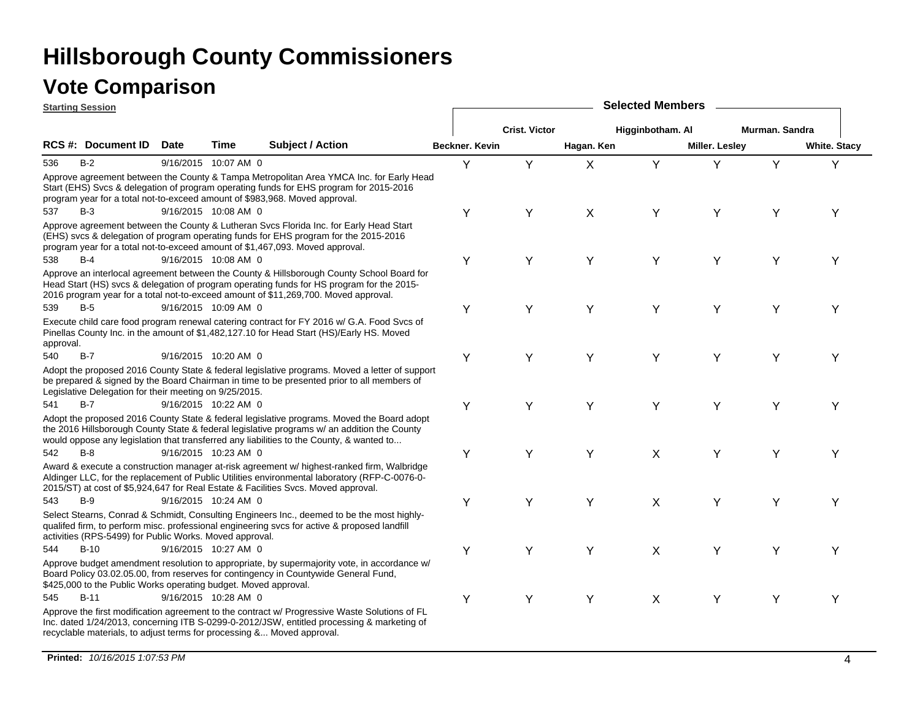|           | <b>Starting Session</b>                                         |             |                      |                                                                                                                                                                                                                                                                                       | <b>Selected Members</b> |                      |            |                  |                       |                |                     |  |  |
|-----------|-----------------------------------------------------------------|-------------|----------------------|---------------------------------------------------------------------------------------------------------------------------------------------------------------------------------------------------------------------------------------------------------------------------------------|-------------------------|----------------------|------------|------------------|-----------------------|----------------|---------------------|--|--|
|           |                                                                 |             |                      |                                                                                                                                                                                                                                                                                       |                         | <b>Crist. Victor</b> |            | Higginbotham. Al |                       | Murman. Sandra |                     |  |  |
|           | RCS #: Document ID                                              | <b>Date</b> | Time                 | <b>Subject / Action</b>                                                                                                                                                                                                                                                               | Beckner. Kevin          |                      | Hagan. Ken |                  | <b>Miller. Lesley</b> |                | <b>White. Stacy</b> |  |  |
| 536       | $B-2$                                                           |             | 9/16/2015 10:07 AM 0 |                                                                                                                                                                                                                                                                                       | Y                       | Y                    | X          | Y                | Y                     | Y              | Υ                   |  |  |
|           |                                                                 |             |                      | Approve agreement between the County & Tampa Metropolitan Area YMCA Inc. for Early Head<br>Start (EHS) Svcs & delegation of program operating funds for EHS program for 2015-2016<br>program year for a total not-to-exceed amount of \$983,968. Moved approval.                      |                         |                      |            |                  |                       |                |                     |  |  |
| 537       | $B-3$                                                           |             | 9/16/2015 10:08 AM 0 |                                                                                                                                                                                                                                                                                       | Υ                       | Y                    | X          | Y                | Y                     | Υ              | Υ                   |  |  |
|           |                                                                 |             |                      | Approve agreement between the County & Lutheran Svcs Florida Inc. for Early Head Start<br>(EHS) svcs & delegation of program operating funds for EHS program for the 2015-2016<br>program year for a total not-to-exceed amount of \$1,467,093. Moved approval.                       |                         |                      |            |                  |                       |                |                     |  |  |
| 538       | $B-4$                                                           |             | 9/16/2015 10:08 AM 0 |                                                                                                                                                                                                                                                                                       | Υ                       | Y                    | Y          | Y                | Y                     | Υ              | Y                   |  |  |
|           |                                                                 |             |                      | Approve an interlocal agreement between the County & Hillsborough County School Board for<br>Head Start (HS) svcs & delegation of program operating funds for HS program for the 2015-<br>2016 program year for a total not-to-exceed amount of \$11,269,700. Moved approval.         |                         |                      |            |                  |                       |                |                     |  |  |
| 539       | $B-5$                                                           |             | 9/16/2015 10:09 AM 0 |                                                                                                                                                                                                                                                                                       | Υ                       | Y                    | Y          | Y                | Y                     | Y              | Υ                   |  |  |
| approval. |                                                                 |             |                      | Execute child care food program renewal catering contract for FY 2016 w/ G.A. Food Svcs of<br>Pinellas County Inc. in the amount of \$1,482,127.10 for Head Start (HS)/Early HS. Moved                                                                                                |                         |                      |            |                  |                       |                |                     |  |  |
| 540       | $B-7$                                                           |             | 9/16/2015 10:20 AM 0 |                                                                                                                                                                                                                                                                                       | Υ                       | Y                    | Y          | Y                | Y                     | Υ              | Y                   |  |  |
|           | Legislative Delegation for their meeting on 9/25/2015.          |             |                      | Adopt the proposed 2016 County State & federal legislative programs. Moved a letter of support<br>be prepared & signed by the Board Chairman in time to be presented prior to all members of                                                                                          |                         |                      |            |                  |                       |                |                     |  |  |
| 541       | $B-7$                                                           |             | 9/16/2015 10:22 AM 0 |                                                                                                                                                                                                                                                                                       | Υ                       | Y                    | Y          | Y                | Y                     | Υ              | Υ                   |  |  |
|           |                                                                 |             |                      | Adopt the proposed 2016 County State & federal legislative programs. Moved the Board adopt<br>the 2016 Hillsborough County State & federal legislative programs w/ an addition the County<br>would oppose any legislation that transferred any liabilities to the County, & wanted to |                         |                      |            |                  |                       |                |                     |  |  |
| 542       | $B-8$                                                           |             | 9/16/2015 10:23 AM 0 |                                                                                                                                                                                                                                                                                       | Υ                       | Υ                    | Υ          | X                | Υ                     | Υ              | Υ                   |  |  |
|           |                                                                 |             |                      | Award & execute a construction manager at-risk agreement w/ highest-ranked firm, Walbridge<br>Aldinger LLC, for the replacement of Public Utilities environmental laboratory (RFP-C-0076-0-<br>2015/ST) at cost of \$5,924,647 for Real Estate & Facilities Svcs. Moved approval.     |                         |                      |            |                  |                       |                |                     |  |  |
| 543       | $B-9$                                                           |             | 9/16/2015 10:24 AM 0 |                                                                                                                                                                                                                                                                                       | Υ                       | Y                    | Y          | X                | Y                     | Y              | Y                   |  |  |
|           | activities (RPS-5499) for Public Works. Moved approval.         |             |                      | Select Stearns, Conrad & Schmidt, Consulting Engineers Inc., deemed to be the most highly-<br>qualifed firm, to perform misc. professional engineering svcs for active & proposed landfill                                                                                            |                         |                      |            |                  |                       |                |                     |  |  |
| 544       | $B-10$                                                          |             | 9/16/2015 10:27 AM 0 |                                                                                                                                                                                                                                                                                       | Υ                       | Y                    | Y          | X                | Y                     | Y              | Υ                   |  |  |
|           | \$425,000 to the Public Works operating budget. Moved approval. |             |                      | Approve budget amendment resolution to appropriate, by supermajority vote, in accordance w/<br>Board Policy 03.02.05.00, from reserves for contingency in Countywide General Fund,                                                                                                    |                         |                      |            |                  |                       |                |                     |  |  |
| 545       | $B-11$                                                          |             | 9/16/2015 10:28 AM 0 |                                                                                                                                                                                                                                                                                       | Υ                       | Υ                    | Y          | X                | Υ                     | Υ              | Υ                   |  |  |
|           |                                                                 |             |                      | Approve the first modification agreement to the contract w/ Progressive Waste Solutions of FL<br>Inc. dated 1/24/2013, concerning ITB S-0299-0-2012/JSW, entitled processing & marketing of<br>recyclable materials, to adjust terms for processing & Moved approval.                 |                         |                      |            |                  |                       |                |                     |  |  |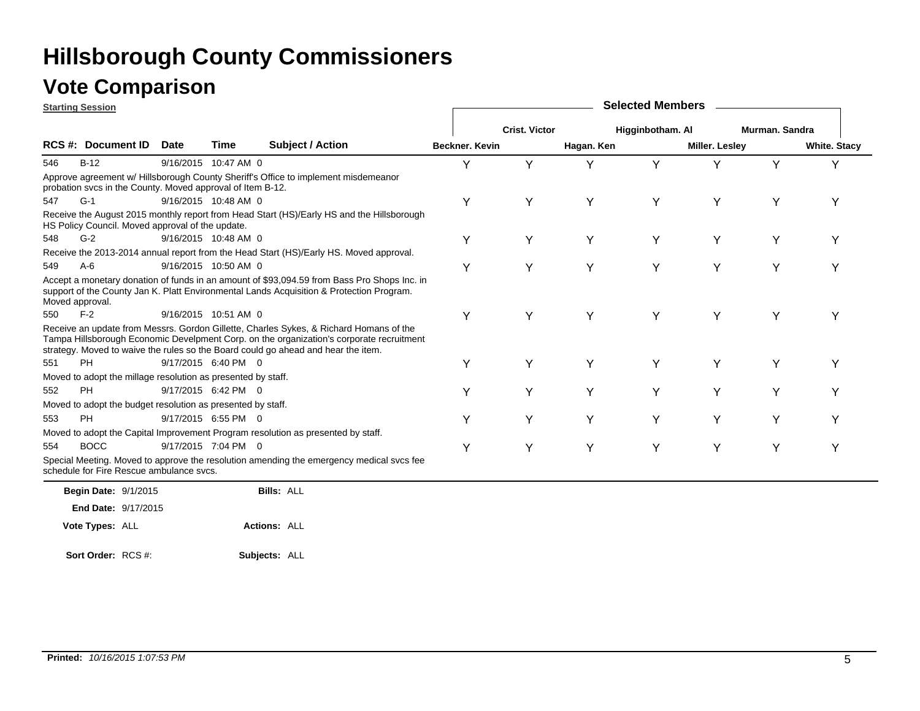| <b>Starting Session</b>                                      |                            |                      |                                                                                                                                                                                                                                                                         |                |                      |            | <b>Selected Members</b> |                       |                |                     |
|--------------------------------------------------------------|----------------------------|----------------------|-------------------------------------------------------------------------------------------------------------------------------------------------------------------------------------------------------------------------------------------------------------------------|----------------|----------------------|------------|-------------------------|-----------------------|----------------|---------------------|
|                                                              |                            |                      |                                                                                                                                                                                                                                                                         |                | <b>Crist. Victor</b> |            | Higginbotham. Al        |                       | Murman, Sandra |                     |
| <b>RCS #: Document ID</b>                                    | <b>Date</b>                | Time                 | <b>Subject / Action</b>                                                                                                                                                                                                                                                 | Beckner, Kevin |                      | Hagan. Ken |                         | <b>Miller. Lesley</b> |                | <b>White. Stacy</b> |
| $B-12$<br>546                                                |                            | 9/16/2015 10:47 AM 0 |                                                                                                                                                                                                                                                                         | Υ              | Y                    | Y          | Y                       | Υ                     | Y              | v                   |
| probation svcs in the County. Moved approval of Item B-12.   |                            |                      | Approve agreement w/ Hillsborough County Sheriff's Office to implement misdemeanor                                                                                                                                                                                      |                |                      |            |                         |                       |                |                     |
| $G-1$<br>547                                                 |                            | 9/16/2015 10:48 AM 0 |                                                                                                                                                                                                                                                                         | Υ              | Υ                    | Y          | Y                       | Υ                     | Υ              | Υ                   |
| HS Policy Council. Moved approval of the update.             |                            |                      | Receive the August 2015 monthly report from Head Start (HS)/Early HS and the Hillsborough                                                                                                                                                                               |                |                      |            |                         |                       |                |                     |
| $G-2$<br>548                                                 |                            | 9/16/2015 10:48 AM 0 |                                                                                                                                                                                                                                                                         | Y              | Y                    | Y          | Y                       | Y                     | Y              | Y                   |
|                                                              |                            |                      | Receive the 2013-2014 annual report from the Head Start (HS)/Early HS. Moved approval.                                                                                                                                                                                  |                |                      |            |                         |                       |                |                     |
| $A-6$<br>549                                                 |                            | 9/16/2015 10:50 AM 0 |                                                                                                                                                                                                                                                                         | Υ              | Y                    | Y          | Y                       | Y                     | Y              | Y                   |
| Moved approval.                                              |                            |                      | Accept a monetary donation of funds in an amount of \$93,094.59 from Bass Pro Shops Inc. in<br>support of the County Jan K. Platt Environmental Lands Acquisition & Protection Program.                                                                                 |                |                      |            |                         |                       |                |                     |
| $F-2$<br>550                                                 |                            | 9/16/2015 10:51 AM 0 |                                                                                                                                                                                                                                                                         | Υ              | Y                    | Y          | Y                       | Y                     | Y              | Υ                   |
|                                                              |                            |                      | Receive an update from Messrs. Gordon Gillette, Charles Sykes, & Richard Homans of the<br>Tampa Hillsborough Economic Develpment Corp. on the organization's corporate recruitment<br>strategy. Moved to waive the rules so the Board could go ahead and hear the item. |                |                      |            |                         |                       |                |                     |
| <b>PH</b><br>551                                             |                            | 9/17/2015 6:40 PM 0  |                                                                                                                                                                                                                                                                         | Υ              | Υ                    | Y          | Y                       | Y                     | Y              | Υ                   |
| Moved to adopt the millage resolution as presented by staff. |                            |                      |                                                                                                                                                                                                                                                                         |                |                      |            |                         |                       |                |                     |
| PH<br>552                                                    |                            | 9/17/2015 6:42 PM 0  |                                                                                                                                                                                                                                                                         | Υ              | Υ                    | Υ          | Y                       | Y                     | Y              |                     |
| Moved to adopt the budget resolution as presented by staff.  |                            |                      |                                                                                                                                                                                                                                                                         |                |                      |            |                         |                       |                |                     |
| <b>PH</b><br>553                                             |                            | 9/17/2015 6:55 PM 0  |                                                                                                                                                                                                                                                                         | Υ              | Υ                    | Y          | Y                       | Υ                     | Y              | Υ                   |
|                                                              |                            |                      | Moved to adopt the Capital Improvement Program resolution as presented by staff.                                                                                                                                                                                        |                |                      |            |                         |                       |                |                     |
| <b>BOCC</b><br>554                                           |                            | 9/17/2015 7:04 PM 0  |                                                                                                                                                                                                                                                                         | Υ              | Υ                    | Y          | Y                       | Y                     | Y              | Υ                   |
| schedule for Fire Rescue ambulance svcs.                     |                            |                      | Special Meeting. Moved to approve the resolution amending the emergency medical svcs fee                                                                                                                                                                                |                |                      |            |                         |                       |                |                     |
| <b>Begin Date: 9/1/2015</b>                                  |                            |                      | <b>Bills: ALL</b>                                                                                                                                                                                                                                                       |                |                      |            |                         |                       |                |                     |
|                                                              | <b>End Date: 9/17/2015</b> |                      |                                                                                                                                                                                                                                                                         |                |                      |            |                         |                       |                |                     |
| Vote Types: ALL                                              |                            |                      | <b>Actions: ALL</b>                                                                                                                                                                                                                                                     |                |                      |            |                         |                       |                |                     |
|                                                              |                            |                      |                                                                                                                                                                                                                                                                         |                |                      |            |                         |                       |                |                     |

**Subjects:** ALL **Sort Order:** RCS #: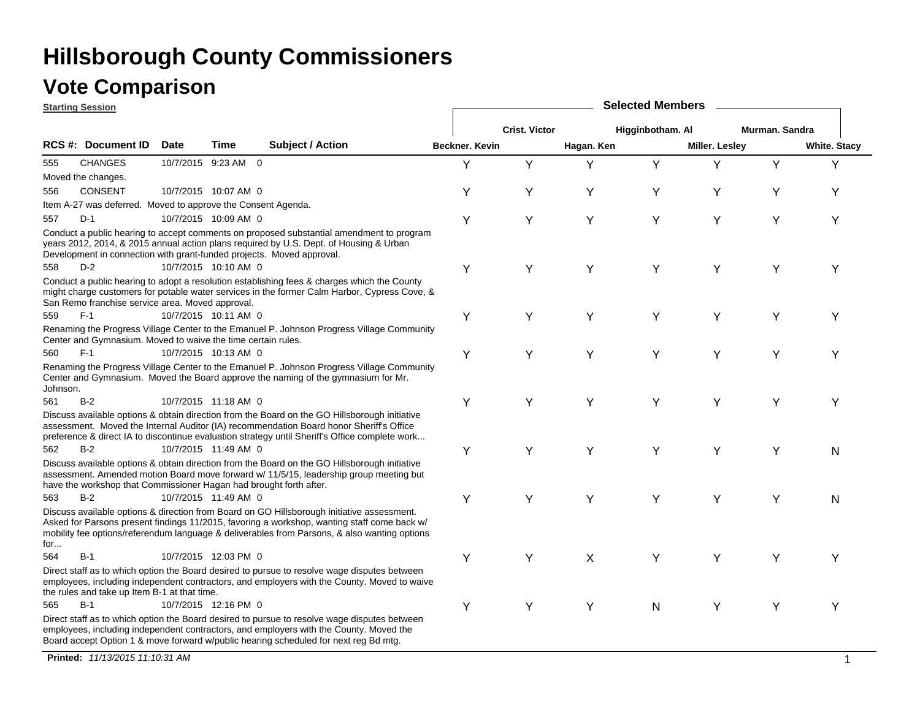### **Vote Comparison**

**Starting Session**

| <u>starting session</u> |                                                                    |             |                      |                                                                                                                                                                                                                                                                                            |                       | <b>OUIGULUM INGITIOU</b> |            |                  |                       |                |                     |
|-------------------------|--------------------------------------------------------------------|-------------|----------------------|--------------------------------------------------------------------------------------------------------------------------------------------------------------------------------------------------------------------------------------------------------------------------------------------|-----------------------|--------------------------|------------|------------------|-----------------------|----------------|---------------------|
|                         |                                                                    |             |                      |                                                                                                                                                                                                                                                                                            |                       | <b>Crist. Victor</b>     |            | Higginbotham. Al |                       | Murman. Sandra |                     |
|                         | RCS #: Document ID                                                 | <b>Date</b> | Time                 | <b>Subject / Action</b>                                                                                                                                                                                                                                                                    | <b>Beckner, Kevin</b> |                          | Hagan. Ken |                  | <b>Miller. Lesley</b> |                | <b>White. Stacy</b> |
| 555                     | <b>CHANGES</b>                                                     |             | 10/7/2015 9:23 AM 0  |                                                                                                                                                                                                                                                                                            | Υ                     | Y                        | Y          | Y                | Υ                     | Y              | Y                   |
|                         | Moved the changes.                                                 |             |                      |                                                                                                                                                                                                                                                                                            |                       |                          |            |                  |                       |                |                     |
| 556                     | <b>CONSENT</b>                                                     |             | 10/7/2015 10:07 AM 0 |                                                                                                                                                                                                                                                                                            | Υ                     | Y                        | Y          | Υ                | Y                     | Y              | Υ                   |
|                         | Item A-27 was deferred. Moved to approve the Consent Agenda.       |             |                      |                                                                                                                                                                                                                                                                                            |                       |                          |            |                  |                       |                |                     |
| 557                     | D-1                                                                |             | 10/7/2015 10:09 AM 0 |                                                                                                                                                                                                                                                                                            | Υ                     | Y                        | Y          | Υ                | Υ                     | Y              | Y                   |
|                         |                                                                    |             |                      | Conduct a public hearing to accept comments on proposed substantial amendment to program<br>years 2012, 2014, & 2015 annual action plans required by U.S. Dept. of Housing & Urban<br>Development in connection with grant-funded projects. Moved approval.                                |                       |                          |            |                  |                       |                |                     |
| 558                     | $D-2$                                                              |             | 10/7/2015 10:10 AM 0 |                                                                                                                                                                                                                                                                                            | Y                     | Y                        | Y          | Y                | Y                     | Y              | Υ                   |
|                         | San Remo franchise service area. Moved approval.                   |             |                      | Conduct a public hearing to adopt a resolution establishing fees & charges which the County<br>might charge customers for potable water services in the former Calm Harbor, Cypress Cove, &                                                                                                |                       |                          |            |                  |                       |                |                     |
| 559                     | $F-1$                                                              |             | 10/7/2015 10:11 AM 0 |                                                                                                                                                                                                                                                                                            | Υ                     | Y                        | Y          | Y                | Υ                     | Y              | Υ                   |
|                         | Center and Gymnasium. Moved to waive the time certain rules.       |             |                      | Renaming the Progress Village Center to the Emanuel P. Johnson Progress Village Community                                                                                                                                                                                                  |                       |                          |            |                  |                       |                |                     |
| 560                     | $F-1$                                                              |             | 10/7/2015 10:13 AM 0 |                                                                                                                                                                                                                                                                                            | Υ                     | Y                        | Y          | Υ                | Y                     | Υ              | Y                   |
| Johnson.                |                                                                    |             |                      | Renaming the Progress Village Center to the Emanuel P. Johnson Progress Village Community<br>Center and Gymnasium. Moved the Board approve the naming of the gymnasium for Mr.                                                                                                             |                       |                          |            |                  |                       |                |                     |
| 561                     | $B-2$                                                              |             | 10/7/2015 11:18 AM 0 |                                                                                                                                                                                                                                                                                            | Υ                     | Y                        | Y          | Y                | Y                     | Y              | Υ                   |
|                         |                                                                    |             |                      | Discuss available options & obtain direction from the Board on the GO Hillsborough initiative<br>assessment. Moved the Internal Auditor (IA) recommendation Board honor Sheriff's Office<br>preference & direct IA to discontinue evaluation strategy until Sheriff's Office complete work |                       |                          |            |                  |                       |                |                     |
| 562                     | $B-2$                                                              |             | 10/7/2015 11:49 AM 0 |                                                                                                                                                                                                                                                                                            | Y                     | Y                        | Y          | Y                | Y                     | Y              | N                   |
|                         | have the workshop that Commissioner Hagan had brought forth after. |             |                      | Discuss available options & obtain direction from the Board on the GO Hillsborough initiative<br>assessment. Amended motion Board move forward w/ 11/5/15, leadership group meeting but                                                                                                    |                       |                          |            |                  |                       |                |                     |
| 563                     | $B-2$                                                              |             | 10/7/2015 11:49 AM 0 |                                                                                                                                                                                                                                                                                            | Υ                     | Υ                        | Y          | Υ                | Υ                     | Υ              | N                   |
| for                     |                                                                    |             |                      | Discuss available options & direction from Board on GO Hillsborough initiative assessment.<br>Asked for Parsons present findings 11/2015, favoring a workshop, wanting staff come back w/<br>mobility fee options/referendum language & deliverables from Parsons, & also wanting options  |                       |                          |            |                  |                       |                |                     |
| 564                     | $B-1$                                                              |             | 10/7/2015 12:03 PM 0 |                                                                                                                                                                                                                                                                                            | Υ                     | Y                        | X          | Υ                | Υ                     | Y              | Υ                   |
|                         | the rules and take up Item B-1 at that time.                       |             |                      | Direct staff as to which option the Board desired to pursue to resolve wage disputes between<br>employees, including independent contractors, and employers with the County. Moved to waive                                                                                                |                       |                          |            |                  |                       |                |                     |
| 565                     | $B-1$                                                              |             | 10/7/2015 12:16 PM 0 |                                                                                                                                                                                                                                                                                            | Υ                     | Y                        | Y          | N                | Υ                     | Y              | Υ                   |
|                         |                                                                    |             |                      | Direct staff as to which option the Board desired to pursue to resolve wage disputes between<br>employees, including independent contractors, and employers with the County. Moved the<br>Board accept Option 1 & move forward w/public hearing scheduled for next reg Bd mtg.             |                       |                          |            |                  |                       |                |                     |

**Selected Members**

**Printed:** *11/13/2015 11:10:31 AM* $\overline{M}$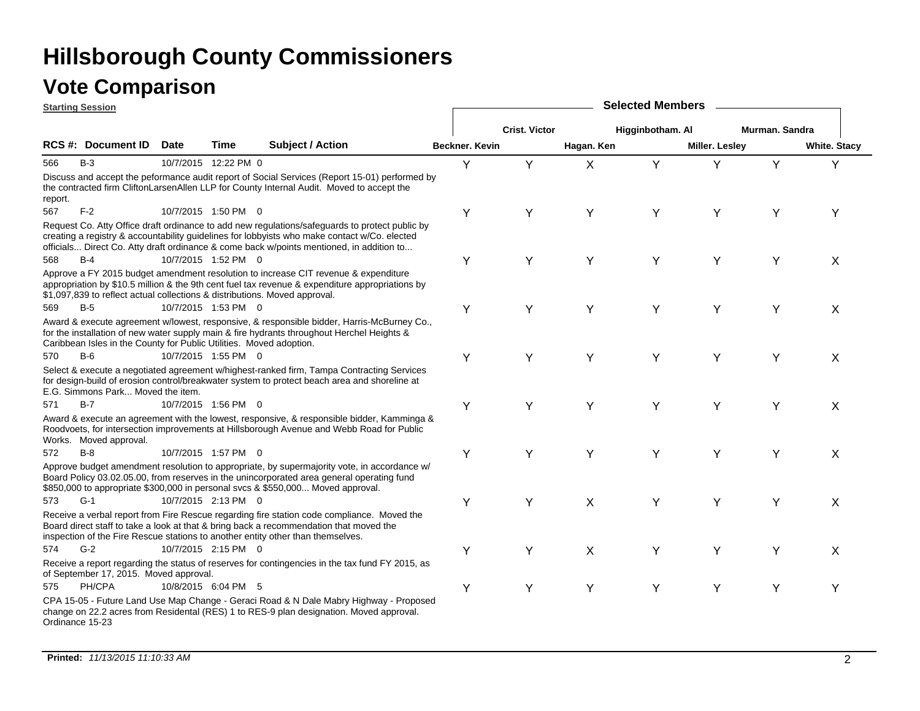|         | <b>Starting Session</b>                                                    |             |                      |                                                                                                                                                                                                                                                                                            | <b>Selected Members</b> |                      |            |                  |                |                |                     |  |  |
|---------|----------------------------------------------------------------------------|-------------|----------------------|--------------------------------------------------------------------------------------------------------------------------------------------------------------------------------------------------------------------------------------------------------------------------------------------|-------------------------|----------------------|------------|------------------|----------------|----------------|---------------------|--|--|
|         |                                                                            |             |                      |                                                                                                                                                                                                                                                                                            |                         | <b>Crist. Victor</b> |            | Higginbotham. Al |                | Murman. Sandra |                     |  |  |
|         | RCS #: Document ID                                                         | <b>Date</b> | Time                 | <b>Subject / Action</b>                                                                                                                                                                                                                                                                    | Beckner. Kevin          |                      | Hagan. Ken |                  | Miller. Lesley |                | <b>White. Stacy</b> |  |  |
| 566     | $B-3$                                                                      |             | 10/7/2015 12:22 PM 0 |                                                                                                                                                                                                                                                                                            | Y                       | Y                    | X          | Y                | Y              | Y              | Y                   |  |  |
| report. |                                                                            |             |                      | Discuss and accept the peformance audit report of Social Services (Report 15-01) performed by<br>the contracted firm CliftonLarsenAllen LLP for County Internal Audit. Moved to accept the                                                                                                 |                         |                      |            |                  |                |                |                     |  |  |
| 567     | $F-2$                                                                      |             | 10/7/2015 1:50 PM 0  |                                                                                                                                                                                                                                                                                            | Υ                       | Y                    | Y          | Y                | Υ              | Υ              | Υ                   |  |  |
|         |                                                                            |             |                      | Request Co. Atty Office draft ordinance to add new regulations/safeguards to protect public by<br>creating a registry & accountability guidelines for lobbyists who make contact w/Co. elected<br>officials Direct Co. Atty draft ordinance & come back w/points mentioned, in addition to |                         |                      |            |                  |                |                |                     |  |  |
| 568     | $B-4$                                                                      |             | 10/7/2015 1:52 PM 0  |                                                                                                                                                                                                                                                                                            | Υ                       | Y                    | Y          | Y                | Y              | Y              | X                   |  |  |
|         | \$1,097,839 to reflect actual collections & distributions. Moved approval. |             |                      | Approve a FY 2015 budget amendment resolution to increase CIT revenue & expenditure<br>appropriation by \$10.5 million & the 9th cent fuel tax revenue & expenditure appropriations by                                                                                                     |                         |                      |            |                  |                |                |                     |  |  |
| 569     | $B-5$                                                                      |             | 10/7/2015 1:53 PM 0  |                                                                                                                                                                                                                                                                                            | Υ                       | Y                    | Y          | Y                | Y              | Υ              | X                   |  |  |
|         | Caribbean Isles in the County for Public Utilities. Moved adoption.        |             |                      | Award & execute agreement w/lowest, responsive, & responsible bidder, Harris-McBurney Co.,<br>for the installation of new water supply main & fire hydrants throughout Herchel Heights &                                                                                                   |                         |                      |            |                  |                |                |                     |  |  |
| 570     | $B-6$                                                                      |             | 10/7/2015 1:55 PM 0  |                                                                                                                                                                                                                                                                                            | Υ                       | Y                    | Y          | Y                | Y              | Y              | X                   |  |  |
|         | E.G. Simmons Park Moved the item.                                          |             |                      | Select & execute a negotiated agreement w/highest-ranked firm, Tampa Contracting Services<br>for design-build of erosion control/breakwater system to protect beach area and shoreline at                                                                                                  |                         |                      |            |                  |                |                |                     |  |  |
| 571     | $B-7$                                                                      |             | 10/7/2015 1:56 PM 0  |                                                                                                                                                                                                                                                                                            | Υ                       | Y                    | Y          | Y                | Y              | Y              | X                   |  |  |
|         | Works. Moved approval.                                                     |             |                      | Award & execute an agreement with the lowest, responsive, & responsible bidder, Kamminga &<br>Roodvoets, for intersection improvements at Hillsborough Avenue and Webb Road for Public                                                                                                     |                         |                      |            |                  |                |                |                     |  |  |
| 572     | $B-8$                                                                      |             | 10/7/2015 1:57 PM 0  |                                                                                                                                                                                                                                                                                            | Υ                       | Y                    | Y          | Y                | Y              | Y              | X                   |  |  |
|         |                                                                            |             |                      | Approve budget amendment resolution to appropriate, by supermajority vote, in accordance w/<br>Board Policy 03.02.05.00, from reserves in the unincorporated area general operating fund<br>\$850,000 to appropriate \$300,000 in personal svcs & \$550,000 Moved approval.                |                         |                      |            |                  |                |                |                     |  |  |
| 573     | $G-1$                                                                      |             | 10/7/2015 2:13 PM 0  |                                                                                                                                                                                                                                                                                            | Υ                       | Y                    | X          | Y                | Y              | Y              | X                   |  |  |
|         |                                                                            |             |                      | Receive a verbal report from Fire Rescue regarding fire station code compliance. Moved the<br>Board direct staff to take a look at that & bring back a recommendation that moved the<br>inspection of the Fire Rescue stations to another entity other than themselves.                    |                         |                      |            |                  |                |                |                     |  |  |
| 574     | $G-2$                                                                      |             | 10/7/2015 2:15 PM 0  |                                                                                                                                                                                                                                                                                            | Υ                       | Y                    | X          | Y                | Y              | Y              | X                   |  |  |
|         | of September 17, 2015. Moved approval.                                     |             |                      | Receive a report regarding the status of reserves for contingencies in the tax fund FY 2015, as                                                                                                                                                                                            |                         |                      |            |                  |                |                |                     |  |  |
| 575     | PH/CPA                                                                     |             | 10/8/2015 6:04 PM 5  |                                                                                                                                                                                                                                                                                            | Υ                       | Y                    | Y          | Y                | Y              | Y              | Y                   |  |  |
|         | Ordinance 15-23                                                            |             |                      | CPA 15-05 - Future Land Use Map Change - Geraci Road & N Dale Mabry Highway - Proposed<br>change on 22.2 acres from Residental (RES) 1 to RES-9 plan designation. Moved approval.                                                                                                          |                         |                      |            |                  |                |                |                     |  |  |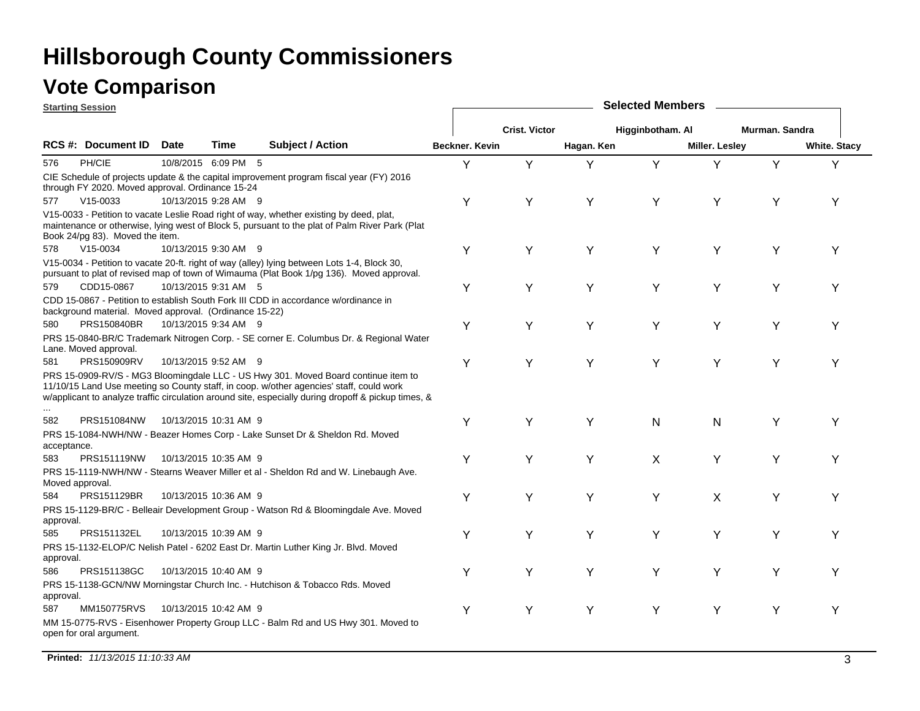### **Vote Comparison**

|                    | <b>Starting Session</b>                                |                       |             |                                                                                                                                                                                                                                                                                      | <b>Selected Members</b> |                      |            |                  |                |                |                     |  |  |
|--------------------|--------------------------------------------------------|-----------------------|-------------|--------------------------------------------------------------------------------------------------------------------------------------------------------------------------------------------------------------------------------------------------------------------------------------|-------------------------|----------------------|------------|------------------|----------------|----------------|---------------------|--|--|
|                    |                                                        |                       |             |                                                                                                                                                                                                                                                                                      |                         | <b>Crist. Victor</b> |            | Higginbotham. Al |                | Murman. Sandra |                     |  |  |
|                    | RCS #: Document ID                                     | Date                  | <b>Time</b> | <b>Subject / Action</b>                                                                                                                                                                                                                                                              | Beckner. Kevin          |                      | Hagan. Ken |                  | Miller. Lesley |                | <b>White. Stacy</b> |  |  |
| 576                | PH/CIE                                                 | 10/8/2015 6:09 PM 5   |             |                                                                                                                                                                                                                                                                                      | Y                       | Y                    | Υ          | Y                | Y              | Y              | Υ                   |  |  |
|                    | through FY 2020. Moved approval. Ordinance 15-24       |                       |             | CIE Schedule of projects update & the capital improvement program fiscal year (FY) 2016                                                                                                                                                                                              |                         |                      |            |                  |                |                |                     |  |  |
| 577                | $V15-0033$                                             | 10/13/2015 9:28 AM 9  |             |                                                                                                                                                                                                                                                                                      | Y                       | Υ                    | Y          | Y                | Y              | Υ              | Υ                   |  |  |
|                    | Book 24/pg 83). Moved the item.                        |                       |             | V15-0033 - Petition to vacate Leslie Road right of way, whether existing by deed, plat,<br>maintenance or otherwise, lying west of Block 5, pursuant to the plat of Palm River Park (Plat                                                                                            |                         |                      |            |                  |                |                |                     |  |  |
| 578                | $V15-0034$                                             | 10/13/2015 9:30 AM 9  |             |                                                                                                                                                                                                                                                                                      | Y                       | Y                    | Υ          | Y                | Y              | Υ              | Y                   |  |  |
|                    |                                                        |                       |             | V15-0034 - Petition to vacate 20-ft. right of way (alley) lying between Lots 1-4, Block 30,<br>pursuant to plat of revised map of town of Wimauma (Plat Book 1/pg 136). Moved approval.                                                                                              |                         |                      |            |                  |                |                |                     |  |  |
| 579                | CDD15-0867                                             | 10/13/2015 9:31 AM 5  |             |                                                                                                                                                                                                                                                                                      | Y                       | Y                    | Y          | Y                | Y              | Y              | Υ                   |  |  |
|                    | background material. Moved approval. (Ordinance 15-22) |                       |             | CDD 15-0867 - Petition to establish South Fork III CDD in accordance w/ordinance in                                                                                                                                                                                                  |                         |                      |            |                  |                |                |                     |  |  |
| 580                | PRS150840BR                                            | 10/13/2015 9:34 AM 9  |             |                                                                                                                                                                                                                                                                                      | Y                       | Y                    | Υ          | Υ                | Υ              | Υ              | Y                   |  |  |
|                    | Lane. Moved approval.                                  |                       |             | PRS 15-0840-BR/C Trademark Nitrogen Corp. - SE corner E. Columbus Dr. & Regional Water                                                                                                                                                                                               |                         |                      |            |                  |                |                |                     |  |  |
| 581                | PRS150909RV                                            | 10/13/2015 9:52 AM 9  |             |                                                                                                                                                                                                                                                                                      | Y                       | Y                    | Υ          | Υ                | Y              | Υ              | Υ                   |  |  |
|                    |                                                        |                       |             | PRS 15-0909-RV/S - MG3 Bloomingdale LLC - US Hwy 301. Moved Board continue item to<br>11/10/15 Land Use meeting so County staff, in coop. w/other agencies' staff, could work<br>w/applicant to analyze traffic circulation around site, especially during dropoff & pickup times, & |                         |                      |            |                  |                |                |                     |  |  |
| 582                | PRS151084NW                                            | 10/13/2015 10:31 AM 9 |             |                                                                                                                                                                                                                                                                                      | Y                       | Υ                    | Υ          | $\mathsf{N}$     | N              | Y              | Y                   |  |  |
|                    |                                                        |                       |             | PRS 15-1084-NWH/NW - Beazer Homes Corp - Lake Sunset Dr & Sheldon Rd. Moved                                                                                                                                                                                                          |                         |                      |            |                  |                |                |                     |  |  |
| acceptance.<br>583 | PRS151119NW                                            | 10/13/2015 10:35 AM 9 |             |                                                                                                                                                                                                                                                                                      | Y                       | Υ                    |            |                  |                |                |                     |  |  |
|                    |                                                        |                       |             | PRS 15-1119-NWH/NW - Stearns Weaver Miller et al - Sheldon Rd and W. Linebaugh Ave.                                                                                                                                                                                                  |                         |                      | Υ          | X                | Y              | Υ              | Υ                   |  |  |
| Moved approval.    |                                                        |                       |             |                                                                                                                                                                                                                                                                                      |                         |                      |            |                  |                |                |                     |  |  |
| 584                | PRS151129BR                                            | 10/13/2015 10:36 AM 9 |             |                                                                                                                                                                                                                                                                                      | Y                       | Y                    | Y          | Υ                | X              | Y              | Υ                   |  |  |
| approval.          |                                                        |                       |             | PRS 15-1129-BR/C - Belleair Development Group - Watson Rd & Bloomingdale Ave. Moved                                                                                                                                                                                                  |                         |                      |            |                  |                |                |                     |  |  |
| 585                | PRS151132EL                                            | 10/13/2015 10:39 AM 9 |             |                                                                                                                                                                                                                                                                                      | Y                       | Y                    | Υ          | Y                | Y              | Y              | Y                   |  |  |
| approval.          |                                                        |                       |             | PRS 15-1132-ELOP/C Nelish Patel - 6202 East Dr. Martin Luther King Jr. Blvd. Moved                                                                                                                                                                                                   |                         |                      |            |                  |                |                |                     |  |  |
| 586                | PRS151138GC                                            | 10/13/2015 10:40 AM 9 |             |                                                                                                                                                                                                                                                                                      | Υ                       | Υ                    | Y          | Υ                | Υ              | Υ              | Υ                   |  |  |
| approval.          |                                                        |                       |             | PRS 15-1138-GCN/NW Morningstar Church Inc. - Hutchison & Tobacco Rds. Moved                                                                                                                                                                                                          |                         |                      |            |                  |                |                |                     |  |  |
| 587                | MM150775RVS                                            | 10/13/2015 10:42 AM 9 |             |                                                                                                                                                                                                                                                                                      | Y                       | Y                    | Y          | Y                | Y              | Y              | Y                   |  |  |
|                    | open for oral argument.                                |                       |             | MM 15-0775-RVS - Eisenhower Property Group LLC - Balm Rd and US Hwy 301. Moved to                                                                                                                                                                                                    |                         |                      |            |                  |                |                |                     |  |  |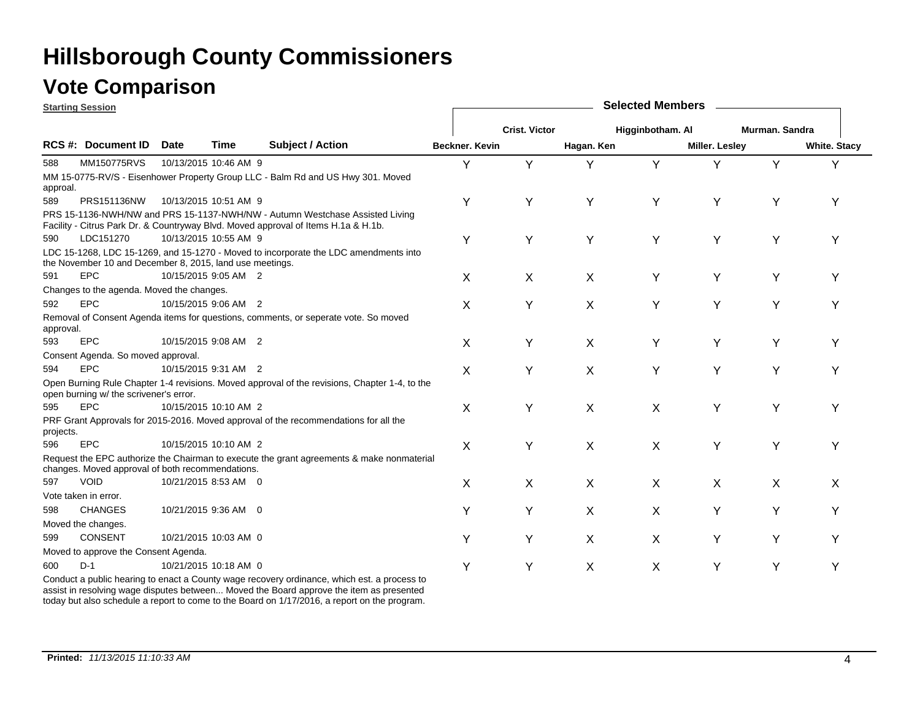### **Vote Comparison**

|           | <b>Starting Session</b>                                  |             |                       |                                                                                                                                                                    | <b>Selected Members</b> |                      |            |                  |                       |                |                     |  |  |  |
|-----------|----------------------------------------------------------|-------------|-----------------------|--------------------------------------------------------------------------------------------------------------------------------------------------------------------|-------------------------|----------------------|------------|------------------|-----------------------|----------------|---------------------|--|--|--|
|           |                                                          |             |                       |                                                                                                                                                                    |                         | <b>Crist. Victor</b> |            | Higginbotham. Al |                       | Murman. Sandra |                     |  |  |  |
|           | <b>RCS #: Document ID</b>                                | <b>Date</b> | <b>Time</b>           | <b>Subject / Action</b>                                                                                                                                            | <b>Beckner, Kevin</b>   |                      | Hagan. Ken |                  | <b>Miller. Lesley</b> |                | <b>White. Stacy</b> |  |  |  |
| 588       | MM150775RVS                                              |             | 10/13/2015 10:46 AM 9 |                                                                                                                                                                    | Y                       | Υ                    | Y          | Υ                |                       | Y              | Υ                   |  |  |  |
| approal.  |                                                          |             |                       | MM 15-0775-RV/S - Eisenhower Property Group LLC - Balm Rd and US Hwy 301. Moved                                                                                    |                         |                      |            |                  |                       |                |                     |  |  |  |
| 589       | PRS151136NW                                              |             | 10/13/2015 10:51 AM 9 |                                                                                                                                                                    | Y                       | Y                    | Υ          | Υ                | Y                     | Υ              | Υ                   |  |  |  |
|           |                                                          |             |                       | PRS 15-1136-NWH/NW and PRS 15-1137-NWH/NW - Autumn Westchase Assisted Living<br>Facility - Citrus Park Dr. & Countryway Blvd. Moved approval of Items H.1a & H.1b. |                         |                      |            |                  |                       |                |                     |  |  |  |
| 590       | LDC151270                                                |             | 10/13/2015 10:55 AM 9 |                                                                                                                                                                    | Υ                       | Υ                    | Υ          | Υ                | Υ                     | Υ              | Υ                   |  |  |  |
|           | the November 10 and December 8, 2015, land use meetings. |             |                       | LDC 15-1268, LDC 15-1269, and 15-1270 - Moved to incorporate the LDC amendments into                                                                               |                         |                      |            |                  |                       |                |                     |  |  |  |
| 591       | <b>EPC</b>                                               |             | 10/15/2015 9:05 AM 2  |                                                                                                                                                                    | X                       | X                    | X          | Υ                | Y                     | Υ              | Y                   |  |  |  |
|           | Changes to the agenda. Moved the changes.                |             |                       |                                                                                                                                                                    |                         |                      |            |                  |                       |                |                     |  |  |  |
| 592       | EPC                                                      |             | 10/15/2015 9:06 AM 2  |                                                                                                                                                                    | X                       | Y                    | X          | Y                | Y                     | Y              | Υ                   |  |  |  |
| approval. |                                                          |             |                       | Removal of Consent Agenda items for questions, comments, or seperate vote. So moved                                                                                |                         |                      |            |                  |                       |                |                     |  |  |  |
| 593       | EPC                                                      |             | 10/15/2015 9:08 AM 2  |                                                                                                                                                                    | X                       | Y                    | X          | Υ                | Y                     | Υ              | Y                   |  |  |  |
|           | Consent Agenda. So moved approval.                       |             |                       |                                                                                                                                                                    |                         |                      |            |                  |                       |                |                     |  |  |  |
| 594       | EPC                                                      |             | 10/15/2015 9:31 AM 2  |                                                                                                                                                                    | X                       | Υ                    | X          | Υ                | Y                     | Υ              | Υ                   |  |  |  |
|           | open burning w/ the scrivener's error.                   |             |                       | Open Burning Rule Chapter 1-4 revisions. Moved approval of the revisions, Chapter 1-4, to the                                                                      |                         |                      |            |                  |                       |                |                     |  |  |  |
| 595       | EPC                                                      |             | 10/15/2015 10:10 AM 2 |                                                                                                                                                                    | X                       | Υ                    | X          | X                | Y                     | Y              | Υ                   |  |  |  |
| projects. |                                                          |             |                       | PRF Grant Approvals for 2015-2016. Moved approval of the recommendations for all the                                                                               |                         |                      |            |                  |                       |                |                     |  |  |  |
| 596       | EPC                                                      |             | 10/15/2015 10:10 AM 2 |                                                                                                                                                                    | X                       | Υ                    | X          | X                | Y                     | Y              | Υ                   |  |  |  |
|           | changes. Moved approval of both recommendations.         |             |                       | Request the EPC authorize the Chairman to execute the grant agreements & make nonmaterial                                                                          |                         |                      |            |                  |                       |                |                     |  |  |  |
| 597       | <b>VOID</b>                                              |             | 10/21/2015 8:53 AM 0  |                                                                                                                                                                    | X                       | X                    | X          | X                | X                     | X              | X                   |  |  |  |
|           | Vote taken in error.                                     |             |                       |                                                                                                                                                                    |                         |                      |            |                  |                       |                |                     |  |  |  |
| 598       | <b>CHANGES</b>                                           |             | 10/21/2015 9:36 AM 0  |                                                                                                                                                                    | Y                       | Y                    | X          | X                | Y                     | Y              | Υ                   |  |  |  |
|           | Moved the changes.                                       |             |                       |                                                                                                                                                                    |                         |                      |            |                  |                       |                |                     |  |  |  |
| 599       | <b>CONSENT</b>                                           |             | 10/21/2015 10:03 AM 0 |                                                                                                                                                                    | Y                       | Y                    | X          | X                | Y                     | Y              | Y                   |  |  |  |
|           | Moved to approve the Consent Agenda.                     |             |                       |                                                                                                                                                                    |                         |                      |            |                  |                       |                |                     |  |  |  |
| 600       | $D-1$                                                    |             | 10/21/2015 10:18 AM 0 |                                                                                                                                                                    | Υ                       | Y                    | X          | X                | Y                     | Υ              | Υ                   |  |  |  |
|           |                                                          |             |                       | Conduct a public hearing to enact a County wage recovery ordinance which est a process to                                                                          |                         |                      |            |                  |                       |                |                     |  |  |  |

Conduct a public hearing to enact a County wage recovery ordinance, which est. a process to assist in resolving wage disputes between... Moved the Board approve the item as presented today but also schedule a report to come to the Board on 1/17/2016, a report on the program.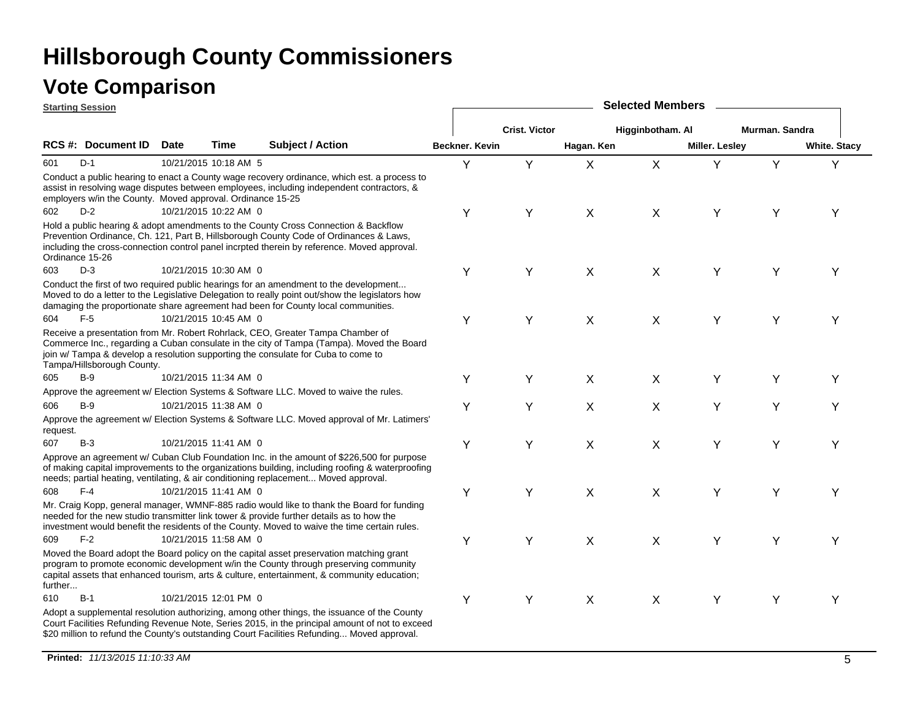| <b>Starting Session</b> |                                                            |             |                       |                                                                                                                                                                                                                                                                                             | <b>Selected Members</b> |                      |                           |                  |                       |                |                     |  |  |  |
|-------------------------|------------------------------------------------------------|-------------|-----------------------|---------------------------------------------------------------------------------------------------------------------------------------------------------------------------------------------------------------------------------------------------------------------------------------------|-------------------------|----------------------|---------------------------|------------------|-----------------------|----------------|---------------------|--|--|--|
|                         |                                                            |             |                       |                                                                                                                                                                                                                                                                                             |                         | <b>Crist. Victor</b> |                           | Higginbotham. Al |                       | Murman. Sandra |                     |  |  |  |
|                         | RCS #: Document ID                                         | <b>Date</b> | Time                  | <b>Subject / Action</b>                                                                                                                                                                                                                                                                     | Beckner. Kevin          |                      | Hagan. Ken                |                  | <b>Miller. Lesley</b> |                | <b>White. Stacy</b> |  |  |  |
| 601                     | $D-1$                                                      |             | 10/21/2015 10:18 AM 5 |                                                                                                                                                                                                                                                                                             | Y                       | Y                    | X                         | X                | Y                     | Y              | Υ                   |  |  |  |
|                         | employers w/in the County. Moved approval. Ordinance 15-25 |             |                       | Conduct a public hearing to enact a County wage recovery ordinance, which est. a process to<br>assist in resolving wage disputes between employees, including independent contractors, &                                                                                                    |                         |                      |                           |                  |                       |                |                     |  |  |  |
| 602                     | $D-2$                                                      |             | 10/21/2015 10:22 AM 0 |                                                                                                                                                                                                                                                                                             | Υ                       | Υ                    | X                         | X                | Υ                     | Υ              | Y                   |  |  |  |
|                         | Ordinance 15-26                                            |             |                       | Hold a public hearing & adopt amendments to the County Cross Connection & Backflow<br>Prevention Ordinance, Ch. 121, Part B, Hillsborough County Code of Ordinances & Laws,<br>including the cross-connection control panel incrpted therein by reference. Moved approval.                  |                         |                      |                           |                  |                       |                |                     |  |  |  |
| 603                     | $D-3$                                                      |             | 10/21/2015 10:30 AM 0 |                                                                                                                                                                                                                                                                                             | Υ                       | Y                    | X                         | X                | Υ                     | Υ              | Υ                   |  |  |  |
|                         |                                                            |             |                       | Conduct the first of two required public hearings for an amendment to the development<br>Moved to do a letter to the Legislative Delegation to really point out/show the legislators how<br>damaging the proportionate share agreement had been for County local communities.               |                         |                      |                           |                  |                       |                |                     |  |  |  |
| 604                     | $F-5$                                                      |             | 10/21/2015 10:45 AM 0 |                                                                                                                                                                                                                                                                                             | Υ                       | Υ                    | X                         | X                | Υ                     | Υ              | Y                   |  |  |  |
|                         | Tampa/Hillsborough County.                                 |             |                       | Receive a presentation from Mr. Robert Rohrlack, CEO, Greater Tampa Chamber of<br>Commerce Inc., regarding a Cuban consulate in the city of Tampa (Tampa). Moved the Board<br>join w/ Tampa & develop a resolution supporting the consulate for Cuba to come to                             |                         |                      |                           |                  |                       |                |                     |  |  |  |
| 605                     | $B-9$                                                      |             | 10/21/2015 11:34 AM 0 |                                                                                                                                                                                                                                                                                             | Y                       | Υ                    | X                         | X                | Y                     | Υ              | Υ                   |  |  |  |
|                         |                                                            |             |                       | Approve the agreement w/ Election Systems & Software LLC. Moved to waive the rules.                                                                                                                                                                                                         |                         |                      |                           |                  |                       |                |                     |  |  |  |
| 606                     | $B-9$                                                      |             | 10/21/2015 11:38 AM 0 |                                                                                                                                                                                                                                                                                             | Υ                       | Υ                    | $\boldsymbol{\mathsf{X}}$ | X                | Υ                     | Y              | Υ                   |  |  |  |
| request.                |                                                            |             |                       | Approve the agreement w/ Election Systems & Software LLC. Moved approval of Mr. Latimers'                                                                                                                                                                                                   |                         |                      |                           |                  |                       |                |                     |  |  |  |
| 607                     | $B-3$                                                      |             | 10/21/2015 11:41 AM 0 |                                                                                                                                                                                                                                                                                             | Υ                       | Υ                    | X                         | X                | Y                     | Υ              | Υ                   |  |  |  |
|                         |                                                            |             |                       | Approve an agreement w/ Cuban Club Foundation Inc. in the amount of \$226,500 for purpose<br>of making capital improvements to the organizations building, including roofing & waterproofing<br>needs; partial heating, ventilating, & air conditioning replacement Moved approval.         |                         |                      |                           |                  |                       |                |                     |  |  |  |
| 608                     | $F-4$                                                      |             | 10/21/2015 11:41 AM 0 |                                                                                                                                                                                                                                                                                             | Υ                       | Υ                    | X                         | X                | Y                     | Y              | Υ                   |  |  |  |
|                         |                                                            |             |                       | Mr. Craig Kopp, general manager, WMNF-885 radio would like to thank the Board for funding<br>needed for the new studio transmitter link tower & provide further details as to how the<br>investment would benefit the residents of the County. Moved to waive the time certain rules.       |                         |                      |                           |                  |                       |                |                     |  |  |  |
| 609                     | $F-2$                                                      |             | 10/21/2015 11:58 AM 0 |                                                                                                                                                                                                                                                                                             | Υ                       | Y                    | X                         | X                | Y                     | Y              | Υ                   |  |  |  |
| further                 |                                                            |             |                       | Moved the Board adopt the Board policy on the capital asset preservation matching grant<br>program to promote economic development w/in the County through preserving community<br>capital assets that enhanced tourism, arts & culture, entertainment, & community education;              |                         |                      |                           |                  |                       |                |                     |  |  |  |
| 610                     | $B-1$                                                      |             | 10/21/2015 12:01 PM 0 |                                                                                                                                                                                                                                                                                             | Υ                       | Y                    | X                         | X                | Y                     | Y              | Υ                   |  |  |  |
|                         |                                                            |             |                       | Adopt a supplemental resolution authorizing, among other things, the issuance of the County<br>Court Facilities Refunding Revenue Note, Series 2015, in the principal amount of not to exceed<br>\$20 million to refund the County's outstanding Court Facilities Refunding Moved approval. |                         |                      |                           |                  |                       |                |                     |  |  |  |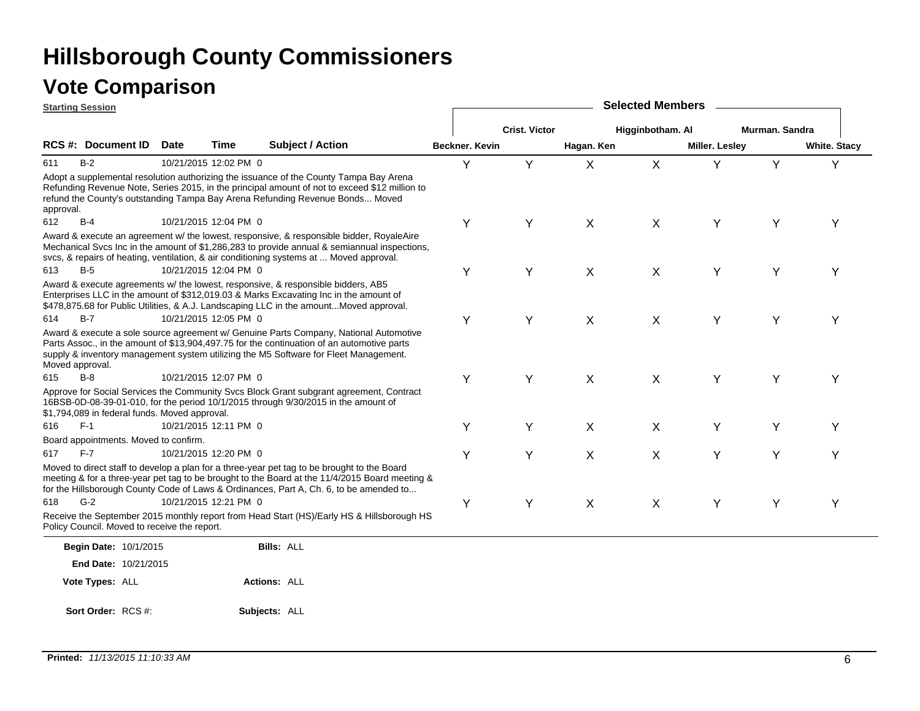|           | <b>Starting Session</b>                       |             |                       |                                                                                                                                                                                                                                                                                         | <b>Selected Members</b> |                      |            |                  |                       |                |                     |  |  |  |  |
|-----------|-----------------------------------------------|-------------|-----------------------|-----------------------------------------------------------------------------------------------------------------------------------------------------------------------------------------------------------------------------------------------------------------------------------------|-------------------------|----------------------|------------|------------------|-----------------------|----------------|---------------------|--|--|--|--|
|           |                                               |             |                       |                                                                                                                                                                                                                                                                                         |                         | <b>Crist. Victor</b> |            | Higginbotham. Al |                       | Murman, Sandra |                     |  |  |  |  |
|           | <b>RCS #: Document ID</b>                     | <b>Date</b> | Time                  | <b>Subject / Action</b>                                                                                                                                                                                                                                                                 | <b>Beckner, Kevin</b>   |                      | Hagan. Ken |                  | <b>Miller. Lesley</b> |                | <b>White. Stacy</b> |  |  |  |  |
| 611       | B-2                                           |             | 10/21/2015 12:02 PM 0 |                                                                                                                                                                                                                                                                                         | Y                       | Y                    | X          | X                | Y                     | Y              | Y                   |  |  |  |  |
| approval. |                                               |             |                       | Adopt a supplemental resolution authorizing the issuance of the County Tampa Bay Arena<br>Refunding Revenue Note, Series 2015, in the principal amount of not to exceed \$12 million to<br>refund the County's outstanding Tampa Bay Arena Refunding Revenue Bonds Moved                |                         |                      |            |                  |                       |                |                     |  |  |  |  |
| 612       | $B-4$                                         |             | 10/21/2015 12:04 PM 0 |                                                                                                                                                                                                                                                                                         | Υ                       | Υ                    | X          | X                | Υ                     | Υ              | Υ                   |  |  |  |  |
|           |                                               |             |                       | Award & execute an agreement w/ the lowest, responsive, & responsible bidder, RoyaleAire<br>Mechanical Svcs Inc in the amount of \$1,286,283 to provide annual & semiannual inspections,<br>svcs, & repairs of heating, ventilation, & air conditioning systems at  Moved approval.     |                         |                      |            |                  |                       |                |                     |  |  |  |  |
| 613       | $B-5$                                         |             | 10/21/2015 12:04 PM 0 |                                                                                                                                                                                                                                                                                         | Υ                       | Υ                    | X          | X                | Υ                     | Υ              | Y                   |  |  |  |  |
|           |                                               |             |                       | Award & execute agreements w/ the lowest, responsive, & responsible bidders, AB5<br>Enterprises LLC in the amount of \$312,019.03 & Marks Excavating Inc in the amount of<br>\$478,875.68 for Public Utilities, & A.J. Landscaping LLC in the amountMoved approval.                     |                         |                      |            |                  |                       |                |                     |  |  |  |  |
| 614       | B-7                                           |             | 10/21/2015 12:05 PM 0 |                                                                                                                                                                                                                                                                                         | Υ                       | Υ                    | X          | X                | Υ                     | Υ              | Y                   |  |  |  |  |
|           | Moved approval.                               |             |                       | Award & execute a sole source agreement w/ Genuine Parts Company, National Automotive<br>Parts Assoc., in the amount of \$13,904,497.75 for the continuation of an automotive parts<br>supply & inventory management system utilizing the M5 Software for Fleet Management.             |                         |                      |            |                  |                       |                |                     |  |  |  |  |
| 615       | $B-8$                                         |             | 10/21/2015 12:07 PM 0 |                                                                                                                                                                                                                                                                                         | Υ                       | Y                    | X          | X                | Y                     | Υ              | Υ                   |  |  |  |  |
|           | \$1,794,089 in federal funds. Moved approval. |             |                       | Approve for Social Services the Community Svcs Block Grant subgrant agreement, Contract<br>16BSB-0D-08-39-01-010, for the period 10/1/2015 through 9/30/2015 in the amount of                                                                                                           |                         |                      |            |                  |                       |                |                     |  |  |  |  |
| 616       | $F-1$                                         |             | 10/21/2015 12:11 PM 0 |                                                                                                                                                                                                                                                                                         | Υ                       | Y                    | X          | X                | Y                     | Υ              | Υ                   |  |  |  |  |
|           | Board appointments. Moved to confirm.         |             |                       |                                                                                                                                                                                                                                                                                         |                         |                      |            |                  |                       |                |                     |  |  |  |  |
| 617       | $F-7$                                         |             | 10/21/2015 12:20 PM 0 |                                                                                                                                                                                                                                                                                         | Υ                       | Υ                    | X          | X                | Y                     | Υ              | Y                   |  |  |  |  |
|           |                                               |             |                       | Moved to direct staff to develop a plan for a three-year pet tag to be brought to the Board<br>meeting & for a three-year pet tag to be brought to the Board at the 11/4/2015 Board meeting &<br>for the Hillsborough County Code of Laws & Ordinances, Part A, Ch. 6, to be amended to |                         |                      |            |                  |                       |                |                     |  |  |  |  |
| 618       | $G-2$                                         |             | 10/21/2015 12:21 PM 0 |                                                                                                                                                                                                                                                                                         | Υ                       | Υ                    | X          | X                | Y                     | Υ              | Y                   |  |  |  |  |
|           | Policy Council. Moved to receive the report.  |             |                       | Receive the September 2015 monthly report from Head Start (HS)/Early HS & Hillsborough HS                                                                                                                                                                                               |                         |                      |            |                  |                       |                |                     |  |  |  |  |
|           | Begin Date: 10/1/2015                         |             |                       | <b>Bills: ALL</b>                                                                                                                                                                                                                                                                       |                         |                      |            |                  |                       |                |                     |  |  |  |  |
|           | End Date: 10/21/2015                          |             |                       |                                                                                                                                                                                                                                                                                         |                         |                      |            |                  |                       |                |                     |  |  |  |  |
|           | Vote Types: ALL                               |             |                       | <b>Actions: ALL</b>                                                                                                                                                                                                                                                                     |                         |                      |            |                  |                       |                |                     |  |  |  |  |
|           | Sort Order: RCS #:                            |             |                       | Subjects: ALL                                                                                                                                                                                                                                                                           |                         |                      |            |                  |                       |                |                     |  |  |  |  |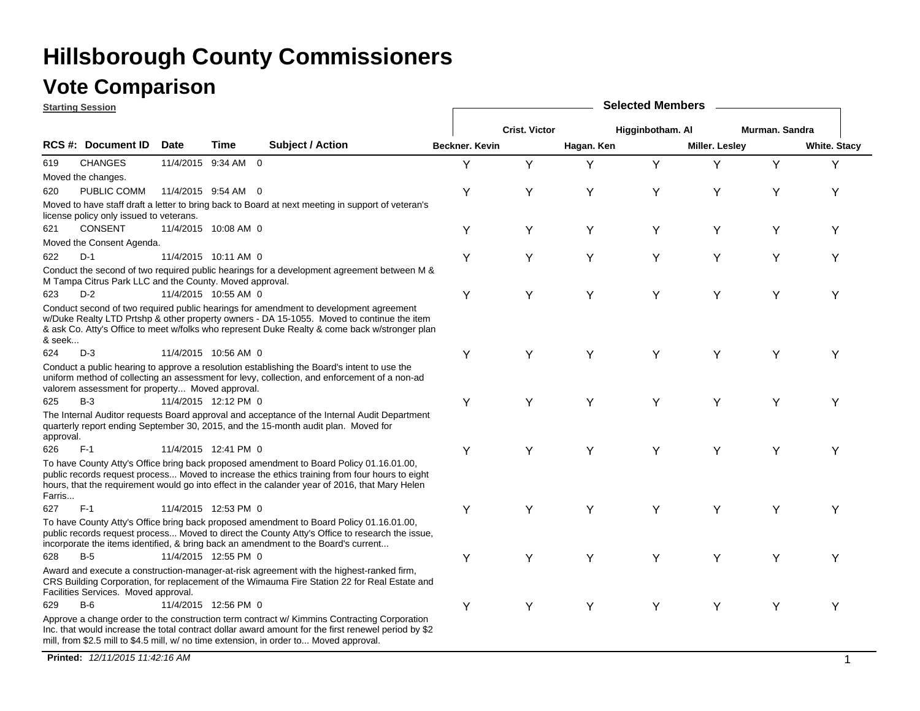### **Vote Comparison**

|           | <b>Starting Session</b>                                 |             |                      |                                                                                                                                                                                                                                                                                              | <b>Selected Members</b> |                      |            |                  |                |                |                     |  |  |
|-----------|---------------------------------------------------------|-------------|----------------------|----------------------------------------------------------------------------------------------------------------------------------------------------------------------------------------------------------------------------------------------------------------------------------------------|-------------------------|----------------------|------------|------------------|----------------|----------------|---------------------|--|--|
|           |                                                         |             |                      |                                                                                                                                                                                                                                                                                              |                         | <b>Crist. Victor</b> |            | Higginbotham. Al |                | Murman, Sandra |                     |  |  |
|           | <b>RCS #: Document ID</b>                               | <b>Date</b> | Time                 | <b>Subject / Action</b>                                                                                                                                                                                                                                                                      | Beckner. Kevin          |                      | Hagan. Ken |                  | Miller. Lesley |                | <b>White. Stacy</b> |  |  |
| 619       | <b>CHANGES</b>                                          |             | 11/4/2015 9:34 AM 0  |                                                                                                                                                                                                                                                                                              | Y                       | Y                    | Y          | Y                | Y              | Y              | Υ                   |  |  |
|           | Moved the changes.                                      |             |                      |                                                                                                                                                                                                                                                                                              |                         |                      |            |                  |                |                |                     |  |  |
| 620       | PUBLIC COMM                                             |             | 11/4/2015 9:54 AM 0  |                                                                                                                                                                                                                                                                                              | Y                       | Υ                    | Υ          | Υ                | Y              | Y              | Y                   |  |  |
|           | license policy only issued to veterans.                 |             |                      | Moved to have staff draft a letter to bring back to Board at next meeting in support of veteran's                                                                                                                                                                                            |                         |                      |            |                  |                |                |                     |  |  |
| 621       | <b>CONSENT</b>                                          |             | 11/4/2015 10:08 AM 0 |                                                                                                                                                                                                                                                                                              | Y                       | Υ                    | Υ          | Υ                | Y              | Υ              | Υ                   |  |  |
|           | Moved the Consent Agenda.                               |             |                      |                                                                                                                                                                                                                                                                                              |                         |                      |            |                  |                |                |                     |  |  |
| 622       | $D-1$                                                   |             | 11/4/2015 10:11 AM 0 |                                                                                                                                                                                                                                                                                              | Υ                       | Y                    | Υ          | Υ                | Υ              | Υ              | Υ                   |  |  |
|           | M Tampa Citrus Park LLC and the County. Moved approval. |             |                      | Conduct the second of two required public hearings for a development agreement between M &                                                                                                                                                                                                   |                         |                      |            |                  |                |                |                     |  |  |
| 623       | $D-2$                                                   |             | 11/4/2015 10:55 AM 0 |                                                                                                                                                                                                                                                                                              | Y                       | Y                    | Y          | Y                | Y              | Y              | Υ                   |  |  |
| & seek    |                                                         |             |                      | Conduct second of two required public hearings for amendment to development agreement<br>w/Duke Realty LTD Prtshp & other property owners - DA 15-1055. Moved to continue the item<br>& ask Co. Atty's Office to meet w/folks who represent Duke Realty & come back w/stronger plan          |                         |                      |            |                  |                |                |                     |  |  |
| 624       | $D-3$                                                   |             | 11/4/2015 10:56 AM 0 |                                                                                                                                                                                                                                                                                              | Y                       | Υ                    | Y          | Y                | Y              | Y              | Υ                   |  |  |
|           | valorem assessment for property Moved approval.         |             |                      | Conduct a public hearing to approve a resolution establishing the Board's intent to use the<br>uniform method of collecting an assessment for levy, collection, and enforcement of a non-ad                                                                                                  |                         |                      |            |                  |                |                |                     |  |  |
| 625       | $B-3$                                                   |             | 11/4/2015 12:12 PM 0 |                                                                                                                                                                                                                                                                                              | Y                       | Υ                    | Y          | Y                | Y              | Υ              | Υ                   |  |  |
| approval. |                                                         |             |                      | The Internal Auditor requests Board approval and acceptance of the Internal Audit Department<br>quarterly report ending September 30, 2015, and the 15-month audit plan. Moved for                                                                                                           |                         |                      |            |                  |                |                |                     |  |  |
| 626       | $F-1$                                                   |             | 11/4/2015 12:41 PM 0 |                                                                                                                                                                                                                                                                                              | Y                       | Υ                    | Y          | Y                | Y              | Υ              | Υ                   |  |  |
| Farris    |                                                         |             |                      | To have County Atty's Office bring back proposed amendment to Board Policy 01.16.01.00,<br>public records request process Moved to increase the ethics training from four hours to eight<br>hours, that the requirement would go into effect in the calander year of 2016, that Mary Helen   |                         |                      |            |                  |                |                |                     |  |  |
| 627       | $F-1$                                                   |             | 11/4/2015 12:53 PM 0 |                                                                                                                                                                                                                                                                                              | Y                       | Υ                    | Y          | Y                | Υ              | Υ              | Y                   |  |  |
|           |                                                         |             |                      | To have County Atty's Office bring back proposed amendment to Board Policy 01.16.01.00,<br>public records request process Moved to direct the County Atty's Office to research the issue,<br>incorporate the items identified, & bring back an amendment to the Board's current              |                         |                      |            |                  |                |                |                     |  |  |
| 628       | $B-5$                                                   |             | 11/4/2015 12:55 PM 0 |                                                                                                                                                                                                                                                                                              | Y                       | Y                    | Y          | Υ                | Y              | Υ              | Y                   |  |  |
|           | Facilities Services. Moved approval.                    |             |                      | Award and execute a construction-manager-at-risk agreement with the highest-ranked firm,<br>CRS Building Corporation, for replacement of the Wimauma Fire Station 22 for Real Estate and                                                                                                     |                         |                      |            |                  |                |                |                     |  |  |
| 629       | $B-6$                                                   |             | 11/4/2015 12:56 PM 0 |                                                                                                                                                                                                                                                                                              | Y                       | Y                    | Y          | Y                | Y              | Y              | Y                   |  |  |
|           |                                                         |             |                      | Approve a change order to the construction term contract w/ Kimmins Contracting Corporation<br>Inc. that would increase the total contract dollar award amount for the first renewel period by \$2<br>mill, from \$2.5 mill to \$4.5 mill, w/ no time extension, in order to Moved approval. |                         |                      |            |                  |                |                |                     |  |  |

**Printed:** *12/11/2015 11:42:16 AM* $\overline{M}$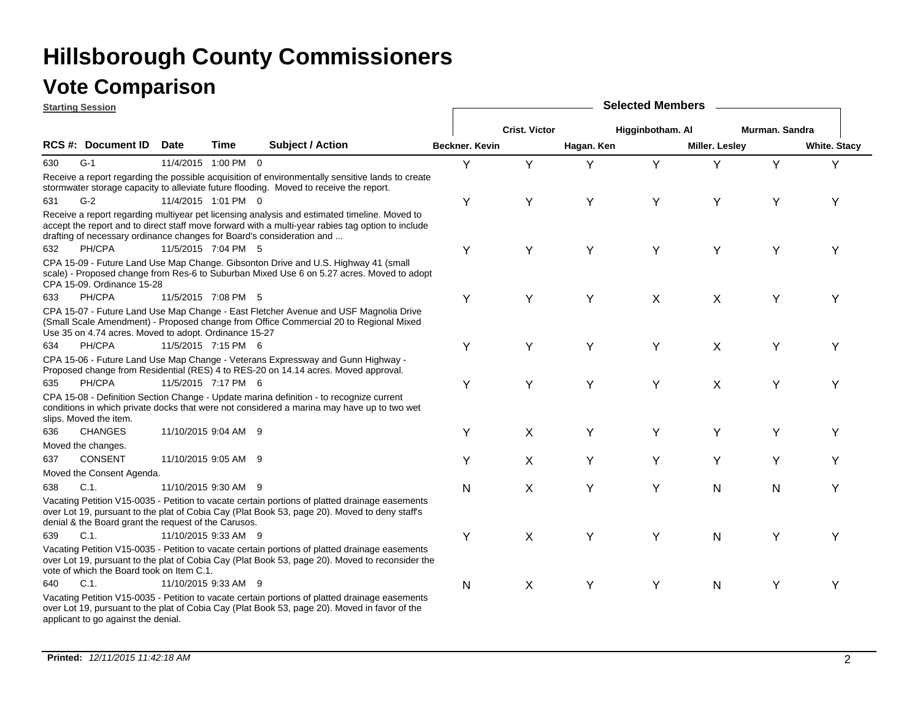|     | <b>Starting Session</b>                               |                      |                      |                                                                                                                                                                                                                                                                            |                       | <b>Selected Members</b> |            |                  |                       |                |                     |  |  |  |
|-----|-------------------------------------------------------|----------------------|----------------------|----------------------------------------------------------------------------------------------------------------------------------------------------------------------------------------------------------------------------------------------------------------------------|-----------------------|-------------------------|------------|------------------|-----------------------|----------------|---------------------|--|--|--|
|     |                                                       |                      |                      |                                                                                                                                                                                                                                                                            |                       | <b>Crist. Victor</b>    |            | Higginbotham. Al |                       | Murman, Sandra |                     |  |  |  |
|     | <b>RCS #: Document ID</b>                             | <b>Date</b>          | Time                 | <b>Subject / Action</b>                                                                                                                                                                                                                                                    | <b>Beckner, Kevin</b> |                         | Hagan. Ken |                  | <b>Miller. Lesley</b> |                | <b>White. Stacy</b> |  |  |  |
| 630 | $G-1$                                                 |                      | 11/4/2015 1:00 PM 0  |                                                                                                                                                                                                                                                                            | Y                     | Y                       | Y          | Y                | Y                     | Y              | Y                   |  |  |  |
|     |                                                       |                      |                      | Receive a report regarding the possible acquisition of environmentally sensitive lands to create<br>stormwater storage capacity to alleviate future flooding. Moved to receive the report.                                                                                 |                       |                         |            |                  |                       |                |                     |  |  |  |
| 631 | $G-2$                                                 |                      | 11/4/2015 1:01 PM 0  |                                                                                                                                                                                                                                                                            | Y                     | Y                       | Y          | Y                | Y                     | Y              | Υ                   |  |  |  |
|     |                                                       |                      |                      | Receive a report regarding multiyear pet licensing analysis and estimated timeline. Moved to<br>accept the report and to direct staff move forward with a multi-year rabies tag option to include<br>drafting of necessary ordinance changes for Board's consideration and |                       |                         |            |                  |                       |                |                     |  |  |  |
| 632 | PH/CPA                                                |                      | 11/5/2015 7:04 PM 5  |                                                                                                                                                                                                                                                                            | Y                     | Υ                       | Y          | Υ                | Υ                     | Υ              | Y                   |  |  |  |
|     | CPA 15-09. Ordinance 15-28                            |                      |                      | CPA 15-09 - Future Land Use Map Change. Gibsonton Drive and U.S. Highway 41 (small<br>scale) - Proposed change from Res-6 to Suburban Mixed Use 6 on 5.27 acres. Moved to adopt                                                                                            |                       |                         |            |                  |                       |                |                     |  |  |  |
| 633 | PH/CPA                                                |                      | 11/5/2015 7:08 PM 5  |                                                                                                                                                                                                                                                                            | Y                     | Y                       | Y          | X                | X                     | Y              |                     |  |  |  |
|     | Use 35 on 4.74 acres. Moved to adopt. Ordinance 15-27 |                      |                      | CPA 15-07 - Future Land Use Map Change - East Fletcher Avenue and USF Magnolia Drive<br>(Small Scale Amendment) - Proposed change from Office Commercial 20 to Regional Mixed                                                                                              |                       |                         |            |                  |                       |                |                     |  |  |  |
| 634 | PH/CPA                                                |                      | 11/5/2015 7:15 PM 6  |                                                                                                                                                                                                                                                                            | Y                     | Υ                       | Y          | Υ                | X                     | Y              | Υ                   |  |  |  |
|     |                                                       |                      |                      | CPA 15-06 - Future Land Use Map Change - Veterans Expressway and Gunn Highway -<br>Proposed change from Residential (RES) 4 to RES-20 on 14.14 acres. Moved approval.                                                                                                      |                       |                         |            |                  |                       |                |                     |  |  |  |
| 635 | PH/CPA                                                |                      | 11/5/2015 7:17 PM 6  |                                                                                                                                                                                                                                                                            | Y                     | Y                       | Y          | Y                | X                     | Y              | Υ                   |  |  |  |
|     | slips. Moved the item.                                |                      |                      | CPA 15-08 - Definition Section Change - Update marina definition - to recognize current<br>conditions in which private docks that were not considered a marina may have up to two wet                                                                                      |                       |                         |            |                  |                       |                |                     |  |  |  |
| 636 | <b>CHANGES</b>                                        |                      | 11/10/2015 9:04 AM 9 |                                                                                                                                                                                                                                                                            | Y                     | X                       | Y          | Υ                | Υ                     | Y              | Υ                   |  |  |  |
|     | Moved the changes.                                    |                      |                      |                                                                                                                                                                                                                                                                            |                       |                         |            |                  |                       |                |                     |  |  |  |
| 637 | <b>CONSENT</b>                                        |                      | 11/10/2015 9:05 AM 9 |                                                                                                                                                                                                                                                                            | Υ                     | X                       | Y          | Y                | Y                     | Υ              | Υ                   |  |  |  |
|     | Moved the Consent Agenda.                             |                      |                      |                                                                                                                                                                                                                                                                            |                       |                         |            |                  |                       |                |                     |  |  |  |
| 638 | $C.1$ .                                               |                      | 11/10/2015 9:30 AM 9 |                                                                                                                                                                                                                                                                            | N                     | Χ                       | Υ          | Y                | N                     | N              | Y                   |  |  |  |
|     | denial & the Board grant the request of the Carusos.  |                      |                      | Vacating Petition V15-0035 - Petition to vacate certain portions of platted drainage easements<br>over Lot 19, pursuant to the plat of Cobia Cay (Plat Book 53, page 20). Moved to deny staff's                                                                            |                       |                         |            |                  |                       |                |                     |  |  |  |
| 639 | $C.1$ .                                               |                      | 11/10/2015 9:33 AM 9 |                                                                                                                                                                                                                                                                            | Y                     | X                       | Y          | Υ                | N                     | Y              | Υ                   |  |  |  |
|     | vote of which the Board took on Item C.1.             |                      |                      | Vacating Petition V15-0035 - Petition to vacate certain portions of platted drainage easements<br>over Lot 19, pursuant to the plat of Cobia Cay (Plat Book 53, page 20). Moved to reconsider the                                                                          |                       |                         |            |                  |                       |                |                     |  |  |  |
| 640 | $C.1$ .                                               | 11/10/2015 9:33 AM 9 |                      |                                                                                                                                                                                                                                                                            | N                     | X                       | Υ          | Υ                | ${\sf N}$             | Υ              | Y                   |  |  |  |
|     | applicant to go against the denial.                   |                      |                      | Vacating Petition V15-0035 - Petition to vacate certain portions of platted drainage easements<br>over Lot 19, pursuant to the plat of Cobia Cay (Plat Book 53, page 20). Moved in favor of the                                                                            |                       |                         |            |                  |                       |                |                     |  |  |  |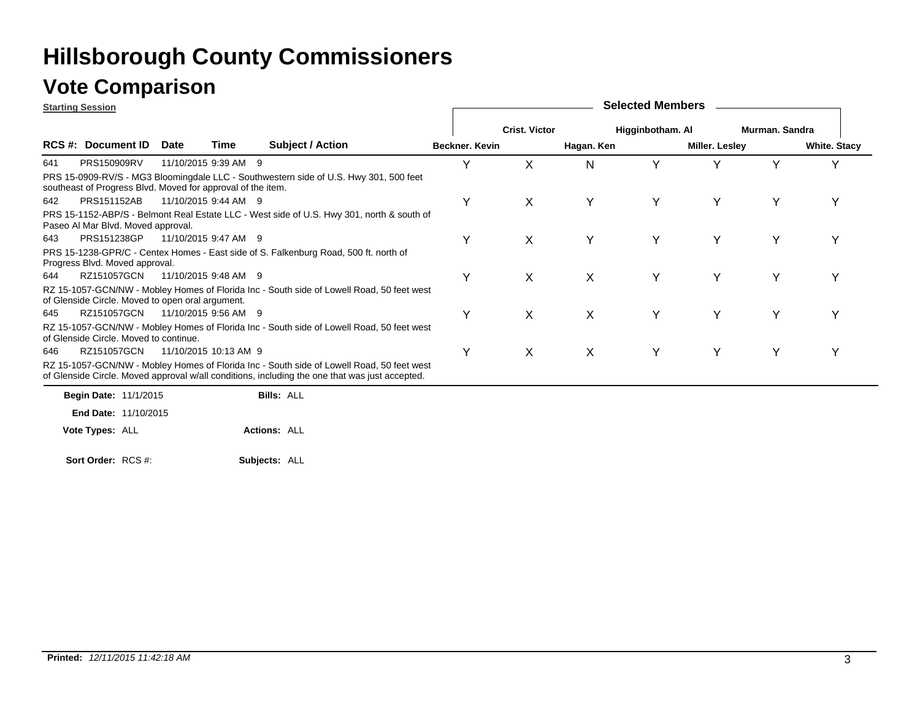### **Vote Comparison**

**Starting Session**

| <b>Starting Session</b> |                                                             |             |                       |                                                                                                                                                                                             |                |                      |              | <b>OUIGULU MULLINGES</b> |                |                |                     |
|-------------------------|-------------------------------------------------------------|-------------|-----------------------|---------------------------------------------------------------------------------------------------------------------------------------------------------------------------------------------|----------------|----------------------|--------------|--------------------------|----------------|----------------|---------------------|
|                         |                                                             |             |                       |                                                                                                                                                                                             |                | <b>Crist. Victor</b> |              | Higginbotham. Al         |                | Murman. Sandra |                     |
|                         | <b>RCS #: Document ID</b>                                   | <b>Date</b> | Time                  | <b>Subject / Action</b>                                                                                                                                                                     | Beckner, Kevin |                      | Hagan. Ken   |                          | Miller. Lesley |                | <b>White. Stacy</b> |
| 641                     | PRS150909RV                                                 |             | 11/10/2015 9:39 AM 9  |                                                                                                                                                                                             | Υ              | X                    | N            |                          | v              | v              | v                   |
|                         | southeast of Progress Blvd. Moved for approval of the item. |             |                       | PRS 15-0909-RV/S - MG3 Bloomingdale LLC - Southwestern side of U.S. Hwy 301, 500 feet                                                                                                       |                |                      |              |                          |                |                |                     |
| 642                     | <b>PRS151152AB</b>                                          |             | 11/10/2015 9:44 AM 9  |                                                                                                                                                                                             | Υ              | $\chi$               | Y            | Y                        | Y              | Y              |                     |
|                         | Paseo Al Mar Blvd. Moved approval.                          |             |                       | PRS 15-1152-ABP/S - Belmont Real Estate LLC - West side of U.S. Hwy 301, north & south of                                                                                                   |                |                      |              |                          |                |                |                     |
| 643                     | PRS151238GP                                                 |             | 11/10/2015 9:47 AM 9  |                                                                                                                                                                                             | Υ              | X                    |              | Υ                        | Υ              | Y              |                     |
|                         | Progress Blvd. Moved approval.                              |             |                       | PRS 15-1238-GPR/C - Centex Homes - East side of S. Falkenburg Road, 500 ft. north of                                                                                                        |                |                      |              |                          |                |                |                     |
| 644                     | RZ151057GCN                                                 |             | 11/10/2015 9:48 AM 9  |                                                                                                                                                                                             | Υ              | X                    | $\mathsf{X}$ | Υ                        | Y              | Υ              |                     |
|                         | of Glenside Circle. Moved to open oral argument.            |             |                       | RZ 15-1057-GCN/NW - Mobley Homes of Florida Inc - South side of Lowell Road, 50 feet west                                                                                                   |                |                      |              |                          |                |                |                     |
| 645                     | RZ151057GCN                                                 |             | 11/10/2015 9:56 AM 9  |                                                                                                                                                                                             | Υ              | X                    | X            | Υ                        | Y              | Y              |                     |
|                         | of Glenside Circle. Moved to continue.                      |             |                       | RZ 15-1057-GCN/NW - Mobley Homes of Florida Inc - South side of Lowell Road, 50 feet west                                                                                                   |                |                      |              |                          |                |                |                     |
| 646                     | RZ151057GCN                                                 |             | 11/10/2015 10:13 AM 9 |                                                                                                                                                                                             | Υ              | X                    | X            | Y                        | Y              | Υ              | Y                   |
|                         |                                                             |             |                       | RZ 15-1057-GCN/NW - Mobley Homes of Florida Inc - South side of Lowell Road, 50 feet west<br>of Glenside Circle. Moved approval w/all conditions, including the one that was just accepted. |                |                      |              |                          |                |                |                     |

**Selected Members**

**Begin Date: 11/1/2015** 11/10/2015**End Date: Bills:** ALL**Actions:** ALL**Vote Types:** ALL

**Subjects:** ALL **Sort Order:** RCS #: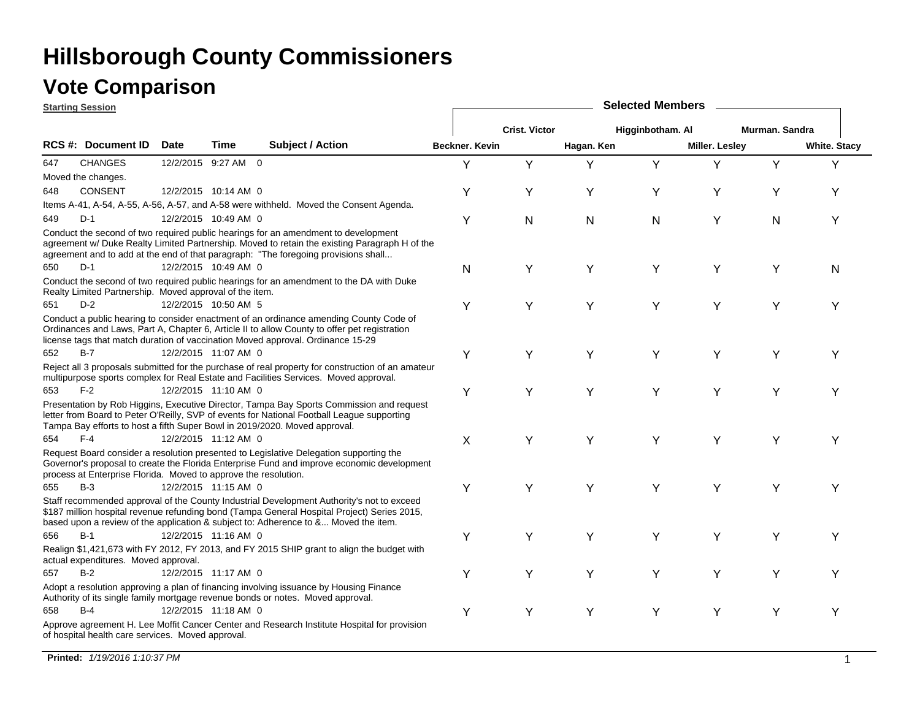### **Vote Comparison**

|     | <b>Starting Session</b>                                         |                      |      |                                                                                                                                                                                                                                                                                 | <b>Selected Members</b> |                      |            |                  |                |                |                     |  |  |
|-----|-----------------------------------------------------------------|----------------------|------|---------------------------------------------------------------------------------------------------------------------------------------------------------------------------------------------------------------------------------------------------------------------------------|-------------------------|----------------------|------------|------------------|----------------|----------------|---------------------|--|--|
|     |                                                                 |                      |      |                                                                                                                                                                                                                                                                                 |                         | <b>Crist. Victor</b> |            | Higginbotham. Al |                | Murman, Sandra |                     |  |  |
|     | RCS #: Document ID                                              | <b>Date</b>          | Time | <b>Subject / Action</b>                                                                                                                                                                                                                                                         | Beckner. Kevin          |                      | Hagan. Ken |                  | Miller. Lesley |                | <b>White. Stacy</b> |  |  |
| 647 | <b>CHANGES</b>                                                  | 12/2/2015 9:27 AM 0  |      |                                                                                                                                                                                                                                                                                 | Y                       | Y                    | Y          | Y                | Y              | Y              | Υ                   |  |  |
|     | Moved the changes.                                              |                      |      |                                                                                                                                                                                                                                                                                 |                         |                      |            |                  |                |                |                     |  |  |
| 648 | <b>CONSENT</b>                                                  | 12/2/2015 10:14 AM 0 |      |                                                                                                                                                                                                                                                                                 | Y                       | Y                    | Y          | Υ                | Y              | Y              | Y                   |  |  |
|     |                                                                 |                      |      | Items A-41, A-54, A-55, A-56, A-57, and A-58 were withheld. Moved the Consent Agenda.                                                                                                                                                                                           |                         |                      |            |                  |                |                |                     |  |  |
| 649 | $D-1$                                                           | 12/2/2015 10:49 AM 0 |      |                                                                                                                                                                                                                                                                                 | Y                       | N                    | N          | $\mathsf{N}$     | Y              | N              | Y                   |  |  |
|     |                                                                 |                      |      | Conduct the second of two required public hearings for an amendment to development<br>agreement w/ Duke Realty Limited Partnership. Moved to retain the existing Paragraph H of the<br>agreement and to add at the end of that paragraph: "The foregoing provisions shall       |                         |                      |            |                  |                |                |                     |  |  |
| 650 | $D-1$                                                           | 12/2/2015 10:49 AM 0 |      |                                                                                                                                                                                                                                                                                 | N                       | Y                    | Y          | Y                | Y              | Υ              | N                   |  |  |
|     | Realty Limited Partnership. Moved approval of the item.         |                      |      | Conduct the second of two required public hearings for an amendment to the DA with Duke                                                                                                                                                                                         |                         |                      |            |                  |                |                |                     |  |  |
| 651 | $D-2$                                                           | 12/2/2015 10:50 AM 5 |      |                                                                                                                                                                                                                                                                                 | Υ                       | Y                    | Y          | Υ                | Y              | Υ              | Υ                   |  |  |
|     |                                                                 |                      |      | Conduct a public hearing to consider enactment of an ordinance amending County Code of<br>Ordinances and Laws, Part A, Chapter 6, Article II to allow County to offer pet registration<br>license tags that match duration of vaccination Moved approval. Ordinance 15-29       |                         |                      |            |                  |                |                |                     |  |  |
| 652 | $B-7$                                                           | 12/2/2015 11:07 AM 0 |      |                                                                                                                                                                                                                                                                                 | Y                       | Y                    | Υ          | Υ                | Y              | Υ              | Y                   |  |  |
|     |                                                                 |                      |      | Reject all 3 proposals submitted for the purchase of real property for construction of an amateur<br>multipurpose sports complex for Real Estate and Facilities Services. Moved approval.                                                                                       |                         |                      |            |                  |                |                |                     |  |  |
| 653 | $F-2$                                                           | 12/2/2015 11:10 AM 0 |      |                                                                                                                                                                                                                                                                                 | Y                       | Υ                    | Y          | Y                | Y              | Υ              | Y                   |  |  |
|     |                                                                 |                      |      | Presentation by Rob Higgins, Executive Director, Tampa Bay Sports Commission and request<br>letter from Board to Peter O'Reilly, SVP of events for National Football League supporting<br>Tampa Bay efforts to host a fifth Super Bowl in 2019/2020. Moved approval.            |                         |                      |            |                  |                |                |                     |  |  |
| 654 | $F-4$                                                           | 12/2/2015 11:12 AM 0 |      |                                                                                                                                                                                                                                                                                 | X                       | Y                    | Y          | Y                | Y              | Υ              | Υ                   |  |  |
|     | process at Enterprise Florida. Moved to approve the resolution. |                      |      | Request Board consider a resolution presented to Legislative Delegation supporting the<br>Governor's proposal to create the Florida Enterprise Fund and improve economic development                                                                                            |                         |                      |            |                  |                |                |                     |  |  |
| 655 | $B-3$                                                           | 12/2/2015 11:15 AM 0 |      |                                                                                                                                                                                                                                                                                 | Y                       | Y                    | Y          | Y                | Y              | Υ              | Y                   |  |  |
|     |                                                                 |                      |      | Staff recommended approval of the County Industrial Development Authority's not to exceed<br>\$187 million hospital revenue refunding bond (Tampa General Hospital Project) Series 2015,<br>based upon a review of the application & subject to: Adherence to & Moved the item. |                         |                      |            |                  |                |                |                     |  |  |
| 656 | $B-1$                                                           | 12/2/2015 11:16 AM 0 |      |                                                                                                                                                                                                                                                                                 | Y                       | Y                    | Y          | Υ                | Y              | Υ              | Y                   |  |  |
|     | actual expenditures. Moved approval.                            |                      |      | Realign \$1,421,673 with FY 2012, FY 2013, and FY 2015 SHIP grant to align the budget with                                                                                                                                                                                      |                         |                      |            |                  |                |                |                     |  |  |
| 657 | $B-2$                                                           | 12/2/2015 11:17 AM 0 |      |                                                                                                                                                                                                                                                                                 | Y                       | Y                    | Y          | Y                | Y              | Υ              | Υ                   |  |  |
|     |                                                                 |                      |      | Adopt a resolution approving a plan of financing involving issuance by Housing Finance<br>Authority of its single family mortgage revenue bonds or notes. Moved approval.                                                                                                       |                         |                      |            |                  |                |                |                     |  |  |
| 658 | $B-4$                                                           | 12/2/2015 11:18 AM 0 |      |                                                                                                                                                                                                                                                                                 | Υ                       | Υ                    | Y          | Υ                | Y              | Y              | Y                   |  |  |
|     | of hospital health care services. Moved approval.               |                      |      | Approve agreement H. Lee Moffit Cancer Center and Research Institute Hospital for provision                                                                                                                                                                                     |                         |                      |            |                  |                |                |                     |  |  |

**Printed:** *1/19/2016 1:10:37 PM* $\blacksquare$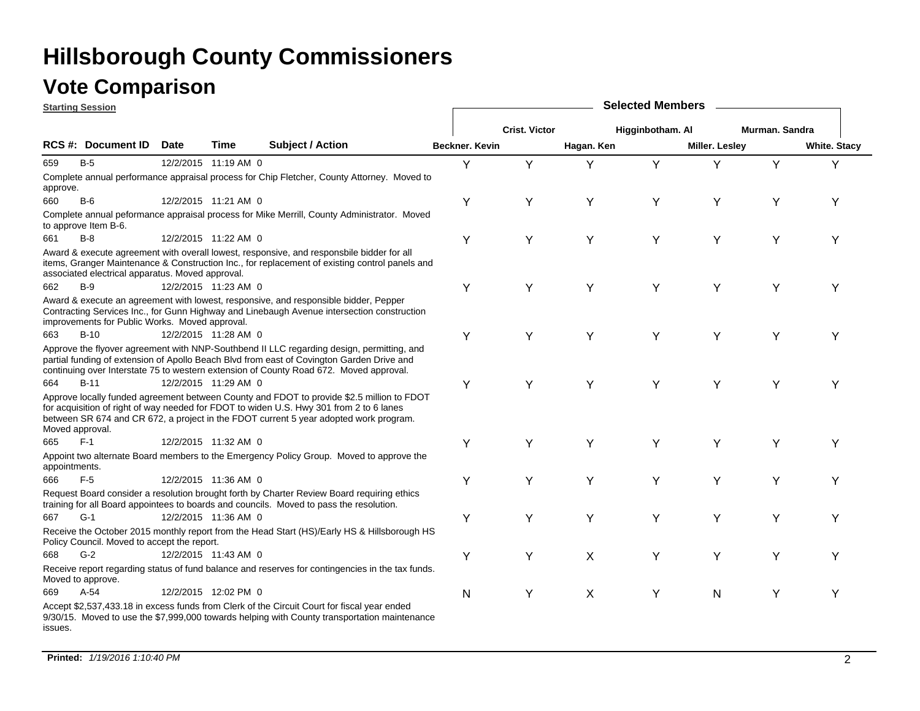| <b>Starting Session</b> |                                                  |      |                      |                                                                                                                                                                                                                                                                                  |                | <b>Selected Members</b> |            |                  |                |                |                     |  |  |  |  |
|-------------------------|--------------------------------------------------|------|----------------------|----------------------------------------------------------------------------------------------------------------------------------------------------------------------------------------------------------------------------------------------------------------------------------|----------------|-------------------------|------------|------------------|----------------|----------------|---------------------|--|--|--|--|
|                         |                                                  |      |                      |                                                                                                                                                                                                                                                                                  |                | <b>Crist. Victor</b>    |            | Higginbotham. Al |                | Murman. Sandra |                     |  |  |  |  |
|                         | <b>RCS #: Document ID</b>                        | Date | Time                 | <b>Subject / Action</b>                                                                                                                                                                                                                                                          | Beckner, Kevin |                         | Hagan. Ken |                  | Miller. Lesley |                | <b>White. Stacy</b> |  |  |  |  |
| 659                     | $B-5$                                            |      | 12/2/2015 11:19 AM 0 |                                                                                                                                                                                                                                                                                  | Y              | Y                       | Υ          | Y                | Υ              | Y              | Y                   |  |  |  |  |
| approve.                |                                                  |      |                      | Complete annual performance appraisal process for Chip Fletcher, County Attorney. Moved to                                                                                                                                                                                       |                |                         |            |                  |                |                |                     |  |  |  |  |
| 660                     | $B-6$                                            |      | 12/2/2015 11:21 AM 0 |                                                                                                                                                                                                                                                                                  | Y              | Y                       | Υ          | Υ                | Y              | Y              | Y                   |  |  |  |  |
|                         | to approve Item B-6.                             |      |                      | Complete annual peformance appraisal process for Mike Merrill, County Administrator. Moved                                                                                                                                                                                       |                |                         |            |                  |                |                |                     |  |  |  |  |
| 661                     | $B-8$                                            |      | 12/2/2015 11:22 AM 0 |                                                                                                                                                                                                                                                                                  | Y              | Y                       | Υ          | Y                | Y              | Y              | Υ                   |  |  |  |  |
|                         | associated electrical apparatus. Moved approval. |      |                      | Award & execute agreement with overall lowest, responsive, and responsbile bidder for all<br>items, Granger Maintenance & Construction Inc., for replacement of existing control panels and                                                                                      |                |                         |            |                  |                |                |                     |  |  |  |  |
| 662                     | $B-9$                                            |      | 12/2/2015 11:23 AM 0 |                                                                                                                                                                                                                                                                                  | Υ              | Y                       | Y          | Υ                | Y              | Y              | Y                   |  |  |  |  |
|                         | improvements for Public Works. Moved approval.   |      |                      | Award & execute an agreement with lowest, responsive, and responsible bidder, Pepper<br>Contracting Services Inc., for Gunn Highway and Linebaugh Avenue intersection construction                                                                                               |                |                         |            |                  |                |                |                     |  |  |  |  |
| 663                     | $B-10$                                           |      | 12/2/2015 11:28 AM 0 |                                                                                                                                                                                                                                                                                  | Y              | Y                       | Y          | Y                | Y              | Y              | Y                   |  |  |  |  |
|                         |                                                  |      |                      | Approve the flyover agreement with NNP-Southbend II LLC regarding design, permitting, and<br>partial funding of extension of Apollo Beach Blvd from east of Covington Garden Drive and<br>continuing over Interstate 75 to western extension of County Road 672. Moved approval. |                |                         |            |                  |                |                |                     |  |  |  |  |
| 664                     | <b>B-11</b>                                      |      | 12/2/2015 11:29 AM 0 |                                                                                                                                                                                                                                                                                  | Υ              | Y                       | Υ          | Υ                | Υ              | Υ              | Υ                   |  |  |  |  |
| Moved approval.         |                                                  |      |                      | Approve locally funded agreement between County and FDOT to provide \$2.5 million to FDOT<br>for acquisition of right of way needed for FDOT to widen U.S. Hwy 301 from 2 to 6 lanes<br>between SR 674 and CR 672, a project in the FDOT current 5 year adopted work program.    |                |                         |            |                  |                |                |                     |  |  |  |  |
| 665                     | $F-1$                                            |      | 12/2/2015 11:32 AM 0 |                                                                                                                                                                                                                                                                                  | Y              | Y                       | Υ          | Υ                | Υ              | Υ              | Y                   |  |  |  |  |
| appointments.           |                                                  |      |                      | Appoint two alternate Board members to the Emergency Policy Group. Moved to approve the                                                                                                                                                                                          |                |                         |            |                  |                |                |                     |  |  |  |  |
| 666                     | $F-5$                                            |      | 12/2/2015 11:36 AM 0 |                                                                                                                                                                                                                                                                                  | Y              | Y                       | Y          | Υ                | Y              | Y              | Y                   |  |  |  |  |
|                         |                                                  |      |                      | Request Board consider a resolution brought forth by Charter Review Board requiring ethics<br>training for all Board appointees to boards and councils. Moved to pass the resolution.                                                                                            |                |                         |            |                  |                |                |                     |  |  |  |  |
| 667                     | $G-1$                                            |      | 12/2/2015 11:36 AM 0 |                                                                                                                                                                                                                                                                                  | Υ              | Y                       | Υ          | Υ                | Y              | Υ              | Υ                   |  |  |  |  |
|                         | Policy Council. Moved to accept the report.      |      |                      | Receive the October 2015 monthly report from the Head Start (HS)/Early HS & Hillsborough HS                                                                                                                                                                                      |                |                         |            |                  |                |                |                     |  |  |  |  |
| 668                     | $G-2$                                            |      | 12/2/2015 11:43 AM 0 |                                                                                                                                                                                                                                                                                  | Y              | Y                       | X          | Υ                | Υ              | Y              | Y                   |  |  |  |  |
|                         | Moved to approve.                                |      |                      | Receive report regarding status of fund balance and reserves for contingencies in the tax funds.                                                                                                                                                                                 |                |                         |            |                  |                |                |                     |  |  |  |  |
| 669                     | $A-54$                                           |      | 12/2/2015 12:02 PM 0 |                                                                                                                                                                                                                                                                                  | N              | Y                       | X          | Υ                | N              | Y              | Υ                   |  |  |  |  |
| issues.                 |                                                  |      |                      | Accept \$2,537,433.18 in excess funds from Clerk of the Circuit Court for fiscal year ended<br>9/30/15. Moved to use the \$7,999,000 towards helping with County transportation maintenance                                                                                      |                |                         |            |                  |                |                |                     |  |  |  |  |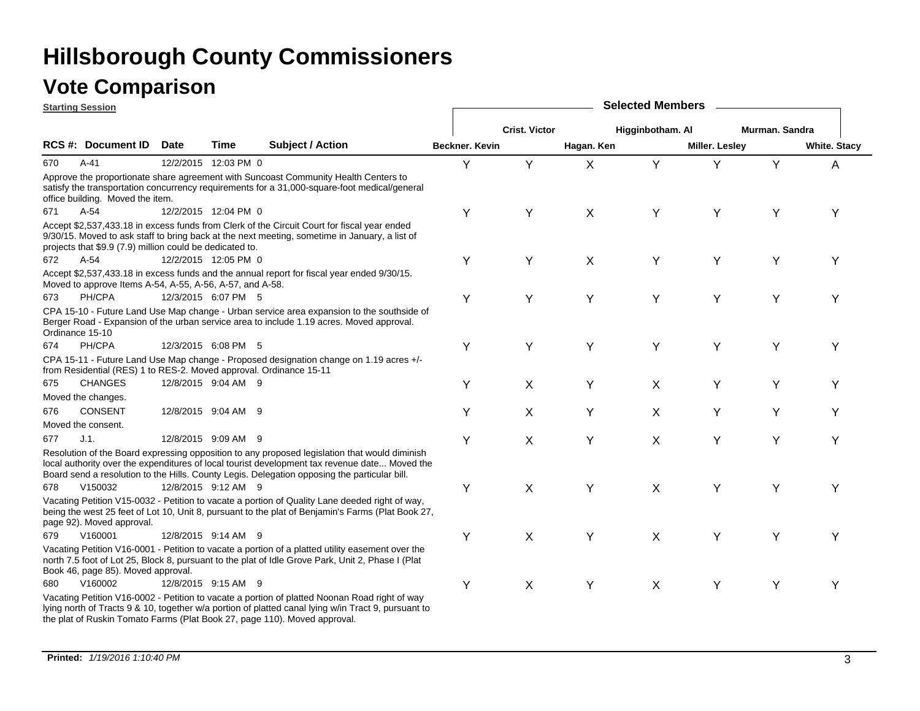|                 | <b>Starting Session</b>                                            |      |                      |                                                                                                                                                                                                                                                                                                | <b>Selected Members</b> |                      |            |                  |                |                |                     |  |  |
|-----------------|--------------------------------------------------------------------|------|----------------------|------------------------------------------------------------------------------------------------------------------------------------------------------------------------------------------------------------------------------------------------------------------------------------------------|-------------------------|----------------------|------------|------------------|----------------|----------------|---------------------|--|--|
|                 |                                                                    |      |                      |                                                                                                                                                                                                                                                                                                |                         | <b>Crist. Victor</b> |            | Higginbotham. Al |                | Murman, Sandra |                     |  |  |
|                 | RCS #: Document ID                                                 | Date | Time                 | Subject / Action                                                                                                                                                                                                                                                                               | Beckner. Kevin          |                      | Hagan. Ken |                  | Miller. Lesley |                | <b>White. Stacy</b> |  |  |
| 670             | $A-41$                                                             |      | 12/2/2015 12:03 PM 0 |                                                                                                                                                                                                                                                                                                | Y                       | Y                    | X          | Y                | Υ              | Y              | A                   |  |  |
|                 | office building. Moved the item.                                   |      |                      | Approve the proportionate share agreement with Suncoast Community Health Centers to<br>satisfy the transportation concurrency requirements for a 31,000-square-foot medical/general                                                                                                            |                         |                      |            |                  |                |                |                     |  |  |
| 671             | $A-54$                                                             |      | 12/2/2015 12:04 PM 0 |                                                                                                                                                                                                                                                                                                | Y                       | Y                    | X          | Y                | Y              | Υ              | Y                   |  |  |
|                 | projects that \$9.9 (7.9) million could be dedicated to.           |      |                      | Accept \$2,537,433.18 in excess funds from Clerk of the Circuit Court for fiscal year ended<br>9/30/15. Moved to ask staff to bring back at the next meeting, sometime in January, a list of                                                                                                   |                         |                      |            |                  |                |                |                     |  |  |
| 672             | $A-54$                                                             |      | 12/2/2015 12:05 PM 0 |                                                                                                                                                                                                                                                                                                | Υ                       | Υ                    | X          | Y                | Y              | Υ              | Υ                   |  |  |
|                 | Moved to approve Items A-54, A-55, A-56, A-57, and A-58.           |      |                      | Accept \$2,537,433.18 in excess funds and the annual report for fiscal year ended 9/30/15.                                                                                                                                                                                                     |                         |                      |            |                  |                |                |                     |  |  |
| 673             | PH/CPA                                                             |      | 12/3/2015 6:07 PM 5  |                                                                                                                                                                                                                                                                                                | Υ                       | Y                    | Y          | Υ                | Y              | Y              | Y                   |  |  |
| Ordinance 15-10 |                                                                    |      |                      | CPA 15-10 - Future Land Use Map change - Urban service area expansion to the southside of<br>Berger Road - Expansion of the urban service area to include 1.19 acres. Moved approval.                                                                                                          |                         |                      |            |                  |                |                |                     |  |  |
| 674             | PH/CPA                                                             |      | 12/3/2015 6:08 PM 5  |                                                                                                                                                                                                                                                                                                | Υ                       | Y                    | Y          | Υ                | Y              | Υ              | Y                   |  |  |
|                 | from Residential (RES) 1 to RES-2. Moved approval. Ordinance 15-11 |      |                      | CPA 15-11 - Future Land Use Map change - Proposed designation change on 1.19 acres +/-                                                                                                                                                                                                         |                         |                      |            |                  |                |                |                     |  |  |
| 675             | <b>CHANGES</b>                                                     |      | 12/8/2015 9:04 AM 9  |                                                                                                                                                                                                                                                                                                | Υ                       | X                    | Υ          | X                | Y              | Υ              | Y                   |  |  |
|                 | Moved the changes.                                                 |      |                      |                                                                                                                                                                                                                                                                                                |                         |                      |            |                  |                |                |                     |  |  |
| 676             | <b>CONSENT</b>                                                     |      | 12/8/2015 9:04 AM 9  |                                                                                                                                                                                                                                                                                                | Y                       | X                    | Y          | X                | Y              | Υ              | Y                   |  |  |
|                 | Moved the consent.                                                 |      |                      |                                                                                                                                                                                                                                                                                                |                         |                      |            |                  |                |                |                     |  |  |
| 677             | J.1.                                                               |      | 12/8/2015 9:09 AM 9  |                                                                                                                                                                                                                                                                                                | Υ                       | X                    | Y          | X                | Y              | Y              | Y                   |  |  |
|                 |                                                                    |      |                      | Resolution of the Board expressing opposition to any proposed legislation that would diminish<br>local authority over the expenditures of local tourist development tax revenue date Moved the<br>Board send a resolution to the Hills. County Legis. Delegation opposing the particular bill. |                         |                      |            |                  |                |                |                     |  |  |
| 678             | V150032                                                            |      | 12/8/2015 9:12 AM 9  |                                                                                                                                                                                                                                                                                                | Υ                       | X                    | Υ          | X                | Y              | Y              | Υ                   |  |  |
|                 | page 92). Moved approval.                                          |      |                      | Vacating Petition V15-0032 - Petition to vacate a portion of Quality Lane deeded right of way,<br>being the west 25 feet of Lot 10, Unit 8, pursuant to the plat of Benjamin's Farms (Plat Book 27,                                                                                            |                         |                      |            |                  |                |                |                     |  |  |
| 679             | V160001                                                            |      | 12/8/2015 9:14 AM 9  |                                                                                                                                                                                                                                                                                                | Y                       | X                    | Y          | X                | Y              | Y              | Y                   |  |  |
|                 | Book 46, page 85). Moved approval.                                 |      |                      | Vacating Petition V16-0001 - Petition to vacate a portion of a platted utility easement over the<br>north 7.5 foot of Lot 25, Block 8, pursuant to the plat of Idle Grove Park, Unit 2, Phase I (Plat                                                                                          |                         |                      |            |                  |                |                |                     |  |  |
| 680             | V160002                                                            |      | 12/8/2015 9:15 AM 9  |                                                                                                                                                                                                                                                                                                | Υ                       | X                    | Y          | X                | Y              | Y              | Y                   |  |  |
|                 |                                                                    |      |                      | Vacating Petition V16-0002 - Petition to vacate a portion of platted Noonan Road right of way<br>lying north of Tracts 9 & 10, together w/a portion of platted canal lying w/in Tract 9, pursuant to<br>the plat of Ruskin Tomato Farms (Plat Book 27, page 110). Moved approval.              |                         |                      |            |                  |                |                |                     |  |  |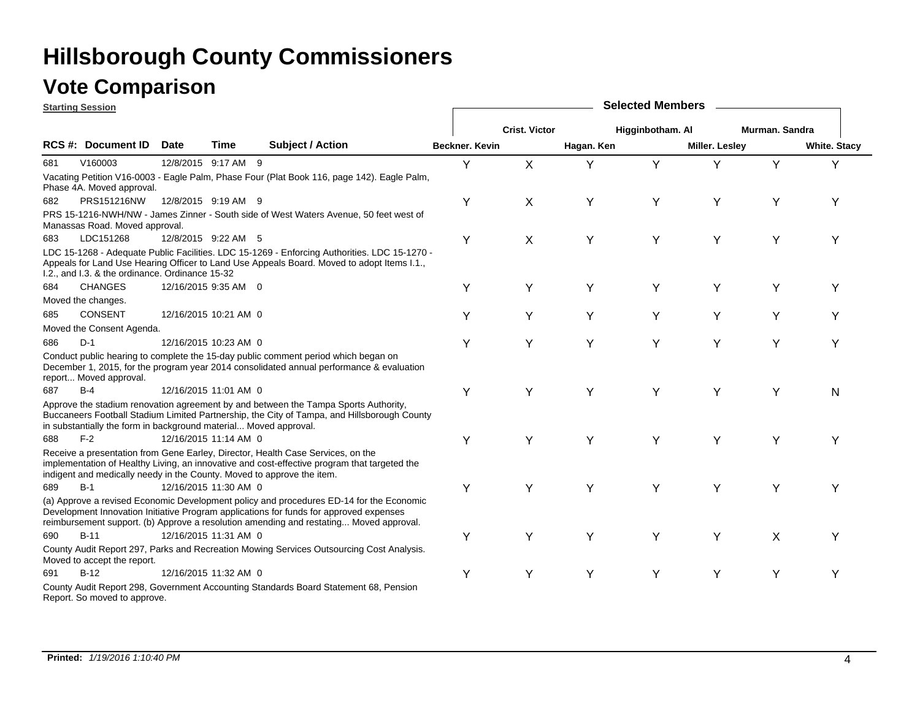#### **Vote Comparison**

**Starting Session**

|     | <u> Starting Session</u>                                         |             |                       |                                                                                                                                                                                                                                                                             |                       |                      |            | <b>OUIGUGA MUILINGIO</b> |                       |                |                     |
|-----|------------------------------------------------------------------|-------------|-----------------------|-----------------------------------------------------------------------------------------------------------------------------------------------------------------------------------------------------------------------------------------------------------------------------|-----------------------|----------------------|------------|--------------------------|-----------------------|----------------|---------------------|
|     |                                                                  |             |                       |                                                                                                                                                                                                                                                                             |                       | <b>Crist. Victor</b> |            | Higginbotham. Al         |                       | Murman. Sandra |                     |
|     | <b>RCS #: Document ID</b>                                        | <b>Date</b> | Time                  | <b>Subject / Action</b>                                                                                                                                                                                                                                                     | <b>Beckner, Kevin</b> |                      | Hagan. Ken |                          | <b>Miller. Lesley</b> |                | <b>White. Stacy</b> |
| 681 | V160003                                                          |             | 12/8/2015 9:17 AM 9   |                                                                                                                                                                                                                                                                             | Y                     | $\mathsf{X}$         | Y          | Y                        | Υ                     | Y              | Y                   |
|     | Phase 4A. Moved approval.                                        |             |                       | Vacating Petition V16-0003 - Eagle Palm, Phase Four (Plat Book 116, page 142). Eagle Palm,                                                                                                                                                                                  |                       |                      |            |                          |                       |                |                     |
| 682 | PRS151216NW                                                      |             | 12/8/2015 9:19 AM 9   |                                                                                                                                                                                                                                                                             | Υ                     | X                    | Υ          | Υ                        | Y                     | Υ              | Υ                   |
|     | Manassas Road. Moved approval.                                   |             |                       | PRS 15-1216-NWH/NW - James Zinner - South side of West Waters Avenue, 50 feet west of                                                                                                                                                                                       |                       |                      |            |                          |                       |                |                     |
| 683 | LDC151268                                                        |             | 12/8/2015 9:22 AM 5   |                                                                                                                                                                                                                                                                             | Y                     | X                    | Y          | Υ                        | Υ                     | Y              | Υ                   |
|     | I.2., and I.3. & the ordinance. Ordinance 15-32                  |             |                       | LDC 15-1268 - Adequate Public Facilities. LDC 15-1269 - Enforcing Authorities. LDC 15-1270 -<br>Appeals for Land Use Hearing Officer to Land Use Appeals Board. Moved to adopt Items I.1.,                                                                                  |                       |                      |            |                          |                       |                |                     |
| 684 | <b>CHANGES</b>                                                   |             | 12/16/2015 9:35 AM 0  |                                                                                                                                                                                                                                                                             | Y                     | Υ                    | Y          | Y                        | Υ                     | Υ              | Υ                   |
|     | Moved the changes.                                               |             |                       |                                                                                                                                                                                                                                                                             |                       |                      |            |                          |                       |                |                     |
| 685 | <b>CONSENT</b>                                                   |             | 12/16/2015 10:21 AM 0 |                                                                                                                                                                                                                                                                             | Y                     | Y                    | Υ          | Y                        | Y                     | Y              | Υ                   |
|     | Moved the Consent Agenda.                                        |             |                       |                                                                                                                                                                                                                                                                             |                       |                      |            |                          |                       |                |                     |
| 686 | $D-1$                                                            |             | 12/16/2015 10:23 AM 0 |                                                                                                                                                                                                                                                                             | Y                     | Υ                    | Y          | Υ                        | Υ                     | Y              | Y                   |
|     | report Moved approval.                                           |             |                       | Conduct public hearing to complete the 15-day public comment period which began on<br>December 1, 2015, for the program year 2014 consolidated annual performance & evaluation                                                                                              |                       |                      |            |                          |                       |                |                     |
| 687 | $B-4$                                                            |             | 12/16/2015 11:01 AM 0 |                                                                                                                                                                                                                                                                             | Y                     | Y                    | Y          | Υ                        | Y                     | Υ              | N                   |
|     | in substantially the form in background material Moved approval. |             |                       | Approve the stadium renovation agreement by and between the Tampa Sports Authority,<br>Buccaneers Football Stadium Limited Partnership, the City of Tampa, and Hillsborough County                                                                                          |                       |                      |            |                          |                       |                |                     |
| 688 | $F-2$                                                            |             | 12/16/2015 11:14 AM 0 |                                                                                                                                                                                                                                                                             | Y                     | Υ                    | Υ          | Υ                        | Υ                     | Υ              | Υ                   |
|     |                                                                  |             |                       | Receive a presentation from Gene Earley, Director, Health Case Services, on the<br>implementation of Healthy Living, an innovative and cost-effective program that targeted the<br>indigent and medically needy in the County. Moved to approve the item.                   |                       |                      |            |                          |                       |                |                     |
| 689 | $B-1$                                                            |             | 12/16/2015 11:30 AM 0 |                                                                                                                                                                                                                                                                             | Y                     | Υ                    | Y          | Υ                        | Υ                     | Y              | Υ                   |
|     |                                                                  |             |                       | (a) Approve a revised Economic Development policy and procedures ED-14 for the Economic<br>Development Innovation Initiative Program applications for funds for approved expenses<br>reimbursement support. (b) Approve a resolution amending and restating Moved approval. |                       |                      |            |                          |                       |                |                     |
| 690 | $B-11$                                                           |             | 12/16/2015 11:31 AM 0 |                                                                                                                                                                                                                                                                             | Y                     | Υ                    | Y          | Υ                        | Υ                     | X              | Υ                   |
|     | Moved to accept the report.                                      |             |                       | County Audit Report 297, Parks and Recreation Mowing Services Outsourcing Cost Analysis.                                                                                                                                                                                    |                       |                      |            |                          |                       |                |                     |
| 691 | $B-12$                                                           |             | 12/16/2015 11:32 AM 0 |                                                                                                                                                                                                                                                                             | Υ                     | Y                    | Υ          | Υ                        | Υ                     | Y              | Υ                   |
|     |                                                                  |             |                       | County Audit Report 298, Government Accounting Standards Board Statement 68, Pension                                                                                                                                                                                        |                       |                      |            |                          |                       |                |                     |

**Selected Members**

Report. So moved to approve.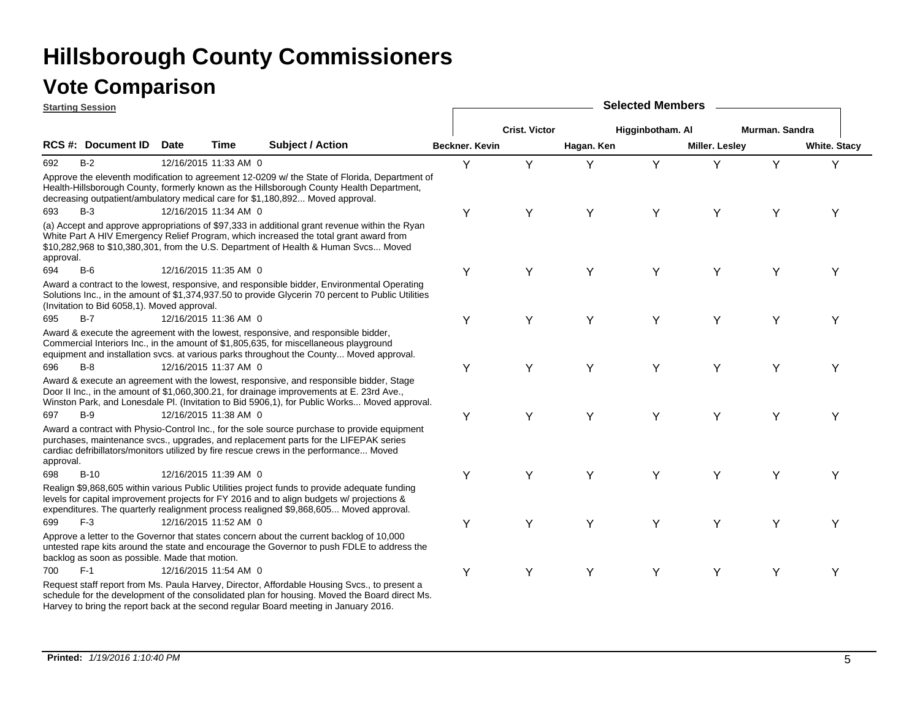|           | <b>Starting Session</b>                        |             |                       |                                                                                                                                                                                                                                                                                       |                | <b>Selected Members</b> |            |                  |                |                |                     |  |  |  |  |
|-----------|------------------------------------------------|-------------|-----------------------|---------------------------------------------------------------------------------------------------------------------------------------------------------------------------------------------------------------------------------------------------------------------------------------|----------------|-------------------------|------------|------------------|----------------|----------------|---------------------|--|--|--|--|
|           |                                                |             |                       |                                                                                                                                                                                                                                                                                       |                | <b>Crist. Victor</b>    |            | Higginbotham. Al |                | Murman, Sandra |                     |  |  |  |  |
|           | <b>RCS#: Document ID</b>                       | <b>Date</b> | Time                  | <b>Subject / Action</b>                                                                                                                                                                                                                                                               | Beckner. Kevin |                         | Hagan. Ken |                  | Miller. Lesley |                | <b>White. Stacy</b> |  |  |  |  |
| 692       | $B-2$                                          |             | 12/16/2015 11:33 AM 0 |                                                                                                                                                                                                                                                                                       | Y              | Y                       | Y          | Y                | Y              | Y              | Y                   |  |  |  |  |
|           |                                                |             |                       | Approve the eleventh modification to agreement 12-0209 w/ the State of Florida, Department of<br>Health-Hillsborough County, formerly known as the Hillsborough County Health Department,<br>decreasing outpatient/ambulatory medical care for \$1,180,892 Moved approval.            |                |                         |            |                  |                |                |                     |  |  |  |  |
| 693       | $B-3$                                          |             | 12/16/2015 11:34 AM 0 |                                                                                                                                                                                                                                                                                       | Υ              | Y                       | Y          | Υ                | Y              | Υ              | Y                   |  |  |  |  |
| approval. |                                                |             |                       | (a) Accept and approve appropriations of \$97,333 in additional grant revenue within the Ryan<br>White Part A HIV Emergency Relief Program, which increased the total grant award from<br>\$10,282,968 to \$10,380,301, from the U.S. Department of Health & Human Svcs Moved         |                |                         |            |                  |                |                |                     |  |  |  |  |
| 694       | $B-6$                                          |             | 12/16/2015 11:35 AM 0 |                                                                                                                                                                                                                                                                                       | Υ              | Y                       | Y          | Υ                | Y              | Υ              | Y                   |  |  |  |  |
|           | (Invitation to Bid 6058,1). Moved approval.    |             |                       | Award a contract to the lowest, responsive, and responsible bidder, Environmental Operating<br>Solutions Inc., in the amount of \$1,374,937.50 to provide Glycerin 70 percent to Public Utilities                                                                                     |                |                         |            |                  |                |                |                     |  |  |  |  |
| 695       | $B-7$                                          |             | 12/16/2015 11:36 AM 0 |                                                                                                                                                                                                                                                                                       | Υ              | Υ                       | Y          | Y                | Υ              | Y              | Y                   |  |  |  |  |
|           |                                                |             |                       | Award & execute the agreement with the lowest, responsive, and responsible bidder,<br>Commercial Interiors Inc., in the amount of \$1,805,635, for miscellaneous playground<br>equipment and installation svcs. at various parks throughout the County Moved approval.                |                |                         |            |                  |                |                |                     |  |  |  |  |
| 696       | $B-8$                                          |             | 12/16/2015 11:37 AM 0 |                                                                                                                                                                                                                                                                                       | Υ              | Y                       | Y          | Υ                | Υ              | Υ              | Υ                   |  |  |  |  |
|           |                                                |             |                       | Award & execute an agreement with the lowest, responsive, and responsible bidder, Stage<br>Door II Inc., in the amount of \$1,060,300.21, for drainage improvements at E. 23rd Ave.,<br>Winston Park, and Lonesdale Pl. (Invitation to Bid 5906,1), for Public Works Moved approval.  |                |                         |            |                  |                |                |                     |  |  |  |  |
| 697       | $B-9$                                          |             | 12/16/2015 11:38 AM 0 |                                                                                                                                                                                                                                                                                       | Υ              | Y                       | Y          | Y                | Y              | Υ              | Υ                   |  |  |  |  |
| approval. |                                                |             |                       | Award a contract with Physio-Control Inc., for the sole source purchase to provide equipment<br>purchases, maintenance svcs., upgrades, and replacement parts for the LIFEPAK series<br>cardiac defribillators/monitors utilized by fire rescue crews in the performance Moved        |                |                         |            |                  |                |                |                     |  |  |  |  |
| 698       | $B-10$                                         |             | 12/16/2015 11:39 AM 0 |                                                                                                                                                                                                                                                                                       | Υ              | Y                       | Y          | Υ                | Y              | Υ              | Υ                   |  |  |  |  |
|           |                                                |             |                       | Realign \$9,868,605 within various Public Utilities project funds to provide adequate funding<br>levels for capital improvement projects for FY 2016 and to align budgets w/ projections &<br>expenditures. The quarterly realignment process realigned \$9,868,605 Moved approval.   |                |                         |            |                  |                |                |                     |  |  |  |  |
| 699       | $F-3$                                          |             | 12/16/2015 11:52 AM 0 |                                                                                                                                                                                                                                                                                       | Υ              | Y                       | Y          | Υ                | Y              | Υ              | Y                   |  |  |  |  |
|           | backlog as soon as possible. Made that motion. |             |                       | Approve a letter to the Governor that states concern about the current backlog of 10,000<br>untested rape kits around the state and encourage the Governor to push FDLE to address the                                                                                                |                |                         |            |                  |                |                |                     |  |  |  |  |
| 700       | $F-1$                                          |             | 12/16/2015 11:54 AM 0 |                                                                                                                                                                                                                                                                                       | Υ              | Y                       | Υ          | Υ                | Y              | Υ              | Y                   |  |  |  |  |
|           |                                                |             |                       | Request staff report from Ms. Paula Harvey, Director, Affordable Housing Svcs., to present a<br>schedule for the development of the consolidated plan for housing. Moved the Board direct Ms.<br>Harvey to bring the report back at the second regular Board meeting in January 2016. |                |                         |            |                  |                |                |                     |  |  |  |  |